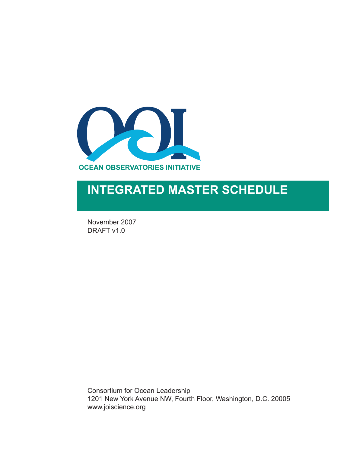

## **INTEGRATED MASTER SCHEDULE**

November 2007 DRAFT v1.0

Consortium for Ocean Leadership 1201 New York Avenue NW, Fourth Floor, Washington, D.C. 20005 www.joiscience.org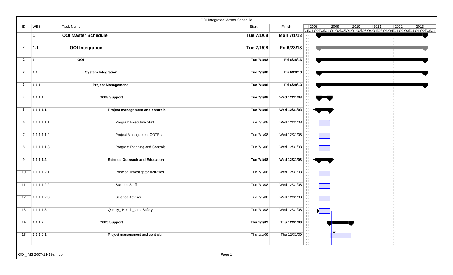|                |                         |                                          | OOI Integrated Master Schedule |              |                |      |                                                                    |      |                |      |
|----------------|-------------------------|------------------------------------------|--------------------------------|--------------|----------------|------|--------------------------------------------------------------------|------|----------------|------|
| ID             | <b>WBS</b>              | <b>Task Name</b>                         | Start                          | Finish       | $ 2008\rangle$ | 2009 | 2010<br>Q4Q1Q2Q3Q4Q1Q2Q3Q4Q1Q2Q3Q4Q1Q2Q3Q4Q1Q2Q3Q4Q1Q2Q3Q4Q1Q2Q3Q4 | 2011 | $ 2012\rangle$ | 2013 |
| $\mathbf{1}$   | $\vert$ 1               | <b>OOI Master Schedule</b>               | Tue 7/1/08                     | Mon 7/1/13   |                |      |                                                                    |      |                |      |
| $\overline{2}$ | 1.1                     | <b>OOI</b> Integration                   | Tue 7/1/08                     | Fri 6/28/13  |                |      |                                                                    |      |                |      |
| $\mathbf{1}$   | $\vert$ 1               | OOI                                      | Tue 7/1/08                     | Fri 6/28/13  |                |      |                                                                    |      |                |      |
| $\overline{2}$ | 1.1                     | <b>System Integration</b>                | Tue 7/1/08                     | Fri 6/28/13  |                |      |                                                                    |      |                |      |
| 3              | 1.1.1                   | <b>Project Management</b>                | Tue 7/1/08                     | Fri 6/28/13  |                |      |                                                                    |      |                |      |
| 4              | 1.1.1.1                 | 2008 Support                             | Tue 7/1/08                     | Wed 12/31/08 |                |      |                                                                    |      |                |      |
| 5              | 1.1.1.1.1               | Project management and controls          | Tue 7/1/08                     | Wed 12/31/08 |                |      |                                                                    |      |                |      |
| 6              | 1.1.1.1.1.1             | Program Executive Staff                  | Tue 7/1/08                     | Wed 12/31/08 |                |      |                                                                    |      |                |      |
| $\overline{7}$ | 1.1.1.1.1.2             | <b>Project Management COTRs</b>          | Tue 7/1/08                     | Wed 12/31/08 |                |      |                                                                    |      |                |      |
| 8              | 1.1.1.1.1.3             | Program Planning and Controls            | Tue 7/1/08                     | Wed 12/31/08 |                |      |                                                                    |      |                |      |
| 9              | 1.1.1.1.2               | <b>Science Outreach and Education</b>    | Tue 7/1/08                     | Wed 12/31/08 |                |      |                                                                    |      |                |      |
| 10             | 1.1.1.1.2.1             | <b>Principal Investigator Activities</b> | Tue 7/1/08                     | Wed 12/31/08 |                |      |                                                                    |      |                |      |
| 11             | 1.1.1.1.2.2             | <b>Science Staff</b>                     | Tue 7/1/08                     | Wed 12/31/08 |                |      |                                                                    |      |                |      |
| 12             | 1.1.1.1.2.3             | Science Advisor                          | Tue 7/1/08                     | Wed 12/31/08 |                |      |                                                                    |      |                |      |
| 13             | 1.1.1.1.3               | Quality_Health_and Safety                | Tue 7/1/08                     | Wed 12/31/08 |                |      |                                                                    |      |                |      |
| 14             | 1.1.1.2                 | 2009 Support                             | Thu 1/1/09                     | Thu 12/31/09 |                |      |                                                                    |      |                |      |
| 15             | 1.1.1.2.1               | Project management and controls          | Thu 1/1/09                     | Thu 12/31/09 |                |      |                                                                    |      |                |      |
|                |                         |                                          |                                |              |                |      |                                                                    |      |                |      |
|                | OOI_IMS 2007-11-19a.mpp |                                          | Page 1                         |              |                |      |                                                                    |      |                |      |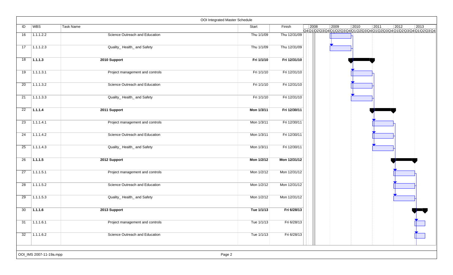|    |                         |                                 | OOI Integrated Master Schedule |              |                |      |                |      |                |                                                                        |
|----|-------------------------|---------------------------------|--------------------------------|--------------|----------------|------|----------------|------|----------------|------------------------------------------------------------------------|
| ID | WBS                     | Task Name                       | Start                          | Finish       | $ 2008\rangle$ | 2009 | $ 2010\rangle$ | 2011 | $ 2012\rangle$ | 2013<br>Q4Q1Q2Q3Q4Q1Q2Q3Q4Q1Q2Q3Q4Q1JQ2Q3Q4Q1 Q2Q3Q4Q1 Q2Q3Q4Q1 Q2Q3Q4 |
| 16 | 1.1.1.2.2               | Science Outreach and Education  | Thu 1/1/09                     | Thu 12/31/09 |                |      |                |      |                |                                                                        |
| 17 | 1.1.1.2.3               | Quality_Health_and Safety       | Thu 1/1/09                     | Thu 12/31/09 |                |      |                |      |                |                                                                        |
| 18 | 1.1.1.3                 | 2010 Support                    | Fri 1/1/10                     | Fri 12/31/10 |                |      |                |      |                |                                                                        |
| 19 | 1.1.1.3.1               | Project management and controls | Fri 1/1/10                     | Fri 12/31/10 |                |      |                |      |                |                                                                        |
| 20 | 1.1.1.3.2               | Science Outreach and Education  | Fri 1/1/10                     | Fri 12/31/10 |                |      |                |      |                |                                                                        |
| 21 | 1.1.1.3.3               | Quality_Health_and Safety       | Fri 1/1/10                     | Fri 12/31/10 |                |      |                |      |                |                                                                        |
| 22 | 1.1.1.4                 | 2011 Support                    | Mon 1/3/11                     | Fri 12/30/11 |                |      |                |      |                |                                                                        |
| 23 | 1.1.1.4.1               | Project management and controls | Mon 1/3/11                     | Fri 12/30/11 |                |      |                |      |                |                                                                        |
| 24 | 1.1.1.4.2               | Science Outreach and Education  | Mon 1/3/11                     | Fri 12/30/11 |                |      |                |      |                |                                                                        |
| 25 | 1.1.1.4.3               | Quality_Health_and Safety       | Mon 1/3/11                     | Fri 12/30/11 |                |      |                |      |                |                                                                        |
| 26 | 1.1.1.5                 | 2012 Support                    | Mon 1/2/12                     | Mon 12/31/12 |                |      |                |      |                |                                                                        |
| 27 | 1.1.1.5.1               | Project management and controls | Mon 1/2/12                     | Mon 12/31/12 |                |      |                |      |                |                                                                        |
| 28 | 1.1.1.5.2               | Science Outreach and Education  | Mon 1/2/12                     | Mon 12/31/12 |                |      |                |      |                |                                                                        |
| 29 | 1.1.1.5.3               | Quality_Health_and Safety       | Mon 1/2/12                     | Mon 12/31/12 |                |      |                |      |                |                                                                        |
| 30 | 1.1.1.6                 | 2013 Support                    | Tue 1/1/13                     | Fri 6/28/13  |                |      |                |      |                |                                                                        |
| 31 | 1.1.1.6.1               | Project management and controls | Tue 1/1/13                     | Fri 6/28/13  |                |      |                |      |                |                                                                        |
| 32 | 1.1.1.6.2               | Science Outreach and Education  | Tue 1/1/13                     | Fri 6/28/13  |                |      |                |      |                |                                                                        |
|    | OOI_IMS 2007-11-19a.mpp |                                 | Page 2                         |              |                |      |                |      |                |                                                                        |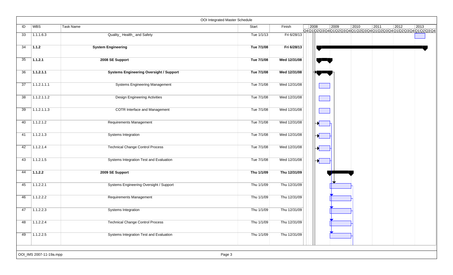|    |                         |                                                | OOI Integrated Master Schedule |              |      |      |      |      |                                                                    |      |  |
|----|-------------------------|------------------------------------------------|--------------------------------|--------------|------|------|------|------|--------------------------------------------------------------------|------|--|
| ID | <b>WBS</b>              | Task Name                                      | Start                          | Finish       | 2008 | 2009 | 2010 | 2011 | 2012<br>Q4Q1Q2Q3Q4Q1Q2Q3Q4Q1Q2Q3Q4Q1Q2Q3Q4Q1Q2Q3Q4Q1Q2Q3Q4Q1Q2Q3Q4 | 2013 |  |
| 33 | 1.1.1.6.3               | Quality_Health_and Safety                      | Tue 1/1/13                     | Fri 6/28/13  |      |      |      |      |                                                                    |      |  |
| 34 | $\vert$ 1.1.2           | <b>System Engineering</b>                      | Tue 7/1/08                     | Fri 6/28/13  |      |      |      |      |                                                                    |      |  |
| 35 | 1.1.2.1                 | 2008 SE Support                                | Tue 7/1/08                     | Wed 12/31/08 |      |      |      |      |                                                                    |      |  |
| 36 | 1.1.2.1.1               | <b>Systems Engineering Oversight / Support</b> | Tue 7/1/08                     | Wed 12/31/08 |      |      |      |      |                                                                    |      |  |
| 37 | 1.1.2.1.1.1             | <b>Systems Engineering Management</b>          | Tue 7/1/08                     | Wed 12/31/08 |      |      |      |      |                                                                    |      |  |
| 38 | 1.1.2.1.1.2             | <b>Design Engineering Activities</b>           | Tue 7/1/08                     | Wed 12/31/08 |      |      |      |      |                                                                    |      |  |
| 39 | 1.1.2.1.1.3             | <b>COTR Interface and Management</b>           | Tue 7/1/08                     | Wed 12/31/08 |      |      |      |      |                                                                    |      |  |
| 40 | 1.1.2.1.2               | <b>Requirements Management</b>                 | Tue 7/1/08                     | Wed 12/31/08 |      |      |      |      |                                                                    |      |  |
| 41 | 1.1.2.1.3               | Systems Integration                            | Tue 7/1/08                     | Wed 12/31/08 |      |      |      |      |                                                                    |      |  |
| 42 | 1.1.2.1.4               | <b>Technical Change Control Process</b>        | Tue 7/1/08                     | Wed 12/31/08 |      |      |      |      |                                                                    |      |  |
| 43 | 1.1.2.1.5               | Systems Integration Test and Evaluation        | Tue 7/1/08                     | Wed 12/31/08 |      |      |      |      |                                                                    |      |  |
| 44 | 1.1.2.2                 | 2009 SE Support                                | Thu 1/1/09                     | Thu 12/31/09 |      |      |      |      |                                                                    |      |  |
| 45 | 1.1.2.2.1               | Systems Engineering Oversight / Support        | Thu 1/1/09                     | Thu 12/31/09 |      |      |      |      |                                                                    |      |  |
| 46 | 1.1.2.2.2               | Requirements Management                        | Thu 1/1/09                     | Thu 12/31/09 |      |      |      |      |                                                                    |      |  |
| 47 | 1.1.2.2.3               | Systems Integration                            | Thu 1/1/09                     | Thu 12/31/09 |      |      |      |      |                                                                    |      |  |
| 48 | 1.1.2.2.4               | <b>Technical Change Control Process</b>        | Thu 1/1/09                     | Thu 12/31/09 |      |      |      |      |                                                                    |      |  |
| 49 | 1.1.2.2.5               | Systems Integration Test and Evaluation        | Thu 1/1/09                     | Thu 12/31/09 |      |      |      |      |                                                                    |      |  |
|    |                         |                                                |                                |              |      |      |      |      |                                                                    |      |  |
|    | OOI_IMS 2007-11-19a.mpp |                                                | Page 3                         |              |      |      |      |      |                                                                    |      |  |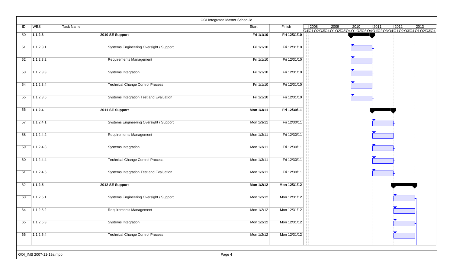|    |                         |                                         | OOI Integrated Master Schedule |              |      |                                                                    |                |      |      |      |
|----|-------------------------|-----------------------------------------|--------------------------------|--------------|------|--------------------------------------------------------------------|----------------|------|------|------|
| ID | WBS                     | Task Name                               | Start                          | Finish       | 2008 | 2009<br>Q4Q1Q2Q3Q4Q1Q2Q3Q4Q1Q2Q3Q4Q1Q2Q3Q4Q1Q2Q3Q4Q1Q2Q3Q4Q1Q2Q3Q4 | $ 2010\rangle$ | 2011 | 2012 | 2013 |
| 50 | 1.1.2.3                 | 2010 SE Support                         | Fri 1/1/10                     | Fri 12/31/10 |      |                                                                    |                |      |      |      |
| 51 | 1.1.2.3.1               | Systems Engineering Oversight / Support | Fri 1/1/10                     | Fri 12/31/10 |      |                                                                    |                |      |      |      |
| 52 | 1.1.2.3.2               | Requirements Management                 | Fri 1/1/10                     | Fri 12/31/10 |      |                                                                    |                |      |      |      |
| 53 | 1.1.2.3.3               | Systems Integration                     | Fri 1/1/10                     | Fri 12/31/10 |      |                                                                    |                |      |      |      |
| 54 | 1.1.2.3.4               | <b>Technical Change Control Process</b> | Fri 1/1/10                     | Fri 12/31/10 |      |                                                                    |                |      |      |      |
| 55 | 1.1.2.3.5               | Systems Integration Test and Evaluation | Fri 1/1/10                     | Fri 12/31/10 |      |                                                                    |                |      |      |      |
| 56 | 1.1.2.4                 | 2011 SE Support                         | Mon 1/3/11                     | Fri 12/30/11 |      |                                                                    |                |      |      |      |
| 57 | 1.1.2.4.1               | Systems Engineering Oversight / Support | Mon 1/3/11                     | Fri 12/30/11 |      |                                                                    |                |      |      |      |
| 58 | 1.1.2.4.2               | Requirements Management                 | Mon 1/3/11                     | Fri 12/30/11 |      |                                                                    |                |      |      |      |
| 59 | 1.1.2.4.3               | Systems Integration                     | Mon 1/3/11                     | Fri 12/30/11 |      |                                                                    |                |      |      |      |
| 60 | 1.1.2.4.4               | <b>Technical Change Control Process</b> | Mon 1/3/11                     | Fri 12/30/11 |      |                                                                    |                |      |      |      |
| 61 | 1.1.2.4.5               | Systems Integration Test and Evaluation | Mon 1/3/11                     | Fri 12/30/11 |      |                                                                    |                |      |      |      |
| 62 | 1.1.2.5                 | 2012 SE Support                         | Mon 1/2/12                     | Mon 12/31/12 |      |                                                                    |                |      |      |      |
| 63 | 1.1.2.5.1               | Systems Engineering Oversight / Support | Mon 1/2/12                     | Mon 12/31/12 |      |                                                                    |                |      |      |      |
| 64 | 1.1.2.5.2               | Requirements Management                 | Mon 1/2/12                     | Mon 12/31/12 |      |                                                                    |                |      |      |      |
| 65 | 1.1.2.5.3               | Systems Integration                     | Mon 1/2/12                     | Mon 12/31/12 |      |                                                                    |                |      |      |      |
| 66 | 1.1.2.5.4               | <b>Technical Change Control Process</b> | Mon 1/2/12                     | Mon 12/31/12 |      |                                                                    |                |      |      |      |
|    |                         |                                         |                                |              |      |                                                                    |                |      |      |      |
|    | OOI_IMS 2007-11-19a.mpp |                                         | Page 4                         |              |      |                                                                    |                |      |      |      |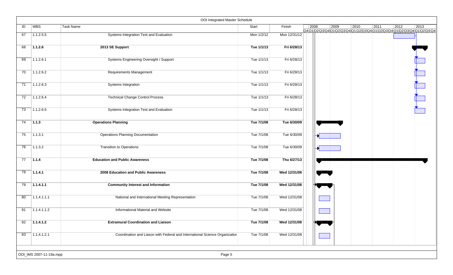|    |                         | OOI Integrated Master Schedule                                              |            |              |      |                                                                    |                |      |                |      |
|----|-------------------------|-----------------------------------------------------------------------------|------------|--------------|------|--------------------------------------------------------------------|----------------|------|----------------|------|
| ID | WBS                     | Task Name                                                                   | Start      | Finish       | 2008 | 2009<br>Q401020304010203040102030401020304010203040102030401020304 | $ 2010\rangle$ | 2011 | $ 2012\rangle$ | 2013 |
| 67 | 1.1.2.5.5               | Systems Integration Test and Evaluation                                     | Mon 1/2/12 | Mon 12/31/12 |      |                                                                    |                |      |                |      |
| 68 | 1.1.2.6                 | 2013 SE Support                                                             | Tue 1/1/13 | Fri 6/28/13  |      |                                                                    |                |      |                |      |
| 69 | 1.1.2.6.1               | Systems Engineering Oversight / Support                                     | Tue 1/1/13 | Fri 6/28/13  |      |                                                                    |                |      |                |      |
| 70 | 1.1.2.6.2               | <b>Requirements Management</b>                                              | Tue 1/1/13 | Fri 6/28/13  |      |                                                                    |                |      |                |      |
| 71 | 1.1.2.6.3               | Systems Integration                                                         | Tue 1/1/13 | Fri 6/28/13  |      |                                                                    |                |      |                |      |
| 72 | 1.1.2.6.4               | <b>Technical Change Control Process</b>                                     | Tue 1/1/13 | Fri 6/28/13  |      |                                                                    |                |      |                |      |
| 73 | 1.1.2.6.5               | Systems Integration Test and Evaluation                                     | Tue 1/1/13 | Fri 6/28/13  |      |                                                                    |                |      |                |      |
| 74 | $\vert$ 1.1.3           | <b>Operations Planning</b>                                                  | Tue 7/1/08 | Tue 6/30/09  |      |                                                                    |                |      |                |      |
| 75 | 1.1.3.1                 | <b>Operations Planning Documentation</b>                                    | Tue 7/1/08 | Tue 6/30/09  |      |                                                                    |                |      |                |      |
| 76 | 1.1.3.2                 | <b>Transition to Operations</b>                                             | Tue 7/1/08 | Tue 6/30/09  |      |                                                                    |                |      |                |      |
| 77 | 1.1.4                   | <b>Education and Public Awareness</b>                                       | Tue 7/1/08 | Thu 6/27/13  |      |                                                                    |                |      |                |      |
| 78 | 1.1.4.1                 | 2008 Education and Public Awareness                                         | Tue 7/1/08 | Wed 12/31/08 |      |                                                                    |                |      |                |      |
| 79 | 1.1.4.1.1               | <b>Community Interest and Information</b>                                   | Tue 7/1/08 | Wed 12/31/08 |      |                                                                    |                |      |                |      |
| 80 | 1.1.4.1.1.1             | National and International Meeting Representation                           | Tue 7/1/08 | Wed 12/31/08 |      |                                                                    |                |      |                |      |
| 81 | 1.1.4.1.1.2             | Informational Material and Website                                          | Tue 7/1/08 | Wed 12/31/08 |      |                                                                    |                |      |                |      |
| 82 | 1.1.4.1.2               | <b>Extramural Coordination and Liaison</b>                                  | Tue 7/1/08 | Wed 12/31/08 |      |                                                                    |                |      |                |      |
| 83 | 1.1.4.1.2.1             | Coordination and Liason with Federal and International Science Organization | Tue 7/1/08 | Wed 12/31/08 |      |                                                                    |                |      |                |      |
|    | OOI_IMS 2007-11-19a.mpp | Page 5                                                                      |            |              |      |                                                                    |                |      |                |      |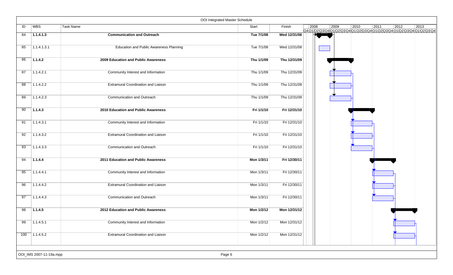|     |                         |                                                | OOI Integrated Master Schedule |              |      |                |                                                                    |      |                |      |
|-----|-------------------------|------------------------------------------------|--------------------------------|--------------|------|----------------|--------------------------------------------------------------------|------|----------------|------|
| ID  | WBS                     | Task Name                                      | Start                          | Finish       | 2008 | $ 2009\rangle$ | 2010<br>Q4Q1Q2Q3Q4Q1Q2Q3Q4Q1Q2Q3Q4Q1Q2Q3Q4Q1Q2Q3Q4Q1Q2Q3Q4Q1Q2Q3Q4 | 2011 | $ 2012\rangle$ | 2013 |
| 84  | 1.1.4.1.3               | <b>Communication and Outreach</b>              | Tue 7/1/08                     | Wed 12/31/08 |      |                |                                                                    |      |                |      |
| 85  | 1.1.4.1.3.1             | <b>Education and Public Awareness Planning</b> | Tue 7/1/08                     | Wed 12/31/08 |      |                |                                                                    |      |                |      |
| 86  | 1.1.4.2                 | 2009 Education and Public Awareness            | Thu 1/1/09                     | Thu 12/31/09 |      |                |                                                                    |      |                |      |
| 87  | 1.1.4.2.1               | Community Interest and Information             | Thu 1/1/09                     | Thu 12/31/09 |      |                |                                                                    |      |                |      |
| 88  | 1.1.4.2.2               | <b>Extramural Coordination and Liaison</b>     | Thu 1/1/09                     | Thu 12/31/09 |      |                |                                                                    |      |                |      |
| 89  | 1.1.4.2.3               | Communication and Outreach                     | Thu 1/1/09                     | Thu 12/31/09 |      |                |                                                                    |      |                |      |
| 90  | 1.1.4.3                 | 2010 Education and Public Awareness            | Fri 1/1/10                     | Fri 12/31/10 |      |                |                                                                    |      |                |      |
| 91  | 1.1.4.3.1               | Community Interest and Information             | Fri 1/1/10                     | Fri 12/31/10 |      |                |                                                                    |      |                |      |
| 92  | 1.1.4.3.2               | <b>Extramural Coordination and Liaison</b>     | Fri 1/1/10                     | Fri 12/31/10 |      |                |                                                                    |      |                |      |
| 93  | 1.1.4.3.3               | Communication and Outreach                     | Fri 1/1/10                     | Fri 12/31/10 |      |                |                                                                    |      |                |      |
| 94  | 1.1.4.4                 | 2011 Education and Public Awareness            | Mon 1/3/11                     | Fri 12/30/11 |      |                |                                                                    |      |                |      |
| 95  | 1.1.4.4.1               | Community Interest and Information             | Mon 1/3/11                     | Fri 12/30/11 |      |                |                                                                    |      |                |      |
| 96  | 1.1.4.4.2               | <b>Extramural Coordination and Liaison</b>     | Mon 1/3/11                     | Fri 12/30/11 |      |                |                                                                    |      |                |      |
| 97  | 1.1.4.4.3               | Communication and Outreach                     | Mon 1/3/11                     | Fri 12/30/11 |      |                |                                                                    |      |                |      |
| 98  | 1.1.4.5                 | 2012 Education and Public Awareness            | Mon 1/2/12                     | Mon 12/31/12 |      |                |                                                                    |      |                |      |
| 99  | 1.1.4.5.1               | Community Interest and Information             | Mon 1/2/12                     | Mon 12/31/12 |      |                |                                                                    |      |                |      |
| 100 | 1.1.4.5.2               | <b>Extramural Coordination and Liaison</b>     | Mon 1/2/12                     | Mon 12/31/12 |      |                |                                                                    |      |                |      |
|     |                         |                                                |                                |              |      |                |                                                                    |      |                |      |
|     | OOI_IMS 2007-11-19a.mpp |                                                | Page 6                         |              |      |                |                                                                    |      |                |      |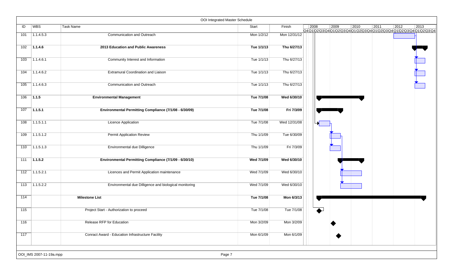|                  |                         |                                                          | OOI Integrated Master Schedule |              |      |                |      |      |                                                                                            |      |
|------------------|-------------------------|----------------------------------------------------------|--------------------------------|--------------|------|----------------|------|------|--------------------------------------------------------------------------------------------|------|
| ID               | <b>WBS</b>              | Task Name                                                | Start                          | Finish       | 2008 | $ 2009\rangle$ | 2010 | 2011 | $ 2012\rangle$<br>Q4Q1\Q2\Q3\Q4\Q1\Q2\Q3\Q4\Q1\Q2\Q3\Q4\Q1\Q2\Q3\Q4\Q1\Q2\Q3\Q4Q1\Q2\Q3\Q4 | 2013 |
| 101              | 1.1.4.5.3               | Communication and Outreach                               | Mon 1/2/12                     | Mon 12/31/12 |      |                |      |      |                                                                                            |      |
| 102              | 7.1.4.6                 | 2013 Education and Public Awareness                      | Tue 1/1/13                     | Thu 6/27/13  |      |                |      |      |                                                                                            |      |
| 103              | 1.1.4.6.1               | Community Interest and Information                       | Tue 1/1/13                     | Thu 6/27/13  |      |                |      |      |                                                                                            |      |
| 104              | 1.1.4.6.2               | Extramural Coordination and Liaison                      | Tue 1/1/13                     | Thu 6/27/13  |      |                |      |      |                                                                                            |      |
| 105              | 1.1.4.6.3               | Communication and Outreach                               | Tue 1/1/13                     | Thu 6/27/13  |      |                |      |      |                                                                                            |      |
| 106              | 71.1.5                  | <b>Environmental Management</b>                          | Tue 7/1/08                     | Wed 6/30/10  |      |                |      |      |                                                                                            |      |
| 107              | 1.1.5.1                 | Environmental Permitting Compliance (7/1/08 - 6/30/09)   | Tue 7/1/08                     | Fri 7/3/09   |      |                |      |      |                                                                                            |      |
| 108              | 1.1.5.1.1               | Licence Application                                      | Tue 7/1/08                     | Wed 12/31/08 |      |                |      |      |                                                                                            |      |
| 109              | 71.1.5.1.2              | <b>Permit Application Review</b>                         | Thu 1/1/09                     | Tue 6/30/09  |      |                |      |      |                                                                                            |      |
| 110              | 1.1.5.1.3               | Environmental due Dilligence                             | Thu 1/1/09                     | Fri 7/3/09   |      |                |      |      |                                                                                            |      |
| 111              | 1.1.5.2                 | Environmental Permitting Compliance (7/1/09 - 6/30/10)   | Wed 7/1/09                     | Wed 6/30/10  |      |                |      |      |                                                                                            |      |
| 112              | $\overline{)1.1.5.2.1}$ | Licences and Permit Application maintenance              | Wed 7/1/09                     | Wed 6/30/10  |      |                |      |      |                                                                                            |      |
| 113              | 1.1.5.2.2               | Environmental due Dilligence and biological monitoring   | Wed 7/1/09                     | Wed 6/30/10  |      |                |      |      |                                                                                            |      |
| 114              |                         | <b>Milestone List</b>                                    | Tue 7/1/08                     | Mon 6/3/13   |      |                |      |      |                                                                                            |      |
| 115              |                         | Project Start - Authorization to proceed                 | Tue 7/1/08                     | Tue 7/1/08   |      |                |      |      |                                                                                            |      |
| $\overline{116}$ |                         | Release RFP for Education                                | Mon 3/2/09                     | Mon 3/2/09   |      |                |      |      |                                                                                            |      |
| 117              |                         | <b>Conract Award - Education Infrastructure Facility</b> | Mon 6/1/09                     | Mon 6/1/09   |      |                |      |      |                                                                                            |      |
|                  | OOI_IMS 2007-11-19a.mpp |                                                          | Page 7                         |              |      |                |      |      |                                                                                            |      |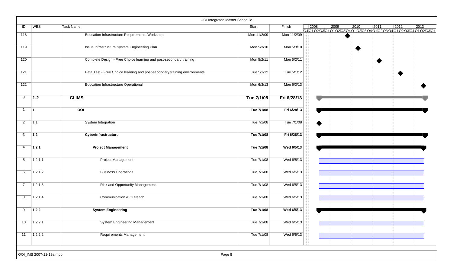|                |                         | OOI Integrated Master Schedule                                            |             |             |      |      |                |                                                                                 |                |      |
|----------------|-------------------------|---------------------------------------------------------------------------|-------------|-------------|------|------|----------------|---------------------------------------------------------------------------------|----------------|------|
| ID             | <b>WBS</b>              | <b>Task Name</b>                                                          | Start       | Finish      | 2008 | 2009 | $ 2010\rangle$ | 2011<br>Q4Q1Q2\Q3\Q4\Q1\Q2\Q3\Q4\Q1\Q2\Q3\Q4\Q1\Q2\Q3\Q4\Q1\Q2\Q3\Q4Q1\Q2\Q3\Q4 | $\boxed{2012}$ | 2013 |
| 118            |                         | <b>Education Infrastructure Requirements Workshop</b>                     | Mon 11/2/09 | Mon 11/2/09 |      |      |                |                                                                                 |                |      |
| 119            |                         | Issue Infrastructure System Engineering Plan                              | Mon 5/3/10  | Mon 5/3/10  |      |      |                |                                                                                 |                |      |
| 120            |                         | Complete Design - Free Choice learning and post-secondary training        | Mon 5/2/11  | Mon 5/2/11  |      |      |                |                                                                                 |                |      |
| 121            |                         | Beta Test - Free Choice learning and post-secondary training environments | Tue 5/1/12  | Tue 5/1/12  |      |      |                |                                                                                 |                |      |
| 122            |                         | <b>Education Infrastructure Operational</b>                               | Mon 6/3/13  | Mon 6/3/13  |      |      |                |                                                                                 |                |      |
| 3              | 1.2                     | <b>CI IMS</b>                                                             | Tue 7/1/08  | Fri 6/28/13 |      |      |                |                                                                                 |                |      |
| $\mathbf{1}$   | 11                      | 00I                                                                       | Tue 7/1/08  | Fri 6/28/13 |      |      |                |                                                                                 |                |      |
| $\overline{2}$ | $\overline{1.1}$        | System Integration                                                        | Tue 7/1/08  | Tue 7/1/08  |      |      |                |                                                                                 |                |      |
| 3              | 1.2                     | Cyberinfrastructure                                                       | Tue 7/1/08  | Fri 6/28/13 |      |      |                |                                                                                 |                |      |
| 4              | 1.2.1                   | <b>Project Management</b>                                                 | Tue 7/1/08  | Wed 6/5/13  |      |      |                |                                                                                 |                |      |
| 5              | 1.2.1.1                 | <b>Project Management</b>                                                 | Tue 7/1/08  | Wed 6/5/13  |      |      |                |                                                                                 |                |      |
| 6              | 1.2.1.2                 | <b>Business Operations</b>                                                | Tue 7/1/08  | Wed 6/5/13  |      |      |                |                                                                                 |                |      |
| $\overline{7}$ | 1.2.1.3                 | Risk and Opportunity Management                                           | Tue 7/1/08  | Wed 6/5/13  |      |      |                |                                                                                 |                |      |
| 8              | 1.2.1.4                 | <b>Communication &amp; Outreach</b>                                       | Tue 7/1/08  | Wed 6/5/13  |      |      |                |                                                                                 |                |      |
| 9              | 1.2.2                   | <b>System Engineering</b>                                                 | Tue 7/1/08  | Wed 6/5/13  |      |      |                |                                                                                 |                |      |
| 10             | 1.2.2.1                 | <b>System Engineering Management</b>                                      | Tue 7/1/08  | Wed 6/5/13  |      |      |                |                                                                                 |                |      |
| 11             | 1.2.2.2                 | Requirements Management                                                   | Tue 7/1/08  | Wed 6/5/13  |      |      |                |                                                                                 |                |      |
|                |                         |                                                                           |             |             |      |      |                |                                                                                 |                |      |
|                | OOI_IMS 2007-11-19a.mpp |                                                                           | Page 8      |             |      |      |                |                                                                                 |                |      |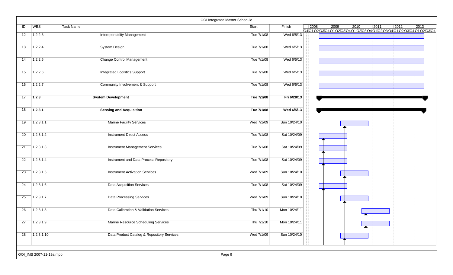|    |                         | OOI Integrated Master Schedule             |            |              |      |      |                                                                                                |      |      |                |
|----|-------------------------|--------------------------------------------|------------|--------------|------|------|------------------------------------------------------------------------------------------------|------|------|----------------|
| ID | WBS                     | <b>Task Name</b>                           | Start      | Finish       | 2008 | 2009 | 2010<br>Q4 Q1 Q2 Q3 Q4 Q1 Q2 Q3 Q4 Q1 Q2 Q3 Q4 Q1 Q2 Q3 Q4 Q1 Q2 Q3 Q4 Q1 Q2 Q3 Q4 Q1 Q2 Q3 Q4 | 2011 | 2012 | $ 2013\rangle$ |
| 12 | 1.2.2.3                 | <b>Interoperability Management</b>         | Tue 7/1/08 | Wed 6/5/13   |      |      |                                                                                                |      |      |                |
| 13 | 1.2.2.4                 | <b>System Design</b>                       | Tue 7/1/08 | Wed 6/5/13   |      |      |                                                                                                |      |      |                |
| 14 | 1.2.2.5                 | <b>Change Control Management</b>           | Tue 7/1/08 | Wed 6/5/13   |      |      |                                                                                                |      |      |                |
| 15 | 1.2.2.6                 | <b>Integrated Logistics Support</b>        | Tue 7/1/08 | Wed 6/5/13   |      |      |                                                                                                |      |      |                |
| 16 | 1.2.2.7                 | Community Involvement & Support            | Tue 7/1/08 | Wed 6/5/13   |      |      |                                                                                                |      |      |                |
| 17 | $\vert$ 1.2.3           | <b>System Development</b>                  | Tue 7/1/08 | Fri 6/28/13  |      |      |                                                                                                |      |      |                |
| 18 | 1.2.3.1                 | <b>Sensing and Acquisition</b>             | Tue 7/1/08 | Wed 6/5/13   |      |      |                                                                                                |      |      |                |
| 19 | 1.2.3.1.1               | <b>Marine Facility Services</b>            | Wed 7/1/09 | Sun 10/24/10 |      |      |                                                                                                |      |      |                |
| 20 | 1.2.3.1.2               | <b>Instrument Direct Access</b>            | Tue 7/1/08 | Sat 10/24/09 |      |      |                                                                                                |      |      |                |
| 21 | 1.2.3.1.3               | <b>Instrument Management Services</b>      | Tue 7/1/08 | Sat 10/24/09 |      |      |                                                                                                |      |      |                |
| 22 | 1.2.3.1.4               | Instrument and Data Process Repository     | Tue 7/1/08 | Sat 10/24/09 |      |      |                                                                                                |      |      |                |
| 23 | 1.2.3.1.5               | <b>Instrument Activation Services</b>      | Wed 7/1/09 | Sun 10/24/10 |      |      |                                                                                                |      |      |                |
| 24 | 1.2.3.1.6               | <b>Data Acquisition Services</b>           | Tue 7/1/08 | Sat 10/24/09 |      |      |                                                                                                |      |      |                |
| 25 | 1.2.3.1.7               | Data Processing Services                   | Wed 7/1/09 | Sun 10/24/10 |      |      |                                                                                                |      |      |                |
| 26 | 1.2.3.1.8               | Data Calibration & Validation Services     | Thu 7/1/10 | Mon 10/24/11 |      |      |                                                                                                |      |      |                |
| 27 | 1.2.3.1.9               | Marine Resource Scheduling Services        | Thu 7/1/10 | Mon 10/24/11 |      |      |                                                                                                |      |      |                |
| 28 | 1.2.3.1.10              | Data Product Catalog & Repository Services | Wed 7/1/09 | Sun 10/24/10 |      |      |                                                                                                |      |      |                |
|    | OOI_IMS 2007-11-19a.mpp | Page 9                                     |            |              |      |      |                                                                                                |      |      |                |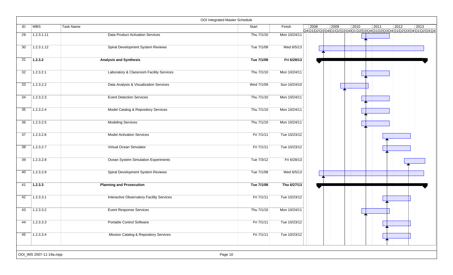|    |                         | OOI Integrated Master Schedule                   |            |              |      |      |                |                                                                 |      |      |
|----|-------------------------|--------------------------------------------------|------------|--------------|------|------|----------------|-----------------------------------------------------------------|------|------|
| ID | <b>WBS</b>              | Task Name                                        | Start      | Finish       | 2008 | 2009 | $ 2010\rangle$ | $\boxed{2011}$<br>Q4Q1Q2Q3Q4Q1Q2Q3Q4Q1Q2Q3Q4Q1JQ2Q3Q4Q1Q2Q3Q4Q1 | 2012 | 2013 |
| 29 | 1.2.3.1.11              | <b>Data Product Activation Services</b>          | Thu 7/1/10 | Mon 10/24/11 |      |      |                |                                                                 |      |      |
| 30 | 1.2.3.1.12              | Spiral Development System Reviews                | Tue 7/1/08 | Wed 6/5/13   |      |      |                |                                                                 |      |      |
| 31 | 1.2.3.2                 | <b>Analysis and Synthesis</b>                    | Tue 7/1/08 | Fri 6/28/13  |      |      |                |                                                                 |      |      |
| 32 | 1.2.3.2.1               | Laboratory & Classroom Facility Services         | Thu 7/1/10 | Mon 10/24/11 |      |      |                |                                                                 |      |      |
| 33 | 1.2.3.2.2               | Data Analysis & Visualization Services           | Wed 7/1/09 | Sun 10/24/10 |      |      |                |                                                                 |      |      |
| 34 | 1.2.3.2.3               | <b>Event Detection Services</b>                  | Thu 7/1/10 | Mon 10/24/11 |      |      |                |                                                                 |      |      |
| 35 | 1.2.3.2.4               | Model Catalog & Repository Services              | Thu 7/1/10 | Mon 10/24/11 |      |      |                |                                                                 |      |      |
| 36 | 1.2.3.2.5               | <b>Modeling Services</b>                         | Thu 7/1/10 | Mon 10/24/11 |      |      |                |                                                                 |      |      |
| 37 | 1.2.3.2.6               | <b>Model Activation Services</b>                 | Fri 7/1/11 | Tue 10/23/12 |      |      |                |                                                                 |      |      |
| 38 | 1.2.3.2.7               | Virtual Ocean Simulator                          | Fri 7/1/11 | Tue 10/23/12 |      |      |                |                                                                 |      |      |
| 39 | 1.2.3.2.8               | Ocean System Simulation Experiments              | Tue 7/3/12 | Fri 6/28/13  |      |      |                |                                                                 |      |      |
| 40 | 1.2.3.2.9               | Spiral Development System Reviews                | Tue 7/1/08 | Wed 6/5/13   |      |      |                |                                                                 |      |      |
| 41 | 1.2.3.3                 | <b>Planning and Prosecution</b>                  | Tue 7/1/08 | Thu 6/27/13  |      |      |                |                                                                 |      |      |
| 42 | 1.2.3.3.1               | <b>Interactive Observatory Facility Services</b> | Fri 7/1/11 | Tue 10/23/12 |      |      |                |                                                                 |      |      |
| 43 | 1.2.3.3.2               | <b>Event Response Services</b>                   | Thu 7/1/10 | Mon 10/24/11 |      |      |                |                                                                 |      |      |
| 44 | 1.2.3.3.3               | Portable Control Software                        | Fri 7/1/11 | Tue 10/23/12 |      |      |                |                                                                 |      |      |
| 45 | 1.2.3.3.4               | Mission Catalog & Repository Services            | Fri 7/1/11 | Tue 10/23/12 |      |      |                |                                                                 |      |      |
|    | OOI_IMS 2007-11-19a.mpp | Page 10                                          |            |              |      |      |                |                                                                 |      |      |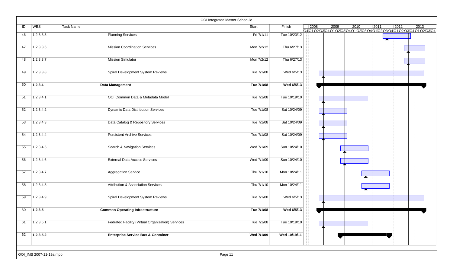|    |                         | OOI Integrated Master Schedule                    |            |              |                |      |      |      |                |                                                                    |
|----|-------------------------|---------------------------------------------------|------------|--------------|----------------|------|------|------|----------------|--------------------------------------------------------------------|
| ID | <b>WBS</b>              | Task Name                                         | Start      | Finish       | $ 2008\rangle$ | 2009 | 2010 | 2011 | $ 2012\rangle$ | 2013<br>Q4Q1Q2Q3Q4Q1Q2Q3Q4Q1Q2Q3Q4Q1Q2Q3Q4Q1Q2Q3Q4Q1Q2Q3Q4Q1Q2Q3Q4 |
| 46 | 1.2.3.3.5               | <b>Planning Services</b>                          | Fri 7/1/11 | Tue 10/23/12 |                |      |      |      |                |                                                                    |
| 47 | 1.2.3.3.6               | <b>Mission Coordination Services</b>              | Mon 7/2/12 | Thu 6/27/13  |                |      |      |      |                |                                                                    |
| 48 | 1.2.3.3.7               | <b>Mission Simulator</b>                          | Mon 7/2/12 | Thu 6/27/13  |                |      |      |      |                |                                                                    |
| 49 | 1.2.3.3.8               | Spiral Development System Reviews                 | Tue 7/1/08 | Wed 6/5/13   |                |      |      |      |                |                                                                    |
| 50 | 1.2.3.4                 | <b>Data Management</b>                            | Tue 7/1/08 | Wed 6/5/13   |                |      |      |      |                |                                                                    |
| 51 | 1.2.3.4.1               | OOI Common Data & Metadata Model                  | Tue 7/1/08 | Tue 10/19/10 |                |      |      |      |                |                                                                    |
| 52 | 1.2.3.4.2               | <b>Dynamic Data Distribution Services</b>         | Tue 7/1/08 | Sat 10/24/09 |                |      |      |      |                |                                                                    |
| 53 | 1.2.3.4.3               | Data Catalog & Repository Services                | Tue 7/1/08 | Sat 10/24/09 |                |      |      |      |                |                                                                    |
| 54 | 1.2.3.4.4               | <b>Persistent Archive Services</b>                | Tue 7/1/08 | Sat 10/24/09 |                |      |      |      |                |                                                                    |
| 55 | 1.2.3.4.5               | Search & Navigation Services                      | Wed 7/1/09 | Sun 10/24/10 |                |      |      |      |                |                                                                    |
| 56 | 1.2.3.4.6               | <b>External Data Access Services</b>              | Wed 7/1/09 | Sun 10/24/10 |                |      |      |      |                |                                                                    |
| 57 | 1.2.3.4.7               | <b>Aggregation Service</b>                        | Thu 7/1/10 | Mon 10/24/11 |                |      |      |      |                |                                                                    |
| 58 | 1.2.3.4.8               | Attribution & Association Services                | Thu 7/1/10 | Mon 10/24/11 |                |      |      |      |                |                                                                    |
| 59 | 1.2.3.4.9               | Spiral Development System Reviews                 | Tue 7/1/08 | Wed 6/5/13   |                |      |      |      |                |                                                                    |
| 60 | 1.2.3.5                 | <b>Common Operating Infrastructure</b>            | Tue 7/1/08 | Wed 6/5/13   |                |      |      |      |                |                                                                    |
| 61 | 1.2.3.5.1               | Fedrated Facility (Virtual Organization) Services | Tue 7/1/08 | Tue 10/19/10 |                |      |      |      |                |                                                                    |
| 62 | 1.2.3.5.2               | <b>Enterprise Service Bus &amp; Container</b>     | Wed 7/1/09 | Wed 10/19/11 |                |      |      |      |                |                                                                    |
|    | OOI_IMS 2007-11-19a.mpp | Page 11                                           |            |              |                |      |      |      |                |                                                                    |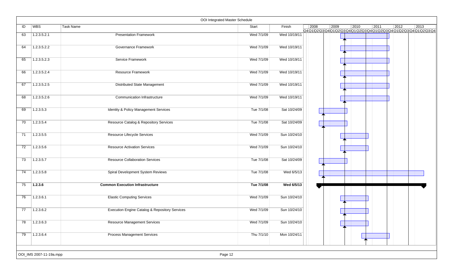|                 |                         |                                                           | OOI Integrated Master Schedule |              |      |      |      |      |                |                                                                    |
|-----------------|-------------------------|-----------------------------------------------------------|--------------------------------|--------------|------|------|------|------|----------------|--------------------------------------------------------------------|
| ID              | WBS                     | Task Name                                                 | Start                          | Finish       | 2008 | 2009 | 2010 | 2011 | $ 2012\rangle$ | 2013<br>Q401020304010203040102030401020304010203040102030401020304 |
| 63              | 1.2.3.5.2.1             | <b>Presentation Framework</b>                             | Wed 7/1/09                     | Wed 10/19/11 |      |      |      |      |                |                                                                    |
| 64              | 1.2.3.5.2.2             | Governance Framework                                      | Wed 7/1/09                     | Wed 10/19/11 |      |      |      |      |                |                                                                    |
| 65              | 1.2.3.5.2.3             | Service Framework                                         | Wed 7/1/09                     | Wed 10/19/11 |      |      |      |      |                |                                                                    |
| 66              | 1.2.3.5.2.4             | Resource Framework                                        | Wed 7/1/09                     | Wed 10/19/11 |      |      |      |      |                |                                                                    |
| 67              | 1.2.3.5.2.5             | <b>Distributed State Management</b>                       | Wed 7/1/09                     | Wed 10/19/11 |      |      |      |      |                |                                                                    |
| 68              | 1.2.3.5.2.6             | Communication Infrastructure                              | Wed 7/1/09                     | Wed 10/19/11 |      |      |      |      |                |                                                                    |
| 69              | 1.2.3.5.3               | Identity & Policy Management Services                     | Tue 7/1/08                     | Sat 10/24/09 |      |      |      |      |                |                                                                    |
| 70              | 1.2.3.5.4               | <b>Resource Catalog &amp; Repository Services</b>         | Tue 7/1/08                     | Sat 10/24/09 |      |      |      |      |                |                                                                    |
| $\overline{71}$ | 1.2.3.5.5               | Resource Lifecycle Services                               | Wed 7/1/09                     | Sun 10/24/10 |      |      |      |      |                |                                                                    |
| 72              | 1.2.3.5.6               | <b>Resource Activation Services</b>                       | Wed 7/1/09                     | Sun 10/24/10 |      |      |      |      |                |                                                                    |
| 73              | 1.2.3.5.7               | <b>Resource Collaboration Services</b>                    | Tue 7/1/08                     | Sat 10/24/09 |      |      |      |      |                |                                                                    |
| 74              | 1.2.3.5.8               | Spiral Development System Reviews                         | Tue 7/1/08                     | Wed 6/5/13   |      |      |      |      |                |                                                                    |
| 75              | 1.2.3.6                 | <b>Common Execution Infrastructure</b>                    | Tue 7/1/08                     | Wed 6/5/13   |      |      |      |      |                |                                                                    |
| 76              | 1.2.3.6.1               | <b>Elastic Computing Services</b>                         | Wed 7/1/09                     | Sun 10/24/10 |      |      |      |      |                |                                                                    |
| 77              | 1.2.3.6.2               | <b>Execution Engine Catalog &amp; Repository Services</b> | Wed 7/1/09                     | Sun 10/24/10 |      |      |      |      |                |                                                                    |
| $\overline{78}$ | 1.2.3.6.3               | <b>Resource Management Services</b>                       | Wed 7/1/09                     | Sun 10/24/10 |      |      |      |      |                |                                                                    |
| 79              | 1.2.3.6.4               | <b>Process Management Services</b>                        | Thu 7/1/10                     | Mon 10/24/11 |      |      |      |      |                |                                                                    |
|                 | OOI_IMS 2007-11-19a.mpp |                                                           | Page 12                        |              |      |      |      |      |                |                                                                    |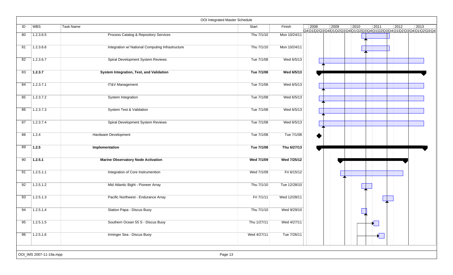|    |                         |                                                  | OOI Integrated Master Schedule |              |                                                                                                                     |
|----|-------------------------|--------------------------------------------------|--------------------------------|--------------|---------------------------------------------------------------------------------------------------------------------|
| ID | WBS                     | <b>Task Name</b>                                 | Start                          | Finish       | 2008<br>2010<br>$\vert 2011$<br>2012<br> 2009<br>2013<br>Q401020304010203040102030401020304010203040102030401020304 |
| 80 | 1.2.3.6.5               | <b>Process Catalog &amp; Repository Services</b> | Thu 7/1/10                     | Mon 10/24/11 |                                                                                                                     |
| 81 | 1.2.3.6.6               | Integration w/ National Computing Infrastructure | Thu 7/1/10                     | Mon 10/24/11 |                                                                                                                     |
| 82 | 1.2.3.6.7               | Spiral Development System Reviews                | Tue 7/1/08                     | Wed 6/5/13   |                                                                                                                     |
| 83 | 1.2.3.7                 | <b>System Integration, Test, and Validation</b>  | Tue 7/1/08                     | Wed 6/5/13   |                                                                                                                     |
| 84 | 1.2.3.7.1               | <b>IT&amp;V Management</b>                       | Tue 7/1/08                     | Wed 6/5/13   |                                                                                                                     |
| 85 | 1.2.3.7.2               | System Integration                               | Tue 7/1/08                     | Wed 6/5/13   |                                                                                                                     |
| 86 | 1.2.3.7.3               | System Test & Validation                         | Tue 7/1/08                     | Wed 6/5/13   |                                                                                                                     |
| 87 | 1.2.3.7.4               | Spiral Development System Reviews                | Tue 7/1/08                     | Wed 6/5/13   |                                                                                                                     |
| 88 | 1.2.4                   | Hardware Development                             | Tue 7/1/08                     | Tue 7/1/08   |                                                                                                                     |
| 89 | 1.2.5                   | Implementation                                   | Tue 7/1/08                     | Thu 6/27/13  |                                                                                                                     |
| 90 | 1.2.5.1                 | <b>Marine Observatory Node Activation</b>        | Wed 7/1/09                     | Wed 7/25/12  |                                                                                                                     |
| 91 | 1.2.5.1.1               | Integration of Core Instrumention                | Wed 7/1/09                     | Fri 6/15/12  |                                                                                                                     |
| 92 | 1.2.5.1.2               | Mid Atlantic Bight - Pioneer Array               | Thu 7/1/10                     | Tue 12/28/10 |                                                                                                                     |
| 93 | 1.2.5.1.3               | Pacific Northwest - Endurance Array              | Fri 7/1/11                     | Wed 12/28/11 |                                                                                                                     |
| 94 | 1.2.5.1.4               | Station Papa - Discus Buoy                       | Thu 7/1/10                     | Wed 9/29/10  |                                                                                                                     |
| 95 | 1.2.5.1.5               | Southern Ocean 55 S - Discus Buoy                | Thu 1/27/11                    | Wed 4/27/11  |                                                                                                                     |
| 96 | 1.2.5.1.6               | Irminger Sea - Discus Buoy                       | Wed 4/27/11                    | Tue 7/26/11  | $\sum_{i=1}^{n}$                                                                                                    |
|    | OOI_IMS 2007-11-19a.mpp |                                                  | Page 13                        |              |                                                                                                                     |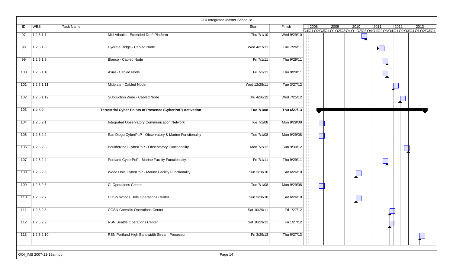|     |                         | OOI Integrated Master Schedule                             |              |             |      |      |                |      |                |                                                                    |
|-----|-------------------------|------------------------------------------------------------|--------------|-------------|------|------|----------------|------|----------------|--------------------------------------------------------------------|
| ID  | WBS                     | Task Name                                                  | Start        | Finish      | 2008 | 2009 | $ 2010\rangle$ | 2011 | $ 2012\rangle$ | 2013<br>Q4Q1Q2Q3Q4Q1Q2Q3Q4Q1Q2Q3Q4Q1Q2Q3Q4Q1Q2Q3Q4Q1Q2Q3Q4Q1Q2Q3Q4 |
| 97  | 1.2.5.1.7               | Mid Atlantic - Extended Draft Platform                     | Thu 7/1/10   | Wed 9/29/10 |      |      |                |      |                |                                                                    |
| 98  | 1.2.5.1.8               | Hydrate Ridge - Cabled Node                                | Wed 4/27/11  | Tue 7/26/11 |      |      |                | ×    |                |                                                                    |
| 99  | 1.2.5.1.9               | Blanco - Cabled Node                                       | Fri 7/1/11   | Thu 9/29/11 |      |      |                |      |                |                                                                    |
| 100 | 1.2.5.1.10              | Axial - Cabled Node                                        | Fri 7/1/11   | Thu 9/29/11 |      |      |                |      |                |                                                                    |
| 101 | 1.2.5.1.11              | Midplate - Cabled Node                                     | Wed 12/28/11 | Tue 3/27/12 |      |      |                |      |                |                                                                    |
| 102 | 1.2.5.1.12              | Subduction Zone - Cabled Node                              | Thu 4/26/12  | Wed 7/25/12 |      |      |                |      |                |                                                                    |
| 103 | 1.2.5.2                 | Terrestrial Cyber Points of Presence (CyberPoP) Activation | Tue 7/1/08   | Thu 6/27/13 |      |      |                |      |                |                                                                    |
| 104 | 1.2.5.2.1               | <b>Integrated Observatory Communication Network</b>        | Tue 7/1/08   | Mon 9/29/08 |      |      |                |      |                |                                                                    |
| 105 | 1.2.5.2.2               | San Diego CyberPoP - Observatory & Marine Functionality    | Tue 7/1/08   | Mon 9/29/08 |      |      |                |      |                |                                                                    |
| 106 | 1.2.5.2.3               | Boulder(tbd) CyberPoP - Observatory Functionality          | Mon 7/2/12   | Sun 9/30/12 |      |      |                |      |                |                                                                    |
| 107 | 1.2.5.2.4               | Portland CyberPoP - Marine Facility Functionality          | Fri 7/1/11   | Thu 9/29/11 |      |      |                |      |                |                                                                    |
| 108 | 1.2.5.2.5               | Wood Hole CyberPoP - Marine Facility Functionality         | Sun 3/28/10  | Sat 6/26/10 |      |      |                |      |                |                                                                    |
| 109 | 1.2.5.2.6               | CI Operations Center                                       | Tue 7/1/08   | Mon 9/29/08 |      |      |                |      |                |                                                                    |
| 110 | 1.2.5.2.7               | <b>CGSN Woods Hole Operations Center</b>                   | Sun 3/28/10  | Sat 6/26/10 |      |      |                |      |                |                                                                    |
| 111 | 1.2.5.2.8               | <b>CGSN Corvallis Operations Center</b>                    | Sat 10/29/11 | Fri 1/27/12 |      |      |                |      |                |                                                                    |
| 112 | 1.2.5.2.9               | <b>RSN Seattle Operations Center</b>                       | Sat 10/29/11 | Fri 1/27/12 |      |      |                |      |                |                                                                    |
| 113 | 7.2.5.2.10              | RSN Portland High Bandwidth Stream Processor               | Fri 3/29/13  | Thu 6/27/13 |      |      |                |      |                |                                                                    |
|     | OOI_IMS 2007-11-19a.mpp | Page 14                                                    |              |             |      |      |                |      |                |                                                                    |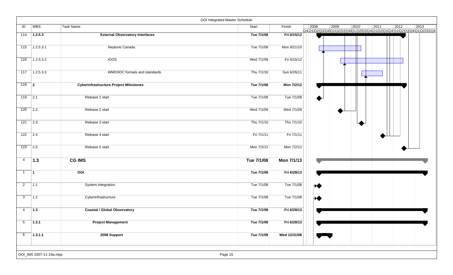|                |                         |                                               | OOI Integrated Master Schedule |              |                                                                                                                                              |
|----------------|-------------------------|-----------------------------------------------|--------------------------------|--------------|----------------------------------------------------------------------------------------------------------------------------------------------|
| ID             | WBS                     | <b>Task Name</b>                              | Start                          | Finish       | $\vert$ 2008<br>2009<br>2010<br> 2011<br>$ 2012\rangle$<br>2013<br>Q4Q1\Q2\Q3\Q4\Q1\Q2\Q3\Q4\Q1\Q2\Q3\Q4\Q1\Q2\Q3\Q4\Q1\Q2\Q3\Q4\Q1\Q2\Q3\Q4 |
| 114            | 1.2.5.3                 | <b>External Observatory Interfaces</b>        | Tue 7/1/08                     | Fri 6/15/12  |                                                                                                                                              |
| 115            | 1.2.5.3.1               | Neptune Canada                                | Tue 7/1/08                     | Mon 6/21/10  |                                                                                                                                              |
| 116            | 1.2.5.3.2               | <b>IOOS</b>                                   | Wed 7/1/09                     | Fri 6/15/12  |                                                                                                                                              |
|                | $117$ 1.2.5.3.3         | WMO/IOC formats and standards                 | Thu 7/1/10                     | Sun 6/26/11  |                                                                                                                                              |
| $118$ 2        |                         | <b>Cyberinfrastructure Project Milestones</b> | Tue 7/1/08                     | Mon 7/2/12   |                                                                                                                                              |
| 119            | $\sqrt{2.1}$            | Release 1 start                               | Tue 7/1/08                     | Tue 7/1/08   |                                                                                                                                              |
| 120            | $\overline{2.2}$        | Release 2 start                               | Wed 7/1/09                     | Wed 7/1/09   |                                                                                                                                              |
| $121$ 2.3      |                         | Release 3 start                               | Thu 7/1/10                     | Thu 7/1/10   |                                                                                                                                              |
| 122            | $\sqrt{2.4}$            | Release 4 start                               | Fri 7/1/11                     | Fri 7/1/11   |                                                                                                                                              |
| 123            | $\vert$ 2.5             | Release 5 start                               | Mon 7/2/12                     | Mon 7/2/12   |                                                                                                                                              |
| 4              | 1.3                     | <b>CG IMS</b>                                 | Tue 7/1/08                     | Mon 7/1/13   |                                                                                                                                              |
| $\mathbf{1}$   | $\vert$ 1               | OOI                                           | Tue 7/1/08                     | Fri 6/28/13  |                                                                                                                                              |
| $\overline{2}$ | 7.1                     | System Integration                            | Tue 7/1/08                     | Tue 7/1/08   | ∧♦                                                                                                                                           |
| 3              | $\vert$ 1.2             | Cyberinfrastructure                           | Tue 7/1/08                     | Tue 7/1/08   | ₩                                                                                                                                            |
| $\overline{4}$ | $\vert$ 1.3             | <b>Coastal / Global Observatory</b>           | Tue 7/1/08                     | Fri 6/28/13  |                                                                                                                                              |
| $\overline{5}$ | 1.3.1                   | <b>Project Management</b>                     | Tue 7/1/08                     | Fri 6/28/13  |                                                                                                                                              |
| 6              | 1.3.1.1                 | 2008 Support                                  | Tue 7/1/08                     | Wed 12/31/08 |                                                                                                                                              |
|                | OOI_IMS 2007-11-19a.mpp |                                               | Page 15                        |              |                                                                                                                                              |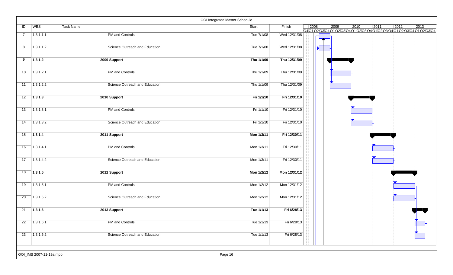| WBS<br>ID<br>Task Name<br>Start<br>PM and Controls<br>Tue 7/1/08<br>1.3.1.1.1<br>$\overline{7}$<br>1.3.1.1.2<br>Science Outreach and Education<br>Tue 7/1/08<br>8<br>9<br>1.3.1.2<br>Thu 1/1/09<br>2009 Support<br>1.3.1.2.1<br>PM and Controls<br>Thu 1/1/09<br>10<br>1.3.1.2.2<br>Science Outreach and Education<br>Thu 1/1/09<br>11<br>1.3.1.3<br>Fri 1/1/10<br>12<br>2010 Support | Finish<br>$\vert$ 2008<br>Wed 12/31/08<br>Wed 12/31/08<br>Thu 12/31/09<br>Thu 12/31/09<br>Thu 12/31/09<br>Fri 12/31/10 | $ 2009\rangle$ | $\boxed{2011}$<br>$ 2010\rangle$<br>Q4Q1Q2Q3Q4Q1Q2Q3Q4Q1Q2Q3Q4Q1Q2Q3Q4Q1Q2Q3Q4Q1Q2Q3Q4Q1Q2Q3Q4 | $ 2012\rangle$ | $ 2013\rangle$ |
|---------------------------------------------------------------------------------------------------------------------------------------------------------------------------------------------------------------------------------------------------------------------------------------------------------------------------------------------------------------------------------------|------------------------------------------------------------------------------------------------------------------------|----------------|------------------------------------------------------------------------------------------------|----------------|----------------|
|                                                                                                                                                                                                                                                                                                                                                                                       |                                                                                                                        |                |                                                                                                |                |                |
|                                                                                                                                                                                                                                                                                                                                                                                       |                                                                                                                        |                |                                                                                                |                |                |
|                                                                                                                                                                                                                                                                                                                                                                                       |                                                                                                                        |                |                                                                                                |                |                |
|                                                                                                                                                                                                                                                                                                                                                                                       |                                                                                                                        |                |                                                                                                |                |                |
|                                                                                                                                                                                                                                                                                                                                                                                       |                                                                                                                        |                |                                                                                                |                |                |
|                                                                                                                                                                                                                                                                                                                                                                                       |                                                                                                                        |                |                                                                                                |                |                |
|                                                                                                                                                                                                                                                                                                                                                                                       |                                                                                                                        |                |                                                                                                |                |                |
| 1.3.1.3.1<br>PM and Controls<br>Fri 1/1/10<br>13                                                                                                                                                                                                                                                                                                                                      | Fri 12/31/10                                                                                                           |                |                                                                                                |                |                |
| 1.3.1.3.2<br>14<br>Science Outreach and Education<br>Fri 1/1/10                                                                                                                                                                                                                                                                                                                       | Fri 12/31/10                                                                                                           |                |                                                                                                |                |                |
| 15<br>1.3.1.4<br>Mon 1/3/11<br>2011 Support                                                                                                                                                                                                                                                                                                                                           | Fri 12/30/11                                                                                                           |                |                                                                                                |                |                |
| 1.3.1.4.1<br>PM and Controls<br>16<br>Mon 1/3/11                                                                                                                                                                                                                                                                                                                                      | Fri 12/30/11                                                                                                           |                |                                                                                                |                |                |
| 17<br>1.3.1.4.2<br>Science Outreach and Education<br>Mon 1/3/11                                                                                                                                                                                                                                                                                                                       | Fri 12/30/11                                                                                                           |                |                                                                                                |                |                |
| 18<br>1.3.1.5<br>Mon 1/2/12<br>2012 Support                                                                                                                                                                                                                                                                                                                                           | Mon 12/31/12                                                                                                           |                |                                                                                                |                |                |
| 1.3.1.5.1<br>PM and Controls<br>Mon 1/2/12<br>19                                                                                                                                                                                                                                                                                                                                      | Mon 12/31/12                                                                                                           |                |                                                                                                |                |                |
| 1.3.1.5.2<br>Science Outreach and Education<br>20<br>Mon 1/2/12                                                                                                                                                                                                                                                                                                                       | Mon 12/31/12                                                                                                           |                |                                                                                                |                |                |
| 21<br>1.3.1.6<br>2013 Support<br>Tue 1/1/13                                                                                                                                                                                                                                                                                                                                           | Fri 6/28/13                                                                                                            |                |                                                                                                |                |                |
| PM and Controls<br>Tue 1/1/13<br>22<br>1.3.1.6.1                                                                                                                                                                                                                                                                                                                                      | Fri 6/28/13                                                                                                            |                |                                                                                                |                |                |
| 1.3.1.6.2<br>Science Outreach and Education<br>Tue 1/1/13<br>23                                                                                                                                                                                                                                                                                                                       | Fri 6/28/13                                                                                                            |                |                                                                                                |                |                |
| OOI_IMS 2007-11-19a.mpp<br>Page 16                                                                                                                                                                                                                                                                                                                                                    |                                                                                                                        |                |                                                                                                |                |                |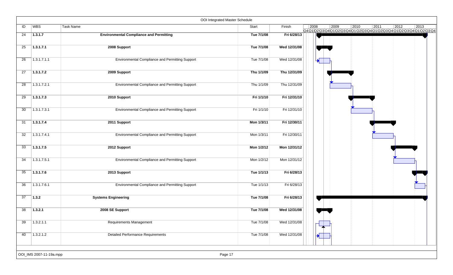|                 |                         | OOI Integrated Master Schedule                         |            |              |                       |      |                                                                          |      |                |                |  |
|-----------------|-------------------------|--------------------------------------------------------|------------|--------------|-----------------------|------|--------------------------------------------------------------------------|------|----------------|----------------|--|
| ID              | <b>WBS</b>              | <b>Task Name</b>                                       | Start      | Finish       | 2008                  | 2009 | $ 2010\rangle$<br>Q4Q1Q2Q3Q4Q1Q2Q3Q4Q1Q2Q3Q4Q1Q2Q3Q4Q1Q2Q3Q4Q1Q2Q3Q4Q1Q2 | 2011 | $ 2012\rangle$ | $ 2013\rangle$ |  |
| 24              | 1.3.1.7                 | <b>Environmental Compliance and Permitting</b>         | Tue 7/1/08 | Fri 6/28/13  |                       |      |                                                                          |      |                |                |  |
|                 |                         |                                                        |            |              |                       |      |                                                                          |      |                |                |  |
| 25              | 1.3.1.7.1               | 2008 Support                                           | Tue 7/1/08 | Wed 12/31/08 |                       |      |                                                                          |      |                |                |  |
| 26              | 1.3.1.7.1.1             |                                                        | Tue 7/1/08 |              |                       |      |                                                                          |      |                |                |  |
|                 |                         | Environmental Compliance and Permitting Support        |            | Wed 12/31/08 | $\blacktriangleright$ |      |                                                                          |      |                |                |  |
| 27              | 1.3.1.7.2               | 2009 Support                                           | Thu 1/1/09 | Thu 12/31/09 |                       |      |                                                                          |      |                |                |  |
|                 |                         |                                                        |            |              |                       |      |                                                                          |      |                |                |  |
| $\overline{28}$ | 1.3.1.7.2.1             | <b>Environmental Compliance and Permitting Support</b> | Thu 1/1/09 | Thu 12/31/09 |                       |      |                                                                          |      |                |                |  |
|                 |                         |                                                        |            |              |                       |      |                                                                          |      |                |                |  |
| 29              | 1.3.1.7.3               | 2010 Support                                           | Fri 1/1/10 | Fri 12/31/10 |                       |      |                                                                          |      |                |                |  |
|                 |                         |                                                        |            |              |                       |      |                                                                          |      |                |                |  |
| 30              | 1.3.1.7.3.1             | <b>Environmental Compliance and Permitting Support</b> | Fri 1/1/10 | Fri 12/31/10 |                       |      |                                                                          |      |                |                |  |
| 31              | 1.3.1.7.4               | 2011 Support                                           | Mon 1/3/11 | Fri 12/30/11 |                       |      |                                                                          |      |                |                |  |
|                 |                         |                                                        |            |              |                       |      |                                                                          |      |                |                |  |
| $\overline{32}$ | 1.3.1.7.4.1             | <b>Environmental Compliance and Permitting Support</b> | Mon 1/3/11 | Fri 12/30/11 |                       |      |                                                                          |      |                |                |  |
|                 |                         |                                                        |            |              |                       |      |                                                                          |      |                |                |  |
| 33              | 1.3.1.7.5               | 2012 Support                                           | Mon 1/2/12 | Mon 12/31/12 |                       |      |                                                                          |      |                |                |  |
|                 |                         |                                                        |            |              |                       |      |                                                                          |      |                |                |  |
| 34              | 1.3.1.7.5.1             | Environmental Compliance and Permitting Support        | Mon 1/2/12 | Mon 12/31/12 |                       |      |                                                                          |      |                |                |  |
| 35              | 1.3.1.7.6               |                                                        | Tue 1/1/13 | Fri 6/28/13  |                       |      |                                                                          |      |                |                |  |
|                 |                         | 2013 Support                                           |            |              |                       |      |                                                                          |      |                |                |  |
| $\overline{36}$ | 1.3.1.7.6.1             | <b>Environmental Compliance and Permitting Support</b> | Tue 1/1/13 | Fri 6/28/13  |                       |      |                                                                          |      |                |                |  |
|                 |                         |                                                        |            |              |                       |      |                                                                          |      |                |                |  |
| 37              | 1.3.2                   | <b>Systems Engineering</b>                             | Tue 7/1/08 | Fri 6/28/13  |                       |      |                                                                          |      |                |                |  |
|                 |                         |                                                        |            |              |                       |      |                                                                          |      |                |                |  |
| 38              | 1.3.2.1                 | 2008 SE Support                                        | Tue 7/1/08 | Wed 12/31/08 |                       |      |                                                                          |      |                |                |  |
|                 |                         |                                                        |            |              |                       |      |                                                                          |      |                |                |  |
| 39              | 1.3.2.1.1               | Requirements Management                                | Tue 7/1/08 | Wed 12/31/08 |                       |      |                                                                          |      |                |                |  |
| 40              | 1.3.2.1.2               | <b>Detailed Performance Requirements</b>               | Tue 7/1/08 | Wed 12/31/08 |                       |      |                                                                          |      |                |                |  |
|                 |                         |                                                        |            |              |                       |      |                                                                          |      |                |                |  |
|                 |                         |                                                        |            |              |                       |      |                                                                          |      |                |                |  |
|                 | OOI_IMS 2007-11-19a.mpp | Page 17                                                |            |              |                       |      |                                                                          |      |                |                |  |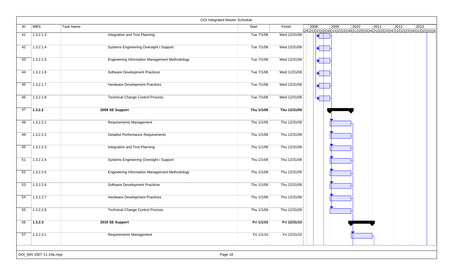|    |                         | OOI Integrated Master Schedule                        |            |              |      |                       |      |      |      |                                                                                             |      |  |
|----|-------------------------|-------------------------------------------------------|------------|--------------|------|-----------------------|------|------|------|---------------------------------------------------------------------------------------------|------|--|
| ID | <b>WBS</b>              | Task Name                                             | Start      | Finish       | 2008 |                       | 2009 | 2010 | 2011 | $ 2012\rangle$<br>Q4Q1\Q2\Q3\Q4\Q1\Q2\Q3\Q4\Q1\Q2\Q3\Q4\Q1\Q2\Q3\Q4\Q1\Q2\Q3\Q4\Q1\Q2\Q3\Q4 | 2013 |  |
| 41 | 1.3.2.1.3               | <b>Integration and Test Planning</b>                  | Tue 7/1/08 | Wed 12/31/08 |      | ┪                     |      |      |      |                                                                                             |      |  |
| 42 | 1.3.2.1.4               | Systems Engineering Oversight / Support               | Tue 7/1/08 | Wed 12/31/08 |      |                       |      |      |      |                                                                                             |      |  |
| 43 | 1.3.2.1.5               | <b>Engineering Information Management Methodology</b> | Tue 7/1/08 | Wed 12/31/08 |      | $\blacklozenge$       |      |      |      |                                                                                             |      |  |
| 44 | 1.3.2.1.6               | <b>Software Development Practices</b>                 | Tue 7/1/08 | Wed 12/31/08 |      |                       |      |      |      |                                                                                             |      |  |
| 45 | 1.3.2.1.7               | Hardware Development Practices                        | Tue 7/1/08 | Wed 12/31/08 |      | $\blacktriangleright$ |      |      |      |                                                                                             |      |  |
| 46 | 1.3.2.1.8               | <b>Technical Change Control Process</b>               | Tue 7/1/08 | Wed 12/31/08 |      | $\blacktriangleright$ |      |      |      |                                                                                             |      |  |
| 47 | 1.3.2.2                 | 2009 SE Support                                       | Thu 1/1/09 | Thu 12/31/09 |      |                       |      |      |      |                                                                                             |      |  |
| 48 | 1.3.2.2.1               | <b>Requirements Management</b>                        | Thu 1/1/09 | Thu 12/31/09 |      |                       |      |      |      |                                                                                             |      |  |
| 49 | 1.3.2.2.2               | <b>Detailed Performance Requirements</b>              | Thu 1/1/09 | Thu 12/31/09 |      |                       |      |      |      |                                                                                             |      |  |
| 50 | 1.3.2.2.3               | Integration and Test Planning                         | Thu 1/1/09 | Thu 12/31/09 |      |                       |      |      |      |                                                                                             |      |  |
| 51 | 1.3.2.2.4               | Systems Engineering Oversight / Support               | Thu 1/1/09 | Thu 12/31/09 |      |                       |      |      |      |                                                                                             |      |  |
| 52 | 1.3.2.2.5               | <b>Engineering Information Management Methodology</b> | Thu 1/1/09 | Thu 12/31/09 |      |                       |      |      |      |                                                                                             |      |  |
| 53 | 1.3.2.2.6               | <b>Software Development Practices</b>                 | Thu 1/1/09 | Thu 12/31/09 |      |                       |      |      |      |                                                                                             |      |  |
| 54 | 1.3.2.2.7               | Hardware Development Practices                        | Thu 1/1/09 | Thu 12/31/09 |      |                       |      |      |      |                                                                                             |      |  |
| 55 | 1.3.2.2.8               | <b>Technical Change Control Process</b>               | Thu 1/1/09 | Thu 12/31/09 |      |                       |      |      |      |                                                                                             |      |  |
| 56 | 1.3.2.3                 | 2010 SE Support                                       | Fri 1/1/10 | Fri 12/31/10 |      |                       |      |      |      |                                                                                             |      |  |
| 57 | 1.3.2.3.1               | Requirements Management                               | Fri 1/1/10 | Fri 12/31/10 |      |                       |      |      |      |                                                                                             |      |  |
|    | OOI_IMS 2007-11-19a.mpp | Page 18                                               |            |              |      |                       |      |      |      |                                                                                             |      |  |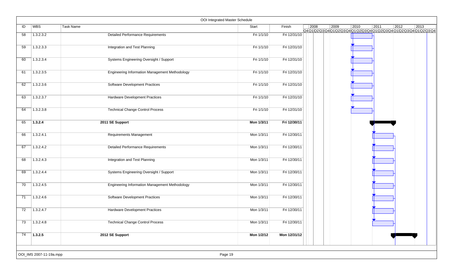|                 |                         |                                                       | OOI Integrated Master Schedule |              |                |      |                                                                                  |      |                |      |  |
|-----------------|-------------------------|-------------------------------------------------------|--------------------------------|--------------|----------------|------|----------------------------------------------------------------------------------|------|----------------|------|--|
| ID              | WBS                     | Task Name                                             | Start                          | Finish       | $ 2008\rangle$ | 2009 | $ 2010\rangle$<br>Q4Q1Q2Q3Q4Q1Q2Q3Q4Q1Q2Q3Q4Q1 Q2Q3Q4Q1 Q2Q3Q4Q1 Q2Q3Q4Q1Q2 Q3Q4 | 2011 | $ 2012\rangle$ | 2013 |  |
| 58              | 1.3.2.3.2               | <b>Detailed Performance Requirements</b>              | Fri 1/1/10                     | Fri 12/31/10 |                |      |                                                                                  |      |                |      |  |
| 59              | 1.3.2.3.3               | Integration and Test Planning                         | Fri 1/1/10                     | Fri 12/31/10 |                |      |                                                                                  |      |                |      |  |
| 60              | 1.3.2.3.4               | Systems Engineering Oversight / Support               | Fri 1/1/10                     | Fri 12/31/10 |                |      |                                                                                  |      |                |      |  |
| 61              | 1.3.2.3.5               | <b>Engineering Information Management Methodology</b> | Fri 1/1/10                     | Fri 12/31/10 |                |      |                                                                                  |      |                |      |  |
| 62              | 1.3.2.3.6               | <b>Software Development Practices</b>                 | Fri 1/1/10                     | Fri 12/31/10 |                |      |                                                                                  |      |                |      |  |
| 63              | 1.3.2.3.7               | Hardware Development Practices                        | Fri 1/1/10                     | Fri 12/31/10 |                |      |                                                                                  |      |                |      |  |
| 64              | 1.3.2.3.8               | <b>Technical Change Control Process</b>               | Fri 1/1/10                     | Fri 12/31/10 |                |      |                                                                                  |      |                |      |  |
| 65              | 1.3.2.4                 | 2011 SE Support                                       | Mon 1/3/11                     | Fri 12/30/11 |                |      |                                                                                  |      |                |      |  |
| 66              | 1.3.2.4.1               | Requirements Management                               | Mon 1/3/11                     | Fri 12/30/11 |                |      |                                                                                  |      |                |      |  |
| 67              | 1.3.2.4.2               | <b>Detailed Performance Requirements</b>              | Mon 1/3/11                     | Fri 12/30/11 |                |      |                                                                                  |      |                |      |  |
| 68              | 1.3.2.4.3               | Integration and Test Planning                         | Mon 1/3/11                     | Fri 12/30/11 |                |      |                                                                                  |      |                |      |  |
| 69              | 1.3.2.4.4               | Systems Engineering Oversight / Support               | Mon 1/3/11                     | Fri 12/30/11 |                |      |                                                                                  |      |                |      |  |
| 70              | 1.3.2.4.5               | <b>Engineering Information Management Methodology</b> | Mon 1/3/11                     | Fri 12/30/11 |                |      |                                                                                  |      |                |      |  |
| 71              | 1.3.2.4.6               | Software Development Practices                        | Mon 1/3/11                     | Fri 12/30/11 |                |      |                                                                                  |      |                |      |  |
| 72              | 1.3.2.4.7               | Hardware Development Practices                        | Mon 1/3/11                     | Fri 12/30/11 |                |      |                                                                                  |      |                |      |  |
| $\overline{73}$ | 1.3.2.4.8               | <b>Technical Change Control Process</b>               | Mon 1/3/11                     | Fri 12/30/11 |                |      |                                                                                  |      |                |      |  |
| 74              | 1.3.2.5                 | 2012 SE Support                                       | Mon 1/2/12                     | Mon 12/31/12 |                |      |                                                                                  |      |                |      |  |
|                 | OOI_IMS 2007-11-19a.mpp |                                                       | Page 19                        |              |                |      |                                                                                  |      |                |      |  |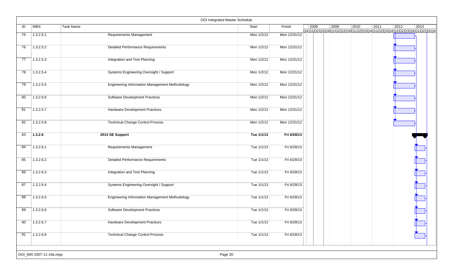|    |                         |                                                       | OOI Integrated Master Schedule |              |      |                                                                                   |      |      |                |                |  |
|----|-------------------------|-------------------------------------------------------|--------------------------------|--------------|------|-----------------------------------------------------------------------------------|------|------|----------------|----------------|--|
| ID | <b>WBS</b>              | Task Name                                             | Start                          | Finish       | 2008 | 2009<br>Q4Q1\Q2\Q3\Q4\Q1\Q2\Q3\Q4\Q1\Q2\Q3\Q4\Q1\Q2\Q3\Q4\Q1\Q2\Q3\Q4\Q1\Q2\Q3\Q4 | 2010 | 2011 | $ 2012\rangle$ | $ 2013\rangle$ |  |
| 75 | 1.3.2.5.1               | <b>Requirements Management</b>                        | Mon 1/2/12                     | Mon 12/31/12 |      |                                                                                   |      |      |                |                |  |
| 76 | 1.3.2.5.2               | <b>Detailed Performance Requirements</b>              | Mon 1/2/12                     | Mon 12/31/12 |      |                                                                                   |      |      |                |                |  |
| 77 | 1.3.2.5.3               | Integration and Test Planning                         | Mon 1/2/12                     | Mon 12/31/12 |      |                                                                                   |      |      |                |                |  |
| 78 | 1.3.2.5.4               | Systems Engineering Oversight / Support               | Mon 1/2/12                     | Mon 12/31/12 |      |                                                                                   |      |      |                |                |  |
| 79 | 1.3.2.5.5               | <b>Engineering Information Management Methodology</b> | Mon 1/2/12                     | Mon 12/31/12 |      |                                                                                   |      |      |                |                |  |
| 80 | 1.3.2.5.6               | Software Development Practices                        | Mon 1/2/12                     | Mon 12/31/12 |      |                                                                                   |      |      |                |                |  |
| 81 | 1.3.2.5.7               | <b>Hardware Development Practices</b>                 | Mon 1/2/12                     | Mon 12/31/12 |      |                                                                                   |      |      |                |                |  |
| 82 | 1.3.2.5.8               | <b>Technical Change Control Process</b>               | Mon 1/2/12                     | Mon 12/31/12 |      |                                                                                   |      |      |                |                |  |
| 83 | 1.3.2.6                 | 2013 SE Support                                       | Tue 1/1/13                     | Fri 6/28/13  |      |                                                                                   |      |      |                |                |  |
| 84 | 1.3.2.6.1               | Requirements Management                               | Tue 1/1/13                     | Fri 6/28/13  |      |                                                                                   |      |      |                |                |  |
| 85 | 1.3.2.6.2               | <b>Detailed Performance Requirements</b>              | Tue 1/1/13                     | Fri 6/28/13  |      |                                                                                   |      |      |                |                |  |
| 86 | 1.3.2.6.3               | Integration and Test Planning                         | Tue 1/1/13                     | Fri 6/28/13  |      |                                                                                   |      |      |                |                |  |
| 87 | 1.3.2.6.4               | Systems Engineering Oversight / Support               | Tue 1/1/13                     | Fri 6/28/13  |      |                                                                                   |      |      |                |                |  |
| 88 | 1.3.2.6.5               | <b>Engineering Information Management Methodology</b> | Tue 1/1/13                     | Fri 6/28/13  |      |                                                                                   |      |      |                |                |  |
| 89 | 1.3.2.6.6               | Software Development Practices                        | Tue 1/1/13                     | Fri 6/28/13  |      |                                                                                   |      |      |                |                |  |
| 90 | 1.3.2.6.7               | <b>Hardware Development Practices</b>                 | Tue 1/1/13                     | Fri 6/28/13  |      |                                                                                   |      |      |                |                |  |
| 91 | 1.3.2.6.8               | <b>Technical Change Control Process</b>               | Tue 1/1/13                     | Fri 6/28/13  |      |                                                                                   |      |      |                |                |  |
|    |                         |                                                       |                                |              |      |                                                                                   |      |      |                |                |  |
|    | OOI_IMS 2007-11-19a.mpp |                                                       | Page 20                        |              |      |                                                                                   |      |      |                |                |  |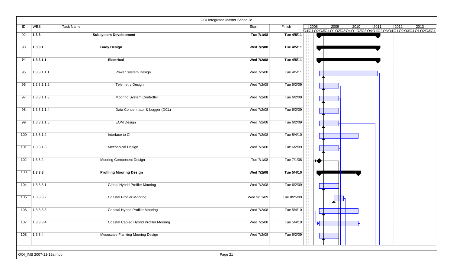|     |                         |                                        | OOI Integrated Master Schedule |             |      |                                                                                   |                |                |                |                |
|-----|-------------------------|----------------------------------------|--------------------------------|-------------|------|-----------------------------------------------------------------------------------|----------------|----------------|----------------|----------------|
| ID  | WBS                     | <b>Task Name</b>                       | Start                          | Finish      | 2008 | 2009<br>Q4Q1\Q2\Q3\Q4\Q1\Q2\Q3\Q4\Q1\Q2\Q3\Q4\Q1\Q2\Q3\Q4\Q1\Q2\Q3\Q4\Q1\Q2\Q3\Q4 | $ 2010\rangle$ | $\boxed{2011}$ | $\boxed{2012}$ | $ 2013\rangle$ |
| 92  | 1.3.3                   | <b>Subsystem Development</b>           | Tue 7/1/08                     | Tue 4/5/11  |      |                                                                                   |                |                |                |                |
| 93  | 1.3.3.1                 | <b>Buoy Design</b>                     | Wed 7/2/08                     | Tue 4/5/11  |      |                                                                                   |                |                |                |                |
| 94  | 1.3.3.1.1               | <b>Electrical</b>                      | Wed 7/2/08                     | Tue 4/5/11  |      |                                                                                   |                |                |                |                |
| 95  | 1.3.3.1.1.1             | Power System Design                    | Wed 7/2/08                     | Tue 4/5/11  |      |                                                                                   |                |                |                |                |
| 96  | 1.3.3.1.1.2             | <b>Telemetry Design</b>                | Wed 7/2/08                     | Tue 6/2/09  |      |                                                                                   |                |                |                |                |
| 97  | 1.3.3.1.1.3             | Mooring System Controller              | Wed 7/2/08                     | Tue 6/2/09  |      |                                                                                   |                |                |                |                |
| 98  | 1.3.3.1.1.4             | Data Concentrator & Logger (DCL)       | Wed 7/2/08                     | Tue 6/2/09  |      |                                                                                   |                |                |                |                |
| 99  | 1.3.3.1.1.5             | <b>EOM Design</b>                      | Wed 7/2/08                     | Tue 6/2/09  |      |                                                                                   |                |                |                |                |
| 100 | 1.3.3.1.2               | Interface to CI                        | Wed 7/2/08                     | Tue 5/4/10  |      |                                                                                   |                |                |                |                |
| 101 | 1.3.3.1.3               | <b>Mechanical Design</b>               | Wed 7/2/08                     | Tue 6/2/09  |      |                                                                                   |                |                |                |                |
| 102 | 1.3.3.2                 | Mooring Component Design               | Tue 7/1/08                     | Tue 7/1/08  |      | ₩                                                                                 |                |                |                |                |
| 103 | 1.3.3.3                 | <b>Profiling Mooring Design</b>        | Wed 7/2/08                     | Tue 5/4/10  |      |                                                                                   |                |                |                |                |
| 104 | 1.3.3.3.1               | <b>Global Hybrid Profiler Mooring</b>  | Wed 7/2/08                     | Tue 6/2/09  |      |                                                                                   |                |                |                |                |
| 105 | 1.3.3.3.2               | <b>Coastal Profiler Mooring</b>        | Wed 3/11/09                    | Tue 8/25/09 |      |                                                                                   |                |                |                |                |
| 106 | 1.3.3.3.3               | Coastal Hybrid Profiler Mooring        | Wed 7/2/08                     | Tue 5/4/10  |      |                                                                                   |                |                |                |                |
| 107 | 1.3.3.3.4               | Coastal Cabled Hybrid Profiler Mooring | Wed 7/2/08                     | Tue 5/4/10  |      | $\blacktriangledown$                                                              |                |                |                |                |
| 108 | 1.3.3.4                 | Mesoscale Flanking Mooring Design      | Wed 7/2/08                     | Tue 6/2/09  |      |                                                                                   |                |                |                |                |
|     | OOI_IMS 2007-11-19a.mpp |                                        | Page 21                        |             |      |                                                                                   |                |                |                |                |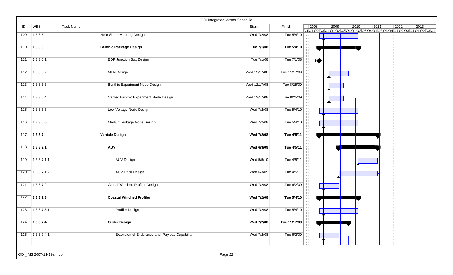|     |                         | OOI Integrated Master Schedule                |              |              |                |      |      |      |                |                                                                                   |
|-----|-------------------------|-----------------------------------------------|--------------|--------------|----------------|------|------|------|----------------|-----------------------------------------------------------------------------------|
| ID  | <b>WBS</b>              | Task Name                                     | Start        | Finish       | $ 2008\rangle$ | 2009 | 2010 | 2011 | $ 2012\rangle$ | 2013<br>Q4Q1\Q2\Q3\Q4\Q1\Q2\Q3\Q4\Q1\Q2\Q3\Q4\Q1\Q2\Q3\Q4\Q1\Q2\Q3\Q4\Q1\Q2\Q3\Q4 |
| 109 | 1.3.3.5                 | Near Shore Mooring Design                     | Wed 7/2/08   | Tue 5/4/10   |                |      |      |      |                |                                                                                   |
| 110 | 1.3.3.6                 | <b>Benthic Package Design</b>                 | Tue 7/1/08   | Tue 5/4/10   |                |      |      |      |                |                                                                                   |
| 111 | 1.3.3.6.1               | <b>EDP Junction Box Design</b>                | Tue 7/1/08   | Tue 7/1/08   | ₩.             |      |      |      |                |                                                                                   |
| 112 | 1.3.3.6.2               | <b>MFN Design</b>                             | Wed 12/17/08 | Tue 11/17/09 |                |      |      |      |                |                                                                                   |
| 113 | 1.3.3.6.3               | Benthic Experiment Node Design                | Wed 12/17/08 | Tue 8/25/09  |                |      |      |      |                |                                                                                   |
| 114 | 1.3.3.6.4               | Cabled Benthic Experiment Node Design         | Wed 12/17/08 | Tue 8/25/09  |                |      |      |      |                |                                                                                   |
| 115 | 1.3.3.6.5               | Low Voltage Node Design                       | Wed 7/2/08   | Tue 5/4/10   |                |      |      |      |                |                                                                                   |
| 116 | 1.3.3.6.6               | Medium Voltage Node Design                    | Wed 7/2/08   | Tue 5/4/10   |                |      |      |      |                |                                                                                   |
| 117 | 1.3.3.7                 | <b>Vehicle Design</b>                         | Wed 7/2/08   | Tue 4/5/11   |                |      |      |      |                |                                                                                   |
| 118 | 1.3.3.7.1               | <b>AUV</b>                                    | Wed 6/3/09   | Tue 4/5/11   |                |      |      |      |                |                                                                                   |
| 119 | 1.3.3.7.1.1             | <b>AUV Design</b>                             | Wed 5/5/10   | Tue 4/5/11   |                |      |      |      |                |                                                                                   |
| 120 | 1.3.3.7.1.2             | <b>AUV Dock Design</b>                        | Wed 6/3/09   | Tue 4/5/11   |                |      |      |      |                |                                                                                   |
| 121 | 1.3.3.7.2               | <b>Global Winched Profiler Design</b>         | Wed 7/2/08   | Tue 6/2/09   |                |      |      |      |                |                                                                                   |
| 122 | 1.3.3.7.3               | <b>Coastal Winched Profiler</b>               | Wed 7/2/08   | Tue 5/4/10   |                |      |      |      |                |                                                                                   |
| 123 | 1.3.3.7.3.1             | Profiler Design                               | Wed 7/2/08   | Tue 5/4/10   |                |      |      |      |                |                                                                                   |
| 124 | 1.3.3.7.4               | <b>Glider Design</b>                          | Wed 7/2/08   | Tue 11/17/09 |                |      |      |      |                |                                                                                   |
| 125 | 1.3.3.7.4.1             | Extension of Endurance and Payload Capability | Wed 7/2/08   | Tue 6/2/09   |                |      |      |      |                |                                                                                   |
|     | OOI_IMS 2007-11-19a.mpp | Page 22                                       |              |              |                |      |      |      |                |                                                                                   |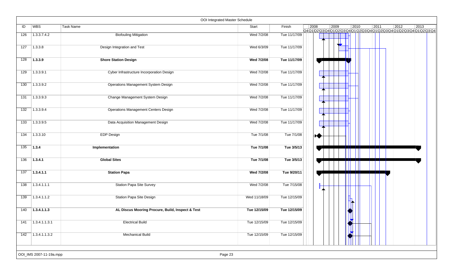|     |                         |                                                  | OOI Integrated Master Schedule |              |      |      |                |                |                |                                                                              |
|-----|-------------------------|--------------------------------------------------|--------------------------------|--------------|------|------|----------------|----------------|----------------|------------------------------------------------------------------------------|
| ID  | <b>WBS</b>              | Task Name                                        | Start                          | Finish       | 2008 | 2009 | $ 2010\rangle$ | $\boxed{2011}$ | $ 2012\rangle$ | $ 2013\rangle$<br>Q4Q1Q2Q3Q4Q1Q2Q3Q4Q1Q2Q3Q4Q1Q2Q3Q4Q1Q2Q3Q4Q1Q2Q3Q4Q1Q2Q3Q4 |
| 126 | 1.3.3.7.4.2             | <b>Biofouling Mitigation</b>                     | Wed 7/2/08                     | Tue 11/17/09 |      |      |                |                |                |                                                                              |
| 127 | 1.3.3.8                 | Design Integration and Test                      | Wed 6/3/09                     | Tue 11/17/09 |      |      |                |                |                |                                                                              |
| 128 | 1.3.3.9                 | <b>Shore Station Design</b>                      | Wed 7/2/08                     | Tue 11/17/09 |      |      |                |                |                |                                                                              |
| 129 | 1.3.3.9.1               | Cyber Infrastructure Incorporation Design        | Wed 7/2/08                     | Tue 11/17/09 |      |      |                |                |                |                                                                              |
| 130 | 1.3.3.9.2               | Operations Management System Design              | Wed 7/2/08                     | Tue 11/17/09 |      |      |                |                |                |                                                                              |
| 131 | 1.3.3.9.3               | Change Management System Design                  | Wed 7/2/08                     | Tue 11/17/09 |      |      |                |                |                |                                                                              |
| 132 | 1.3.3.9.4               | Operations Management Centers Design             | Wed 7/2/08                     | Tue 11/17/09 |      |      |                |                |                |                                                                              |
| 133 | 1.3.3.9.5               | Data Acquisition Management Design               | Wed 7/2/08                     | Tue 11/17/09 |      |      |                |                |                |                                                                              |
| 134 | 1.3.3.10                | <b>EDP Design</b>                                | Tue 7/1/08                     | Tue 7/1/08   | ₩    |      |                |                |                |                                                                              |
| 135 | $\vert$ 1.3.4           | Implementation                                   | Tue 7/1/08                     | Tue 3/5/13   |      |      |                |                |                |                                                                              |
| 136 | 1.3.4.1                 | <b>Global Sites</b>                              | Tue 7/1/08                     | Tue 3/5/13   |      |      |                |                |                |                                                                              |
| 137 | 1.3.4.1.1               | <b>Station Papa</b>                              | Wed 7/2/08                     | Tue 9/20/11  |      |      |                |                |                |                                                                              |
| 138 | 1.3.4.1.1.1             | <b>Station Papa Site Survey</b>                  | Wed 7/2/08                     | Tue 7/15/08  |      |      |                |                |                |                                                                              |
| 139 | 1.3.4.1.1.2             | Station Papa Site Design                         | Wed 11/18/09                   | Tue 12/15/09 |      |      |                |                |                |                                                                              |
| 140 | 1.3.4.1.1.3             | AL Discus Mooring Procure, Build, Inspect & Test | Tue 12/15/09                   | Tue 12/15/09 |      |      |                |                |                |                                                                              |
| 141 | 1.3.4.1.1.3.1           | <b>Electrical Build</b>                          | Tue 12/15/09                   | Tue 12/15/09 |      |      | $\mathbb{R}$   |                |                |                                                                              |
| 142 | $\sqrt{1.3.4.1.1.3.2}$  | <b>Mechanical Build</b>                          | Tue 12/15/09                   | Tue 12/15/09 |      |      |                |                |                |                                                                              |
|     | OOI_IMS 2007-11-19a.mpp |                                                  | Page 23                        |              |      |      |                |                |                |                                                                              |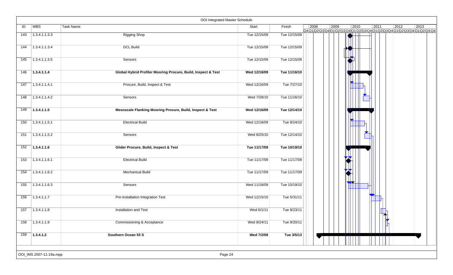|     |                         | OOI Integrated Master Schedule                                |              |              |      |      |                                                                                   |      |                |      |
|-----|-------------------------|---------------------------------------------------------------|--------------|--------------|------|------|-----------------------------------------------------------------------------------|------|----------------|------|
| ID  | WBS                     | Task Name                                                     | Start        | Finish       | 2008 | 2009 | 2010<br>Q4Q1\Q2\Q3\Q4\Q1\Q2\Q3\Q4\Q1\Q2\Q3\Q4\Q1\Q2\Q3\Q4\Q1\Q2\Q3\Q4\Q1\Q2\Q3\Q4 | 2011 | $ 2012\rangle$ | 2013 |
| 143 | 1.3.4.1.1.3.3           | <b>Rigging Shop</b>                                           | Tue 12/15/09 | Tue 12/15/09 |      |      |                                                                                   |      |                |      |
| 144 | 1.3.4.1.1.3.4           | <b>DCL Build</b>                                              | Tue 12/15/09 | Tue 12/15/09 |      |      |                                                                                   |      |                |      |
| 145 | 1.3.4.1.1.3.5           | Sensors                                                       | Tue 12/15/09 | Tue 12/15/09 |      |      |                                                                                   |      |                |      |
| 146 | 1.3.4.1.1.4             | Global Hybrid Profiler Mooring Procure, Build, Inspect & Test | Wed 12/16/09 | Tue 11/16/10 |      |      |                                                                                   |      |                |      |
| 147 | 1.3.4.1.1.4.1           | Procure, Build, Inspect & Test                                | Wed 12/16/09 | Tue 7/27/10  |      |      |                                                                                   |      |                |      |
| 148 | 1.3.4.1.1.4.2           | Sensors                                                       | Wed 7/28/10  | Tue 11/16/10 |      |      |                                                                                   |      |                |      |
| 149 | 1.3.4.1.1.5             | Mesoscale Flanking Mooring Procure, Build, Inspect & Test     | Wed 12/16/09 | Tue 12/14/10 |      |      |                                                                                   |      |                |      |
| 150 | 1.3.4.1.1.5.1           | <b>Electrical Build</b>                                       | Wed 12/16/09 | Tue 8/24/10  |      |      |                                                                                   |      |                |      |
| 151 | 1.3.4.1.1.5.2           | Sensors                                                       | Wed 8/25/10  | Tue 12/14/10 |      |      |                                                                                   |      |                |      |
| 152 | 1.3.4.1.1.6             | Glider Procure, Build, Inspect & Test                         | Tue 11/17/09 | Tue 10/19/10 |      |      |                                                                                   |      |                |      |
| 153 | 1.3.4.1.1.6.1           | <b>Electrical Build</b>                                       | Tue 11/17/09 | Tue 11/17/09 |      |      |                                                                                   |      |                |      |
| 154 | 1.3.4.1.1.6.2           | <b>Mechanical Build</b>                                       | Tue 11/17/09 | Tue 11/17/09 |      |      | М                                                                                 |      |                |      |
| 155 | 1.3.4.1.1.6.3           | Sensors                                                       | Wed 11/18/09 | Tue 10/19/10 |      |      |                                                                                   |      |                |      |
| 156 | 1.3.4.1.1.7             | Pre-Installation Integration Test                             | Wed 12/15/10 | Tue 5/31/11  |      |      |                                                                                   |      |                |      |
| 157 | 1.3.4.1.1.8             | Installation and Test                                         | Wed 6/1/11   | Tue 8/23/11  |      |      |                                                                                   |      |                |      |
| 158 | 1.3.4.1.1.9             | Commissioning & Acceptance                                    | Wed 8/24/11  | Tue 9/20/11  |      |      |                                                                                   |      |                |      |
| 159 | $\sqrt{1.3.4.1.2}$      | Southern Ocean 55 S                                           | Wed 7/2/08   | Tue 3/5/13   |      |      |                                                                                   |      |                |      |
|     | OOI_IMS 2007-11-19a.mpp | Page 24                                                       |              |              |      |      |                                                                                   |      |                |      |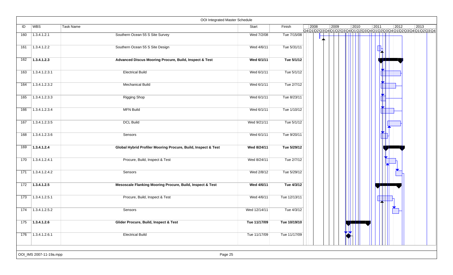|     |                         | OOI Integrated Master Schedule                                |              |              |      |      |      |      |                |                                                                                             |
|-----|-------------------------|---------------------------------------------------------------|--------------|--------------|------|------|------|------|----------------|---------------------------------------------------------------------------------------------|
| ID  | WBS                     | <b>Task Name</b>                                              | Start        | Finish       | 2008 | 2009 | 2010 | 2011 | $ 2012\rangle$ | $ 2013\rangle$<br>Q4Q1\Q2\Q3\Q4\Q1\Q2\Q3\Q4\Q1\Q2\Q3\Q4\Q1\Q2\Q3\Q4\Q1\Q2\Q3\Q4\Q1\Q2\Q3\Q4 |
| 160 | 1.3.4.1.2.1             | Southern Ocean 55 S Site Survey                               | Wed 7/2/08   | Tue 7/15/08  |      |      |      |      |                |                                                                                             |
| 161 | 1.3.4.1.2.2             | Southern Ocean 55 S Site Design                               | Wed 4/6/11   | Tue 5/31/11  |      |      |      |      |                |                                                                                             |
| 162 | 1.3.4.1.2.3             | Advanced Discus Mooring Procure, Build, Inspect & Test        | Wed 6/1/11   | Tue 5/1/12   |      |      |      |      |                |                                                                                             |
| 163 | 1.3.4.1.2.3.1           | <b>Electrical Build</b>                                       | Wed 6/1/11   | Tue 5/1/12   |      |      |      |      |                |                                                                                             |
| 164 | 1.3.4.1.2.3.2           | <b>Mechanical Build</b>                                       | Wed 6/1/11   | Tue 2/7/12   |      |      |      |      |                |                                                                                             |
| 165 | 1.3.4.1.2.3.3           | Rigging Shop                                                  | Wed 6/1/11   | Tue 8/23/11  |      |      |      |      |                |                                                                                             |
| 166 | 1.3.4.1.2.3.4           | <b>MFN Build</b>                                              | Wed 6/1/11   | Tue 1/10/12  |      |      |      |      |                |                                                                                             |
| 167 | 1.3.4.1.2.3.5           | <b>DCL Build</b>                                              | Wed 9/21/11  | Tue 5/1/12   |      |      |      |      |                |                                                                                             |
| 168 | 1.3.4.1.2.3.6           | Sensors                                                       | Wed 6/1/11   | Tue 9/20/11  |      |      |      |      |                |                                                                                             |
| 169 | 1.3.4.1.2.4             | Global Hybrid Profiler Mooring Procure, Build, Inspect & Test | Wed 8/24/11  | Tue 5/29/12  |      |      |      |      |                |                                                                                             |
| 170 | 1.3.4.1.2.4.1           | Procure, Build, Inspect & Test                                | Wed 8/24/11  | Tue 2/7/12   |      |      |      |      |                |                                                                                             |
| 171 | 1.3.4.1.2.4.2           | Sensors                                                       | Wed 2/8/12   | Tue 5/29/12  |      |      |      |      |                |                                                                                             |
| 172 | 7.3.4.1.2.5             | Mesoscale Flanking Mooring Procure, Build, Inspect & Test     | Wed 4/6/11   | Tue 4/3/12   |      |      |      |      |                |                                                                                             |
| 173 | 1.3.4.1.2.5.1           | Procure, Build, Inspect & Test                                | Wed 4/6/11   | Tue 12/13/11 |      |      |      |      |                |                                                                                             |
| 174 | 1.3.4.1.2.5.2           | Sensors                                                       | Wed 12/14/11 | Tue 4/3/12   |      |      |      |      |                |                                                                                             |
| 175 | 1.3.4.1.2.6             | Glider Procure, Build, Inspect & Test                         | Tue 11/17/09 | Tue 10/19/10 |      |      |      |      |                |                                                                                             |
| 176 | $\boxed{1.3.4.1.2.6.1}$ | <b>Electrical Build</b>                                       | Tue 11/17/09 | Tue 11/17/09 |      |      |      |      |                |                                                                                             |
|     | OOI_IMS 2007-11-19a.mpp | Page 25                                                       |              |              |      |      |      |      |                |                                                                                             |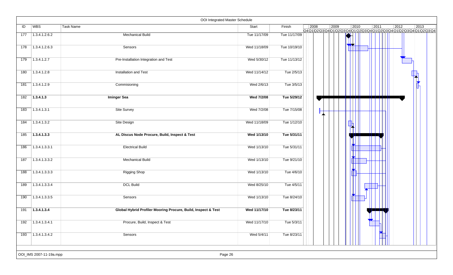|     |                             | OOI Integrated Master Schedule                                |              |              |      |      |                |      |                |                                                                                                          |
|-----|-----------------------------|---------------------------------------------------------------|--------------|--------------|------|------|----------------|------|----------------|----------------------------------------------------------------------------------------------------------|
| ID  | WBS                         | <b>Task Name</b>                                              | Start        | Finish       | 2008 | 2009 | $ 2010\rangle$ | 2011 | $ 2012\rangle$ | $ 2013\rangle$<br>Q4 Q1 Q2 Q3 Q4 Q1 Q2 Q3 Q4 Q1 Q2 Q3 Q4 Q1 Q2 Q3 Q4 Q1 Q2 Q3 Q4 Q1 Q2 Q3 Q4 Q1 Q2 Q3 Q4 |
| 177 | 1.3.4.1.2.6.2               | <b>Mechanical Build</b>                                       | Tue 11/17/09 | Tue 11/17/09 |      |      |                |      |                |                                                                                                          |
| 178 | 1.3.4.1.2.6.3               | Sensors                                                       | Wed 11/18/09 | Tue 10/19/10 |      |      |                |      |                |                                                                                                          |
| 179 | 1.3.4.1.2.7                 | Pre-Installation Integration and Test                         | Wed 5/30/12  | Tue 11/13/12 |      |      |                |      |                |                                                                                                          |
| 180 | 1.3.4.1.2.8                 | Installation and Test                                         | Wed 11/14/12 | Tue 2/5/13   |      |      |                |      |                |                                                                                                          |
| 181 | 1.3.4.1.2.9                 | Commisioning                                                  | Wed 2/6/13   | Tue 3/5/13   |      |      |                |      |                |                                                                                                          |
| 182 | 1.3.4.1.3                   | <b>Iminger Sea</b>                                            | Wed 7/2/08   | Tue 5/29/12  |      |      |                |      |                |                                                                                                          |
| 183 | 1.3.4.1.3.1                 | Site Survey                                                   | Wed 7/2/08   | Tue 7/15/08  |      |      |                |      |                |                                                                                                          |
| 184 | 1.3.4.1.3.2                 | Site Design                                                   | Wed 11/18/09 | Tue 1/12/10  |      |      |                |      |                |                                                                                                          |
| 185 | 1.3.4.1.3.3                 | AL Discus Node Procure, Build, Inspect & Test                 | Wed 1/13/10  | Tue 5/31/11  |      |      |                |      |                |                                                                                                          |
| 186 | 1.3.4.1.3.3.1               | <b>Electrical Build</b>                                       | Wed 1/13/10  | Tue 5/31/11  |      |      |                |      |                |                                                                                                          |
| 187 | 1.3.4.1.3.3.2               | <b>Mechanical Build</b>                                       | Wed 1/13/10  | Tue 9/21/10  |      |      |                |      |                |                                                                                                          |
| 188 | 1.3.4.1.3.3.3               | <b>Rigging Shop</b>                                           | Wed 1/13/10  | Tue 4/6/10   |      |      |                |      |                |                                                                                                          |
| 189 | 1.3.4.1.3.3.4               | <b>DCL Build</b>                                              | Wed 8/25/10  | Tue 4/5/11   |      |      |                |      |                |                                                                                                          |
| 190 | 1.3.4.1.3.3.5               | Sensors                                                       | Wed 1/13/10  | Tue 8/24/10  |      |      |                |      |                |                                                                                                          |
| 191 | 1.3.4.1.3.4                 | Global Hybrid Profiler Mooring Procure, Build, Inspect & Test | Wed 11/17/10 | Tue 8/23/11  |      |      |                |      |                |                                                                                                          |
| 192 | 1.3.4.1.3.4.1               | Procure, Build, Inspect & Test                                | Wed 11/17/10 | Tue 5/3/11   |      |      |                |      |                |                                                                                                          |
| 193 | $\overline{)1.3.4.1.3.4.2}$ | Sensors                                                       | Wed 5/4/11   | Tue 8/23/11  |      |      |                |      |                |                                                                                                          |
|     | OOI_IMS 2007-11-19a.mpp     | Page 26                                                       |              |              |      |      |                |      |                |                                                                                                          |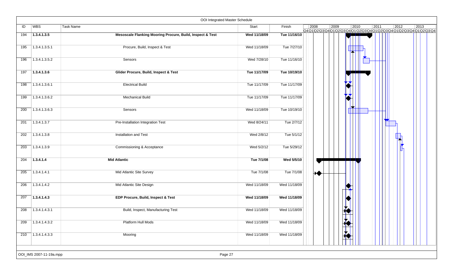|     |                             | OOI Integrated Master Schedule                            |              |              |                |               |                |      |                |                                                                                            |
|-----|-----------------------------|-----------------------------------------------------------|--------------|--------------|----------------|---------------|----------------|------|----------------|--------------------------------------------------------------------------------------------|
| ID  | WBS                         | Task Name                                                 | Start        | Finish       | $ 2008\rangle$ | 2009          | $ 2010\rangle$ | 2011 | $ 2012\rangle$ | $ 2013\rangle$<br>Q4Q1Q2\Q3\Q4\Q1\Q2\Q3\Q4\Q1\Q2\Q3\Q4\Q1\Q2\Q3\Q4\Q1\Q2\Q3\Q4\Q1\Q2\Q3\Q4 |
| 194 | 1.3.4.1.3.5                 | Mesoscale Flanking Mooring Procure, Build, Inspect & Test | Wed 11/18/09 | Tue 11/16/10 |                |               |                |      |                |                                                                                            |
| 195 | 1.3.4.1.3.5.1               | Procure, Build, Inspect & Test                            | Wed 11/18/09 | Tue 7/27/10  |                |               |                |      |                |                                                                                            |
| 196 | 1.3.4.1.3.5.2               | Sensors                                                   | Wed 7/28/10  | Tue 11/16/10 |                |               |                |      |                |                                                                                            |
| 197 | 1.3.4.1.3.6                 | Glider Procure, Build, Inspect & Test                     | Tue 11/17/09 | Tue 10/19/10 |                |               |                |      |                |                                                                                            |
| 198 | 1.3.4.1.3.6.1               | <b>Electrical Build</b>                                   | Tue 11/17/09 | Tue 11/17/09 |                |               |                |      |                |                                                                                            |
| 199 | 1.3.4.1.3.6.2               | <b>Mechanical Build</b>                                   | Tue 11/17/09 | Tue 11/17/09 |                |               |                |      |                |                                                                                            |
| 200 | 1.3.4.1.3.6.3               | Sensors                                                   | Wed 11/18/09 | Tue 10/19/10 |                |               |                |      |                |                                                                                            |
| 201 | 1.3.4.1.3.7                 | Pre-Installation Integration Test                         | Wed 8/24/11  | Tue 2/7/12   |                |               |                |      |                |                                                                                            |
| 202 | 1.3.4.1.3.8                 | Installation and Test                                     | Wed 2/8/12   | Tue 5/1/12   |                |               |                |      |                |                                                                                            |
| 203 | 1.3.4.1.3.9                 | Commissioning & Acceptance                                | Wed 5/2/12   | Tue 5/29/12  |                |               |                |      |                |                                                                                            |
| 204 | 1.3.4.1.4                   | <b>Mid Atlantic</b>                                       | Tue 7/1/08   | Wed 5/5/10   |                |               |                |      |                |                                                                                            |
| 205 | 1.3.4.1.4.1                 | Mid Atlantic Site Survey                                  | Tue 7/1/08   | Tue 7/1/08   | ₩              |               |                |      |                |                                                                                            |
| 206 | 1.3.4.1.4.2                 | Mid Atlantic Site Design                                  | Wed 11/18/09 | Wed 11/18/09 |                |               |                |      |                |                                                                                            |
| 207 | 1.3.4.1.4.3                 | EDP Procure, Build, Inspect & Test                        | Wed 11/18/09 | Wed 11/18/09 |                |               |                |      |                |                                                                                            |
| 208 | 1.3.4.1.4.3.1               | Build, Inspect, Manufacturing Test                        | Wed 11/18/09 | Wed 11/18/09 |                |               |                |      |                |                                                                                            |
| 209 | 1.3.4.1.4.3.2               | Platform Hull Mods                                        | Wed 11/18/09 | Wed 11/18/09 |                | $\frac{1}{2}$ |                |      |                |                                                                                            |
| 210 | $\overline{)1.3.4.1.4.3.3}$ | Mooring                                                   | Wed 11/18/09 | Wed 11/18/09 |                |               |                |      |                |                                                                                            |
|     | OOI_IMS 2007-11-19a.mpp     | Page 27                                                   |              |              |                |               |                |      |                |                                                                                            |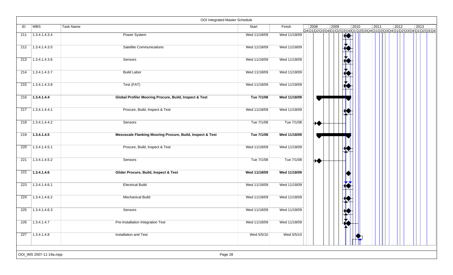|     |                         | OOI Integrated Master Schedule                            |              |              |      |      |                        |      |      |                |                                                                                             |
|-----|-------------------------|-----------------------------------------------------------|--------------|--------------|------|------|------------------------|------|------|----------------|---------------------------------------------------------------------------------------------|
| ID  | <b>WBS</b>              | Task Name                                                 | Start        | Finish       | 2008 | 2009 |                        | 2010 | 2011 | $ 2012\rangle$ | $ 2013\rangle$<br>Q4Q1\Q2\Q3\Q4\Q1\Q2\Q3\Q4\Q1\Q2\Q3\Q4\Q1\Q2\Q3\Q4\Q1\Q2\Q3\Q4\Q1\Q2\Q3\Q4 |
| 211 | 1.3.4.1.4.3.4           | Power System                                              | Wed 11/18/09 | Wed 11/18/09 |      |      | ₩₩                     |      |      |                |                                                                                             |
| 212 | 1.3.4.1.4.3.5           | Satellite Communicaitons                                  | Wed 11/18/09 | Wed 11/18/09 |      |      |                        |      |      |                |                                                                                             |
| 213 | 1.3.4.1.4.3.6           | Sensors                                                   | Wed 11/18/09 | Wed 11/18/09 |      |      |                        |      |      |                |                                                                                             |
| 214 | 1.3.4.1.4.3.7           | <b>Build Labor</b>                                        | Wed 11/18/09 | Wed 11/18/09 |      |      | $\frac{1}{\mathbf{K}}$ |      |      |                |                                                                                             |
| 215 | 1.3.4.1.4.3.8           | Test (FAT)                                                | Wed 11/18/09 | Wed 11/18/09 |      |      |                        |      |      |                |                                                                                             |
| 216 | 1.3.4.1.4.4             | Global Profiler Mooring Procure, Build, Inspect & Test    | Tue 7/1/08   | Wed 11/18/09 |      |      |                        |      |      |                |                                                                                             |
| 217 | 1.3.4.1.4.4.1           | Procure, Build, Inspect & Test                            | Wed 11/18/09 | Wed 11/18/09 |      |      |                        |      |      |                |                                                                                             |
| 218 | 1.3.4.1.4.4.2           | Sensors                                                   | Tue 7/1/08   | Tue 7/1/08   | ₩    |      |                        |      |      |                |                                                                                             |
| 219 | 1.3.4.1.4.5             | Mesoscale Flanking Mooring Procure, Build, Inspect & Test | Tue 7/1/08   | Wed 11/18/09 |      |      |                        |      |      |                |                                                                                             |
| 220 | 1.3.4.1.4.5.1           | Procure, Build, Inspect & Test                            | Wed 11/18/09 | Wed 11/18/09 |      |      |                        |      |      |                |                                                                                             |
| 221 | 1.3.4.1.4.5.2           | Sensors                                                   | Tue 7/1/08   | Tue 7/1/08   | ₩    |      |                        |      |      |                |                                                                                             |
| 222 | 1.3.4.1.4.6             | Glider Procure, Build, Inspect & Test                     | Wed 11/18/09 | Wed 11/18/09 |      |      |                        |      |      |                |                                                                                             |
| 223 | 1.3.4.1.4.6.1           | <b>Electrical Build</b>                                   | Wed 11/18/09 | Wed 11/18/09 |      |      |                        |      |      |                |                                                                                             |
| 224 | 1.3.4.1.4.6.2           | <b>Mechanical Build</b>                                   | Wed 11/18/09 | Wed 11/18/09 |      |      |                        |      |      |                |                                                                                             |
| 225 | 1.3.4.1.4.6.3           | Sensors                                                   | Wed 11/18/09 | Wed 11/18/09 |      |      |                        |      |      |                |                                                                                             |
| 226 | 1.3.4.1.4.7             | Pre-Installation Integration Test                         | Wed 11/18/09 | Wed 11/18/09 |      |      | Lio                    |      |      |                |                                                                                             |
| 227 | 1.3.4.1.4.8             | Installation and Test                                     | Wed 5/5/10   | Wed 5/5/10   |      |      |                        |      |      |                |                                                                                             |
|     | OOI_IMS 2007-11-19a.mpp | Page 28                                                   |              |              |      |      |                        |      |      |                |                                                                                             |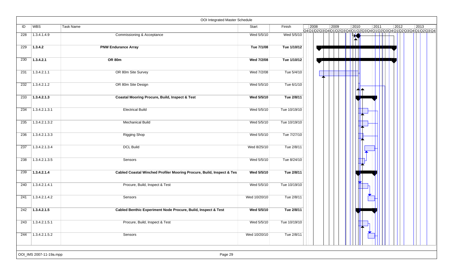|     |                         | OOI Integrated Master Schedule                                        |              |              |      |      |      |      |              |                                                                              |
|-----|-------------------------|-----------------------------------------------------------------------|--------------|--------------|------|------|------|------|--------------|------------------------------------------------------------------------------|
| ID  | WBS                     | Task Name                                                             | Start        | Finish       | 2008 | 2009 | 2010 | 2011 | 2012         | $ 2013\rangle$<br>Q4Q1Q2Q3Q4Q1Q2Q3Q4Q1Q2Q3Q4Q1Q2Q3Q4Q1Q2Q3Q4Q1Q2Q3Q4Q1Q2Q3Q4 |
| 228 | 1.3.4.1.4.9             | <b>Commissioning &amp; Acceptance</b>                                 | Wed 5/5/10   | Wed 5/5/10   |      |      |      |      | $\mathbf{I}$ |                                                                              |
| 229 | 1.3.4.2                 | <b>PNW Endurance Array</b>                                            | Tue 7/1/08   | Tue 1/10/12  |      |      |      |      |              |                                                                              |
| 230 | 1.3.4.2.1               | <b>OR 80m</b>                                                         | Wed 7/2/08   | Tue 1/10/12  |      |      |      |      |              |                                                                              |
| 231 | 1.3.4.2.1.1             | OR 80m Site Survey                                                    | Wed 7/2/08   | Tue 5/4/10   |      |      |      |      |              |                                                                              |
| 232 | 1.3.4.2.1.2             | OR 80m Site Design                                                    | Wed 5/5/10   | Tue 6/1/10   |      |      |      |      |              |                                                                              |
| 233 | 1.3.4.2.1.3             | <b>Coastal Mooring Procure, Build, Inspect &amp; Test</b>             | Wed 5/5/10   | Tue 2/8/11   |      |      |      |      |              |                                                                              |
| 234 | 1.3.4.2.1.3.1           | <b>Electrical Build</b>                                               | Wed 5/5/10   | Tue 10/19/10 |      |      |      |      |              |                                                                              |
| 235 | 1.3.4.2.1.3.2           | <b>Mechanical Build</b>                                               | Wed 5/5/10   | Tue 10/19/10 |      |      |      |      |              |                                                                              |
| 236 | 1.3.4.2.1.3.3           | <b>Rigging Shop</b>                                                   | Wed 5/5/10   | Tue 7/27/10  |      |      |      |      |              |                                                                              |
| 237 | 1.3.4.2.1.3.4           | <b>DCL Build</b>                                                      | Wed 8/25/10  | Tue 2/8/11   |      |      |      |      |              |                                                                              |
| 238 | 1.3.4.2.1.3.5           | Sensors                                                               | Wed 5/5/10   | Tue 8/24/10  |      |      |      |      |              |                                                                              |
| 239 | 1.3.4.2.1.4             | Cabled Coastal Winched Profiler Mooring Procure, Build, Inspect & Tes | Wed 5/5/10   | Tue 2/8/11   |      |      |      |      |              |                                                                              |
| 240 | 1.3.4.2.1.4.1           | Procure, Build, Inspect & Test                                        | Wed 5/5/10   | Tue 10/19/10 |      |      |      |      |              |                                                                              |
| 241 | 1.3.4.2.1.4.2           | Sensors                                                               | Wed 10/20/10 | Tue 2/8/11   |      |      |      |      |              |                                                                              |
| 242 | 1.3.4.2.1.5             | Cabled Benthic Experiment Node Procure, Build, Inspect & Test         | Wed 5/5/10   | Tue 2/8/11   |      |      |      |      |              |                                                                              |
| 243 | 1.3.4.2.1.5.1           | Procure, Build, Inspect & Test                                        | Wed 5/5/10   | Tue 10/19/10 |      |      |      |      |              |                                                                              |
| 244 | 1.3.4.2.1.5.2           | Sensors                                                               | Wed 10/20/10 | Tue 2/8/11   |      |      |      |      |              |                                                                              |
|     | OOI_IMS 2007-11-19a.mpp | Page 29                                                               |              |              |      |      |      |      |              |                                                                              |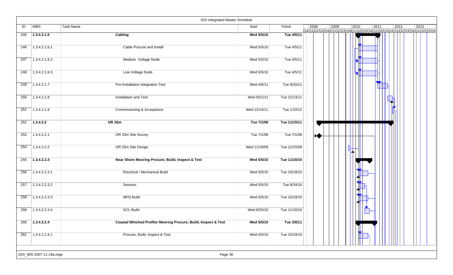|     |                         | OOI Integrated Master Schedule                                  |              |              |      |      |                      |      |                |                                                                    |
|-----|-------------------------|-----------------------------------------------------------------|--------------|--------------|------|------|----------------------|------|----------------|--------------------------------------------------------------------|
| ID  | WBS                     | Task Name                                                       | Start        | Finish       | 2008 | 2009 | 2010                 | 2011 | $ 2012\rangle$ | 2013<br>Q4Q1Q2Q3Q4Q1Q2Q3Q4Q1Q2Q3Q4Q1Q2Q3Q4Q1Q2Q3Q4Q1Q2Q3Q4Q1Q2Q3Q4 |
| 245 | 1.3.4.2.1.6             | Cabling                                                         | Wed 5/5/10   | Tue 4/5/11   |      |      |                      |      |                |                                                                    |
| 246 | 1.3.4.2.1.6.1           | Cable Procure and Install                                       | Wed 5/5/10   | Tue 4/5/11   |      |      |                      |      |                |                                                                    |
| 247 | 1.3.4.2.1.6.2           | Medium Voltage Node                                             | Wed 5/5/10   | Tue 4/5/11   |      |      | $\mathbf{A}$         |      |                |                                                                    |
| 248 | 1.3.4.2.1.6.3           | Low Voltage Node                                                | Wed 5/5/10   | Tue 4/5/11   |      |      | E                    |      |                |                                                                    |
| 249 | 1.3.4.2.1.7             | Pre-Installation Integration Test                               | Wed 4/6/11   | Tue 9/20/11  |      |      |                      |      |                |                                                                    |
| 250 | 1.3.4.2.1.8             | Installation and Test                                           | Wed 9/21/11  | Tue 12/13/11 |      |      |                      |      |                |                                                                    |
| 251 | 1.3.4.2.1.9             | Commissioning & Acceptance                                      | Wed 12/14/11 | Tue 1/10/12  |      |      |                      |      |                |                                                                    |
| 252 | 1.3.4.2.2               | <b>OR 25m</b>                                                   | Tue 7/1/08   | Tue 11/15/11 |      |      |                      |      |                |                                                                    |
| 253 | 1.3.4.2.2.1             | OR 25m Site Survey                                              | Tue 7/1/08   | Tue 7/1/08   | ₩    |      |                      |      |                |                                                                    |
| 254 | 1.3.4.2.2.2             | OR 25m Site Design                                              | Wed 11/18/09 | Tue 12/15/09 |      |      |                      |      |                |                                                                    |
| 255 | 1.3.4.2.2.3             | Near Shore Mooring Procure, Build, Inspect & Test               | Wed 5/5/10   | Tue 11/16/10 |      |      |                      |      |                |                                                                    |
| 256 | 1.3.4.2.2.3.1           | Electrical / Mechanical Build                                   | Wed 5/5/10   | Tue 10/19/10 |      |      |                      |      |                |                                                                    |
| 257 | 1.3.4.2.2.3.2           | Sensors                                                         | Wed 5/5/10   | Tue 8/24/10  |      |      |                      |      |                |                                                                    |
| 258 | 1.3.4.2.2.3.3           | <b>MFN Build</b>                                                | Wed 5/5/10   | Tue 10/19/10 |      |      |                      |      |                |                                                                    |
| 259 | 1.3.4.2.2.3.4           | <b>DCL Build</b>                                                | Wed 8/25/10  | Tue 11/16/10 |      |      | $\blacktriangledown$ |      |                |                                                                    |
| 260 | 1.3.4.2.2.4             | Coastal Winched Profiler Mooring Procure, Build, Inspect & Test | Wed 5/5/10   | Tue 2/8/11   |      |      |                      |      |                |                                                                    |
| 261 | 1.3.4.2.2.4.1           | Procure, Build, Inspect & Test                                  | Wed 5/5/10   | Tue 10/19/10 |      |      |                      |      |                |                                                                    |
|     | OOI_IMS 2007-11-19a.mpp | Page 30                                                         |              |              |      |      |                      |      |                |                                                                    |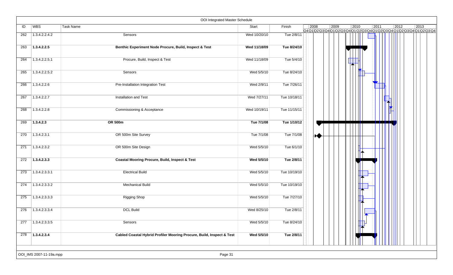|     |                         | OOI Integrated Master Schedule                                        |              |              |      |                |      |      |      |                                                                    |
|-----|-------------------------|-----------------------------------------------------------------------|--------------|--------------|------|----------------|------|------|------|--------------------------------------------------------------------|
| ID  | <b>WBS</b>              | <b>Task Name</b>                                                      | Start        | Finish       | 2008 | $ 2009\rangle$ | 2010 | 2011 | 2012 | 2013<br>Q4Q1Q2Q3Q4Q1Q2Q3Q4Q1Q2Q3Q4Q1Q2Q3Q4Q1Q2Q3Q4Q1Q2Q3Q4Q1Q2Q3Q4 |
| 262 | 1.3.4.2.2.4.2           | Sensors                                                               | Wed 10/20/10 | Tue 2/8/11   |      |                |      |      |      |                                                                    |
| 263 | 1.3.4.2.2.5             | Benthic Experiment Node Procure, Build, Inspect & Test                | Wed 11/18/09 | Tue 8/24/10  |      |                |      |      |      |                                                                    |
| 264 | 1.3.4.2.2.5.1           | Procure, Build, Inspect & Test                                        | Wed 11/18/09 | Tue 5/4/10   |      |                |      |      |      |                                                                    |
| 265 | 1.3.4.2.2.5.2           | Sensors                                                               | Wed 5/5/10   | Tue 8/24/10  |      |                |      |      |      |                                                                    |
| 266 | 1.3.4.2.2.6             | Pre-Installation Integration Test                                     | Wed 2/9/11   | Tue 7/26/11  |      |                |      |      |      |                                                                    |
| 267 | 1.3.4.2.2.7             | Installation and Test                                                 | Wed 7/27/11  | Tue 10/18/11 |      |                |      |      |      |                                                                    |
| 268 | 1.3.4.2.2.8             | Commissioning & Acceptance                                            | Wed 10/19/11 | Tue 11/15/11 |      |                |      |      |      |                                                                    |
| 269 | 1.3.4.2.3               | <b>OR 500m</b>                                                        | Tue 7/1/08   | Tue 1/10/12  |      |                |      |      |      |                                                                    |
| 270 | 1.3.4.2.3.1             | OR 500m Site Survey                                                   | Tue 7/1/08   | Tue 7/1/08   | ₩    |                |      |      |      |                                                                    |
| 271 | 1.3.4.2.3.2             | OR 500m Site Design                                                   | Wed 5/5/10   | Tue 6/1/10   |      |                |      |      |      |                                                                    |
| 272 | 1.3.4.2.3.3             | Coastal Mooring Procure, Build, Inspect & Test                        | Wed 5/5/10   | Tue 2/8/11   |      |                |      |      |      |                                                                    |
| 273 | 1.3.4.2.3.3.1           | <b>Electrical Build</b>                                               | Wed 5/5/10   | Tue 10/19/10 |      |                |      |      |      |                                                                    |
| 274 | 1.3.4.2.3.3.2           | <b>Mechanical Build</b>                                               | Wed 5/5/10   | Tue 10/19/10 |      |                |      |      |      |                                                                    |
| 275 | 1.3.4.2.3.3.3           | <b>Rigging Shop</b>                                                   | Wed 5/5/10   | Tue 7/27/10  |      |                |      |      |      |                                                                    |
| 276 | 1.3.4.2.3.3.4           | <b>DCL Build</b>                                                      | Wed 8/25/10  | Tue 2/8/11   |      |                |      |      |      |                                                                    |
| 277 | 1.3.4.2.3.3.5           | Sensors                                                               | Wed 5/5/10   | Tue 8/24/10  |      |                |      |      |      |                                                                    |
| 278 | 1.3.4.2.3.4             | Cabled Coastal Hybrid Profiler Mooring Procure, Build, Inspect & Test | Wed 5/5/10   | Tue 2/8/11   |      |                |      |      |      |                                                                    |
|     | OOI_IMS 2007-11-19a.mpp | Page 31                                                               |              |              |      |                |      |      |      |                                                                    |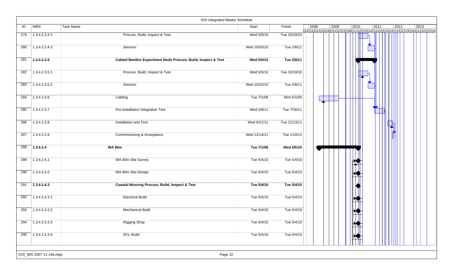|     |                         | OOI Integrated Master Schedule                                |              |              |      |      |           |      |                |                                                                                             |
|-----|-------------------------|---------------------------------------------------------------|--------------|--------------|------|------|-----------|------|----------------|---------------------------------------------------------------------------------------------|
| ID  | WBS                     | <b>Task Name</b>                                              | Start        | Finish       | 2008 | 2009 | 2010      | 2011 | $ 2012\rangle$ | $ 2013\rangle$<br>Q4Q1\Q2\Q3\Q4\Q1\Q2\Q3\Q4\Q1\Q2\Q3\Q4\Q1\Q2\Q3\Q4\Q1\Q2\Q3\Q4\Q1\Q2\Q3\Q4 |
| 279 | 1.3.4.2.3.4.1           | Procure, Build, Inspect & Test                                | Wed 5/5/10   | Tue 10/19/10 |      |      |           |      |                |                                                                                             |
| 280 | 1.3.4.2.3.4.2           | Sensors                                                       | Wed 10/20/10 | Tue 2/8/11   |      |      |           |      |                |                                                                                             |
| 281 | 1.3.4.2.3.5             | Cabled Benthic Experiment Node Procure, Build, Inspect & Test | Wed 5/5/10   | Tue 2/8/11   |      |      |           |      |                |                                                                                             |
| 282 | 1.3.4.2.3.5.1           | Procure, Build, Inspect & Test                                | Wed 5/5/10   | Tue 10/19/10 |      |      |           |      |                |                                                                                             |
| 283 | 1.3.4.2.3.5.2           | Sensors                                                       | Wed 10/20/10 | Tue 2/8/11   |      |      |           |      |                |                                                                                             |
| 284 | 1.3.4.2.3.6             | Cabling                                                       | Tue 7/1/08   | Mon 6/1/09   |      |      |           |      |                |                                                                                             |
| 285 | 1.3.4.2.3.7             | Pre-Installation Integration Test                             | Wed 2/9/11   | Tue 7/26/11  |      |      |           |      |                |                                                                                             |
| 286 | 1.3.4.2.3.8             | Installation and Test                                         | Wed 9/21/11  | Tue 12/13/11 |      |      |           |      | 7              |                                                                                             |
| 287 | 1.3.4.2.3.9             | Commissioning & Acceptance                                    | Wed 12/14/11 | Tue 1/10/12  |      |      |           |      |                |                                                                                             |
| 288 | 1.3.4.2.4               | <b>WA 80m</b>                                                 | Tue 7/1/08   | Wed 5/5/10   |      |      |           |      |                |                                                                                             |
| 289 | 1.3.4.2.4.1             | WA 80m Site Survey                                            | Tue 5/4/10   | Tue 5/4/10   |      |      | Ж         |      |                |                                                                                             |
| 290 | 1.3.4.2.4.2             | WA 80m Site Design                                            | Tue 5/4/10   | Tue 5/4/10   |      |      |           |      |                |                                                                                             |
| 291 | 1.3.4.2.4.3             | <b>Coastal Mooring Procure, Build, Inspect &amp; Test</b>     | Tue 5/4/10   | Tue 5/4/10   |      |      |           |      |                |                                                                                             |
| 292 | 1.3.4.2.4.3.1           | <b>Electrical Build</b>                                       | Tue 5/4/10   | Tue 5/4/10   |      |      | Ж         |      |                |                                                                                             |
| 293 | 1.3.4.2.4.3.2           | <b>Mechanical Build</b>                                       | Tue 5/4/10   | Tue 5/4/10   |      |      |           |      |                |                                                                                             |
| 294 | 1.3.4.2.4.3.3           | <b>Rigging Shop</b>                                           | Tue 5/4/10   | Tue 5/4/10   |      |      | <b>XX</b> |      |                |                                                                                             |
| 295 | 1.3.4.2.4.3.4           | <b>DCL Build</b>                                              | Tue 5/4/10   | Tue 5/4/10   |      |      | Ķ         |      |                |                                                                                             |
|     | OOI_IMS 2007-11-19a.mpp | Page 32                                                       |              |              |      |      |           |      |                |                                                                                             |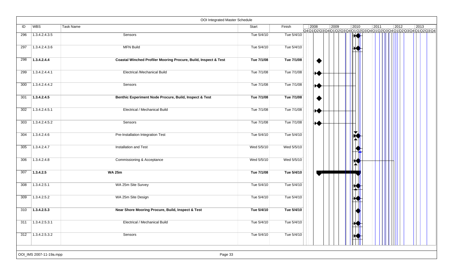|     |                         | <b>OOI Integrated Master Schedule</b>                           |            |            |           |                |                       |      |      |                                                                                                |
|-----|-------------------------|-----------------------------------------------------------------|------------|------------|-----------|----------------|-----------------------|------|------|------------------------------------------------------------------------------------------------|
| ID  | <b>WBS</b>              | <b>Task Name</b>                                                | Start      | Finish     | 2008      | $ 2009\rangle$ | 2010                  | 2011 | 2012 | 2013<br>Q4 Q1 Q2 Q3 Q4 Q1 Q2 Q3 Q4 Q1 Q2 Q3 Q4 Q1 Q2 Q3 Q4 Q1 Q2 Q3 Q4 Q1 Q2 Q3 Q4 Q1 Q2 Q3 Q4 |
| 296 | 1.3.4.2.4.3.5           | Sensors                                                         | Tue 5/4/10 | Tue 5/4/10 |           |                | HO                    |      |      |                                                                                                |
| 297 | 1.3.4.2.4.3.6           | <b>MFN Build</b>                                                | Tue 5/4/10 | Tue 5/4/10 |           |                |                       |      |      |                                                                                                |
| 298 | 1.3.4.2.4.4             | Coastal Winched Profiler Mooring Procure, Build, Inspect & Test | Tue 7/1/08 | Tue 7/1/08 | ♦         |                |                       |      |      |                                                                                                |
| 299 | 1.3.4.2.4.4.1           | <b>Electrical /Mechanical Build</b>                             | Tue 7/1/08 | Tue 7/1/08 | ₩         |                |                       |      |      |                                                                                                |
| 300 | 1.3.4.2.4.4.2           | Sensors                                                         | Tue 7/1/08 | Tue 7/1/08 | ₩         |                |                       |      |      |                                                                                                |
| 301 | 1.3.4.2.4.5             | Benthic Experiment Node Procure, Build, Inspect & Test          | Tue 7/1/08 | Tue 7/1/08 | $\bullet$ |                |                       |      |      |                                                                                                |
| 302 | 1.3.4.2.4.5.1           | Electrical / Mechanical Build                                   | Tue 7/1/08 | Tue 7/1/08 | ₩         |                |                       |      |      |                                                                                                |
| 303 | 1.3.4.2.4.5.2           | Sensors                                                         | Tue 7/1/08 | Tue 7/1/08 | ₩         |                |                       |      |      |                                                                                                |
| 304 | 1.3.4.2.4.6             | Pre-Installation Integration Test                               | Tue 5/4/10 | Tue 5/4/10 |           |                |                       |      |      |                                                                                                |
| 305 | 1.3.4.2.4.7             | Installation and Test                                           | Wed 5/5/10 | Wed 5/5/10 |           |                |                       |      |      |                                                                                                |
| 306 | 1.3.4.2.4.8             | Commissioning & Acceptance                                      | Wed 5/5/10 | Wed 5/5/10 |           |                |                       |      |      |                                                                                                |
| 307 | 1.3.4.2.5               | <b>WA 25m</b>                                                   | Tue 7/1/08 | Tue 5/4/10 |           |                |                       |      |      |                                                                                                |
| 308 | 1.3.4.2.5.1             | WA 25m Site Survey                                              | Tue 5/4/10 | Tue 5/4/10 |           |                |                       |      |      |                                                                                                |
| 309 | 1.3.4.2.5.2             | WA 25m Site Design                                              | Tue 5/4/10 | Tue 5/4/10 |           |                |                       |      |      |                                                                                                |
| 310 | 1.3.4.2.5.3             | Near Shore Mooring Procure, Build, Inspect & Test               | Tue 5/4/10 | Tue 5/4/10 |           |                |                       |      |      |                                                                                                |
| 311 | 1.3.4.2.5.3.1           | Electrical / Mechanical Build                                   | Tue 5/4/10 | Tue 5/4/10 |           |                | $\blacktriangleright$ |      |      |                                                                                                |
|     | $312$ 1.3.4.2.5.3.2     | Sensors                                                         | Tue 5/4/10 | Tue 5/4/10 |           |                |                       |      |      |                                                                                                |
|     | OOI_IMS 2007-11-19a.mpp | Page 33                                                         |            |            |           |                |                       |      |      |                                                                                                |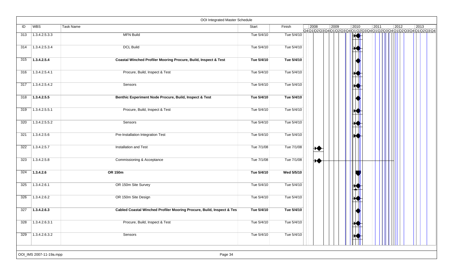|     |                         | OOI Integrated Master Schedule                                        |            |            |      |      |                |      |                |                                                                                                |
|-----|-------------------------|-----------------------------------------------------------------------|------------|------------|------|------|----------------|------|----------------|------------------------------------------------------------------------------------------------|
| ID  | <b>WBS</b>              | Task Name                                                             | Start      | Finish     | 2008 | 2009 | 2010           | 2011 | $ 2012\rangle$ | 2013<br>Q4 Q1 Q2 Q3 Q4 Q1 Q2 Q3 Q4 Q1 Q2 Q3 Q4 Q1 Q2 Q3 Q4 Q1 Q2 Q3 Q4 Q1 Q2 Q3 Q4 Q1 Q2 Q3 Q4 |
| 313 | 1.3.4.2.5.3.3           | <b>MFN Build</b>                                                      | Tue 5/4/10 | Tue 5/4/10 |      |      | $\blacksquare$ |      |                |                                                                                                |
| 314 | 1.3.4.2.5.3.4           | <b>DCL Build</b>                                                      | Tue 5/4/10 | Tue 5/4/10 |      |      |                |      |                |                                                                                                |
| 315 | 1.3.4.2.5.4             | Coastal Winched Profiler Mooring Procure, Build, Inspect & Test       | Tue 5/4/10 | Tue 5/4/10 |      |      |                |      |                |                                                                                                |
| 316 | 1.3.4.2.5.4.1           | Procure, Build, Inspect & Test                                        | Tue 5/4/10 | Tue 5/4/10 |      |      |                |      |                |                                                                                                |
| 317 | 1.3.4.2.5.4.2           | Sensors                                                               | Tue 5/4/10 | Tue 5/4/10 |      |      |                |      |                |                                                                                                |
| 318 | 1.3.4.2.5.5             | Benthic Experiment Node Procure, Build, Inspect & Test                | Tue 5/4/10 | Tue 5/4/10 |      |      |                |      |                |                                                                                                |
| 319 | 1.3.4.2.5.5.1           | Procure, Build, Inspect & Test                                        | Tue 5/4/10 | Tue 5/4/10 |      |      |                |      |                |                                                                                                |
| 320 | 1.3.4.2.5.5.2           | Sensors                                                               | Tue 5/4/10 | Tue 5/4/10 |      |      |                |      |                |                                                                                                |
| 321 | 1.3.4.2.5.6             | Pre-Installation Integration Test                                     | Tue 5/4/10 | Tue 5/4/10 |      |      |                |      |                |                                                                                                |
| 322 | 1.3.4.2.5.7             | Installation and Test                                                 | Tue 7/1/08 | Tue 7/1/08 | ₩    |      |                |      |                |                                                                                                |
| 323 | 1.3.4.2.5.8             | Commissioning & Acceptance                                            | Tue 7/1/08 | Tue 7/1/08 | ₩    |      |                |      |                |                                                                                                |
| 324 | 1.3.4.2.6               | OR 150m                                                               | Tue 5/4/10 | Wed 5/5/10 |      |      |                |      |                |                                                                                                |
| 325 | 1.3.4.2.6.1             | OR 150m Site Survey                                                   | Tue 5/4/10 | Tue 5/4/10 |      |      |                |      |                |                                                                                                |
| 326 | 1.3.4.2.6.2             | OR 150m Site Design                                                   | Tue 5/4/10 | Tue 5/4/10 |      |      |                |      |                |                                                                                                |
| 327 | 1.3.4.2.6.3             | Cabled Coastal Winched Profiler Mooring Procure, Build, Inspect & Tes | Tue 5/4/10 | Tue 5/4/10 |      |      |                |      |                |                                                                                                |
| 328 | 1.3.4.2.6.3.1           | Procure, Build, Inspect & Test                                        | Tue 5/4/10 | Tue 5/4/10 |      |      | $\mathbf{W}$   |      |                |                                                                                                |
| 329 | 1.3.4.2.6.3.2           | Sensors                                                               | Tue 5/4/10 | Tue 5/4/10 |      |      |                |      |                |                                                                                                |
|     | OOI_IMS 2007-11-19a.mpp | Page 34                                                               |            |            |      |      |                |      |                |                                                                                                |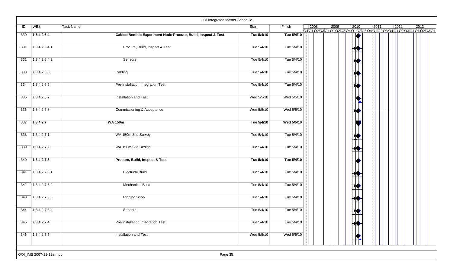|     |                         | OOI Integrated Master Schedule                                |            |            |      |      |           |      |                |                                                                    |
|-----|-------------------------|---------------------------------------------------------------|------------|------------|------|------|-----------|------|----------------|--------------------------------------------------------------------|
| ID  | <b>WBS</b>              | <b>Task Name</b>                                              | Start      | Finish     | 2008 | 2009 | 2010      | 2011 | $ 2012\rangle$ | 2013<br>Q4Q1Q2Q3Q4Q1Q2Q3Q4Q1Q2Q3Q4Q1Q2Q3Q4Q1Q2Q3Q4Q1Q2Q3Q4Q1Q2Q3Q4 |
| 330 | 1.3.4.2.6.4             | Cabled Benthic Experiment Node Procure, Build, Inspect & Test | Tue 5/4/10 | Tue 5/4/10 |      |      |           |      |                |                                                                    |
| 331 | 1.3.4.2.6.4.1           | Procure, Build, Inspect & Test                                | Tue 5/4/10 | Tue 5/4/10 |      |      |           |      |                |                                                                    |
| 332 | 1.3.4.2.6.4.2           | Sensors                                                       | Tue 5/4/10 | Tue 5/4/10 |      |      |           |      |                |                                                                    |
| 333 | 1.3.4.2.6.5             | Cabling                                                       | Tue 5/4/10 | Tue 5/4/10 |      |      |           |      |                |                                                                    |
| 334 | 1.3.4.2.6.6             | Pre-Installation Integration Test                             | Tue 5/4/10 | Tue 5/4/10 |      |      |           |      |                |                                                                    |
| 335 | 1.3.4.2.6.7             | Installation and Test                                         | Wed 5/5/10 | Wed 5/5/10 |      |      |           |      |                |                                                                    |
| 336 | 1.3.4.2.6.8             | Commissioning & Acceptance                                    | Wed 5/5/10 | Wed 5/5/10 |      |      | ₩         |      |                |                                                                    |
| 337 | 1.3.4.2.7               | <b>WA 150m</b>                                                | Tue 5/4/10 | Wed 5/5/10 |      |      |           |      |                |                                                                    |
| 338 | 1.3.4.2.7.1             | WA 150m Site Survey                                           | Tue 5/4/10 | Tue 5/4/10 |      |      |           |      |                |                                                                    |
| 339 | 1.3.4.2.7.2             | WA 150m Site Design                                           | Tue 5/4/10 | Tue 5/4/10 |      |      |           |      |                |                                                                    |
| 340 | 1.3.4.2.7.3             | Procure, Build, Inspect & Test                                | Tue 5/4/10 | Tue 5/4/10 |      |      |           |      |                |                                                                    |
| 341 | 1.3.4.2.7.3.1           | <b>Electrical Build</b>                                       | Tue 5/4/10 | Tue 5/4/10 |      |      |           |      |                |                                                                    |
| 342 | 1.3.4.2.7.3.2           | <b>Mechanical Build</b>                                       | Tue 5/4/10 | Tue 5/4/10 |      |      |           |      |                |                                                                    |
| 343 | 1.3.4.2.7.3.3           | <b>Rigging Shop</b>                                           | Tue 5/4/10 | Tue 5/4/10 |      |      |           |      |                |                                                                    |
| 344 | 1.3.4.2.7.3.4           | Sensors                                                       | Tue 5/4/10 | Tue 5/4/10 |      |      |           |      |                |                                                                    |
| 345 | 1.3.4.2.7.4             | Pre-Installation Integration Test                             | Tue 5/4/10 | Tue 5/4/10 |      |      | <b>KJ</b> |      |                |                                                                    |
| 346 | 1.3.4.2.7.5             | Installation and Test                                         | Wed 5/5/10 | Wed 5/5/10 |      |      |           |      |                |                                                                    |
|     | OOI_IMS 2007-11-19a.mpp | Page 35                                                       |            |            |      |      |           |      |                |                                                                    |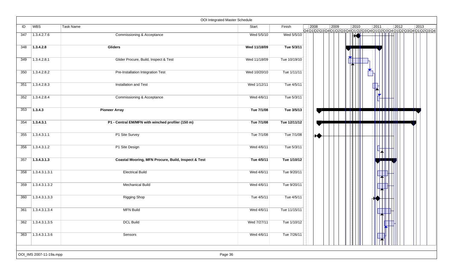|     |               |                                                     | OOI Integrated Master Schedule |              |                |                |                                                                                   |      |      |      |
|-----|---------------|-----------------------------------------------------|--------------------------------|--------------|----------------|----------------|-----------------------------------------------------------------------------------|------|------|------|
| ID  | WBS           | <b>Task Name</b>                                    | Start                          | Finish       | $ 2008\rangle$ | $ 2009\rangle$ | 2010<br>Q4Q1 Q2 Q3 Q4 Q1 Q2 Q3 Q4 Q1 Q2 Q3 Q4 Q1 Q2 Q3 Q4 Q1 Q2 Q3 Q4 Q1 Q2 Q3 Q4 | 2011 | 2012 | 2013 |
| 347 | 1.3.4.2.7.6   | Commissioning & Acceptance                          | Wed 5/5/10                     | Wed 5/5/10   |                |                | $\blacklozenge$                                                                   |      |      |      |
| 348 | 1.3.4.2.8     | Gliders                                             | Wed 11/18/09                   | Tue 5/3/11   |                |                |                                                                                   |      |      |      |
| 349 | 1.3.4.2.8.1   | Glider Procure, Build, Inspect & Test               | Wed 11/18/09                   | Tue 10/19/10 |                |                |                                                                                   |      |      |      |
| 350 | 1.3.4.2.8.2   | Pre-Installation Integration Test                   | Wed 10/20/10                   | Tue 1/11/11  |                |                |                                                                                   |      |      |      |
| 351 | 1.3.4.2.8.3   | Installation and Test                               | Wed 1/12/11                    | Tue 4/5/11   |                |                |                                                                                   |      |      |      |
| 352 | 1.3.4.2.8.4   | Commissioning & Acceptance                          | Wed 4/6/11                     | Tue 5/3/11   |                |                |                                                                                   |      |      |      |
| 353 | 1.3.4.3       | <b>Pioneer Array</b>                                | Tue 7/1/08                     | Tue 3/5/13   |                |                |                                                                                   |      |      |      |
| 354 | 1.3.4.3.1     | P1 - Central EM/MFN with winched profiler (150 m)   | Tue 7/1/08                     | Tue 12/11/12 |                |                |                                                                                   |      |      |      |
| 355 | 1.3.4.3.1.1   | P1 Site Survey                                      | Tue 7/1/08                     | Tue 7/1/08   | ₩              |                |                                                                                   |      |      |      |
| 356 | 1.3.4.3.1.2   | P1 Site Design                                      | Wed 4/6/11                     | Tue 5/3/11   |                |                |                                                                                   |      |      |      |
| 357 | 1.3.4.3.1.3   | Coastal Mooring, MFN Procure, Build, Inspect & Test | Tue 4/5/11                     | Tue 1/10/12  |                |                |                                                                                   |      |      |      |
| 358 | 1.3.4.3.1.3.1 | <b>Electrical Build</b>                             | Wed 4/6/11                     | Tue 9/20/11  |                |                |                                                                                   |      |      |      |
| 359 | 1.3.4.3.1.3.2 | <b>Mechanical Build</b>                             | Wed 4/6/11                     | Tue 9/20/11  |                |                |                                                                                   |      |      |      |
| 360 | 1.3.4.3.1.3.3 | <b>Rigging Shop</b>                                 | Tue 4/5/11                     | Tue 4/5/11   |                |                |                                                                                   |      |      |      |
| 361 | 1.3.4.3.1.3.4 | <b>MFN Build</b>                                    | Wed 4/6/11                     | Tue 11/15/11 |                |                |                                                                                   |      |      |      |
| 362 | 1.3.4.3.1.3.5 | <b>DCL Build</b>                                    | Wed 7/27/11                    | Tue 1/10/12  |                |                |                                                                                   |      |      |      |
| 363 | 1.3.4.3.1.3.6 | Sensors                                             | Wed 4/6/11                     | Tue 7/26/11  |                |                |                                                                                   |      |      |      |
|     |               |                                                     |                                |              |                |                |                                                                                   |      |      |      |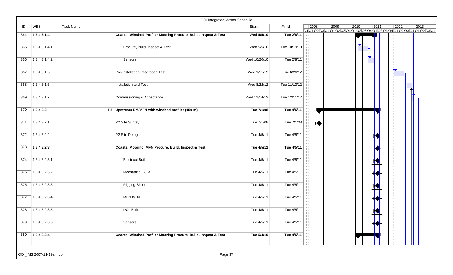|     |                         | OOI Integrated Master Schedule                                  |              |              |                |                |      |                             |      |                                                                                                |
|-----|-------------------------|-----------------------------------------------------------------|--------------|--------------|----------------|----------------|------|-----------------------------|------|------------------------------------------------------------------------------------------------|
| ID  | WBS                     | <b>Task Name</b>                                                | Start        | Finish       | $ 2008\rangle$ | $ 2009\rangle$ | 2010 | 2011                        | 2012 | 2013<br>Q4 Q1 Q2 Q3 Q4 Q1 Q2 Q3 Q4 Q1 Q2 Q3 Q4 Q1 Q2 Q3 Q4 Q1 Q2 Q3 Q4 Q1 Q2 Q3 Q4 Q1 Q2 Q3 Q4 |
| 364 | 1.3.4.3.1.4             | Coastal Winched Profiler Mooring Procure, Build, Inspect & Test | Wed 5/5/10   | Tue 2/8/11   |                |                |      |                             |      |                                                                                                |
| 365 | 1.3.4.3.1.4.1           | Procure, Build, Inspect & Test                                  | Wed 5/5/10   | Tue 10/19/10 |                |                |      |                             |      |                                                                                                |
| 366 | 1.3.4.3.1.4.2           | Sensors                                                         | Wed 10/20/10 | Tue 2/8/11   |                |                |      |                             |      |                                                                                                |
| 367 | 1.3.4.3.1.5             | Pre-Installation Integration Test                               | Wed 1/11/12  | Tue 6/26/12  |                |                |      |                             |      |                                                                                                |
| 368 | 1.3.4.3.1.6             | Installation and Test                                           | Wed 8/22/12  | Tue 11/13/12 |                |                |      |                             |      |                                                                                                |
| 369 | 1.3.4.3.1.7             | Commissioning & Acceptance                                      | Wed 11/14/12 | Tue 12/11/12 |                |                |      |                             |      |                                                                                                |
| 370 | 1.3.4.3.2               | P2 - Upstream EM/MFN with winched profiler (150 m)              | Tue 7/1/08   | Tue 4/5/11   |                |                |      |                             |      |                                                                                                |
| 371 | 1.3.4.3.2.1             | P2 Site Survey                                                  | Tue 7/1/08   | Tue 7/1/08   | ₩              |                |      |                             |      |                                                                                                |
| 372 | 1.3.4.3.2.2             | P2 Site Design                                                  | Tue 4/5/11   | Tue 4/5/11   |                |                |      | и                           |      |                                                                                                |
| 373 | 1.3.4.3.2.3             | Coastal Mooring, MFN Procure, Build, Inspect & Test             | Tue 4/5/11   | Tue 4/5/11   |                |                |      |                             |      |                                                                                                |
| 374 | 1.3.4.3.2.3.1           | <b>Electrical Build</b>                                         | Tue 4/5/11   | Tue 4/5/11   |                |                |      |                             |      |                                                                                                |
| 375 | 1.3.4.3.2.3.2           | <b>Mechanical Build</b>                                         | Tue 4/5/11   | Tue 4/5/11   |                |                |      |                             |      |                                                                                                |
| 376 | 1.3.4.3.2.3.3           | <b>Rigging Shop</b>                                             | Tue 4/5/11   | Tue 4/5/11   |                |                |      |                             |      |                                                                                                |
| 377 | 1.3.4.3.2.3.4           | <b>MFN Build</b>                                                | Tue 4/5/11   | Tue 4/5/11   |                |                |      |                             |      |                                                                                                |
| 378 | 1.3.4.3.2.3.5           | <b>DCL Build</b>                                                | Tue 4/5/11   | Tue 4/5/11   |                |                |      |                             |      |                                                                                                |
| 379 | 1.3.4.3.2.3.6           | Sensors                                                         | Tue 4/5/11   | Tue 4/5/11   |                |                |      | $\blacksquare$<br><b>KO</b> |      |                                                                                                |
| 380 | 1.3.4.3.2.4             | Coastal Winched Profiler Mooring Procure, Build, Inspect & Test | Tue 5/4/10   | Tue 4/5/11   |                |                |      |                             |      |                                                                                                |
|     | OOI_IMS 2007-11-19a.mpp | Page 37                                                         |              |              |                |                |      |                             |      |                                                                                                |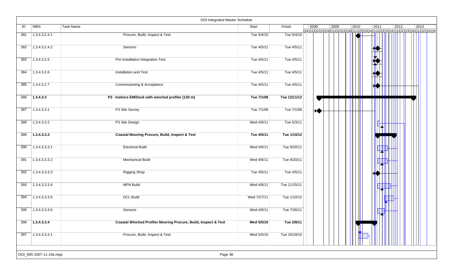| ID  | <b>WBS</b>    | Task Name                                                       | Start       | Finish       | 2008                               | 2009 | 2010<br>Q4 Q1 Q2 Q3 Q4 Q1 Q2 Q3 Q4 Q1 Q2 Q3 Q4 Q1 Q2 Q3 Q4 Q1 Q2 Q3 Q4 Q1 Q2 Q3 Q4 Q1 Q2 Q3 Q4 | 2011 | $ 2012\rangle$ | 2013 |
|-----|---------------|-----------------------------------------------------------------|-------------|--------------|------------------------------------|------|------------------------------------------------------------------------------------------------|------|----------------|------|
| 381 | 1.3.4.3.2.4.1 | Procure, Build, Inspect & Test                                  | Tue 5/4/10  | Tue 5/4/10   |                                    |      |                                                                                                |      |                |      |
| 382 | 1.3.4.3.2.4.2 | Sensors                                                         | Tue 4/5/11  | Tue 4/5/11   |                                    |      |                                                                                                | и у  |                |      |
| 383 | 1.3.4.3.2.5   | Pre-Installation Integration Test                               | Tue 4/5/11  | Tue 4/5/11   |                                    |      |                                                                                                |      |                |      |
| 384 | 1.3.4.3.2.6   | Installation and Test                                           | Tue 4/5/11  | Tue 4/5/11   |                                    |      |                                                                                                |      |                |      |
| 385 | 1.3.4.3.2.7   | Commissioning & Acceptance                                      | Tue 4/5/11  | Tue 4/5/11   |                                    |      |                                                                                                |      |                |      |
| 386 | 1.3.4.3.3     | P3 - Inshore EM/Dock with winched profiler (120 m)              | Tue 7/1/08  | Tue 12/11/12 |                                    |      |                                                                                                |      |                |      |
| 387 | 1.3.4.3.3.1   | P3 Site Survey                                                  | Tue 7/1/08  | Tue 7/1/08   | $\blacktriangleright\blacklozenge$ |      |                                                                                                |      |                |      |
| 388 | 1.3.4.3.3.2   | P3 Site Design                                                  | Wed 4/6/11  | Tue 5/3/11   |                                    |      |                                                                                                |      |                |      |
| 389 | 1.3.4.3.3.3   | <b>Coastal Mooring Procure, Build, Inspect &amp; Test</b>       | Tue 4/5/11  | Tue 1/10/12  |                                    |      |                                                                                                |      |                |      |
| 390 | 1.3.4.3.3.3.1 | <b>Electrical Build</b>                                         | Wed 4/6/11  | Tue 9/20/11  |                                    |      |                                                                                                |      |                |      |
| 391 | 1.3.4.3.3.3.2 | <b>Mechanical Build</b>                                         | Wed 4/6/11  | Tue 9/20/11  |                                    |      |                                                                                                |      |                |      |
| 392 | 1.3.4.3.3.3.3 | <b>Rigging Shop</b>                                             | Tue 4/5/11  | Tue 4/5/11   |                                    |      |                                                                                                |      |                |      |
| 393 | 1.3.4.3.3.3.4 | <b>MFN Build</b>                                                | Wed 4/6/11  | Tue 11/15/11 |                                    |      |                                                                                                |      |                |      |
| 394 | 1.3.4.3.3.3.5 | <b>DCL Build</b>                                                | Wed 7/27/11 | Tue 1/10/12  |                                    |      |                                                                                                |      |                |      |
| 395 | 1.3.4.3.3.3.6 | Sensors                                                         | Wed 4/6/11  | Tue 7/26/11  |                                    |      |                                                                                                |      |                |      |
| 396 | 1.3.4.3.3.4   | Coastal Winched Profiler Mooring Procure, Build, Inspect & Test | Wed 5/5/10  | Tue 2/8/11   |                                    |      | $\Box$                                                                                         |      |                |      |
| 397 | 1.3.4.3.3.4.1 | Procure, Build, Inspect & Test                                  | Wed 5/5/10  | Tue 10/19/10 |                                    |      |                                                                                                |      |                |      |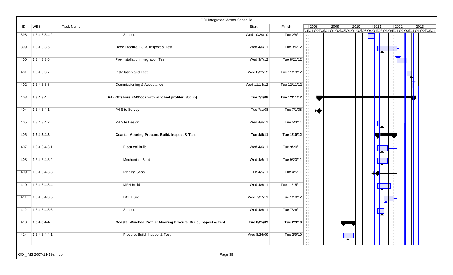|     |                         | OOI Integrated Master Schedule                                  |              |              |      |      |      |      |      |                                                                    |
|-----|-------------------------|-----------------------------------------------------------------|--------------|--------------|------|------|------|------|------|--------------------------------------------------------------------|
| ID  | <b>WBS</b>              | Task Name                                                       | Start        | Finish       | 2008 | 2009 | 2010 | 2011 | 2012 | 2013<br>Q4Q1Q2Q3Q4Q1Q2Q3Q4Q1Q2Q3Q4Q1Q2Q3Q4Q1Q2Q3Q4Q1Q2Q3Q4Q1Q2Q3Q4 |
| 398 | 1.3.4.3.3.4.2           | Sensors                                                         | Wed 10/20/10 | Tue 2/8/11   |      |      |      |      |      |                                                                    |
| 399 | 1.3.4.3.3.5             | Dock Procure, Build, Inspect & Test                             | Wed 4/6/11   | Tue 3/6/12   |      |      |      |      |      |                                                                    |
| 400 | 1.3.4.3.3.6             | Pre-Installation Integration Test                               | Wed 3/7/12   | Tue 8/21/12  |      |      |      |      |      |                                                                    |
| 401 | 1.3.4.3.3.7             | Installation and Test                                           | Wed 8/22/12  | Tue 11/13/12 |      |      |      |      |      |                                                                    |
| 402 | 1.3.4.3.3.8             | Commissioning & Acceptance                                      | Wed 11/14/12 | Tue 12/11/12 |      |      |      |      |      |                                                                    |
| 403 | 1.3.4.3.4               | P4 - Offshore EM/Dock with winched profiler (800 m)             | Tue 7/1/08   | Tue 12/11/12 |      |      |      |      |      |                                                                    |
| 404 | 1.3.4.3.4.1             | P4 Site Survey                                                  | Tue 7/1/08   | Tue 7/1/08   | ₩    |      |      |      |      |                                                                    |
| 405 | 1.3.4.3.4.2             | P4 Site Design                                                  | Wed 4/6/11   | Tue 5/3/11   |      |      |      |      |      |                                                                    |
| 406 | 1.3.4.3.4.3             | <b>Coastal Mooring Procure, Build, Inspect &amp; Test</b>       | Tue 4/5/11   | Tue 1/10/12  |      |      |      |      |      |                                                                    |
| 407 | 1.3.4.3.4.3.1           | <b>Electrical Build</b>                                         | Wed 4/6/11   | Tue 9/20/11  |      |      |      |      |      |                                                                    |
| 408 | 1.3.4.3.4.3.2           | <b>Mechanical Build</b>                                         | Wed 4/6/11   | Tue 9/20/11  |      |      |      |      |      |                                                                    |
| 409 | 1.3.4.3.4.3.3           | <b>Rigging Shop</b>                                             | Tue 4/5/11   | Tue 4/5/11   |      |      |      |      |      |                                                                    |
| 410 | 1.3.4.3.4.3.4           | <b>MFN Build</b>                                                | Wed 4/6/11   | Tue 11/15/11 |      |      |      |      |      |                                                                    |
| 411 | 1.3.4.3.4.3.5           | <b>DCL Build</b>                                                | Wed 7/27/11  | Tue 1/10/12  |      |      |      |      |      |                                                                    |
| 412 | 1.3.4.3.4.3.6           | Sensors                                                         | Wed 4/6/11   | Tue 7/26/11  |      |      |      |      |      |                                                                    |
| 413 | 1.3.4.3.4.4             | Coastal Winched Profiler Mooring Procure, Build, Inspect & Test | Tue 8/25/09  | Tue 2/9/10   |      |      |      |      |      |                                                                    |
| 414 | 1.3.4.3.4.4.1           | Procure, Build, Inspect & Test                                  | Wed 8/26/09  | Tue 2/9/10   |      |      |      |      |      |                                                                    |
|     | OOI_IMS 2007-11-19a.mpp | Page 39                                                         |              |              |      |      |      |      |      |                                                                    |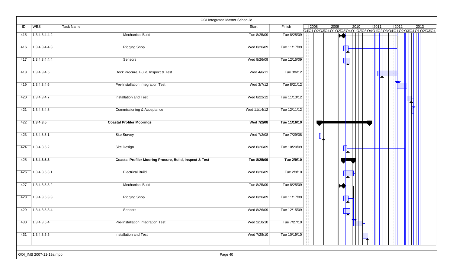|     |               | OOI Integrated Master Schedule                                     |              |              |      |      |      |      |      |                                                       |
|-----|---------------|--------------------------------------------------------------------|--------------|--------------|------|------|------|------|------|-------------------------------------------------------|
| ID  | WBS           | <b>Task Name</b>                                                   | Start        | Finish       | 2008 | 2009 | 2010 | 2011 | 2012 | 2013<br>Q4Q1Q2Q3Q4Q1Q2Q3Q4Q1Q2Q3Q4Q1JQ2Q3Q4Q1Q2Q3Q4Q1 |
| 415 | 1.3.4.3.4.4.2 | <b>Mechanical Build</b>                                            | Tue 8/25/09  | Tue 8/25/09  |      |      |      |      |      |                                                       |
| 416 | 1.3.4.3.4.4.3 | <b>Rigging Shop</b>                                                | Wed 8/26/09  | Tue 11/17/09 |      |      |      |      |      |                                                       |
| 417 | 1.3.4.3.4.4.4 | Sensors                                                            | Wed 8/26/09  | Tue 12/15/09 |      |      |      |      |      |                                                       |
| 418 | 1.3.4.3.4.5   | Dock Procure, Build, Inspect & Test                                | Wed 4/6/11   | Tue 3/6/12   |      |      |      |      |      |                                                       |
| 419 | 1.3.4.3.4.6   | Pre-Installation Integration Test                                  | Wed 3/7/12   | Tue 8/21/12  |      |      |      |      |      |                                                       |
| 420 | 1.3.4.3.4.7   | Installation and Test                                              | Wed 8/22/12  | Tue 11/13/12 |      |      |      |      |      |                                                       |
| 421 | 1.3.4.3.4.8   | Commissioning & Acceptance                                         | Wed 11/14/12 | Tue 12/11/12 |      |      |      |      |      |                                                       |
| 422 | 1.3.4.3.5     | <b>Coastal Profiler Moorings</b>                                   | Wed 7/2/08   | Tue 11/16/10 |      |      |      |      |      |                                                       |
| 423 | 1.3.4.3.5.1   | Site Survey                                                        | Wed 7/2/08   | Tue 7/29/08  |      |      |      |      |      |                                                       |
| 424 | 1.3.4.3.5.2   | Site Design                                                        | Wed 8/26/09  | Tue 10/20/09 |      |      |      |      |      |                                                       |
| 425 | 1.3.4.3.5.3   | <b>Coastal Profiler Mooring Procure, Build, Inspect &amp; Test</b> | Tue 8/25/09  | Tue 2/9/10   |      |      |      |      |      |                                                       |
| 426 | 1.3.4.3.5.3.1 | <b>Electrical Build</b>                                            | Wed 8/26/09  | Tue 2/9/10   |      |      |      |      |      |                                                       |
| 427 | 1.3.4.3.5.3.2 | <b>Mechanical Build</b>                                            | Tue 8/25/09  | Tue 8/25/09  |      |      |      |      |      |                                                       |
| 428 | 1.3.4.3.5.3.3 | <b>Rigging Shop</b>                                                | Wed 8/26/09  | Tue 11/17/09 |      |      |      |      |      |                                                       |
| 429 | 1.3.4.3.5.3.4 | Sensors                                                            | Wed 8/26/09  | Tue 12/15/09 |      |      |      |      |      |                                                       |
| 430 | 1.3.4.3.5.4   | Pre-Installation Integration Test                                  | Wed 2/10/10  | Tue 7/27/10  |      |      |      |      |      |                                                       |
| 431 | 1.3.4.3.5.5   | Installation and Test                                              | Wed 7/28/10  | Tue 10/19/10 |      |      |      |      |      |                                                       |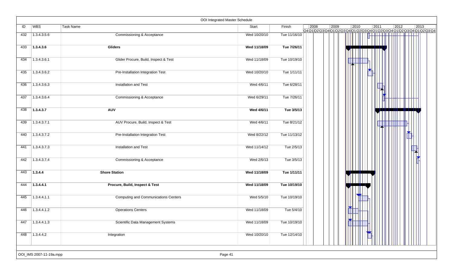| ID  | WBS         | <b>Task Name</b>                            | Start        | Finish       | 2008 | 2009 | 2010<br>Q4Q1Q2\Q3\Q4\Q1\Q2\Q3\Q4\Q1\Q2\Q3\Q4\Q1\Q2\Q3\Q4\Q1\Q2\Q3\Q4\Q1\Q2\Q3\Q4 | 2011 | 2012 | $ 2013\rangle$ |
|-----|-------------|---------------------------------------------|--------------|--------------|------|------|----------------------------------------------------------------------------------|------|------|----------------|
| 432 | 1.3.4.3.5.6 | Commissioning & Acceptance                  | Wed 10/20/10 | Tue 11/16/10 |      |      |                                                                                  |      |      |                |
| 433 | 1.3.4.3.6   | <b>Gliders</b>                              | Wed 11/18/09 | Tue 7/26/11  |      |      |                                                                                  |      |      |                |
| 434 | 1.3.4.3.6.1 | Glider Procure, Build, Inspect & Test       | Wed 11/18/09 | Tue 10/19/10 |      |      |                                                                                  |      |      |                |
| 435 | 1.3.4.3.6.2 | Pre-Installation Integration Test           | Wed 10/20/10 | Tue 1/11/11  |      |      |                                                                                  |      |      |                |
| 436 | 1.3.4.3.6.3 | Installation and Test                       | Wed 4/6/11   | Tue 6/28/11  |      |      |                                                                                  |      |      |                |
| 437 | 1.3.4.3.6.4 | Commissioning & Acceptance                  | Wed 6/29/11  | Tue 7/26/11  |      |      |                                                                                  |      |      |                |
| 438 | 1.3.4.3.7   | <b>AUV</b>                                  | Wed 4/6/11   | Tue 3/5/13   |      |      |                                                                                  |      |      |                |
| 439 | 1.3.4.3.7.1 | AUV Procure, Build, Inspect & Test          | Wed 4/6/11   | Tue 8/21/12  |      |      |                                                                                  |      |      |                |
| 440 | 1.3.4.3.7.2 | Pre-Installation Integration Test           | Wed 8/22/12  | Tue 11/13/12 |      |      |                                                                                  |      |      |                |
| 441 | 1.3.4.3.7.3 | Installation and Test                       | Wed 11/14/12 | Tue 2/5/13   |      |      |                                                                                  |      |      |                |
| 442 | 1.3.4.3.7.4 | Commissioning & Acceptance                  | Wed 2/6/13   | Tue 3/5/13   |      |      |                                                                                  |      |      |                |
| 443 | 1.3.4.4     | <b>Shore Station</b>                        | Wed 11/18/09 | Tue 1/11/11  |      |      |                                                                                  |      |      |                |
| 444 | 1.3.4.4.1   | Procure, Build, Inspect & Test              | Wed 11/18/09 | Tue 10/19/10 |      |      |                                                                                  |      |      |                |
| 445 | 1.3.4.4.1.1 | <b>Computing and Communications Centers</b> | Wed 5/5/10   | Tue 10/19/10 |      |      |                                                                                  |      |      |                |
| 446 | 1.3.4.4.1.2 | <b>Operations Centers</b>                   | Wed 11/18/09 | Tue 5/4/10   |      |      |                                                                                  |      |      |                |
| 447 | 1.3.4.4.1.3 | Scientific Data Management Systems          | Wed 11/18/09 | Tue 10/19/10 |      |      |                                                                                  |      |      |                |
| 448 | 1.3.4.4.2   | Integration                                 | Wed 10/20/10 | Tue 12/14/10 |      |      |                                                                                  |      |      |                |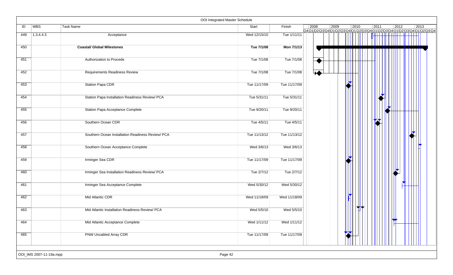|     |                         |                                                   | OOI Integrated Master Schedule |              |                       |      |                |                |      |                                                                              |
|-----|-------------------------|---------------------------------------------------|--------------------------------|--------------|-----------------------|------|----------------|----------------|------|------------------------------------------------------------------------------|
| ID  | WBS                     | Task Name                                         | Start                          | Finish       | 2008                  | 2009 | $ 2010\rangle$ | $\boxed{2011}$ | 2012 | $ 2013\rangle$<br>Q4Q1Q2Q3Q4Q1Q2Q3Q4Q1Q2Q3Q4Q1Q2Q3Q4Q1Q2Q3Q4Q1Q2Q3Q4Q1Q2Q3Q4 |
| 449 | 1.3.4.4.3               | Acceptance                                        | Wed 12/15/10                   | Tue 1/11/11  |                       |      |                |                |      |                                                                              |
| 450 |                         | <b>Coastal/ Global Milestones</b>                 | Tue 7/1/08                     | Mon 7/1/13   |                       |      |                |                |      |                                                                              |
| 451 |                         | Authorization to Procede                          | Tue 7/1/08                     | Tue 7/1/08   |                       |      |                |                |      |                                                                              |
| 452 |                         | Requirements Readiness Review                     | Tue 7/1/08                     | Tue 7/1/08   | $\blacktriangleright$ |      |                |                |      |                                                                              |
| 453 |                         | <b>Station Papa CDR</b>                           | Tue 11/17/09                   | Tue 11/17/09 |                       |      |                |                |      |                                                                              |
| 454 |                         | Station Papa Installation Readiness Review/ PCA   | Tue 5/31/11                    | Tue 5/31/11  |                       |      |                |                |      |                                                                              |
| 455 |                         | Station Papa Acceptance Complete                  | Tue 9/20/11                    | Tue 9/20/11  |                       |      |                |                |      |                                                                              |
| 456 |                         | Southern Ocean CDR                                | Tue 4/5/11                     | Tue 4/5/11   |                       |      |                |                |      |                                                                              |
| 457 |                         | Southern Ocean Installation Readiness Review/ PCA | Tue 11/13/12                   | Tue 11/13/12 |                       |      |                |                |      |                                                                              |
| 458 |                         | Southern Ocean Acceptance Complete                | Wed 3/6/13                     | Wed 3/6/13   |                       |      |                |                |      |                                                                              |
| 459 |                         | Irminger Sea CDR                                  | Tue 11/17/09                   | Tue 11/17/09 |                       |      |                |                |      |                                                                              |
| 460 |                         | Irminger Sea Installation Readiness Review/ PCA   | Tue 2/7/12                     | Tue 2/7/12   |                       |      |                |                |      |                                                                              |
| 461 |                         | Irminger Sea Acceptance Complete                  | Wed 5/30/12                    | Wed 5/30/12  |                       |      |                |                |      |                                                                              |
| 462 |                         | Mid Atlantic CDR                                  | Wed 11/18/09                   | Wed 11/18/09 |                       |      |                |                |      |                                                                              |
| 463 |                         | Mid Atlantic Installation Readiness Review/ PCA   | Wed 5/5/10                     | Wed 5/5/10   |                       |      |                |                |      |                                                                              |
| 464 |                         | Mid Atlantic Acceptance Complete                  | Wed 1/11/12                    | Wed 1/11/12  |                       |      |                |                | ₩    |                                                                              |
| 465 |                         | <b>PNW Uncabled Array CDR</b>                     | Tue 11/17/09                   | Tue 11/17/09 |                       |      |                |                |      |                                                                              |
|     | OOI_IMS 2007-11-19a.mpp |                                                   | Page 42                        |              |                       |      |                |                |      |                                                                              |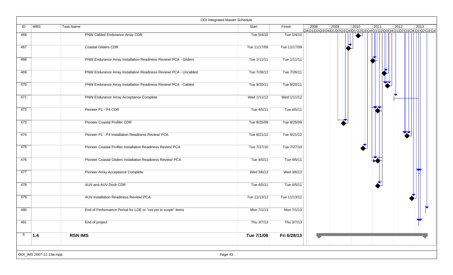|                 |                         |                                                                   | OOI Integrated Master Schedule |              |      |      |                |                |      |                                                                        |
|-----------------|-------------------------|-------------------------------------------------------------------|--------------------------------|--------------|------|------|----------------|----------------|------|------------------------------------------------------------------------|
| ID              | WBS                     | Task Name                                                         | Start                          | Finish       | 2008 | 2009 | $ 2010\rangle$ | $\boxed{2011}$ | 2012 | 2013<br>Q4Q1Q2Q3Q4Q1Q2Q3Q4Q1Q2Q3Q4Q1 Q2Q3Q4Q1 Q2Q3Q4Q1 Q2Q3Q4Q1 Q2Q3Q4 |
| 466             |                         | PNW Cabled Endurance Array CDR                                    | Tue 5/4/10                     | Tue 5/4/10   |      |      |                |                |      |                                                                        |
| 467             |                         | <b>Coastal Gliders CDR</b>                                        | Tue 11/17/09                   | Tue 11/17/09 |      |      |                |                |      |                                                                        |
| 468             |                         | PNW Endurance Array Installation Readiness Review/ PCA - Gliders  | Tue 1/11/11                    | Tue 1/11/11  |      |      |                |                |      |                                                                        |
| 469             |                         | PNW Endurance Array Installation Readiness Review/ PCA - Uncabled | Tue 7/26/11                    | Tue 7/26/11  |      |      |                |                |      |                                                                        |
| 470             |                         | PNW Endurance Array Installation Readiness Review/ PCA - Cabled   | Tue 9/20/11                    | Tue 9/20/11  |      |      |                |                |      |                                                                        |
| 471             |                         | PNW Endurance Array Acceptance Complete                           | Wed 1/11/12                    | Wed 1/11/12  |      |      |                |                |      |                                                                        |
| 472             |                         | Pioneer P1 - P4 CDR                                               | Tue 4/5/11                     | Tue 4/5/11   |      |      |                |                |      |                                                                        |
| 473             |                         | Pioneer Coastal Profiler CDR                                      | Tue 8/25/09                    | Tue 8/25/09  |      |      |                |                |      |                                                                        |
| 474             |                         | Pioneer P1 - P4 Installation Readiness Review/ PCA                | Tue 8/21/12                    | Tue 8/21/12  |      |      |                |                |      |                                                                        |
| 475             |                         | Pioneer Coastal Profiler Installation Readiness Revies/ PCA       | Tue 7/27/10                    | Tue 7/27/10  |      |      |                |                |      |                                                                        |
| 476             |                         | Pioneer Coastal Gliders Installation Readiness Review/ PCA        | Tue 4/5/11                     | Tue 4/5/11   |      |      |                |                |      |                                                                        |
| 477             |                         | Pioneer Array Acceptance Complete                                 | Wed 3/6/13                     | Wed 3/6/13   |      |      |                |                |      |                                                                        |
| 478             |                         | AUV and AUV Dock CDR                                              | Tue 4/5/11                     | Tue 4/5/11   |      |      |                |                |      |                                                                        |
| 479             |                         | AUV Installation Readiness Review/ PCA                            | Tue 11/13/12                   | Tue 11/13/12 |      |      |                |                |      |                                                                        |
| 480             |                         | End of Performance Period for LOE or "not yet in scope" items     | Mon 7/1/13                     | Mon 7/1/13   |      |      |                |                |      |                                                                        |
| 481             |                         | End of project                                                    | Thu 3/7/13                     | Thu 3/7/13   |      |      |                |                |      |                                                                        |
| $5\phantom{.0}$ | 1.4                     | <b>RSN IMS</b>                                                    | Tue 7/1/08                     | Fri 6/28/13  |      |      |                |                |      |                                                                        |
|                 | OOI_IMS 2007-11-19a.mpp |                                                                   | Page 43                        |              |      |      |                |                |      |                                                                        |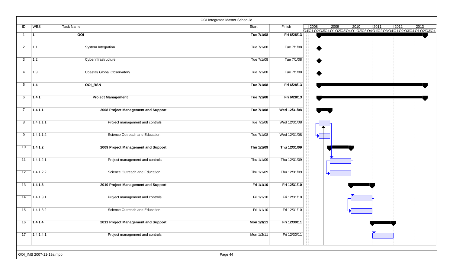|                |                         |                                     | OOI Integrated Master Schedule |              |      |      |                                                                                                         |      |      |
|----------------|-------------------------|-------------------------------------|--------------------------------|--------------|------|------|---------------------------------------------------------------------------------------------------------|------|------|
| ID             | WBS                     | Task Name                           | Start                          | Finish       | 2008 | 2009 | 2010<br> 2011<br>Q4 Q1 Q2 Q3 Q4 Q1 Q2 Q3 Q4 Q1 Q2 Q3 Q4 Q1 Q2 Q3 Q4 Q1 Q2 Q3 Q4 Q1 Q2 Q3 Q4 Q1 Q2 Q3 Q4 | 2012 | 2013 |
| $\mathbf{1}$   | 11.                     | $\overline{O}$                      | Tue 7/1/08                     | Fri 6/28/13  |      |      |                                                                                                         |      |      |
| 2              | 1.1                     | System Integration                  | Tue 7/1/08                     | Tue 7/1/08   |      |      |                                                                                                         |      |      |
| 3              | 1.2                     | Cyberinfrastructure                 | Tue 7/1/08                     | Tue 7/1/08   |      |      |                                                                                                         |      |      |
| $\overline{4}$ | 1.3                     | Coastal/ Global Observatory         | Tue 7/1/08                     | Tue 7/1/08   |      |      |                                                                                                         |      |      |
| 5              | $\vert$ 1.4             | <b>OOI_RSN</b>                      | Tue 7/1/08                     | Fri 6/28/13  |      |      |                                                                                                         |      |      |
| 6              | 1.4.1                   | <b>Project Management</b>           | Tue 7/1/08                     | Fri 6/28/13  |      |      |                                                                                                         |      |      |
| $\overline{7}$ | 1.4.1.1                 | 2008 Project Management and Support | Tue 7/1/08                     | Wed 12/31/08 |      |      |                                                                                                         |      |      |
| 8              | 1.4.1.1.1               | Project management and controls     | Tue 7/1/08                     | Wed 12/31/08 |      |      |                                                                                                         |      |      |
| 9              | 1.4.1.1.2               | Science Outreach and Education      | Tue 7/1/08                     | Wed 12/31/08 |      |      |                                                                                                         |      |      |
| 10             | 1.4.1.2                 | 2009 Project Management and Support | Thu 1/1/09                     | Thu 12/31/09 |      |      |                                                                                                         |      |      |
| 11             | 1.4.1.2.1               | Project management and controls     | Thu 1/1/09                     | Thu 12/31/09 |      |      |                                                                                                         |      |      |
| 12             | 1.4.1.2.2               | Science Outreach and Education      | Thu 1/1/09                     | Thu 12/31/09 |      |      |                                                                                                         |      |      |
| 13             | 1.4.1.3                 | 2010 Project Management and Support | Fri 1/1/10                     | Fri 12/31/10 |      |      |                                                                                                         |      |      |
| 14             | 1.4.1.3.1               | Project management and controls     | Fri 1/1/10                     | Fri 12/31/10 |      |      |                                                                                                         |      |      |
| 15             | 1.4.1.3.2               | Science Outreach and Education      | Fri 1/1/10                     | Fri 12/31/10 |      |      |                                                                                                         |      |      |
| 16             | 1.4.1.4                 | 2011 Project Management and Support | Mon 1/3/11                     | Fri 12/30/11 |      |      |                                                                                                         |      |      |
| 17             | 1.4.1.4.1               | Project management and controls     | Mon 1/3/11                     | Fri 12/30/11 |      |      |                                                                                                         |      |      |
|                |                         |                                     |                                |              |      |      |                                                                                                         |      |      |
|                | OOI_IMS 2007-11-19a.mpp |                                     | Page 44                        |              |      |      |                                                                                                         |      |      |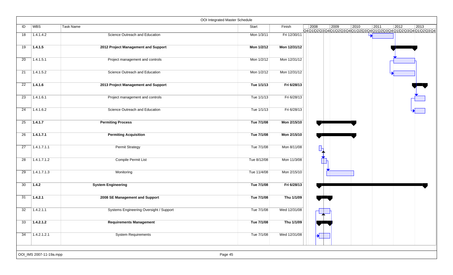|    |                         |                                         | OOI Integrated Master Schedule |              |                       |                                                                    |      |      |                |      |
|----|-------------------------|-----------------------------------------|--------------------------------|--------------|-----------------------|--------------------------------------------------------------------|------|------|----------------|------|
| ID | WBS                     | Task Name                               | Start                          | Finish       | 2008                  | 2009<br>Q401020304010203040102030401020304010203040102030401020304 | 2010 | 2011 | $\boxed{2012}$ | 2013 |
| 18 | 1.4.1.4.2               | Science Outreach and Education          | Mon 1/3/11                     | Fri 12/30/11 |                       |                                                                    |      |      |                |      |
| 19 | 1.4.1.5                 | 2012 Project Management and Support     | Mon 1/2/12                     | Mon 12/31/12 |                       |                                                                    |      |      |                |      |
| 20 | 1.4.1.5.1               | Project management and controls         | Mon 1/2/12                     | Mon 12/31/12 |                       |                                                                    |      |      |                |      |
| 21 | 1.4.1.5.2               | Science Outreach and Education          | Mon 1/2/12                     | Mon 12/31/12 |                       |                                                                    |      |      |                |      |
| 22 | 1.4.1.6                 | 2013 Project Management and Support     | Tue 1/1/13                     | Fri 6/28/13  |                       |                                                                    |      |      |                |      |
| 23 | 1.4.1.6.1               | Project management and controls         | Tue 1/1/13                     | Fri 6/28/13  |                       |                                                                    |      |      |                |      |
| 24 | 1.4.1.6.2               | Science Outreach and Education          | Tue 1/1/13                     | Fri 6/28/13  |                       |                                                                    |      |      |                |      |
| 25 | 1.4.1.7                 | <b>Permiting Process</b>                | Tue 7/1/08                     | Mon 2/15/10  |                       |                                                                    |      |      |                |      |
| 26 | 1.4.1.7.1               | <b>Permiting Acquisition</b>            | Tue 7/1/08                     | Mon 2/15/10  |                       |                                                                    |      |      |                |      |
| 27 | 1.4.1.7.1.1             | <b>Permit Strategy</b>                  | Tue 7/1/08                     | Mon 8/11/08  | $\blacksquare$        |                                                                    |      |      |                |      |
| 28 | 1.4.1.7.1.2             | Compile Permit List                     | Tue 8/12/08                    | Mon 11/3/08  |                       |                                                                    |      |      |                |      |
| 29 | 1.4.1.7.1.3             | Monitoring                              | Tue 11/4/08                    | Mon 2/15/10  |                       |                                                                    |      |      |                |      |
| 30 | 1.4.2                   | <b>System Engineering</b>               | Tue 7/1/08                     | Fri 6/28/13  |                       |                                                                    |      |      |                |      |
| 31 | 1.4.2.1                 | 2008 SE Management and Support          | Tue 7/1/08                     | Thu 1/1/09   |                       |                                                                    |      |      |                |      |
| 32 | 1.4.2.1.1               | Systems Engineering Oversight / Support | Tue 7/1/08                     | Wed 12/31/08 |                       |                                                                    |      |      |                |      |
| 33 | 1.4.2.1.2               | <b>Requirements Management</b>          | Tue 7/1/08                     | Thu 1/1/09   |                       |                                                                    |      |      |                |      |
| 34 | 1.4.2.1.2.1             | <b>System Requirements</b>              | Tue 7/1/08                     | Wed 12/31/08 | $\blacktriangleright$ |                                                                    |      |      |                |      |
|    |                         |                                         |                                |              |                       |                                                                    |      |      |                |      |
|    | OOI_IMS 2007-11-19a.mpp |                                         | Page 45                        |              |                       |                                                                    |      |      |                |      |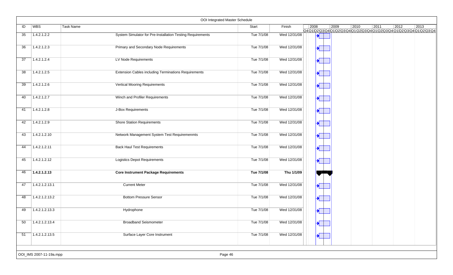|                 |                         | OOI Integrated Master Schedule                              |            |              |                       |                         |      |                                                                                                     |                |
|-----------------|-------------------------|-------------------------------------------------------------|------------|--------------|-----------------------|-------------------------|------|-----------------------------------------------------------------------------------------------------|----------------|
| ID              | <b>WBS</b>              | Task Name                                                   | Start      | Finish       | 2008                  | 2009                    | 2010 | 2011<br>$ 2012\rangle$<br>Q4Q1\Q2\Q3\Q4\Q1\Q2\Q3\Q4\Q1\Q2\Q3\Q4\Q1\Q2\Q3\Q4\Q1\Q2\Q3\Q4\Q1\Q2\Q3\Q4 | $ 2013\rangle$ |
| 35              | 1.4.2.1.2.2             | System Simulator for Pre-Installation Testing Requirements  | Tue 7/1/08 | Wed 12/31/08 |                       |                         |      |                                                                                                     |                |
| 36              | 1.4.2.1.2.3             | Primary and Secondary Node Requirements                     | Tue 7/1/08 | Wed 12/31/08 |                       |                         |      |                                                                                                     |                |
| 37              | 1.4.2.1.2.4             | LV Node Requirements                                        | Tue 7/1/08 | Wed 12/31/08 | $\blacktriangleright$ |                         |      |                                                                                                     |                |
| 38              | 1.4.2.1.2.5             | <b>Extension Cables including Terminations Requirements</b> | Tue 7/1/08 | Wed 12/31/08 |                       |                         |      |                                                                                                     |                |
| $\overline{39}$ | 1.4.2.1.2.6             | Vertical Mooring Requirements                               | Tue 7/1/08 | Wed 12/31/08 |                       |                         |      |                                                                                                     |                |
| 40              | 1.4.2.1.2.7             | Winch and Profiler Requirements                             | Tue 7/1/08 | Wed 12/31/08 |                       | $\blacktriangleright$   |      |                                                                                                     |                |
| 41              | 1.4.2.1.2.8             | J-Box Requirements                                          | Tue 7/1/08 | Wed 12/31/08 |                       |                         |      |                                                                                                     |                |
| 42              | 1.4.2.1.2.9             | <b>Shore Station Requirements</b>                           | Tue 7/1/08 | Wed 12/31/08 |                       | $\blacktriangleright$   |      |                                                                                                     |                |
| 43              | 1.4.2.1.2.10            | Network Management System Test Requiremenmts                | Tue 7/1/08 | Wed 12/31/08 | $\blacktriangleright$ |                         |      |                                                                                                     |                |
| 44              | 1.4.2.1.2.11            | <b>Back Haul Test Requirements</b>                          | Tue 7/1/08 | Wed 12/31/08 |                       |                         |      |                                                                                                     |                |
| 45              | 1.4.2.1.2.12            | <b>Logistics Depot Requirements</b>                         | Tue 7/1/08 | Wed 12/31/08 |                       |                         |      |                                                                                                     |                |
| 46              | 1.4.2.1.2.13            | <b>Core Instrument Package Requirements</b>                 | Tue 7/1/08 | Thu 1/1/09   |                       |                         |      |                                                                                                     |                |
| 47              | 1.4.2.1.2.13.1          | <b>Current Meter</b>                                        | Tue 7/1/08 | Wed 12/31/08 |                       |                         |      |                                                                                                     |                |
| 48              | 1.4.2.1.2.13.2          | <b>Bottom Pressure Sensor</b>                               | Tue 7/1/08 | Wed 12/31/08 |                       | $\overline{\mathbf{H}}$ |      |                                                                                                     |                |
| 49              | 1.4.2.1.2.13.3          | Hydrophone                                                  | Tue 7/1/08 | Wed 12/31/08 |                       |                         |      |                                                                                                     |                |
| 50              | 1.4.2.1.2.13.4          | <b>Broadband Seismometer</b>                                | Tue 7/1/08 | Wed 12/31/08 | $\blacktriangleright$ |                         |      |                                                                                                     |                |
| 51              | 1.4.2.1.2.13.5          | Surface Layer Core Instrument                               | Tue 7/1/08 | Wed 12/31/08 |                       | $\rightarrow$           |      |                                                                                                     |                |
|                 |                         |                                                             |            |              |                       |                         |      |                                                                                                     |                |
|                 | OOI_IMS 2007-11-19a.mpp | Page 46                                                     |            |              |                       |                         |      |                                                                                                     |                |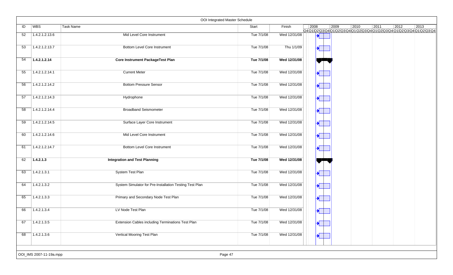|    |                         | OOI Integrated Master Schedule                          |            |              |                                |                |      |      |                |                                                                                            |
|----|-------------------------|---------------------------------------------------------|------------|--------------|--------------------------------|----------------|------|------|----------------|--------------------------------------------------------------------------------------------|
| ID | <b>WBS</b>              | <b>Task Name</b>                                        | Start      | Finish       | 2008                           | $ 2009\rangle$ | 2010 | 2011 | $ 2012\rangle$ | $ 2013\rangle$<br>Q4Q1Q2\Q3\Q4\Q1\Q2\Q3\Q4\Q1\Q2\Q3\Q4\Q1\Q2\Q3\Q4\Q1\Q2\Q3\Q4\Q1\Q2\Q3\Q4 |
| 52 | 1.4.2.1.2.13.6          | Mid Level Core Instrument                               | Tue 7/1/08 | Wed 12/31/08 |                                |                |      |      |                |                                                                                            |
| 53 | 1.4.2.1.2.13.7          | <b>Bottom Level Core Instrument</b>                     | Tue 7/1/08 | Thu 1/1/09   | $\blacktriangleright$          |                |      |      |                |                                                                                            |
| 54 | 1.4.2.1.2.14            | <b>Core Instrument PackageTest Plan</b>                 | Tue 7/1/08 | Wed 12/31/08 |                                |                |      |      |                |                                                                                            |
| 55 | 1.4.2.1.2.14.1          | <b>Current Meter</b>                                    | Tue 7/1/08 | Wed 12/31/08 |                                |                |      |      |                |                                                                                            |
| 56 | 1.4.2.1.2.14.2          | <b>Bottom Pressure Sensor</b>                           | Tue 7/1/08 | Wed 12/31/08 | $\blacktriangle^{\mathbb{P}}$  |                |      |      |                |                                                                                            |
| 57 | 1.4.2.1.2.14.3          | Hydrophone                                              | Tue 7/1/08 | Wed 12/31/08 | $\blacktriangleright$          |                |      |      |                |                                                                                            |
| 58 | 1.4.2.1.2.14.4          | <b>Broadband Seismometer</b>                            | Tue 7/1/08 | Wed 12/31/08 |                                |                |      |      |                |                                                                                            |
| 59 | 1.4.2.1.2.14.5          | Surface Layer Core Instrument                           | Tue 7/1/08 | Wed 12/31/08 |                                |                |      |      |                |                                                                                            |
| 60 | 1.4.2.1.2.14.6          | Mid Level Core Instrument                               | Tue 7/1/08 | Wed 12/31/08 | $\blacktriangleright$          |                |      |      |                |                                                                                            |
| 61 | 1.4.2.1.2.14.7          | <b>Bottom Level Core Instrument</b>                     | Tue 7/1/08 | Wed 12/31/08 |                                |                |      |      |                |                                                                                            |
| 62 | 1.4.2.1.3               | <b>Integration and Test Planning</b>                    | Tue 7/1/08 | Wed 12/31/08 |                                |                |      |      |                |                                                                                            |
| 63 | 1.4.2.1.3.1             | System Test Plan                                        | Tue 7/1/08 | Wed 12/31/08 |                                |                |      |      |                |                                                                                            |
| 64 | 1.4.2.1.3.2             | System Simulator for Pre-Installation Testing Test Plan | Tue 7/1/08 | Wed 12/31/08 |                                |                |      |      |                |                                                                                            |
| 65 | 1.4.2.1.3.3             | Primary and Secondary Node Test Plan                    | Tue 7/1/08 | Wed 12/31/08 | $\frac{1}{\sqrt{2}}$           |                |      |      |                |                                                                                            |
| 66 | 1.4.2.1.3.4             | LV Node Test Plan                                       | Tue 7/1/08 | Wed 12/31/08 | $\blacktriangleright$          |                |      |      |                |                                                                                            |
| 67 | 1.4.2.1.3.5             | Extension Cables including Terminations Test Plan       | Tue 7/1/08 | Wed 12/31/08 | $\blacktriangledown$           |                |      |      |                |                                                                                            |
| 68 | 1.4.2.1.3.6             | Vertical Mooring Test Plan                              | Tue 7/1/08 | Wed 12/31/08 | $\overline{\mathbf{a}^{\top}}$ |                |      |      |                |                                                                                            |
|    |                         |                                                         |            |              |                                |                |      |      |                |                                                                                            |
|    | OOI_IMS 2007-11-19a.mpp | Page 47                                                 |            |              |                                |                |      |      |                |                                                                                            |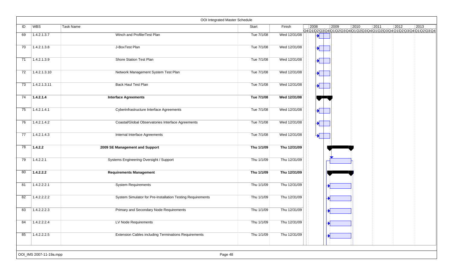|    |                         | OOI Integrated Master Schedule                              |            |              |                                       |      |      |      |      |                                                                                  |
|----|-------------------------|-------------------------------------------------------------|------------|--------------|---------------------------------------|------|------|------|------|----------------------------------------------------------------------------------|
| ID | <b>WBS</b>              | Task Name                                                   | Start      | Finish       | 2008                                  | 2009 | 2010 | 2011 | 2012 | 2013<br>Q4Q1Q2\Q3\Q4\Q1\Q2\Q3\Q4\Q1\Q2\Q3\Q4\Q1\Q2\Q3\Q4\Q1\Q2\Q3\Q4\Q1\Q2\Q3\Q4 |
| 69 | 1.4.2.1.3.7             | Winch and ProfilerTest Plan                                 | Tue 7/1/08 | Wed 12/31/08 |                                       |      |      |      |      |                                                                                  |
| 70 | 1.4.2.1.3.8             | J-BoxTest Plan                                              | Tue 7/1/08 | Wed 12/31/08 | $\blacktriangleright$                 |      |      |      |      |                                                                                  |
| 71 | 1.4.2.1.3.9             | Shore Station Test Plan                                     | Tue 7/1/08 | Wed 12/31/08 | $\overline{\mathcal{A}^{\mathbb{F}}}$ |      |      |      |      |                                                                                  |
| 72 | 1.4.2.1.3.10            | Network Management System Test Plan                         | Tue 7/1/08 | Wed 12/31/08 | $\blacktriangleright$                 |      |      |      |      |                                                                                  |
| 73 | 1.4.2.1.3.11            | Back Haul Test Plan                                         | Tue 7/1/08 | Wed 12/31/08 |                                       |      |      |      |      |                                                                                  |
| 74 | 1.4.2.1.4               | <b>Interface Agreements</b>                                 | Tue 7/1/08 | Wed 12/31/08 |                                       |      |      |      |      |                                                                                  |
| 75 | 1.4.2.1.4.1             | Cyberinfrastructure Interface Agreements                    | Tue 7/1/08 | Wed 12/31/08 | $\blacktriangleright$                 |      |      |      |      |                                                                                  |
| 76 | 1.4.2.1.4.2             | Coastal/Global Observatories Interface Agreements           | Tue 7/1/08 | Wed 12/31/08 | $\overline{\mathbf{r}^{\prime}}$      |      |      |      |      |                                                                                  |
| 77 | 1.4.2.1.4.3             | Internal Interface Agreements                               | Tue 7/1/08 | Wed 12/31/08 | $\blacktriangleright$                 |      |      |      |      |                                                                                  |
| 78 | 1.4.2.2                 | 2009 SE Management and Support                              | Thu 1/1/09 | Thu 12/31/09 |                                       |      |      |      |      |                                                                                  |
| 79 | 1.4.2.2.1               | Systems Engineering Oversight / Support                     | Thu 1/1/09 | Thu 12/31/09 |                                       |      |      |      |      |                                                                                  |
| 80 | 1.4.2.2.2               | <b>Requirements Management</b>                              | Thu 1/1/09 | Thu 12/31/09 |                                       |      |      |      |      |                                                                                  |
| 81 | 1.4.2.2.2.1             | <b>System Requirements</b>                                  | Thu 1/1/09 | Thu 12/31/09 |                                       |      |      |      |      |                                                                                  |
| 82 | 1.4.2.2.2.2             | System Simulator for Pre-Installation Testing Requirements  | Thu 1/1/09 | Thu 12/31/09 |                                       |      |      |      |      |                                                                                  |
| 83 | 1.4.2.2.2.3             | Primary and Secondary Node Requirements                     | Thu 1/1/09 | Thu 12/31/09 |                                       |      |      |      |      |                                                                                  |
| 84 | 1.4.2.2.2.4             | LV Node Requirements                                        | Thu 1/1/09 | Thu 12/31/09 |                                       |      |      |      |      |                                                                                  |
| 85 | 1.4.2.2.2.5             | <b>Extension Cables including Terminations Requirements</b> | Thu 1/1/09 | Thu 12/31/09 |                                       |      |      |      |      |                                                                                  |
|    |                         |                                                             |            |              |                                       |      |      |      |      |                                                                                  |
|    | OOI_IMS 2007-11-19a.mpp | Page 48                                                     |            |              |                                       |      |      |      |      |                                                                                  |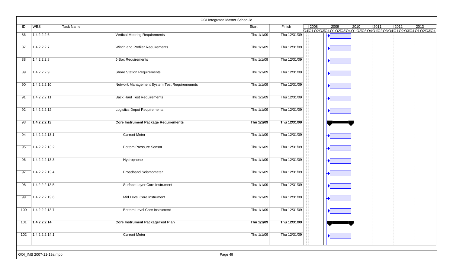|                 |                         | OOI Integrated Master Schedule               |            |              |                |                                                                                                          |                |      |                |      |
|-----------------|-------------------------|----------------------------------------------|------------|--------------|----------------|----------------------------------------------------------------------------------------------------------|----------------|------|----------------|------|
| ID              | WBS                     | Task Name                                    | Start      | Finish       | $ 2008\rangle$ | $ 2009\rangle$<br>Q4 Q1 Q2 Q3 Q4 Q1 Q2 Q3 Q4 Q1 Q2 Q3 Q4 Q1 Q2 Q3 Q4 Q1 Q2 Q3 Q4 Q1 Q2 Q3 Q4 Q1 Q2 Q3 Q4 | $ 2010\rangle$ | 2011 | $ 2012\rangle$ | 2013 |
| 86              | 1.4.2.2.2.6             | <b>Vertical Mooring Requirements</b>         | Thu 1/1/09 | Thu 12/31/09 |                |                                                                                                          |                |      |                |      |
| 87              | 1.4.2.2.2.7             | Winch and Profiler Requirements              | Thu 1/1/09 | Thu 12/31/09 |                |                                                                                                          |                |      |                |      |
| 88              | 1.4.2.2.2.8             | J-Box Requirements                           | Thu 1/1/09 | Thu 12/31/09 |                |                                                                                                          |                |      |                |      |
| 89              | 1.4.2.2.2.9             | <b>Shore Station Requirements</b>            | Thu 1/1/09 | Thu 12/31/09 |                |                                                                                                          |                |      |                |      |
| 90              | 1.4.2.2.2.10            | Network Management System Test Requiremenmts | Thu 1/1/09 | Thu 12/31/09 |                |                                                                                                          |                |      |                |      |
| 91              | 1.4.2.2.2.11            | <b>Back Haul Test Requirements</b>           | Thu 1/1/09 | Thu 12/31/09 |                |                                                                                                          |                |      |                |      |
| 92              | 1.4.2.2.2.12            | <b>Logistics Depot Requirements</b>          | Thu 1/1/09 | Thu 12/31/09 |                |                                                                                                          |                |      |                |      |
| $\overline{93}$ | 1.4.2.2.2.13            | <b>Core Instrument Package Requirements</b>  | Thu 1/1/09 | Thu 12/31/09 |                |                                                                                                          |                |      |                |      |
| 94              | 1.4.2.2.2.13.1          | <b>Current Meter</b>                         | Thu 1/1/09 | Thu 12/31/09 |                |                                                                                                          |                |      |                |      |
| 95              | 1.4.2.2.2.13.2          | <b>Bottom Pressure Sensor</b>                | Thu 1/1/09 | Thu 12/31/09 |                |                                                                                                          |                |      |                |      |
| 96              | 1.4.2.2.2.13.3          | Hydrophone                                   | Thu 1/1/09 | Thu 12/31/09 |                |                                                                                                          |                |      |                |      |
| 97              | 1.4.2.2.2.13.4          | <b>Broadband Seismometer</b>                 | Thu 1/1/09 | Thu 12/31/09 |                |                                                                                                          |                |      |                |      |
| 98              | 1.4.2.2.2.13.5          | Surface Layer Core Instrument                | Thu 1/1/09 | Thu 12/31/09 |                |                                                                                                          |                |      |                |      |
| 99              | 1.4.2.2.2.13.6          | Mid Level Core Instrument                    | Thu 1/1/09 | Thu 12/31/09 |                |                                                                                                          |                |      |                |      |
| 100             | 1.4.2.2.2.13.7          | <b>Bottom Level Core Instrument</b>          | Thu 1/1/09 | Thu 12/31/09 |                |                                                                                                          |                |      |                |      |
| 101             | 1.4.2.2.2.14            | <b>Core Instrument PackageTest Plan</b>      | Thu 1/1/09 | Thu 12/31/09 |                |                                                                                                          |                |      |                |      |
| 102             | 1.4.2.2.2.14.1          | <b>Current Meter</b>                         | Thu 1/1/09 | Thu 12/31/09 |                |                                                                                                          |                |      |                |      |
|                 | OOI_IMS 2007-11-19a.mpp | Page 49                                      |            |              |                |                                                                                                          |                |      |                |      |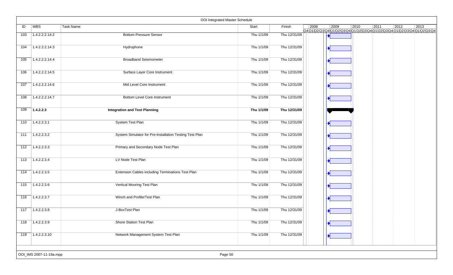|     |                         | OOI Integrated Master Schedule                          |            |              |      |                                                                                   |                |      |      |      |
|-----|-------------------------|---------------------------------------------------------|------------|--------------|------|-----------------------------------------------------------------------------------|----------------|------|------|------|
| ID  | WBS                     | <b>Task Name</b>                                        | Start      | Finish       | 2008 | 2009<br>Q4Q1\Q2\Q3\Q4\Q1\Q2\Q3\Q4\Q1\Q2\Q3\Q4\Q1\Q2\Q3\Q4\Q1\Q2\Q3\Q4\Q1\Q2\Q3\Q4 | $ 2010\rangle$ | 2011 | 2012 | 2013 |
| 103 | 1.4.2.2.2.14.2          | <b>Bottom Pressure Sensor</b>                           | Thu 1/1/09 | Thu 12/31/09 |      |                                                                                   |                |      |      |      |
| 104 | 1.4.2.2.2.14.3          | Hydrophone                                              | Thu 1/1/09 | Thu 12/31/09 |      |                                                                                   |                |      |      |      |
| 105 | 1.4.2.2.2.14.4          | <b>Broadband Seismometer</b>                            | Thu 1/1/09 | Thu 12/31/09 |      |                                                                                   |                |      |      |      |
| 106 | 1.4.2.2.2.14.5          | Surface Layer Core Instrument                           | Thu 1/1/09 | Thu 12/31/09 |      |                                                                                   |                |      |      |      |
| 107 | 1.4.2.2.2.14.6          | Mid Level Core Instrument                               | Thu 1/1/09 | Thu 12/31/09 |      |                                                                                   |                |      |      |      |
| 108 | 1.4.2.2.2.14.7          | <b>Bottom Level Core Instrument</b>                     | Thu 1/1/09 | Thu 12/31/09 |      |                                                                                   |                |      |      |      |
| 109 | 1.4.2.2.3               | <b>Integration and Test Planning</b>                    | Thu 1/1/09 | Thu 12/31/09 |      |                                                                                   |                |      |      |      |
| 110 | 1.4.2.2.3.1             | <b>System Test Plan</b>                                 | Thu 1/1/09 | Thu 12/31/09 |      |                                                                                   |                |      |      |      |
| 111 | 1.4.2.2.3.2             | System Simulator for Pre-Installation Testing Test Plan | Thu 1/1/09 | Thu 12/31/09 |      |                                                                                   |                |      |      |      |
| 112 | 1.4.2.2.3.3             | Primary and Secondary Node Test Plan                    | Thu 1/1/09 | Thu 12/31/09 |      |                                                                                   |                |      |      |      |
| 113 | 1.4.2.2.3.4             | LV Node Test Plan                                       | Thu 1/1/09 | Thu 12/31/09 |      |                                                                                   |                |      |      |      |
| 114 | 1.4.2.2.3.5             | Extension Cables including Terminations Test Plan       | Thu 1/1/09 | Thu 12/31/09 |      |                                                                                   |                |      |      |      |
| 115 | 1.4.2.2.3.6             | Vertical Mooring Test Plan                              | Thu 1/1/09 | Thu 12/31/09 |      |                                                                                   |                |      |      |      |
| 116 | 1.4.2.2.3.7             | Winch and ProfilerTest Plan                             | Thu 1/1/09 | Thu 12/31/09 |      |                                                                                   |                |      |      |      |
| 117 | 1.4.2.2.3.8             | J-BoxTest Plan                                          | Thu 1/1/09 | Thu 12/31/09 |      |                                                                                   |                |      |      |      |
| 118 | 1.4.2.2.3.9             | <b>Shore Station Test Plan</b>                          | Thu 1/1/09 | Thu 12/31/09 |      |                                                                                   |                |      |      |      |
| 119 | 1.4.2.2.3.10            | Network Management System Test Plan                     | Thu 1/1/09 | Thu 12/31/09 |      |                                                                                   |                |      |      |      |
|     |                         |                                                         |            |              |      |                                                                                   |                |      |      |      |
|     | OOI_IMS 2007-11-19a.mpp | Page 50                                                 |            |              |      |                                                                                   |                |      |      |      |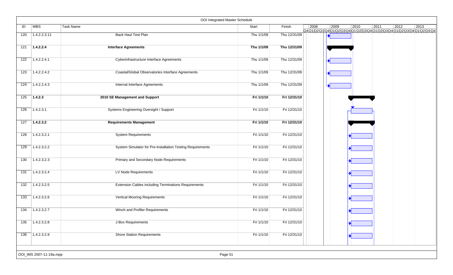|                  |                         | OOI Integrated Master Schedule                              |            |              |                |      |      |      |                                                                                             |      |
|------------------|-------------------------|-------------------------------------------------------------|------------|--------------|----------------|------|------|------|---------------------------------------------------------------------------------------------|------|
| ID               | <b>WBS</b>              | Task Name                                                   | Start      | Finish       | $ 2008\rangle$ | 2009 | 2010 | 2011 | $ 2012\rangle$<br>Q4Q1\Q2\Q3\Q4\Q1\Q2\Q3\Q4\Q1\Q2\Q3\Q4\Q1\Q2\Q3\Q4\Q1\Q2\Q3\Q4\Q1\Q2\Q3\Q4 | 2013 |
| 120              | 1.4.2.2.3.11            | <b>Back Haul Test Plan</b>                                  | Thu 1/1/09 | Thu 12/31/09 |                |      |      |      |                                                                                             |      |
| 121              | 1.4.2.2.4               | <b>Interface Agreements</b>                                 | Thu 1/1/09 | Thu 12/31/09 |                |      |      |      |                                                                                             |      |
| 122              | 1.4.2.2.4.1             | Cyberinfrastructure Interface Agreements                    | Thu 1/1/09 | Thu 12/31/09 |                |      |      |      |                                                                                             |      |
| 123              | 1.4.2.2.4.2             | Coastal/Global Observatories Interface Agreements           | Thu 1/1/09 | Thu 12/31/09 |                |      |      |      |                                                                                             |      |
| 124              | 1.4.2.2.4.3             | Internal Interface Agreements                               | Thu 1/1/09 | Thu 12/31/09 |                |      |      |      |                                                                                             |      |
| 125              | 1.4.2.3                 | 2010 SE Management and Support                              | Fri 1/1/10 | Fri 12/31/10 |                |      |      |      |                                                                                             |      |
| 126              | 1.4.2.3.1               | Systems Engineering Oversight / Support                     | Fri 1/1/10 | Fri 12/31/10 |                |      |      |      |                                                                                             |      |
| 127              | 1.4.2.3.2               | <b>Requirements Management</b>                              | Fri 1/1/10 | Fri 12/31/10 |                |      |      |      |                                                                                             |      |
| 128              | 1.4.2.3.2.1             | <b>System Requirements</b>                                  | Fri 1/1/10 | Fri 12/31/10 |                |      |      |      |                                                                                             |      |
| 129              | 1.4.2.3.2.2             | System Simulator for Pre-Installation Testing Requirements  | Fri 1/1/10 | Fri 12/31/10 |                |      |      |      |                                                                                             |      |
| 130              | 1.4.2.3.2.3             | Primary and Secondary Node Requirements                     | Fri 1/1/10 | Fri 12/31/10 |                |      |      |      |                                                                                             |      |
| 131              | 1.4.2.3.2.4             | LV Node Requirements                                        | Fri 1/1/10 | Fri 12/31/10 |                |      |      |      |                                                                                             |      |
| $\overline{132}$ | 1.4.2.3.2.5             | <b>Extension Cables including Terminations Requirements</b> | Fri 1/1/10 | Fri 12/31/10 |                |      |      |      |                                                                                             |      |
| 133              | 1.4.2.3.2.6             | <b>Vertical Mooring Requirements</b>                        | Fri 1/1/10 | Fri 12/31/10 |                |      |      |      |                                                                                             |      |
| 134              | 1.4.2.3.2.7             | Winch and Profiler Requirements                             | Fri 1/1/10 | Fri 12/31/10 |                |      |      |      |                                                                                             |      |
| 135              | 1.4.2.3.2.8             | J-Box Requirements                                          | Fri 1/1/10 | Fri 12/31/10 |                |      |      |      |                                                                                             |      |
| 136              | 1.4.2.3.2.9             | <b>Shore Station Requirements</b>                           | Fri 1/1/10 | Fri 12/31/10 |                |      |      |      |                                                                                             |      |
|                  | OOI_IMS 2007-11-19a.mpp | Page 51                                                     |            |              |                |      |      |      |                                                                                             |      |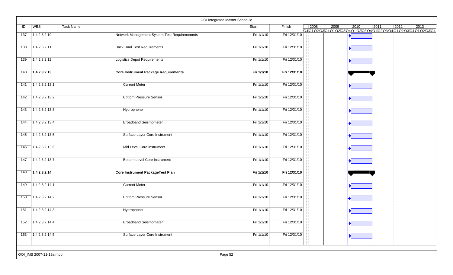|     |                         |                                              | OOI Integrated Master Schedule |              |      |      |                |                        |                                                                                                          |
|-----|-------------------------|----------------------------------------------|--------------------------------|--------------|------|------|----------------|------------------------|----------------------------------------------------------------------------------------------------------|
| ID  | WBS                     | <b>Task Name</b>                             | Start                          | Finish       | 2008 | 2009 | $ 2010\rangle$ | $\boxed{2011}$<br>2012 | $ 2013\rangle$<br>Q4 Q1 Q2 Q3 Q4 Q1 Q2 Q3 Q4 Q1 Q2 Q3 Q4 Q1 Q2 Q3 Q4 Q1 Q2 Q3 Q4 Q1 Q2 Q3 Q4 Q1 Q2 Q3 Q4 |
| 137 | 1.4.2.3.2.10            | Network Management System Test Requiremenmts | Fri 1/1/10                     | Fri 12/31/10 |      |      |                |                        |                                                                                                          |
| 138 | 1.4.2.3.2.11            | <b>Back Haul Test Requirements</b>           | Fri 1/1/10                     | Fri 12/31/10 |      |      |                |                        |                                                                                                          |
| 139 | 1.4.2.3.2.12            | <b>Logistics Depot Requirements</b>          | Fri 1/1/10                     | Fri 12/31/10 |      |      |                |                        |                                                                                                          |
| 140 | 1.4.2.3.2.13            | <b>Core Instrument Package Requirements</b>  | Fri 1/1/10                     | Fri 12/31/10 |      |      |                |                        |                                                                                                          |
| 141 | 1.4.2.3.2.13.1          | <b>Current Meter</b>                         | Fri 1/1/10                     | Fri 12/31/10 |      |      |                |                        |                                                                                                          |
| 142 | 1.4.2.3.2.13.2          | <b>Bottom Pressure Sensor</b>                | Fri 1/1/10                     | Fri 12/31/10 |      |      |                |                        |                                                                                                          |
| 143 | 1.4.2.3.2.13.3          | Hydrophone                                   | Fri 1/1/10                     | Fri 12/31/10 |      |      |                |                        |                                                                                                          |
| 144 | 1.4.2.3.2.13.4          | <b>Broadband Seismometer</b>                 | Fri 1/1/10                     | Fri 12/31/10 |      |      |                |                        |                                                                                                          |
| 145 | 1.4.2.3.2.13.5          | Surface Layer Core Instrument                | Fri 1/1/10                     | Fri 12/31/10 |      |      |                |                        |                                                                                                          |
| 146 | 1.4.2.3.2.13.6          | Mid Level Core Instrument                    | Fri 1/1/10                     | Fri 12/31/10 |      |      |                |                        |                                                                                                          |
| 147 | 1.4.2.3.2.13.7          | <b>Bottom Level Core Instrument</b>          | Fri 1/1/10                     | Fri 12/31/10 |      |      |                |                        |                                                                                                          |
| 148 | 1.4.2.3.2.14            | <b>Core Instrument PackageTest Plan</b>      | Fri 1/1/10                     | Fri 12/31/10 |      |      |                |                        |                                                                                                          |
| 149 | 1.4.2.3.2.14.1          | <b>Current Meter</b>                         | Fri 1/1/10                     | Fri 12/31/10 |      |      |                |                        |                                                                                                          |
| 150 | 1.4.2.3.2.14.2          | <b>Bottom Pressure Sensor</b>                | Fri 1/1/10                     | Fri 12/31/10 |      |      |                |                        |                                                                                                          |
| 151 | 1.4.2.3.2.14.3          | Hydrophone                                   | Fri 1/1/10                     | Fri 12/31/10 |      |      |                |                        |                                                                                                          |
| 152 | 1.4.2.3.2.14.4          | <b>Broadband Seismometer</b>                 | Fri 1/1/10                     | Fri 12/31/10 |      |      |                |                        |                                                                                                          |
| 153 | 1.4.2.3.2.14.5          | Surface Layer Core Instrument                | Fri 1/1/10                     | Fri 12/31/10 |      |      |                |                        |                                                                                                          |
|     | OOI_IMS 2007-11-19a.mpp |                                              | Page 52                        |              |      |      |                |                        |                                                                                                          |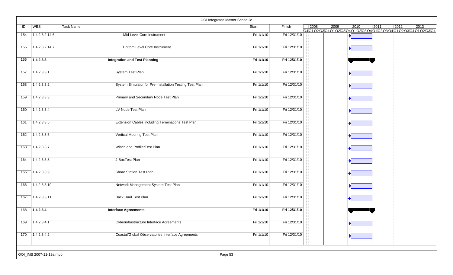| ID<br>154<br>155<br>156 | WBS <br>1.4.2.3.2.14.6<br>1.4.2.3.2.14.7<br>1.4.2.3.3 | Task Name<br>Mid Level Core Instrument<br>Bottom Level Core Instrument | Start<br>Fri 1/1/10<br>Fri 1/1/10 | Finish<br>Fri 12/31/10 | $ 2008\rangle$ | $ 2009\rangle$<br>$ 2010\rangle$<br>Q401020304010203040102030401020304010203040102030401020304 | $\boxed{2011}$ | 2012 | $ 2013\rangle$ |
|-------------------------|-------------------------------------------------------|------------------------------------------------------------------------|-----------------------------------|------------------------|----------------|------------------------------------------------------------------------------------------------|----------------|------|----------------|
|                         |                                                       |                                                                        |                                   |                        |                |                                                                                                |                |      |                |
|                         |                                                       |                                                                        |                                   |                        |                |                                                                                                |                |      |                |
|                         |                                                       |                                                                        |                                   | Fri 12/31/10           |                |                                                                                                |                |      |                |
|                         |                                                       | <b>Integration and Test Planning</b>                                   | Fri 1/1/10                        | Fri 12/31/10           |                |                                                                                                |                |      |                |
| 157                     | 1.4.2.3.3.1                                           | System Test Plan                                                       | Fri 1/1/10                        | Fri 12/31/10           |                |                                                                                                |                |      |                |
| 158                     | 1.4.2.3.3.2                                           | System Simulator for Pre-Installation Testing Test Plan                | Fri 1/1/10                        | Fri 12/31/10           |                |                                                                                                |                |      |                |
| 159                     | 1.4.2.3.3.3                                           | Primary and Secondary Node Test Plan                                   | Fri 1/1/10                        | Fri 12/31/10           |                |                                                                                                |                |      |                |
| 160                     | 1.4.2.3.3.4                                           | LV Node Test Plan                                                      | Fri 1/1/10                        | Fri 12/31/10           |                |                                                                                                |                |      |                |
| 161                     | 1.4.2.3.3.5                                           | Extension Cables including Terminations Test Plan                      | Fri 1/1/10                        | Fri 12/31/10           |                |                                                                                                |                |      |                |
| 162                     | 1.4.2.3.3.6                                           | Vertical Mooring Test Plan                                             | Fri 1/1/10                        | Fri 12/31/10           |                |                                                                                                |                |      |                |
| 163                     | 1.4.2.3.3.7                                           | Winch and ProfilerTest Plan                                            | Fri 1/1/10                        | Fri 12/31/10           |                |                                                                                                |                |      |                |
| 164                     | 1.4.2.3.3.8                                           | J-BoxTest Plan                                                         | Fri 1/1/10                        | Fri 12/31/10           |                |                                                                                                |                |      |                |
| 165                     | 1.4.2.3.3.9                                           | <b>Shore Station Test Plan</b>                                         | Fri 1/1/10                        | Fri 12/31/10           |                |                                                                                                |                |      |                |
| 166                     | 1.4.2.3.3.10                                          | Network Management System Test Plan                                    | Fri 1/1/10                        | Fri 12/31/10           |                |                                                                                                |                |      |                |
| 167                     | 1.4.2.3.3.11                                          | Back Haul Test Plan                                                    | Fri 1/1/10                        | Fri 12/31/10           |                |                                                                                                |                |      |                |
| 168                     | 1.4.2.3.4                                             | <b>Interface Agreements</b>                                            | Fri 1/1/10                        | Fri 12/31/10           |                |                                                                                                |                |      |                |
| 169                     | 1.4.2.3.4.1                                           | Cyberinfrastructure Interface Agreements                               | Fri 1/1/10                        | Fri 12/31/10           |                |                                                                                                |                |      |                |
| 170                     | 1.4.2.3.4.2                                           | Coastal/Global Observatories Interface Agreements                      | Fri 1/1/10                        | Fri 12/31/10           |                |                                                                                                |                |      |                |
|                         | OOI_IMS 2007-11-19a.mpp                               | Page 53                                                                |                                   |                        |                |                                                                                                |                |      |                |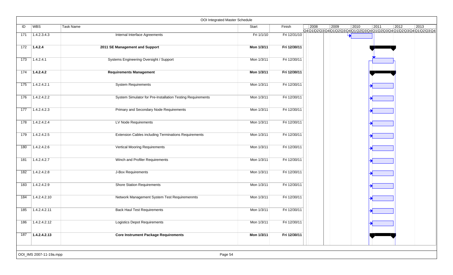|     |                         | OOI Integrated Master Schedule                              |            |              |      |                                                                    |      |      |                |                |
|-----|-------------------------|-------------------------------------------------------------|------------|--------------|------|--------------------------------------------------------------------|------|------|----------------|----------------|
| ID  | WBS                     | Task Name                                                   | Start      | Finish       | 2008 | 2009<br>Q401020304010203040102030401020304010203040102030401020304 | 2010 | 2011 | $\boxed{2012}$ | $ 2013\rangle$ |
| 171 | 1.4.2.3.4.3             | <b>Internal Interface Agreements</b>                        | Fri 1/1/10 | Fri 12/31/10 |      |                                                                    |      |      |                |                |
| 172 | 1.4.2.4                 | 2011 SE Management and Support                              | Mon 1/3/11 | Fri 12/30/11 |      |                                                                    |      |      |                |                |
| 173 | 1.4.2.4.1               | Systems Engineering Oversight / Support                     | Mon 1/3/11 | Fri 12/30/11 |      |                                                                    |      |      |                |                |
| 174 | 1.4.2.4.2               | <b>Requirements Management</b>                              | Mon 1/3/11 | Fri 12/30/11 |      |                                                                    |      |      |                |                |
| 175 | 1.4.2.4.2.1             | <b>System Requirements</b>                                  | Mon 1/3/11 | Fri 12/30/11 |      |                                                                    |      |      |                |                |
| 176 | 1.4.2.4.2.2             | System Simulator for Pre-Installation Testing Requirements  | Mon 1/3/11 | Fri 12/30/11 |      |                                                                    |      |      |                |                |
| 177 | 1.4.2.4.2.3             | <b>Primary and Secondary Node Requirements</b>              | Mon 1/3/11 | Fri 12/30/11 |      |                                                                    |      |      |                |                |
| 178 | 1.4.2.4.2.4             | LV Node Requirements                                        | Mon 1/3/11 | Fri 12/30/11 |      |                                                                    |      |      |                |                |
| 179 | 1.4.2.4.2.5             | <b>Extension Cables including Terminations Requirements</b> | Mon 1/3/11 | Fri 12/30/11 |      |                                                                    |      |      |                |                |
| 180 | 1.4.2.4.2.6             | <b>Vertical Mooring Requirements</b>                        | Mon 1/3/11 | Fri 12/30/11 |      |                                                                    |      |      |                |                |
| 181 | 1.4.2.4.2.7             | Winch and Profiler Requirements                             | Mon 1/3/11 | Fri 12/30/11 |      |                                                                    |      |      |                |                |
| 182 | 1.4.2.4.2.8             | J-Box Requirements                                          | Mon 1/3/11 | Fri 12/30/11 |      |                                                                    |      |      |                |                |
| 183 | 1.4.2.4.2.9             | <b>Shore Station Requirements</b>                           | Mon 1/3/11 | Fri 12/30/11 |      |                                                                    |      |      |                |                |
| 184 | 1.4.2.4.2.10            | Network Management System Test Requiremenmts                | Mon 1/3/11 | Fri 12/30/11 |      |                                                                    |      |      |                |                |
| 185 | 1.4.2.4.2.11            | <b>Back Haul Test Requirements</b>                          | Mon 1/3/11 | Fri 12/30/11 |      |                                                                    |      |      |                |                |
| 186 | 1.4.2.4.2.12            | <b>Logistics Depot Requirements</b>                         | Mon 1/3/11 | Fri 12/30/11 |      |                                                                    |      |      |                |                |
| 187 | 1.4.2.4.2.13            | <b>Core Instrument Package Requirements</b>                 | Mon 1/3/11 | Fri 12/30/11 |      |                                                                    |      |      |                |                |
|     | OOI_IMS 2007-11-19a.mpp | Page 54                                                     |            |              |      |                                                                    |      |      |                |                |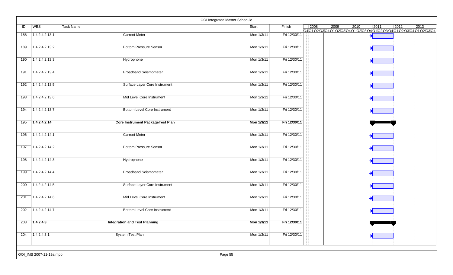|     |                         |                                         | OOI Integrated Master Schedule |              |      |      |                                                                                            |      |                |                |
|-----|-------------------------|-----------------------------------------|--------------------------------|--------------|------|------|--------------------------------------------------------------------------------------------|------|----------------|----------------|
| ID  | <b>WBS</b>              | Task Name                               | Start                          | Finish       | 2008 | 2009 | $ 2010\rangle$<br>Q4Q1Q2 Q3 Q4 Q1 Q2 Q3 Q4 Q1 Q2 Q3 Q4 Q1 Q2 Q3 Q4 Q1 Q2 Q3 Q4 Q1 Q2 Q3 Q4 | 2011 | $\boxed{2012}$ | $ 2013\rangle$ |
| 188 | 1.4.2.4.2.13.1          | <b>Current Meter</b>                    | Mon 1/3/11                     | Fri 12/30/11 |      |      |                                                                                            |      |                |                |
| 189 | 1.4.2.4.2.13.2          | <b>Bottom Pressure Sensor</b>           | Mon 1/3/11                     | Fri 12/30/11 |      |      |                                                                                            |      |                |                |
| 190 | 1.4.2.4.2.13.3          | Hydrophone                              | Mon 1/3/11                     | Fri 12/30/11 |      |      |                                                                                            |      |                |                |
| 191 | 1.4.2.4.2.13.4          | <b>Broadband Seismometer</b>            | Mon 1/3/11                     | Fri 12/30/11 |      |      |                                                                                            |      |                |                |
| 192 | 1.4.2.4.2.13.5          | Surface Layer Core Instrument           | Mon 1/3/11                     | Fri 12/30/11 |      |      |                                                                                            |      |                |                |
| 193 | 1.4.2.4.2.13.6          | Mid Level Core Instrument               | Mon 1/3/11                     | Fri 12/30/11 |      |      |                                                                                            |      |                |                |
| 194 | 1.4.2.4.2.13.7          | <b>Bottom Level Core Instrument</b>     | Mon 1/3/11                     | Fri 12/30/11 |      |      |                                                                                            |      |                |                |
| 195 | 1.4.2.4.2.14            | <b>Core Instrument PackageTest Plan</b> | Mon 1/3/11                     | Fri 12/30/11 |      |      |                                                                                            |      |                |                |
| 196 | 1.4.2.4.2.14.1          | <b>Current Meter</b>                    | Mon 1/3/11                     | Fri 12/30/11 |      |      |                                                                                            |      |                |                |
| 197 | 1.4.2.4.2.14.2          | <b>Bottom Pressure Sensor</b>           | Mon 1/3/11                     | Fri 12/30/11 |      |      |                                                                                            |      |                |                |
| 198 | 1.4.2.4.2.14.3          | Hydrophone                              | Mon 1/3/11                     | Fri 12/30/11 |      |      |                                                                                            |      |                |                |
| 199 | 1.4.2.4.2.14.4          | <b>Broadband Seismometer</b>            | Mon 1/3/11                     | Fri 12/30/11 |      |      |                                                                                            |      |                |                |
| 200 | 1.4.2.4.2.14.5          | Surface Layer Core Instrument           | Mon 1/3/11                     | Fri 12/30/11 |      |      |                                                                                            |      |                |                |
| 201 | 1.4.2.4.2.14.6          | Mid Level Core Instrument               | Mon 1/3/11                     | Fri 12/30/11 |      |      |                                                                                            |      |                |                |
| 202 | 1.4.2.4.2.14.7          | <b>Bottom Level Core Instrument</b>     | Mon 1/3/11                     | Fri 12/30/11 |      |      |                                                                                            |      |                |                |
| 203 | 1.4.2.4.3               | <b>Integration and Test Planning</b>    | Mon 1/3/11                     | Fri 12/30/11 |      |      |                                                                                            |      |                |                |
| 204 | 1.4.2.4.3.1             | System Test Plan                        | Mon 1/3/11                     | Fri 12/30/11 |      |      |                                                                                            |      |                |                |
|     |                         |                                         |                                |              |      |      |                                                                                            |      |                |                |
|     | OOI_IMS 2007-11-19a.mpp |                                         | Page 55                        |              |      |      |                                                                                            |      |                |                |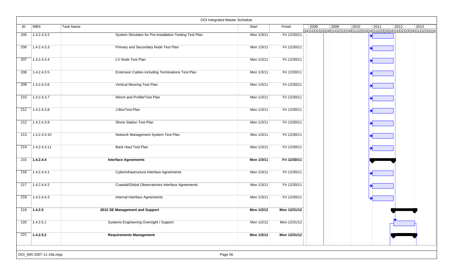|                  |                         |                                                         | OOI Integrated Master Schedule |              |      |                                                                    |      |      |                |      |
|------------------|-------------------------|---------------------------------------------------------|--------------------------------|--------------|------|--------------------------------------------------------------------|------|------|----------------|------|
| ID               | <b>WBS</b>              | Task Name                                               | Start                          | Finish       | 2008 | 2009<br>Q4Q1Q2Q3Q4Q1Q2Q3Q4Q1Q2Q3Q4Q1Q2Q3Q4Q1Q2Q3Q4Q1Q2Q3Q4Q1Q2Q3Q4 | 2010 | 2011 | $ 2012\rangle$ | 2013 |
| 205              | 1.4.2.4.3.2             | System Simulator for Pre-Installation Testing Test Plan | Mon 1/3/11                     | Fri 12/30/11 |      |                                                                    |      |      |                |      |
| 206              | 1.4.2.4.3.3             | Primary and Secondary Node Test Plan                    | Mon 1/3/11                     | Fri 12/30/11 |      |                                                                    |      |      |                |      |
| 207              | 1.4.2.4.3.4             | LV Node Test Plan                                       | Mon 1/3/11                     | Fri 12/30/11 |      |                                                                    |      |      |                |      |
| 208              | 1.4.2.4.3.5             | Extension Cables including Terminations Test Plan       | Mon 1/3/11                     | Fri 12/30/11 |      |                                                                    |      |      |                |      |
| 209              | 1.4.2.4.3.6             | Vertical Mooring Test Plan                              | Mon 1/3/11                     | Fri 12/30/11 |      |                                                                    |      |      |                |      |
| 210              | 1.4.2.4.3.7             | Winch and ProfilerTest Plan                             | Mon 1/3/11                     | Fri 12/30/11 |      |                                                                    |      |      |                |      |
| 211              | 1.4.2.4.3.8             | J-BoxTest Plan                                          | Mon 1/3/11                     | Fri 12/30/11 |      |                                                                    |      |      |                |      |
| 212              | 1.4.2.4.3.9             | Shore Station Test Plan                                 | Mon 1/3/11                     | Fri 12/30/11 |      |                                                                    |      |      |                |      |
| 213              | 1.4.2.4.3.10            | Network Management System Test Plan                     | Mon 1/3/11                     | Fri 12/30/11 |      |                                                                    |      |      |                |      |
| 214              | 1.4.2.4.3.11            | <b>Back Haul Test Plan</b>                              | Mon 1/3/11                     | Fri 12/30/11 |      |                                                                    |      |      |                |      |
| 215              | 1.4.2.4.4               | <b>Interface Agreements</b>                             | Mon 1/3/11                     | Fri 12/30/11 |      |                                                                    |      |      |                |      |
| 216              | 1.4.2.4.4.1             | Cyberinfrastructure Interface Agreements                | Mon 1/3/11                     | Fri 12/30/11 |      |                                                                    |      |      |                |      |
| 217              | 1.4.2.4.4.2             | Coastal/Global Observatories Interface Agreements       | Mon 1/3/11                     | Fri 12/30/11 |      |                                                                    |      |      |                |      |
| 218              | 1.4.2.4.4.3             | Internal Interface Agreements                           | Mon 1/3/11                     | Fri 12/30/11 |      |                                                                    |      |      |                |      |
| 219              | 1.4.2.5                 | 2012 SE Management and Support                          | Mon 1/2/12                     | Mon 12/31/12 |      |                                                                    |      |      |                |      |
| 220              | 1.4.2.5.1               | Systems Engineering Oversight / Support                 | Mon 1/2/12                     | Mon 12/31/12 |      |                                                                    |      |      |                |      |
| $\overline{221}$ | 1.4.2.5.2               | <b>Requirements Management</b>                          | Mon 1/2/12                     | Mon 12/31/12 |      |                                                                    |      |      |                |      |
|                  | OOI_IMS 2007-11-19a.mpp | Page 56                                                 |                                |              |      |                                                                    |      |      |                |      |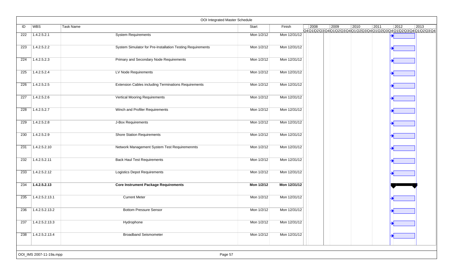|     |                         | OOI Integrated Master Schedule                              |            |              |                |      |      |                                                                                   |                |                |
|-----|-------------------------|-------------------------------------------------------------|------------|--------------|----------------|------|------|-----------------------------------------------------------------------------------|----------------|----------------|
| ID  | <b>WBS</b>              | Task Name                                                   | Start      | Finish       | $ 2008\rangle$ | 2009 | 2010 | 2011<br>Q4Q1\Q2\Q3\Q4\Q1\Q2\Q3\Q4\Q1\Q2\Q3\Q4\Q1\Q2\Q3\Q4\Q1\Q2\Q3\Q4\Q1\Q2\Q3\Q4 | $ 2012\rangle$ | $ 2013\rangle$ |
| 222 | 1.4.2.5.2.1             | <b>System Requirements</b>                                  | Mon 1/2/12 | Mon 12/31/12 |                |      |      |                                                                                   |                |                |
| 223 | 1.4.2.5.2.2             | System Simulator for Pre-Installation Testing Requirements  | Mon 1/2/12 | Mon 12/31/12 |                |      |      |                                                                                   |                |                |
| 224 | 1.4.2.5.2.3             | Primary and Secondary Node Requirements                     | Mon 1/2/12 | Mon 12/31/12 |                |      |      |                                                                                   |                |                |
| 225 | 1.4.2.5.2.4             | LV Node Requirements                                        | Mon 1/2/12 | Mon 12/31/12 |                |      |      |                                                                                   |                |                |
| 226 | 1.4.2.5.2.5             | <b>Extension Cables including Terminations Requirements</b> | Mon 1/2/12 | Mon 12/31/12 |                |      |      |                                                                                   |                |                |
| 227 | 1.4.2.5.2.6             | Vertical Mooring Requirements                               | Mon 1/2/12 | Mon 12/31/12 |                |      |      |                                                                                   |                |                |
| 228 | 1.4.2.5.2.7             | Winch and Profiler Requirements                             | Mon 1/2/12 | Mon 12/31/12 |                |      |      |                                                                                   |                |                |
| 229 | 1.4.2.5.2.8             | J-Box Requirements                                          | Mon 1/2/12 | Mon 12/31/12 |                |      |      |                                                                                   |                |                |
| 230 | 1.4.2.5.2.9             | <b>Shore Station Requirements</b>                           | Mon 1/2/12 | Mon 12/31/12 |                |      |      |                                                                                   |                |                |
| 231 | 1.4.2.5.2.10            | Network Management System Test Requiremenmts                | Mon 1/2/12 | Mon 12/31/12 |                |      |      |                                                                                   |                |                |
| 232 | 1.4.2.5.2.11            | <b>Back Haul Test Requirements</b>                          | Mon 1/2/12 | Mon 12/31/12 |                |      |      |                                                                                   |                |                |
| 233 | 1.4.2.5.2.12            | <b>Logistics Depot Requirements</b>                         | Mon 1/2/12 | Mon 12/31/12 |                |      |      |                                                                                   |                |                |
| 234 | 1.4.2.5.2.13            | <b>Core Instrument Package Requirements</b>                 | Mon 1/2/12 | Mon 12/31/12 |                |      |      |                                                                                   |                |                |
| 235 | 1.4.2.5.2.13.1          | <b>Current Meter</b>                                        | Mon 1/2/12 | Mon 12/31/12 |                |      |      |                                                                                   |                |                |
| 236 | 1.4.2.5.2.13.2          | <b>Bottom Pressure Sensor</b>                               | Mon 1/2/12 | Mon 12/31/12 |                |      |      |                                                                                   |                |                |
| 237 | 1.4.2.5.2.13.3          | Hydrophone                                                  | Mon 1/2/12 | Mon 12/31/12 |                |      |      |                                                                                   |                |                |
| 238 | 1.4.2.5.2.13.4          | <b>Broadband Seismometer</b>                                | Mon 1/2/12 | Mon 12/31/12 |                |      |      |                                                                                   |                |                |
|     |                         |                                                             |            |              |                |      |      |                                                                                   |                |                |
|     | OOI_IMS 2007-11-19a.mpp | Page 57                                                     |            |              |                |      |      |                                                                                   |                |                |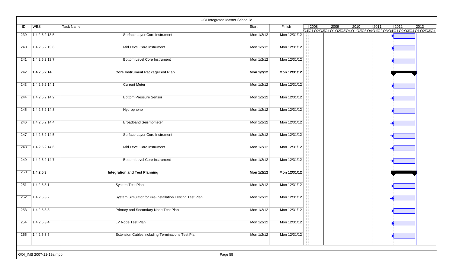|     |                         | OOI Integrated Master Schedule                          |            |              |                |                |      |                                                                           |                |                |
|-----|-------------------------|---------------------------------------------------------|------------|--------------|----------------|----------------|------|---------------------------------------------------------------------------|----------------|----------------|
| ID  | WBS                     | <b>Task Name</b>                                        | Start      | Finish       | $\boxed{2008}$ | $ 2009\rangle$ | 2010 | $\boxed{2011}$                                                            | $ 2012\rangle$ | $ 2013\rangle$ |
| 239 | 1.4.2.5.2.13.5          | <b>Surface Layer Core Instrument</b>                    | Mon 1/2/12 | Mon 12/31/12 |                |                |      | Q4Q1\Q2\Q3\Q4\Q1\Q2\Q3\Q4\Q1\Q2\Q3\Q4\Q1\Q2\Q3\Q4\Q1\Q2\Q3\Q4\Q1\Q2\Q3\Q4 |                |                |
| 240 | 1.4.2.5.2.13.6          | Mid Level Core Instrument                               | Mon 1/2/12 | Mon 12/31/12 |                |                |      |                                                                           |                |                |
| 241 | 1.4.2.5.2.13.7          | <b>Bottom Level Core Instrument</b>                     | Mon 1/2/12 | Mon 12/31/12 |                |                |      |                                                                           |                |                |
| 242 | 1.4.2.5.2.14            | <b>Core Instrument PackageTest Plan</b>                 | Mon 1/2/12 | Mon 12/31/12 |                |                |      |                                                                           |                |                |
| 243 | 1.4.2.5.2.14.1          | <b>Current Meter</b>                                    | Mon 1/2/12 | Mon 12/31/12 |                |                |      |                                                                           |                |                |
| 244 | 1.4.2.5.2.14.2          | <b>Bottom Pressure Sensor</b>                           | Mon 1/2/12 | Mon 12/31/12 |                |                |      |                                                                           |                |                |
| 245 | 1.4.2.5.2.14.3          | Hydrophone                                              | Mon 1/2/12 | Mon 12/31/12 |                |                |      |                                                                           |                |                |
| 246 | 1.4.2.5.2.14.4          | <b>Broadband Seismometer</b>                            | Mon 1/2/12 | Mon 12/31/12 |                |                |      |                                                                           |                |                |
| 247 | 1.4.2.5.2.14.5          | Surface Layer Core Instrument                           | Mon 1/2/12 | Mon 12/31/12 |                |                |      |                                                                           |                |                |
| 248 | 1.4.2.5.2.14.6          | Mid Level Core Instrument                               | Mon 1/2/12 | Mon 12/31/12 |                |                |      |                                                                           |                |                |
| 249 | 1.4.2.5.2.14.7          | <b>Bottom Level Core Instrument</b>                     | Mon 1/2/12 | Mon 12/31/12 |                |                |      |                                                                           |                |                |
| 250 | 1.4.2.5.3               | <b>Integration and Test Planning</b>                    | Mon 1/2/12 | Mon 12/31/12 |                |                |      |                                                                           |                |                |
| 251 | 1.4.2.5.3.1             | System Test Plan                                        | Mon 1/2/12 | Mon 12/31/12 |                |                |      |                                                                           |                |                |
| 252 | 1.4.2.5.3.2             | System Simulator for Pre-Installation Testing Test Plan | Mon 1/2/12 | Mon 12/31/12 |                |                |      |                                                                           |                |                |
| 253 | 1.4.2.5.3.3             | Primary and Secondary Node Test Plan                    | Mon 1/2/12 | Mon 12/31/12 |                |                |      |                                                                           |                |                |
| 254 | 1.4.2.5.3.4             | LV Node Test Plan                                       | Mon 1/2/12 | Mon 12/31/12 |                |                |      |                                                                           |                |                |
| 255 | 1.4.2.5.3.5             | Extension Cables including Terminations Test Plan       | Mon 1/2/12 | Mon 12/31/12 |                |                |      |                                                                           |                |                |
|     |                         |                                                         |            |              |                |                |      |                                                                           |                |                |
|     | OOI_IMS 2007-11-19a.mpp |                                                         | Page 58    |              |                |                |      |                                                                           |                |                |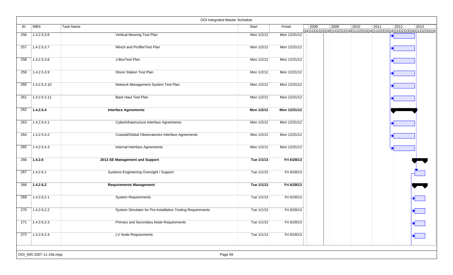|     |                         | OOI Integrated Master Schedule                             |            |              |                |      |                |                                                                                         |                |      |
|-----|-------------------------|------------------------------------------------------------|------------|--------------|----------------|------|----------------|-----------------------------------------------------------------------------------------|----------------|------|
| ID  | WBS                     | Task Name                                                  | Start      | Finish       | $\boxed{2008}$ | 2009 | $ 2010\rangle$ | $\vert 2011$<br>Q4Q1Q2\Q3\Q4\Q1\Q2\Q3\Q4\Q1\Q2\Q3\Q4\Q1\Q2\Q3\Q4\Q1\Q2\Q3\Q4Q1\Q2\Q3\Q4 | $ 2012\rangle$ | 2013 |
| 256 | 1.4.2.5.3.6             | Vertical Mooring Test Plan                                 | Mon 1/2/12 | Mon 12/31/12 |                |      |                |                                                                                         |                |      |
| 257 | 1.4.2.5.3.7             | Winch and ProfilerTest Plan                                | Mon 1/2/12 | Mon 12/31/12 |                |      |                |                                                                                         |                |      |
| 258 | 1.4.2.5.3.8             | J-BoxTest Plan                                             | Mon 1/2/12 | Mon 12/31/12 |                |      |                |                                                                                         |                |      |
| 259 | 1.4.2.5.3.9             | Shore Station Test Plan                                    | Mon 1/2/12 | Mon 12/31/12 |                |      |                |                                                                                         |                |      |
| 260 | 1.4.2.5.3.10            | Network Management System Test Plan                        | Mon 1/2/12 | Mon 12/31/12 |                |      |                |                                                                                         |                |      |
| 261 | 1.4.2.5.3.11            | Back Haul Test Plan                                        | Mon 1/2/12 | Mon 12/31/12 |                |      |                |                                                                                         |                |      |
| 262 | 1.4.2.5.4               | <b>Interface Agreements</b>                                | Mon 1/2/12 | Mon 12/31/12 |                |      |                |                                                                                         |                |      |
| 263 | 1.4.2.5.4.1             | Cyberinfrastructure Interface Agreements                   | Mon 1/2/12 | Mon 12/31/12 |                |      |                |                                                                                         |                |      |
| 264 | 1.4.2.5.4.2             | Coastal/Global Observatories Interface Agreements          | Mon 1/2/12 | Mon 12/31/12 |                |      |                |                                                                                         |                |      |
| 265 | 1.4.2.5.4.3             | Internal Interface Agreements                              | Mon 1/2/12 | Mon 12/31/12 |                |      |                |                                                                                         |                |      |
| 266 | 1.4.2.6                 | 2013 SE Management and Support                             | Tue 1/1/13 | Fri 6/28/13  |                |      |                |                                                                                         |                |      |
| 267 | 1.4.2.6.1               | Systems Engineering Oversight / Support                    | Tue 1/1/13 | Fri 6/28/13  |                |      |                |                                                                                         |                |      |
| 268 | 1.4.2.6.2               | <b>Requirements Management</b>                             | Tue 1/1/13 | Fri 6/28/13  |                |      |                |                                                                                         |                |      |
| 269 | 1.4.2.6.2.1             | <b>System Requirements</b>                                 | Tue 1/1/13 | Fri 6/28/13  |                |      |                |                                                                                         |                |      |
| 270 | 1.4.2.6.2.2             | System Simulator for Pre-Installation Testing Requirements | Tue 1/1/13 | Fri 6/28/13  |                |      |                |                                                                                         |                |      |
| 271 | 1.4.2.6.2.3             | Primary and Secondary Node Requirements                    | Tue 1/1/13 | Fri 6/28/13  |                |      |                |                                                                                         |                |      |
| 272 | 1.4.2.6.2.4             | LV Node Requirements                                       | Tue 1/1/13 | Fri 6/28/13  |                |      |                |                                                                                         |                |      |
|     | OOI_IMS 2007-11-19a.mpp | Page 59                                                    |            |              |                |      |                |                                                                                         |                |      |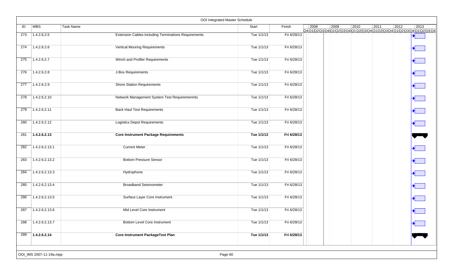|     |                         | OOI Integrated Master Schedule                              |              |             |      |      |      |      |                                                                                                                            |
|-----|-------------------------|-------------------------------------------------------------|--------------|-------------|------|------|------|------|----------------------------------------------------------------------------------------------------------------------------|
| ID  | <b>WBS</b>              | Task Name                                                   | Start        | Finish      | 2008 | 2009 | 2010 | 2011 | $ 2012\rangle$<br>$ 2013\rangle$<br>Q4 Q1 Q2 Q3 Q4 Q1 Q2 Q3 Q4 Q1 Q2 Q3 Q4 Q1 Q2 Q3 Q4 Q1 Q2 Q3 Q4 Q1 Q2 Q3 Q4 Q1 Q2 Q3 Q4 |
| 273 | 1.4.2.6.2.5             | <b>Extension Cables including Terminations Requirements</b> | Tue 1/1/13   | Fri 6/28/13 |      |      |      |      |                                                                                                                            |
| 274 | 1.4.2.6.2.6             | <b>Vertical Mooring Requirements</b>                        | Tue 1/1/13   | Fri 6/28/13 |      |      |      |      |                                                                                                                            |
| 275 | 1.4.2.6.2.7             | Winch and Profiler Requirements                             | Tue 1/1/13   | Fri 6/28/13 |      |      |      |      |                                                                                                                            |
| 276 | 1.4.2.6.2.8             | J-Box Requirements                                          | Tue 1/1/13   | Fri 6/28/13 |      |      |      |      |                                                                                                                            |
| 277 | 1.4.2.6.2.9             | <b>Shore Station Requirements</b>                           | Tue 1/1/13   | Fri 6/28/13 |      |      |      |      |                                                                                                                            |
| 278 | 1.4.2.6.2.10            | Network Management System Test Requiremenmts                | Tue 1/1/13   | Fri 6/28/13 |      |      |      |      |                                                                                                                            |
| 279 | 1.4.2.6.2.11            | <b>Back Haul Test Requirements</b>                          | Tue $1/1/13$ | Fri 6/28/13 |      |      |      |      |                                                                                                                            |
| 280 | 1.4.2.6.2.12            | <b>Logistics Depot Requirements</b>                         | Tue 1/1/13   | Fri 6/28/13 |      |      |      |      |                                                                                                                            |
| 281 | 1.4.2.6.2.13            | <b>Core Instrument Package Requirements</b>                 | Tue 1/1/13   | Fri 6/28/13 |      |      |      |      |                                                                                                                            |
| 282 | 1.4.2.6.2.13.1          | <b>Current Meter</b>                                        | Tue 1/1/13   | Fri 6/28/13 |      |      |      |      |                                                                                                                            |
| 283 | 1.4.2.6.2.13.2          | <b>Bottom Pressure Sensor</b>                               | Tue 1/1/13   | Fri 6/28/13 |      |      |      |      |                                                                                                                            |
| 284 | 1.4.2.6.2.13.3          | Hydrophone                                                  | Tue 1/1/13   | Fri 6/28/13 |      |      |      |      |                                                                                                                            |
| 285 | 1.4.2.6.2.13.4          | <b>Broadband Seismometer</b>                                | Tue 1/1/13   | Fri 6/28/13 |      |      |      |      |                                                                                                                            |
| 286 | 1.4.2.6.2.13.5          | Surface Layer Core Instrument                               | Tue 1/1/13   | Fri 6/28/13 |      |      |      |      |                                                                                                                            |
| 287 | 1.4.2.6.2.13.6          | Mid Level Core Instrument                                   | Tue 1/1/13   | Fri 6/28/13 |      |      |      |      |                                                                                                                            |
| 288 | 1.4.2.6.2.13.7          | <b>Bottom Level Core Instrument</b>                         | Tue 1/1/13   | Fri 6/28/13 |      |      |      |      |                                                                                                                            |
| 289 | 1.4.2.6.2.14            | <b>Core Instrument PackageTest Plan</b>                     | Tue 1/1/13   | Fri 6/28/13 |      |      |      |      |                                                                                                                            |
|     | OOI_IMS 2007-11-19a.mpp | Page 60                                                     |              |             |      |      |      |      |                                                                                                                            |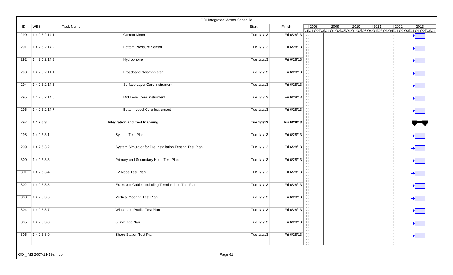| ID  | WBS            | <b>Task Name</b>                                        | Start      | Finish      | $ 2008\rangle$ | $ 2009\rangle$ | 2010 | 2011 | 2012 | 2013<br>Q401020304010203040102030401020304010203040102030401020304 |
|-----|----------------|---------------------------------------------------------|------------|-------------|----------------|----------------|------|------|------|--------------------------------------------------------------------|
| 290 | 1.4.2.6.2.14.1 | <b>Current Meter</b>                                    | Tue 1/1/13 | Fri 6/28/13 |                |                |      |      |      |                                                                    |
| 291 | 1.4.2.6.2.14.2 | <b>Bottom Pressure Sensor</b>                           | Tue 1/1/13 | Fri 6/28/13 |                |                |      |      |      |                                                                    |
| 292 | 1.4.2.6.2.14.3 | Hydrophone                                              | Tue 1/1/13 | Fri 6/28/13 |                |                |      |      |      |                                                                    |
| 293 | 1.4.2.6.2.14.4 | <b>Broadband Seismometer</b>                            | Tue 1/1/13 | Fri 6/28/13 |                |                |      |      |      |                                                                    |
| 294 | 1.4.2.6.2.14.5 | Surface Layer Core Instrument                           | Tue 1/1/13 | Fri 6/28/13 |                |                |      |      |      |                                                                    |
| 295 | 1.4.2.6.2.14.6 | Mid Level Core Instrument                               | Tue 1/1/13 | Fri 6/28/13 |                |                |      |      |      |                                                                    |
| 296 | 1.4.2.6.2.14.7 | <b>Bottom Level Core Instrument</b>                     | Tue 1/1/13 | Fri 6/28/13 |                |                |      |      |      |                                                                    |
| 297 | 1.4.2.6.3      | <b>Integration and Test Planning</b>                    | Tue 1/1/13 | Fri 6/28/13 |                |                |      |      |      |                                                                    |
| 298 | 1.4.2.6.3.1    | System Test Plan                                        | Tue 1/1/13 | Fri 6/28/13 |                |                |      |      |      |                                                                    |
| 299 | 1.4.2.6.3.2    | System Simulator for Pre-Installation Testing Test Plan | Tue 1/1/13 | Fri 6/28/13 |                |                |      |      |      |                                                                    |
| 300 | 1.4.2.6.3.3    | Primary and Secondary Node Test Plan                    | Tue 1/1/13 | Fri 6/28/13 |                |                |      |      |      |                                                                    |
| 301 | 1.4.2.6.3.4    | LV Node Test Plan                                       | Tue 1/1/13 | Fri 6/28/13 |                |                |      |      |      |                                                                    |
| 302 | 1.4.2.6.3.5    | Extension Cables including Terminations Test Plan       | Tue 1/1/13 | Fri 6/28/13 |                |                |      |      |      |                                                                    |
| 303 | 1.4.2.6.3.6    | Vertical Mooring Test Plan                              | Tue 1/1/13 | Fri 6/28/13 |                |                |      |      |      |                                                                    |
| 304 | 1.4.2.6.3.7    | Winch and ProfilerTest Plan                             | Tue 1/1/13 | Fri 6/28/13 |                |                |      |      |      |                                                                    |
| 305 | 1.4.2.6.3.8    | J-BoxTest Plan                                          | Tue 1/1/13 | Fri 6/28/13 |                |                |      |      |      |                                                                    |
| 306 | 1.4.2.6.3.9    | Shore Station Test Plan                                 | Tue 1/1/13 | Fri 6/28/13 |                |                |      |      |      |                                                                    |
|     |                |                                                         |            |             |                |                |      |      |      |                                                                    |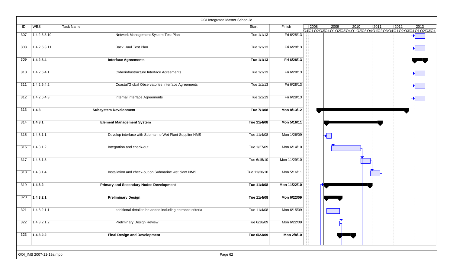|     |                         |                                                           | OOI Integrated Master Schedule |              |                                                                                     |
|-----|-------------------------|-----------------------------------------------------------|--------------------------------|--------------|-------------------------------------------------------------------------------------|
| ID  | WBS                     | <b>Task Name</b>                                          | Start                          | Finish       | $\vert$ 2008<br>$ 2009\rangle$<br>2010<br>$\boxed{2012}$<br>$ 2013\rangle$<br> 2011 |
| 307 | 1.4.2.6.3.10            | Network Management System Test Plan                       | Tue 1/1/13                     | Fri 6/28/13  | Q401020304010203040102030401020304010203040102030401020304                          |
| 308 | 1.4.2.6.3.11            | <b>Back Haul Test Plan</b>                                | Tue 1/1/13                     | Fri 6/28/13  |                                                                                     |
| 309 | 1.4.2.6.4               | <b>Interface Agreements</b>                               | Tue 1/1/13                     | Fri 6/28/13  |                                                                                     |
| 310 | 1.4.2.6.4.1             | Cyberinfrastructure Interface Agreements                  | Tue 1/1/13                     | Fri 6/28/13  |                                                                                     |
| 311 | 1.4.2.6.4.2             | Coastal/Global Observatories Interface Agreements         | Tue 1/1/13                     | Fri 6/28/13  |                                                                                     |
| 312 | 1.4.2.6.4.3             | Internal Interface Agreements                             | Tue 1/1/13                     | Fri 6/28/13  |                                                                                     |
| 313 | 1.4.3                   | <b>Subsystem Development</b>                              | Tue 7/1/08                     | Mon 8/13/12  |                                                                                     |
| 314 | 7.4.3.1                 | <b>Element Management System</b>                          | Tue 11/4/08                    | Mon 5/16/11  |                                                                                     |
| 315 | 1.4.3.1.1               | Develop interface with Submarine Wet Plant Supplier NMS   | Tue 11/4/08                    | Mon 1/26/09  |                                                                                     |
| 316 | 1.4.3.1.2               | Integration and check-out                                 | Tue 1/27/09                    | Mon 6/14/10  |                                                                                     |
| 317 | 1.4.3.1.3               |                                                           | Tue 6/15/10                    | Mon 11/29/10 |                                                                                     |
| 318 | 1.4.3.1.4               | Installation and check-out on Submarine wet plant NMS     | Tue 11/30/10                   | Mon 5/16/11  |                                                                                     |
| 319 | 1.4.3.2                 | <b>Primary and Secondary Nodes Development</b>            | Tue 11/4/08                    | Mon 11/22/10 |                                                                                     |
| 320 | 1.4.3.2.1               | <b>Preliminary Design</b>                                 | Tue 11/4/08                    | Mon 6/22/09  |                                                                                     |
| 321 | 1.4.3.2.1.1             | additional detail to be added including entrance criteria | Tue 11/4/08                    | Mon 6/15/09  |                                                                                     |
| 322 | $\sqrt{1.4.3.2.1.2}$    | <b>Preliminary Design Review</b>                          | Tue 6/16/09                    | Mon 6/22/09  |                                                                                     |
| 323 | 1.4.3.2.2               | <b>Final Design and Development</b>                       | Tue 6/23/09                    | Mon 2/8/10   |                                                                                     |
|     | OOI_IMS 2007-11-19a.mpp |                                                           | Page 62                        |              |                                                                                     |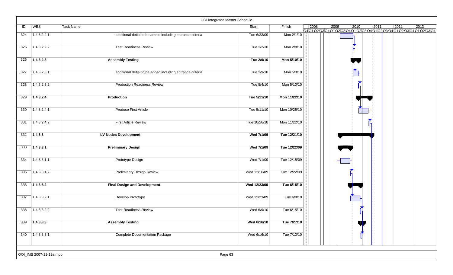|     |                         |                                                           | OOI Integrated Master Schedule |              |                |      |      |      |                |                                                                                   |
|-----|-------------------------|-----------------------------------------------------------|--------------------------------|--------------|----------------|------|------|------|----------------|-----------------------------------------------------------------------------------|
| ID  | WBS                     | Task Name                                                 | Start                          | Finish       | $ 2008\rangle$ | 2009 | 2010 | 2011 | $ 2012\rangle$ | 2013<br>Q4Q1\Q2\Q3\Q4\Q1\Q2\Q3\Q4\Q1\Q2\Q3\Q4\Q1\Q2\Q3\Q4\Q1\Q2\Q3\Q4\Q1\Q2\Q3\Q4 |
| 324 | 1.4.3.2.2.1             | additional detial to be added including entrance criteria | Tue 6/23/09                    | Mon 2/1/10   |                |      |      |      |                |                                                                                   |
| 325 | 1.4.3.2.2.2             | <b>Test Readiness Review</b>                              | Tue 2/2/10                     | Mon 2/8/10   |                |      |      |      |                |                                                                                   |
| 326 | 1.4.3.2.3               | <b>Assembly Testing</b>                                   | Tue 2/9/10                     | Mon 5/10/10  |                |      |      |      |                |                                                                                   |
| 327 | 1.4.3.2.3.1             | additional detial to be added including entrance criteria | Tue 2/9/10                     | Mon 5/3/10   |                |      |      |      |                |                                                                                   |
| 328 | 1.4.3.2.3.2             | <b>Production Readiness Review</b>                        | Tue 5/4/10                     | Mon 5/10/10  |                |      |      |      |                |                                                                                   |
| 329 | 1.4.3.2.4               | Production                                                | Tue 5/11/10                    | Mon 11/22/10 |                |      |      |      |                |                                                                                   |
| 330 | 1.4.3.2.4.1             | <b>Produce First Article</b>                              | Tue 5/11/10                    | Mon 10/25/10 |                |      |      |      |                |                                                                                   |
| 331 | 1.4.3.2.4.2             | <b>First Article Review</b>                               | Tue 10/26/10                   | Mon 11/22/10 |                |      |      |      |                |                                                                                   |
| 332 | 1.4.3.3                 | <b>LV Nodes Development</b>                               | Wed 7/1/09                     | Tue 12/21/10 |                |      |      |      |                |                                                                                   |
| 333 | 1.4.3.3.1               | <b>Preliminary Design</b>                                 | Wed 7/1/09                     | Tue 12/22/09 |                |      |      |      |                |                                                                                   |
| 334 | 1.4.3.3.1.1             | Prototype Design                                          | Wed 7/1/09                     | Tue 12/15/09 |                |      |      |      |                |                                                                                   |
| 335 | 1.4.3.3.1.2             | <b>Preliminary Design Review</b>                          | Wed 12/16/09                   | Tue 12/22/09 |                |      |      |      |                |                                                                                   |
| 336 | 1.4.3.3.2               | <b>Final Design and Development</b>                       | Wed 12/23/09                   | Tue 6/15/10  |                |      |      |      |                |                                                                                   |
| 337 | 1.4.3.3.2.1             | Develop Prototype                                         | Wed 12/23/09                   | Tue 6/8/10   |                |      |      |      |                |                                                                                   |
| 338 | 1.4.3.3.2.2             | <b>Test Readiness Review</b>                              | Wed 6/9/10                     | Tue 6/15/10  |                |      |      |      |                |                                                                                   |
| 339 | 7.4.3.3.3               | <b>Assembly Testing</b>                                   | Wed 6/16/10                    | Tue 7/27/10  |                |      |      |      |                |                                                                                   |
| 340 | 71.4.3.3.3.1            | <b>Complete Documentation Package</b>                     | Wed 6/16/10                    | Tue 7/13/10  |                |      |      |      |                |                                                                                   |
|     | OOI_IMS 2007-11-19a.mpp |                                                           | Page 63                        |              |                |      |      |      |                |                                                                                   |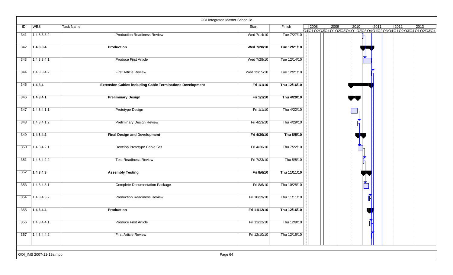|     |                         |                                                                  | OOI Integrated Master Schedule |              |      |      |                                                                    |      |      |      |
|-----|-------------------------|------------------------------------------------------------------|--------------------------------|--------------|------|------|--------------------------------------------------------------------|------|------|------|
| ID  | WBS                     | Task Name                                                        | Start                          | Finish       | 2008 | 2009 | 2010<br>Q4Q1Q2Q3Q4Q1Q2Q3Q4Q1Q2Q3Q4Q1Q2Q3Q4Q1Q2Q3Q4Q1Q2Q3Q4Q1Q2Q3Q4 | 2011 | 2012 | 2013 |
| 341 | 1.4.3.3.3.2             | <b>Production Readiness Review</b>                               | Wed 7/14/10                    | Tue 7/27/10  |      |      |                                                                    |      |      |      |
| 342 | 1.4.3.3.4               | <b>Production</b>                                                | Wed 7/28/10                    | Tue 12/21/10 |      |      |                                                                    |      |      |      |
| 343 | 1.4.3.3.4.1             | <b>Produce First Article</b>                                     | Wed 7/28/10                    | Tue 12/14/10 |      |      |                                                                    |      |      |      |
| 344 | 1.4.3.3.4.2             | <b>First Article Review</b>                                      | Wed 12/15/10                   | Tue 12/21/10 |      |      |                                                                    |      |      |      |
| 345 | 1.4.3.4                 | <b>Extension Cables including Cable Terminations Development</b> | Fri 1/1/10                     | Thu 12/16/10 |      |      |                                                                    |      |      |      |
| 346 | 1.4.3.4.1               | <b>Preliminary Design</b>                                        | Fri 1/1/10                     | Thu 4/29/10  |      |      |                                                                    |      |      |      |
| 347 | 1.4.3.4.1.1             | Prototype Design                                                 | Fri 1/1/10                     | Thu 4/22/10  |      |      |                                                                    |      |      |      |
| 348 | 1.4.3.4.1.2             | <b>Preliminary Design Review</b>                                 | Fri 4/23/10                    | Thu 4/29/10  |      |      |                                                                    |      |      |      |
| 349 | 1.4.3.4.2               | <b>Final Design and Development</b>                              | Fri 4/30/10                    | Thu 8/5/10   |      |      |                                                                    |      |      |      |
| 350 | 1.4.3.4.2.1             | Develop Prototype Cable Set                                      | Fri 4/30/10                    | Thu 7/22/10  |      |      |                                                                    |      |      |      |
| 351 | 1.4.3.4.2.2             | <b>Test Readiness Review</b>                                     | Fri 7/23/10                    | Thu 8/5/10   |      |      |                                                                    |      |      |      |
| 352 | 1.4.3.4.3               | <b>Assembly Testing</b>                                          | Fri 8/6/10                     | Thu 11/11/10 |      |      |                                                                    |      |      |      |
| 353 | 1.4.3.4.3.1             | <b>Complete Documentation Package</b>                            | Fri 8/6/10                     | Thu 10/28/10 |      |      |                                                                    |      |      |      |
| 354 | 1.4.3.4.3.2             | <b>Production Readiness Review</b>                               | Fri 10/29/10                   | Thu 11/11/10 |      |      |                                                                    |      |      |      |
| 355 | 1.4.3.4.4               | Production                                                       | Fri 11/12/10                   | Thu 12/16/10 |      |      |                                                                    |      |      |      |
| 356 | 1.4.3.4.4.1             | <b>Produce First Article</b>                                     | Fri 11/12/10                   | Thu 12/9/10  |      |      |                                                                    |      |      |      |
| 357 | 1.4.3.4.4.2             | <b>First Article Review</b>                                      | Fri 12/10/10                   | Thu 12/16/10 |      |      |                                                                    |      |      |      |
|     |                         |                                                                  |                                |              |      |      |                                                                    |      |      |      |
|     | OOI_IMS 2007-11-19a.mpp |                                                                  | Page 64                        |              |      |      |                                                                    |      |      |      |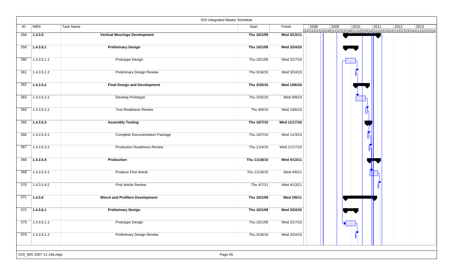|     |                         |                                        | OOI Integrated Master Schedule |              |      |                                                                                           |      |                |      |
|-----|-------------------------|----------------------------------------|--------------------------------|--------------|------|-------------------------------------------------------------------------------------------|------|----------------|------|
| ID  | WBS                     | Task Name                              | Start                          | Finish       | 2008 | 2009<br>2010<br>Q4Q1\Q2\Q3\Q4\Q1\Q2\Q3\Q4\Q1\Q2\Q3\Q4\Q1\Q2\Q3\Q4\Q1\Q2\Q3\Q4\Q1\Q2\Q3\Q4 | 2011 | $ 2012\rangle$ | 2013 |
| 358 | 1.4.3.5                 | <b>Vertical Moorings Development</b>   | Thu 10/1/09                    | Wed 4/13/11  |      |                                                                                           |      |                |      |
| 359 | 1.4.3.5.1               | <b>Preliminary Design</b>              | Thu 10/1/09                    | Wed 3/24/10  |      |                                                                                           |      |                |      |
| 360 | 1.4.3.5.1.1             | Prototype Design                       | Thu 10/1/09                    | Wed 3/17/10  |      |                                                                                           |      |                |      |
| 361 | 1.4.3.5.1.2             | <b>Preliminary Design Review</b>       | Thu 3/18/10                    | Wed 3/24/10  |      |                                                                                           |      |                |      |
| 362 | 1.4.3.5.2               | <b>Final Design and Development</b>    | Thu 3/25/10                    | Wed 10/6/10  |      |                                                                                           |      |                |      |
| 363 | 1.4.3.5.2.1             | Develop Prototype                      | Thu 3/25/10                    | Wed 9/8/10   |      |                                                                                           |      |                |      |
| 364 | 1.4.3.5.2.2             | <b>Test Readiness Review</b>           | Thu 9/9/10                     | Wed 10/6/10  |      |                                                                                           | LП   |                |      |
| 365 | 1.4.3.5.3               | <b>Assembly Testing</b>                | Thu 10/7/10                    | Wed 11/17/10 |      |                                                                                           |      |                |      |
| 366 | 1.4.3.5.3.1             | <b>Complete Documentation Package</b>  | Thu 10/7/10                    | Wed 11/3/10  |      |                                                                                           |      |                |      |
| 367 | 1.4.3.5.3.2             | <b>Production Readiness Review</b>     | Thu 11/4/10                    | Wed 11/17/10 |      |                                                                                           |      |                |      |
| 368 | 1.4.3.5.4               | Production                             | Thu 11/18/10                   | Wed 4/13/11  |      |                                                                                           |      |                |      |
| 369 | 1.4.3.5.4.1             | <b>Produce First Article</b>           | Thu 11/18/10                   | Wed 4/6/11   |      |                                                                                           |      |                |      |
| 370 | 1.4.3.5.4.2             | <b>First Article Review</b>            | Thu 4/7/11                     | Wed 4/13/11  |      |                                                                                           |      |                |      |
| 371 | 1.4.3.6                 | <b>Winch and Profilers Development</b> | Thu 10/1/09                    | Wed 2/9/11   |      |                                                                                           |      |                |      |
| 372 | 1.4.3.6.1               | <b>Preliminary Design</b>              | Thu 10/1/09                    | Wed 3/24/10  |      |                                                                                           |      |                |      |
| 373 | 1.4.3.6.1.1             | <b>Prototype Design</b>                | Thu 10/1/09                    | Wed 3/17/10  |      |                                                                                           |      |                |      |
| 374 | 1.4.3.6.1.2             | <b>Preliminary Design Review</b>       | Thu 3/18/10                    | Wed 3/24/10  |      |                                                                                           |      |                |      |
|     | OOI_IMS 2007-11-19a.mpp |                                        | Page 65                        |              |      |                                                                                           |      |                |      |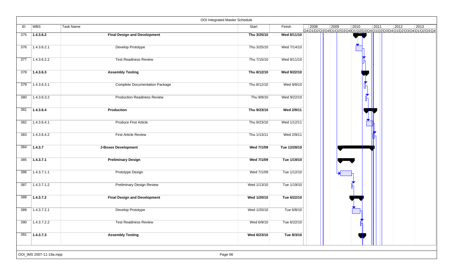|     |                         |                                       | OOI Integrated Master Schedule |              |      |      |      |      |                |                                                                                             |
|-----|-------------------------|---------------------------------------|--------------------------------|--------------|------|------|------|------|----------------|---------------------------------------------------------------------------------------------|
| ID  | WBS                     | Task Name                             | Start                          | Finish       | 2008 | 2009 | 2010 | 2011 | $\boxed{2012}$ | $ 2013\rangle$<br>Q4Q1\Q2\Q3\Q4\Q1\Q2\Q3\Q4\Q1\Q2\Q3\Q4\Q1\Q2\Q3\Q4\Q1\Q2\Q3\Q4\Q1\Q2\Q3\Q4 |
| 375 | 1.4.3.6.2               | <b>Final Design and Development</b>   | Thu 3/25/10                    | Wed 8/11/10  |      |      |      |      |                |                                                                                             |
| 376 | 1.4.3.6.2.1             | Develop Prototype                     | Thu 3/25/10                    | Wed 7/14/10  |      |      |      |      |                |                                                                                             |
| 377 | 1.4.3.6.2.2             | <b>Test Readiness Review</b>          | Thu 7/15/10                    | Wed 8/11/10  |      |      |      |      |                |                                                                                             |
| 378 | 1.4.3.6.3               | <b>Assembly Testing</b>               | Thu 8/12/10                    | Wed 9/22/10  |      |      |      |      |                |                                                                                             |
| 379 | 1.4.3.6.3.1             | <b>Complete Documentation Package</b> | Thu 8/12/10                    | Wed 9/8/10   |      |      |      |      |                |                                                                                             |
| 380 | 1.4.3.6.3.2             | <b>Production Readiness Review</b>    | Thu 9/9/10                     | Wed 9/22/10  |      |      |      |      |                |                                                                                             |
| 381 | 1.4.3.6.4               | Production                            | Thu 9/23/10                    | Wed 2/9/11   |      |      |      |      |                |                                                                                             |
| 382 | 1.4.3.6.4.1             | <b>Produce First Article</b>          | Thu 9/23/10                    | Wed 1/12/11  |      |      |      |      |                |                                                                                             |
| 383 | 1.4.3.6.4.2             | <b>First Article Review</b>           | Thu 1/13/11                    | Wed 2/9/11   |      |      |      |      |                |                                                                                             |
| 384 | 1.4.3.7                 | <b>J-Boxes Development</b>            | Wed 7/1/09                     | Tue 12/28/10 |      |      |      |      |                |                                                                                             |
| 385 | 1.4.3.7.1               | <b>Preliminary Design</b>             | Wed 7/1/09                     | Tue 1/19/10  |      |      |      |      |                |                                                                                             |
| 386 | 1.4.3.7.1.1             | Prototype Design                      | Wed 7/1/09                     | Tue 1/12/10  |      |      |      |      |                |                                                                                             |
| 387 | 1.4.3.7.1.2             | <b>Preliminary Design Review</b>      | Wed 1/13/10                    | Tue 1/19/10  |      |      |      |      |                |                                                                                             |
| 388 | 1.4.3.7.2               | <b>Final Design and Development</b>   | Wed 1/20/10                    | Tue 6/22/10  |      |      |      |      |                |                                                                                             |
| 389 | 1.4.3.7.2.1             | Develop Prototype                     | Wed 1/20/10                    | Tue 6/8/10   |      |      |      |      |                |                                                                                             |
| 390 | 1.4.3.7.2.2             | <b>Test Readiness Review</b>          | Wed 6/9/10                     | Tue 6/22/10  |      |      |      |      |                |                                                                                             |
| 391 | 71.4.3.7.3              | <b>Assembly Testing</b>               | Wed 6/23/10                    | Tue 8/3/10   |      |      |      |      |                |                                                                                             |
|     | OOI_IMS 2007-11-19a.mpp |                                       | Page 66                        |              |      |      |      |      |                |                                                                                             |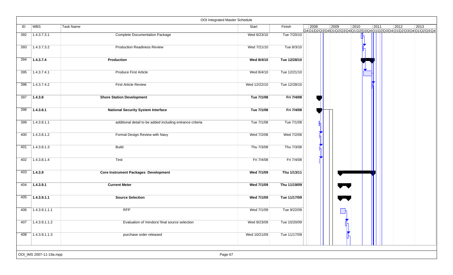|     |                         | OOI Integrated Master Schedule                            |              |              |                |      |                                                                                   |      |      |      |
|-----|-------------------------|-----------------------------------------------------------|--------------|--------------|----------------|------|-----------------------------------------------------------------------------------|------|------|------|
| ID  | <b>WBS</b>              | Task Name                                                 | Start        | Finish       | $ 2008\rangle$ | 2009 | 2010<br>Q4Q1\Q2\Q3\Q4\Q1\Q2\Q3\Q4\Q1\Q2\Q3\Q4\Q1\Q2\Q3\Q4\Q1\Q2\Q3\Q4\Q1\Q2\Q3\Q4 | 2011 | 2012 | 2013 |
| 392 | 1.4.3.7.3.1             | <b>Complete Documentation Package</b>                     | Wed 6/23/10  | Tue 7/20/10  |                |      |                                                                                   |      |      |      |
| 393 | 1.4.3.7.3.2             | <b>Production Readiness Review</b>                        | Wed 7/21/10  | Tue 8/3/10   |                |      |                                                                                   |      |      |      |
| 394 | 1.4.3.7.4               | Production                                                | Wed 8/4/10   | Tue 12/28/10 |                |      |                                                                                   |      |      |      |
| 395 | 1.4.3.7.4.1             | Produce First Article                                     | Wed 8/4/10   | Tue 12/21/10 |                |      |                                                                                   |      |      |      |
| 396 | 1.4.3.7.4.2             | <b>First Article Review</b>                               | Wed 12/22/10 | Tue 12/28/10 |                |      |                                                                                   |      |      |      |
| 397 | 1.4.3.8                 | <b>Shore Station Development</b>                          | Tue 7/1/08   | Fri 7/4/08   |                |      |                                                                                   |      |      |      |
| 398 | 1.4.3.8.1               | <b>National Security System Interface</b>                 | Tue 7/1/08   | Fri 7/4/08   |                |      |                                                                                   |      |      |      |
| 399 | 1.4.3.8.1.1             | additional detail to be added including entrance criteria | Tue 7/1/08   | Tue 7/1/08   |                |      |                                                                                   |      |      |      |
| 400 | 1.4.3.8.1.2             | Formal Design Review with Navy                            | Wed 7/2/08   | Wed 7/2/08   |                |      |                                                                                   |      |      |      |
| 401 | 1.4.3.8.1.3             | <b>Build</b>                                              | Thu 7/3/08   | Thu 7/3/08   |                |      |                                                                                   |      |      |      |
| 402 | 1.4.3.8.1.4             | Test                                                      | Fri 7/4/08   | Fri 7/4/08   |                |      |                                                                                   |      |      |      |
| 403 | 1.4.3.9                 | <b>Core Instrument Packages Development</b>               | Wed 7/1/09   | Thu 1/13/11  |                |      |                                                                                   |      |      |      |
| 404 | 1.4.3.9.1               | <b>Current Meter</b>                                      | Wed 7/1/09   | Thu 11/19/09 |                |      |                                                                                   |      |      |      |
| 405 | 1.4.3.9.1.1             | <b>Source Selection</b>                                   | Wed 7/1/09   | Tue 11/17/09 |                |      |                                                                                   |      |      |      |
| 406 | 1.4.3.9.1.1.1           | <b>RFP</b>                                                | Wed 7/1/09   | Tue 9/22/09  |                |      |                                                                                   |      |      |      |
| 407 | $\sqrt{1.4.3.9.1.1.2}$  | Evaluation of Vendors/ final source selection             | Wed 9/23/09  | Tue 10/20/09 |                |      | R                                                                                 |      |      |      |
| 408 | 1.4.3.9.1.1.3           | purchase order released                                   | Wed 10/21/09 | Tue 11/17/09 |                |      |                                                                                   |      |      |      |
|     | OOI_IMS 2007-11-19a.mpp | Page 67                                                   |              |              |                |      |                                                                                   |      |      |      |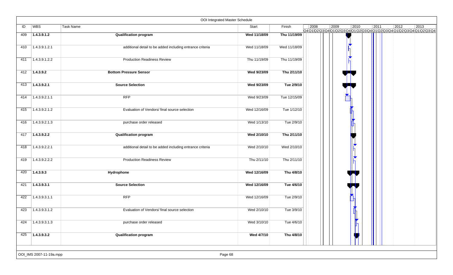|     |                         | OOI Integrated Master Schedule                            |              |              |      |      |      |      |      |                                                                                   |
|-----|-------------------------|-----------------------------------------------------------|--------------|--------------|------|------|------|------|------|-----------------------------------------------------------------------------------|
| ID  | <b>WBS</b>              | Task Name                                                 | Start        | Finish       | 2008 | 2009 | 2010 | 2011 | 2012 | 2013<br>Q4Q1\Q2\Q3\Q4\Q1\Q2\Q3\Q4\Q1\Q2\Q3\Q4\Q1\Q2\Q3\Q4\Q1\Q2\Q3\Q4\Q1\Q2\Q3\Q4 |
| 409 | 1.4.3.9.1.2             | <b>Qualification program</b>                              | Wed 11/18/09 | Thu 11/19/09 |      |      |      |      |      |                                                                                   |
| 410 | 1.4.3.9.1.2.1           | additional detail to be added including entrance criteria | Wed 11/18/09 | Wed 11/18/09 |      |      |      |      |      |                                                                                   |
| 411 | 1.4.3.9.1.2.2           | <b>Production Readiness Review</b>                        | Thu 11/19/09 | Thu 11/19/09 |      |      |      |      |      |                                                                                   |
| 412 | 1.4.3.9.2               | <b>Bottom Pressure Sensor</b>                             | Wed 9/23/09  | Thu 2/11/10  |      |      |      |      |      |                                                                                   |
| 413 | 1.4.3.9.2.1             | <b>Source Selection</b>                                   | Wed 9/23/09  | Tue 2/9/10   |      |      |      |      |      |                                                                                   |
| 414 | 1.4.3.9.2.1.1           | <b>RFP</b>                                                | Wed 9/23/09  | Tue 12/15/09 |      |      |      |      |      |                                                                                   |
| 415 | 1.4.3.9.2.1.2           | Evaluation of Vendors/ final source selection             | Wed 12/16/09 | Tue 1/12/10  |      |      |      |      |      |                                                                                   |
| 416 | 1.4.3.9.2.1.3           | purchase order released                                   | Wed 1/13/10  | Tue 2/9/10   |      |      |      |      |      |                                                                                   |
| 417 | 1.4.3.9.2.2             | <b>Qualification program</b>                              | Wed 2/10/10  | Thu 2/11/10  |      |      |      |      |      |                                                                                   |
| 418 | 1.4.3.9.2.2.1           | additional detail to be added including entrance criteria | Wed 2/10/10  | Wed 2/10/10  |      |      |      |      |      |                                                                                   |
| 419 | 1.4.3.9.2.2.2           | <b>Production Readiness Review</b>                        | Thu 2/11/10  | Thu 2/11/10  |      |      |      |      |      |                                                                                   |
| 420 | 1.4.3.9.3               | Hydrophone                                                | Wed 12/16/09 | Thu 4/8/10   |      |      |      |      |      |                                                                                   |
| 421 | 1.4.3.9.3.1             | <b>Source Selection</b>                                   | Wed 12/16/09 | Tue 4/6/10   |      |      |      |      |      |                                                                                   |
| 422 | 1.4.3.9.3.1.1           | <b>RFP</b>                                                | Wed 12/16/09 | Tue 2/9/10   |      |      |      |      |      |                                                                                   |
| 423 | 1.4.3.9.3.1.2           | Evaluation of Vendors/ final source selection             | Wed 2/10/10  | Tue 3/9/10   |      |      |      |      |      |                                                                                   |
| 424 | 1.4.3.9.3.1.3           | purchase order released                                   | Wed 3/10/10  | Tue 4/6/10   |      |      | Ħ    |      |      |                                                                                   |
| 425 | 1.4.3.9.3.2             | <b>Qualification program</b>                              | Wed 4/7/10   | Thu 4/8/10   |      |      |      |      |      |                                                                                   |
|     | OOI_IMS 2007-11-19a.mpp | Page 68                                                   |              |              |      |      |      |      |      |                                                                                   |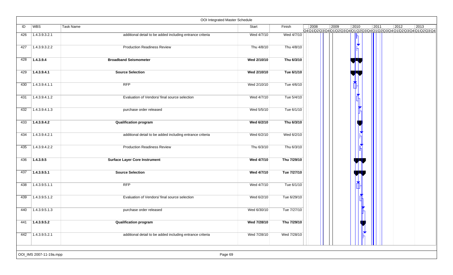|     |                         | OOI Integrated Master Schedule                            |             |             |      |      |      |      |                |                                                                                                |
|-----|-------------------------|-----------------------------------------------------------|-------------|-------------|------|------|------|------|----------------|------------------------------------------------------------------------------------------------|
| ID  | <b>WBS</b>              | Task Name                                                 | Start       | Finish      | 2008 | 2009 | 2010 | 2011 | $ 2012\rangle$ | 2013<br>Q4 Q1 Q2 Q3 Q4 Q1 Q2 Q3 Q4 Q1 Q2 Q3 Q4 Q1 Q2 Q3 Q4 Q1 Q2 Q3 Q4 Q1 Q2 Q3 Q4 Q1 Q2 Q3 Q4 |
| 426 | 1.4.3.9.3.2.1           | additional detail to be added including entrance criteria | Wed 4/7/10  | Wed 4/7/10  |      |      |      |      |                |                                                                                                |
| 427 | 1.4.3.9.3.2.2           | <b>Production Readiness Review</b>                        | Thu 4/8/10  | Thu 4/8/10  |      |      |      |      |                |                                                                                                |
| 428 | 1.4.3.9.4               | <b>Broadband Seismometer</b>                              | Wed 2/10/10 | Thu 6/3/10  |      |      |      |      |                |                                                                                                |
| 429 | 1.4.3.9.4.1             | <b>Source Selection</b>                                   | Wed 2/10/10 | Tue 6/1/10  |      |      |      |      |                |                                                                                                |
| 430 | 1.4.3.9.4.1.1           | <b>RFP</b>                                                | Wed 2/10/10 | Tue 4/6/10  |      |      |      |      |                |                                                                                                |
| 431 | 1.4.3.9.4.1.2           | Evaluation of Vendors/ final source selection             | Wed 4/7/10  | Tue 5/4/10  |      |      |      |      |                |                                                                                                |
| 432 | 1.4.3.9.4.1.3           | purchase order released                                   | Wed 5/5/10  | Tue 6/1/10  |      |      |      |      |                |                                                                                                |
| 433 | 1.4.3.9.4.2             | <b>Qualification program</b>                              | Wed 6/2/10  | Thu 6/3/10  |      |      |      |      |                |                                                                                                |
| 434 | 1.4.3.9.4.2.1           | additional detail to be added including entrance criteria | Wed 6/2/10  | Wed 6/2/10  |      |      |      |      |                |                                                                                                |
| 435 | 1.4.3.9.4.2.2           | <b>Production Readiness Review</b>                        | Thu 6/3/10  | Thu 6/3/10  |      |      |      |      |                |                                                                                                |
| 436 | 1.4.3.9.5               | <b>Surface Layer Core Instrument</b>                      | Wed 4/7/10  | Thu 7/29/10 |      |      |      |      |                |                                                                                                |
| 437 | 1.4.3.9.5.1             | <b>Source Selection</b>                                   | Wed 4/7/10  | Tue 7/27/10 |      |      |      |      |                |                                                                                                |
| 438 | 1.4.3.9.5.1.1           | <b>RFP</b>                                                | Wed 4/7/10  | Tue 6/1/10  |      |      |      |      |                |                                                                                                |
| 439 | 1.4.3.9.5.1.2           | Evaluation of Vendors/ final source selection             | Wed 6/2/10  | Tue 6/29/10 |      |      |      |      |                |                                                                                                |
| 440 | 1.4.3.9.5.1.3           | purchase order released                                   | Wed 6/30/10 | Tue 7/27/10 |      |      |      |      |                |                                                                                                |
| 441 | 1.4.3.9.5.2             | <b>Qualification program</b>                              | Wed 7/28/10 | Thu 7/29/10 |      |      |      |      |                |                                                                                                |
| 442 | 1.4.3.9.5.2.1           | additional detail to be added including entrance criteria | Wed 7/28/10 | Wed 7/28/10 |      |      |      |      |                |                                                                                                |
|     | OOI_IMS 2007-11-19a.mpp | Page 69                                                   |             |             |      |      |      |      |                |                                                                                                |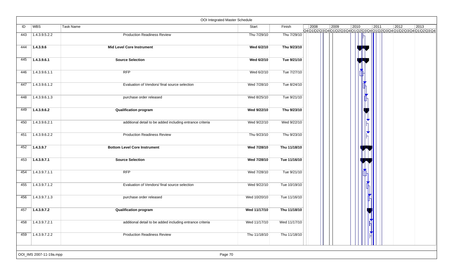|     |                         | OOI Integrated Master Schedule                            |              |              |                                                                                                                                                      |
|-----|-------------------------|-----------------------------------------------------------|--------------|--------------|------------------------------------------------------------------------------------------------------------------------------------------------------|
| ID  | WBS                     | Task Name                                                 | Start        | Finish       | $\vert$ 2008<br>2009<br>2010<br>$ 2011\rangle$<br>$\boxed{2012}$<br>2013<br>Q4Q1\Q2\Q3\Q4\Q1\Q2\Q3\Q4\Q1\Q2\Q3\Q4\Q1\Q2\Q3\Q4\Q1\Q2\Q3\Q4Q1\Q2\Q3\Q4 |
| 443 | 1.4.3.9.5.2.2           | <b>Production Readiness Review</b>                        | Thu 7/29/10  | Thu 7/29/10  |                                                                                                                                                      |
| 444 | 1.4.3.9.6               | <b>Mid Level Core Instrument</b>                          | Wed 6/2/10   | Thu 9/23/10  |                                                                                                                                                      |
| 445 | 1.4.3.9.6.1             | <b>Source Selection</b>                                   | Wed 6/2/10   | Tue 9/21/10  |                                                                                                                                                      |
| 446 | 1.4.3.9.6.1.1           | RFP                                                       | Wed 6/2/10   | Tue 7/27/10  |                                                                                                                                                      |
| 447 | 1.4.3.9.6.1.2           | Evaluation of Vendors/ final source selection             | Wed 7/28/10  | Tue 8/24/10  |                                                                                                                                                      |
| 448 | 1.4.3.9.6.1.3           | purchase order released                                   | Wed 8/25/10  | Tue 9/21/10  |                                                                                                                                                      |
| 449 | 1.4.3.9.6.2             | <b>Qualification program</b>                              | Wed 9/22/10  | Thu 9/23/10  |                                                                                                                                                      |
| 450 | 1.4.3.9.6.2.1           | additional detail to be added including entrance criteria | Wed 9/22/10  | Wed 9/22/10  |                                                                                                                                                      |
| 451 | 1.4.3.9.6.2.2           | <b>Production Readiness Review</b>                        | Thu 9/23/10  | Thu 9/23/10  |                                                                                                                                                      |
| 452 | 1.4.3.9.7               | <b>Bottom Level Core Instrument</b>                       | Wed 7/28/10  | Thu 11/18/10 |                                                                                                                                                      |
| 453 | 1.4.3.9.7.1             | <b>Source Selection</b>                                   | Wed 7/28/10  | Tue 11/16/10 |                                                                                                                                                      |
| 454 | 1.4.3.9.7.1.1           | RFP                                                       | Wed 7/28/10  | Tue 9/21/10  |                                                                                                                                                      |
| 455 | 1.4.3.9.7.1.2           | Evaluation of Vendors/ final source selection             | Wed 9/22/10  | Tue 10/19/10 |                                                                                                                                                      |
| 456 | 1.4.3.9.7.1.3           | purchase order released                                   | Wed 10/20/10 | Tue 11/16/10 |                                                                                                                                                      |
| 457 | 1.4.3.9.7.2             | <b>Qualification program</b>                              | Wed 11/17/10 | Thu 11/18/10 |                                                                                                                                                      |
| 458 | 1.4.3.9.7.2.1           | additional detail to be added including entrance criteria | Wed 11/17/10 | Wed 11/17/10 |                                                                                                                                                      |
| 459 | 1.4.3.9.7.2.2           | <b>Production Readiness Review</b>                        | Thu 11/18/10 | Thu 11/18/10 |                                                                                                                                                      |
|     |                         |                                                           |              |              |                                                                                                                                                      |
|     | OOI_IMS 2007-11-19a.mpp | Page 70                                                   |              |              |                                                                                                                                                      |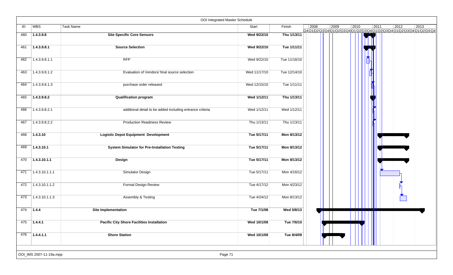|     |                         | OOI Integrated Master Schedule                            |              |              |      |      |      |      |                |                                                                                   |
|-----|-------------------------|-----------------------------------------------------------|--------------|--------------|------|------|------|------|----------------|-----------------------------------------------------------------------------------|
| ID  | WBS                     | Task Name                                                 | Start        | Finish       | 2008 | 2009 | 2010 | 2011 | $ 2012\rangle$ | 2013<br>Q4Q1\Q2\Q3\Q4\Q1\Q2\Q3\Q4\Q1\Q2\Q3\Q4\Q1\Q2\Q3\Q4\Q1\Q2\Q3\Q4\Q1\Q2\Q3\Q4 |
| 460 | 1.4.3.9.8               | <b>Site Specific Core Sensors</b>                         | Wed 9/22/10  | Thu 1/13/11  |      |      |      |      |                |                                                                                   |
| 461 | 1.4.3.9.8.1             | <b>Source Selection</b>                                   | Wed 9/22/10  | Tue 1/11/11  |      |      |      |      |                |                                                                                   |
| 462 | 1.4.3.9.8.1.1           | <b>RFP</b>                                                | Wed 9/22/10  | Tue 11/16/10 |      |      |      |      |                |                                                                                   |
| 463 | 1.4.3.9.8.1.2           | Evaluation of Vendors/ final source selection             | Wed 11/17/10 | Tue 12/14/10 |      |      |      |      |                |                                                                                   |
| 464 | 1.4.3.9.8.1.3           | purchase order released                                   | Wed 12/15/10 | Tue 1/11/11  |      |      |      |      |                |                                                                                   |
| 465 | 1.4.3.9.8.2             | <b>Qualification program</b>                              | Wed 1/12/11  | Thu 1/13/11  |      |      |      |      |                |                                                                                   |
| 466 | 1.4.3.9.8.2.1           | additional detail to be added including entrance criteria | Wed 1/12/11  | Wed 1/12/11  |      |      |      |      |                |                                                                                   |
| 467 | 1.4.3.9.8.2.2           | <b>Production Readiness Review</b>                        | Thu 1/13/11  | Thu 1/13/11  |      |      |      |      |                |                                                                                   |
| 468 | 1.4.3.10                | <b>Logistic Depot Equipment Development</b>               | Tue 5/17/11  | Mon 8/13/12  |      |      |      |      |                |                                                                                   |
| 469 | 1.4.3.10.1              | <b>System Simulator for Pre-Installation Testing</b>      | Tue 5/17/11  | Mon 8/13/12  |      |      |      |      |                |                                                                                   |
| 470 | 1.4.3.10.1.1            | Design                                                    | Tue 5/17/11  | Mon 8/13/12  |      |      |      |      |                |                                                                                   |
| 471 | 1.4.3.10.1.1.1          | Simulator Design                                          | Tue 5/17/11  | Mon 4/16/12  |      |      |      |      |                |                                                                                   |
| 472 | 1.4.3.10.1.1.2          | <b>Formal Design Review</b>                               | Tue 4/17/12  | Mon 4/23/12  |      |      |      |      |                |                                                                                   |
| 473 | 1.4.3.10.1.1.3          | Assembly & Testing                                        | Tue 4/24/12  | Mon 8/13/12  |      |      |      |      |                |                                                                                   |
| 474 | 1.4.4                   | <b>Site Implementation</b>                                | Tue 7/1/08   | Wed 5/8/13   |      |      |      |      |                |                                                                                   |
| 475 | 1.4.4.1                 | <b>Pacific City Shore Facilities Installation</b>         | Wed 10/1/08  | Tue 7/6/10   |      |      |      |      |                |                                                                                   |
| 476 | 7.4.4.1.1               | <b>Shore Station</b>                                      | Wed 10/1/08  | Tue 8/4/09   |      |      |      |      |                |                                                                                   |
|     | OOI_IMS 2007-11-19a.mpp | Page 71                                                   |              |              |      |      |      |      |                |                                                                                   |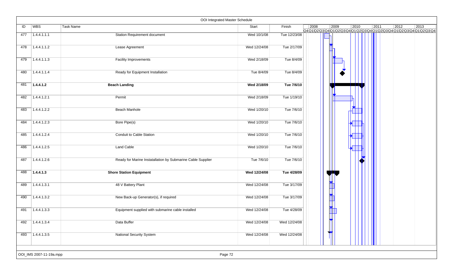|     |                         | OOI Integrated Master Schedule                              |              |              |      |      |      |      |      |                                                                                                |
|-----|-------------------------|-------------------------------------------------------------|--------------|--------------|------|------|------|------|------|------------------------------------------------------------------------------------------------|
| ID  | WBS                     | Task Name                                                   | Start        | Finish       | 2008 | 2009 | 2010 | 2011 | 2012 | 2013<br>Q4 Q1 Q2 Q3 Q4 Q1 Q2 Q3 Q4 Q1 Q2 Q3 Q4 Q1 Q2 Q3 Q4 Q1 Q2 Q3 Q4 Q1 Q2 Q3 Q4 Q1 Q2 Q3 Q4 |
| 477 | 1.4.4.1.1.1             | <b>Station Requirement document</b>                         | Wed 10/1/08  | Tue 12/23/08 |      |      |      |      |      |                                                                                                |
| 478 | 1.4.4.1.1.2             | Lease Agreement                                             | Wed 12/24/08 | Tue 2/17/09  |      |      |      |      |      |                                                                                                |
| 479 | 1.4.4.1.1.3             | <b>Facility Improvements</b>                                | Wed 2/18/09  | Tue 8/4/09   |      |      |      |      |      |                                                                                                |
| 480 | 1.4.4.1.1.4             | Ready for Equipment Installation                            | Tue 8/4/09   | Tue 8/4/09   |      |      |      |      |      |                                                                                                |
| 481 | 1.4.4.1.2               | <b>Beach Landing</b>                                        | Wed 2/18/09  | Tue 7/6/10   |      |      |      |      |      |                                                                                                |
| 482 | 1.4.4.1.2.1             | Permit                                                      | Wed 2/18/09  | Tue 1/19/10  |      |      |      |      |      |                                                                                                |
| 483 | 1.4.4.1.2.2             | Beach Manhole                                               | Wed 1/20/10  | Tue 7/6/10   |      |      |      |      |      |                                                                                                |
| 484 | 1.4.4.1.2.3             | Bore Pipe(s)                                                | Wed 1/20/10  | Tue 7/6/10   |      |      |      |      |      |                                                                                                |
| 485 | 1.4.4.1.2.4             | Conduit to Cable Station                                    | Wed 1/20/10  | Tue 7/6/10   |      |      |      |      |      |                                                                                                |
| 486 | 1.4.4.1.2.5             | Land Cable                                                  | Wed 1/20/10  | Tue 7/6/10   |      |      |      |      |      |                                                                                                |
| 487 | 1.4.4.1.2.6             | Ready for Marine Instatallation by Submarine Cable Supplier | Tue 7/6/10   | Tue 7/6/10   |      |      |      |      |      |                                                                                                |
| 488 | 1.4.4.1.3               | <b>Shore Station Equipment</b>                              | Wed 12/24/08 | Tue 4/28/09  |      |      |      |      |      |                                                                                                |
| 489 | 1.4.4.1.3.1             | 48 V Battery Plant                                          | Wed 12/24/08 | Tue 3/17/09  |      |      |      |      |      |                                                                                                |
| 490 | 1.4.4.1.3.2             | New Back-up Generator(s), if required                       | Wed 12/24/08 | Tue 3/17/09  |      |      |      |      |      |                                                                                                |
| 491 | 1.4.4.1.3.3             | Equipment supplied with submarine cable installed           | Wed 12/24/08 | Tue 4/28/09  |      |      |      |      |      |                                                                                                |
| 492 | 1.4.4.1.3.4             | Data Buffer                                                 | Wed 12/24/08 | Wed 12/24/08 |      |      |      |      |      |                                                                                                |
| 493 | 1.4.4.1.3.5             | <b>National Security System</b>                             | Wed 12/24/08 | Wed 12/24/08 |      |      |      |      |      |                                                                                                |
|     | OOI_IMS 2007-11-19a.mpp | Page 72                                                     |              |              |      |      |      |      |      |                                                                                                |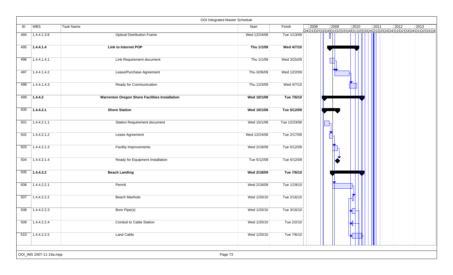|     |                         |                                                | OOI Integrated Master Schedule |              |      |          |                |                |      |                                                                                                |
|-----|-------------------------|------------------------------------------------|--------------------------------|--------------|------|----------|----------------|----------------|------|------------------------------------------------------------------------------------------------|
| ID  | WBS                     | Task Name                                      | Start                          | Finish       | 2008 | 2009     | $ 2010\rangle$ | $\boxed{2011}$ | 2012 | 2013<br>Q4 Q1 Q2 Q3 Q4 Q1 Q2 Q3 Q4 Q1 Q2 Q3 Q4 Q1 Q2 Q3 Q4 Q1 Q2 Q3 Q4 Q1 Q2 Q3 Q4 Q1 Q2 Q3 Q4 |
| 494 | 1.4.4.1.3.6             | <b>Optical Distribution Frame</b>              | Wed 12/24/08                   | Tue 1/13/09  |      |          |                |                |      |                                                                                                |
| 495 | 1.4.4.1.4               | <b>Link to Internet POP</b>                    | Thu 1/1/09                     | Wed 4/7/10   |      |          |                |                |      |                                                                                                |
| 496 | 1.4.4.1.4.1             | Link Requirement document                      | Thu 1/1/09                     | Wed 3/25/09  |      |          |                |                |      |                                                                                                |
| 497 | 1.4.4.1.4.2             | Lease/Purchase Agreement                       | Thu 3/26/09                    | Wed 12/2/09  |      |          |                |                |      |                                                                                                |
| 498 | 1.4.4.1.4.3             | Ready for Communication                        | Thu 12/3/09                    | Wed 4/7/10   |      |          |                |                |      |                                                                                                |
| 499 | 1.4.4.2                 | Warrenton Oregon Shore Facilities Installation | Wed 10/1/08                    | Tue 7/6/10   |      |          |                |                |      |                                                                                                |
| 500 | 1.4.4.2.1               | <b>Shore Station</b>                           | Wed 10/1/08                    | Tue 5/12/09  |      |          |                |                |      |                                                                                                |
| 501 | 1.4.4.2.1.1             | <b>Station Requirement document</b>            | Wed 10/1/08                    | Tue 12/23/08 |      |          |                |                |      |                                                                                                |
| 502 | 1.4.4.2.1.2             | Lease Agreement                                | Wed 12/24/08                   | Tue 2/17/09  |      |          |                |                |      |                                                                                                |
| 503 | 1.4.4.2.1.3             | Facility Improvements                          | Wed 2/18/09                    | Tue 5/12/09  |      | <b>A</b> |                |                |      |                                                                                                |
| 504 | 1.4.4.2.1.4             | Ready for Equipment Installation               | Tue 5/12/09                    | Tue 5/12/09  |      |          |                |                |      |                                                                                                |
| 505 | 1.4.4.2.2               | <b>Beach Landing</b>                           | Wed 2/18/09                    | Tue 7/6/10   |      |          |                |                |      |                                                                                                |
| 506 | 1.4.4.2.2.1             | Permit                                         | Wed 2/18/09                    | Tue 1/19/10  |      |          |                |                |      |                                                                                                |
| 507 | 1.4.4.2.2.2             | Beach Manhole                                  | Wed 1/20/10                    | Tue 2/16/10  |      |          |                |                |      |                                                                                                |
| 508 | 1.4.4.2.2.3             | Bore Pipe(s)                                   | Wed 1/20/10                    | Tue 3/16/10  |      |          |                |                |      |                                                                                                |
| 509 | 1.4.4.2.2.4             | <b>Conduit to Cable Station</b>                | Wed 1/20/10                    | Tue 2/2/10   |      |          |                |                |      |                                                                                                |
| 510 | 1.4.4.2.2.5             | <b>Land Cable</b>                              | Wed 1/20/10                    | Tue 7/6/10   |      |          |                |                |      |                                                                                                |
|     | OOI_IMS 2007-11-19a.mpp |                                                | Page 73                        |              |      |          |                |                |      |                                                                                                |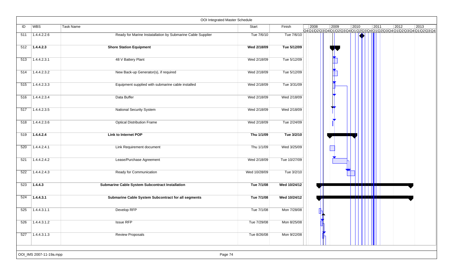|     |                         | OOI Integrated Master Schedule                              |              |              |      |                                                                                  |      |      |                |      |
|-----|-------------------------|-------------------------------------------------------------|--------------|--------------|------|----------------------------------------------------------------------------------|------|------|----------------|------|
| ID  | <b>WBS</b>              | Task Name                                                   | Start        | Finish       | 2008 | 2009<br>Q4Q1Q2\Q3\Q4\Q1\Q2\Q3\Q4\Q1\Q2\Q3\Q4\Q1\Q2\Q3\Q4\Q1\Q2\Q3\Q4\Q1\Q2\Q3\Q4 | 2010 | 2011 | $ 2012\rangle$ | 2013 |
| 511 | 1.4.4.2.2.6             | Ready for Marine Instatallation by Submarine Cable Supplier | Tue 7/6/10   | Tue 7/6/10   |      |                                                                                  |      |      |                |      |
| 512 | 1.4.4.2.3               | <b>Shore Station Equipment</b>                              | Wed 2/18/09  | Tue 5/12/09  |      |                                                                                  |      |      |                |      |
| 513 | 1.4.4.2.3.1             | 48 V Battery Plant                                          | Wed 2/18/09  | Tue 5/12/09  |      | <b>The Second Second</b>                                                         |      |      |                |      |
| 514 | 1.4.4.2.3.2             | New Back-up Generator(s), if required                       | Wed 2/18/09  | Tue 5/12/09  |      |                                                                                  |      |      |                |      |
| 515 | 1.4.4.2.3.3             | Equipment supplied with submarine cable installed           | Wed 2/18/09  | Tue 3/31/09  |      | $\frac{1}{2}$                                                                    |      |      |                |      |
| 516 | 1.4.4.2.3.4             | Data Buffer                                                 | Wed 2/18/09  | Wed 2/18/09  |      |                                                                                  |      |      |                |      |
| 517 | 1.4.4.2.3.5             | <b>National Security System</b>                             | Wed 2/18/09  | Wed 2/18/09  |      |                                                                                  |      |      |                |      |
| 518 | 1.4.4.2.3.6             | <b>Optical Distribution Frame</b>                           | Wed 2/18/09  | Tue 2/24/09  |      |                                                                                  |      |      |                |      |
| 519 | 1.4.4.2.4               | <b>Link to Internet POP</b>                                 | Thu 1/1/09   | Tue 3/2/10   |      |                                                                                  |      |      |                |      |
| 520 | 1.4.4.2.4.1             | Link Requirement document                                   | Thu 1/1/09   | Wed 3/25/09  |      |                                                                                  |      |      |                |      |
| 521 | 1.4.4.2.4.2             | Lease/Purchase Agreement                                    | Wed 2/18/09  | Tue 10/27/09 |      |                                                                                  |      |      |                |      |
| 522 | 1.4.4.2.4.3             | Ready for Communication                                     | Wed 10/28/09 | Tue 3/2/10   |      |                                                                                  |      |      |                |      |
| 523 | 1.4.4.3                 | <b>Submarine Cable System Subcontract Installation</b>      | Tue 7/1/08   | Wed 10/24/12 |      |                                                                                  |      |      |                |      |
| 524 | 1.4.4.3.1               | Submarine Cable System Subcontract for all segments         | Tue 7/1/08   | Wed 10/24/12 |      |                                                                                  |      |      |                |      |
| 525 | 1.4.4.3.1.1             | Develop RFP                                                 | Tue 7/1/08   | Mon 7/28/08  |      |                                                                                  |      |      |                |      |
| 526 | 1.4.4.3.1.2             | <b>Issue RFP</b>                                            | Tue 7/29/08  | Mon 8/25/08  |      |                                                                                  |      |      |                |      |
| 527 | 1.4.4.3.1.3             | <b>Review Proposals</b>                                     | Tue 8/26/08  | Mon 9/22/08  |      |                                                                                  |      |      |                |      |
|     |                         |                                                             |              |              |      |                                                                                  |      |      |                |      |
|     | OOI_IMS 2007-11-19a.mpp | Page 74                                                     |              |              |      |                                                                                  |      |      |                |      |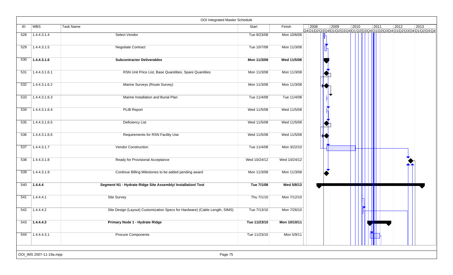|     |                         | OOI Integrated Master Schedule                                              |              |              |      |      |      |              |                |                                                                                  |
|-----|-------------------------|-----------------------------------------------------------------------------|--------------|--------------|------|------|------|--------------|----------------|----------------------------------------------------------------------------------|
| ID  | WBS                     | Task Name                                                                   | Start        | Finish       | 2008 | 2009 | 2010 | 2011         | $ 2012\rangle$ | 2013<br>Q4Q1Q2\Q3\Q4\Q1\Q2\Q3\Q4\Q1\Q2\Q3\Q4\Q1\Q2\Q3\Q4\Q1\Q2\Q3\Q4\Q1\Q2\Q3\Q4 |
| 528 | 1.4.4.3.1.4             | Select Vendor                                                               | Tue 9/23/08  | Mon 10/6/08  |      |      |      |              |                |                                                                                  |
| 529 | 1.4.4.3.1.5             | Negotiate Contract                                                          | Tue 10/7/08  | Mon 11/3/08  |      |      |      |              |                |                                                                                  |
| 530 | 1.4.4.3.1.6             | <b>Subcontractor Deliverables</b>                                           | Mon 11/3/08  | Wed 11/5/08  |      |      |      |              |                |                                                                                  |
| 531 | 1.4.4.3.1.6.1           | RSN Unit Price List, Base Quanitities, Spare Quantities                     | Mon 11/3/08  | Mon 11/3/08  |      |      |      |              |                |                                                                                  |
| 532 | 1.4.4.3.1.6.2           | Marine Surveys (Route Survey)                                               | Mon 11/3/08  | Mon 11/3/08  |      |      |      |              |                |                                                                                  |
| 533 | 1.4.4.3.1.6.3           | Marine Installation and Burial Plan                                         | Tue 11/4/08  | Tue 11/4/08  |      |      |      |              |                |                                                                                  |
| 534 | 1.4.4.3.1.6.4           | <b>PLIB Report</b>                                                          | Wed 11/5/08  | Wed 11/5/08  |      |      |      |              |                |                                                                                  |
| 535 | 1.4.4.3.1.6.5           | <b>Deficiency List</b>                                                      | Wed 11/5/08  | Wed 11/5/08  |      |      |      |              |                |                                                                                  |
| 536 | 1.4.4.3.1.6.6           | Requirements for RSN Facility Use                                           | Wed 11/5/08  | Wed 11/5/08  |      |      |      |              |                |                                                                                  |
| 537 | 1.4.4.3.1.7             | Vendor Construction                                                         | Tue 11/4/08  | Mon 3/22/10  |      |      |      |              |                |                                                                                  |
| 538 | 1.4.4.3.1.8             | Ready for Provisional Acceptance                                            | Wed 10/24/12 | Wed 10/24/12 |      |      |      |              |                |                                                                                  |
| 539 | 1.4.4.3.1.9             | Continue Billing Milestones to be added pending award                       | Mon 11/3/08  | Mon 11/3/08  |      |      |      |              |                |                                                                                  |
| 540 | 1.4.4.4                 | Segment N1 - Hydrate Ridge Site Assembly/ Installation/ Test                | Tue 7/1/08   | Wed 5/8/13   |      |      |      |              |                |                                                                                  |
| 541 | 1.4.4.4.1               | Site Survey                                                                 | Thu 7/1/10   | Mon 7/12/10  |      |      |      |              |                |                                                                                  |
| 542 | 1.4.4.4.2               | Site Design (Layout) Customization Specs for Hardware) (Cable Length, SIMS) | Tue 7/13/10  | Mon 7/26/10  |      |      |      |              |                |                                                                                  |
| 543 | 7.4.4.4.3               | Primary Node 1 - Hydrate Ridge                                              | Tue 11/23/10 | Mon 10/10/11 |      |      |      | <u>IIII </u> |                |                                                                                  |
| 544 | $\sqrt{1.4.4.4.3.1}$    | <b>Procure Components</b>                                                   | Tue 11/23/10 | Mon 5/9/11   |      |      |      |              |                |                                                                                  |
|     | OOI_IMS 2007-11-19a.mpp | Page 75                                                                     |              |              |      |      |      |              |                |                                                                                  |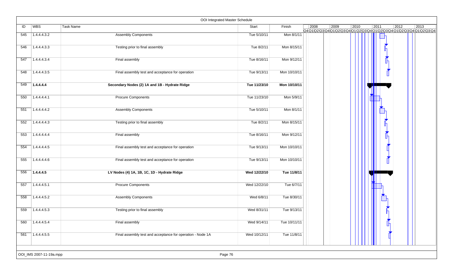|     |                         | OOI Integrated Master Schedule                             |              |              |      |      |      |      |      |                                                                                                                                                                                                                                                                                                                                                                                                      |
|-----|-------------------------|------------------------------------------------------------|--------------|--------------|------|------|------|------|------|------------------------------------------------------------------------------------------------------------------------------------------------------------------------------------------------------------------------------------------------------------------------------------------------------------------------------------------------------------------------------------------------------|
| ID  | WBS                     | Task Name                                                  | Start        | Finish       | 2008 | 2009 | 2010 | 2011 | 2012 | 2013<br>$\frac{1}{1} \frac{1}{2} \frac{1}{2} \frac{1}{2} \frac{1}{2} \frac{1}{2} \frac{1}{2} \frac{1}{2} \frac{1}{2} \frac{1}{2} \frac{1}{2} \frac{1}{2} \frac{1}{2} \frac{1}{2} \frac{1}{2} \frac{1}{2} \frac{1}{2} \frac{1}{2} \frac{1}{2} \frac{1}{2} \frac{1}{2} \frac{1}{2} \frac{1}{2} \frac{1}{2} \frac{1}{2} \frac{1}{2} \frac{1}{2} \frac{1}{2} \frac{1}{2} \frac{1}{2} \frac{1}{2} \frac{$ |
| 545 | 1.4.4.4.3.2             | <b>Assembly Components</b>                                 | Tue 5/10/11  | Mon 8/1/11   |      |      |      |      |      |                                                                                                                                                                                                                                                                                                                                                                                                      |
| 546 | 1.4.4.4.3.3             | Testing prior to final assembly                            | Tue 8/2/11   | Mon 8/15/11  |      |      |      |      |      |                                                                                                                                                                                                                                                                                                                                                                                                      |
| 547 | 1.4.4.4.3.4             | Final assembly                                             | Tue 8/16/11  | Mon 9/12/11  |      |      |      |      |      |                                                                                                                                                                                                                                                                                                                                                                                                      |
| 548 | 1.4.4.4.3.5             | Final assembly test and acceptance for operation           | Tue 9/13/11  | Mon 10/10/11 |      |      |      |      |      |                                                                                                                                                                                                                                                                                                                                                                                                      |
| 549 | 1.4.4.4.4               | Secondary Nodes (2) 1A and 1B - Hydrate Ridge              | Tue 11/23/10 | Mon 10/10/11 |      |      |      |      |      |                                                                                                                                                                                                                                                                                                                                                                                                      |
| 550 | 1.4.4.4.4.1             | Procure Components                                         | Tue 11/23/10 | Mon 5/9/11   |      |      |      |      |      |                                                                                                                                                                                                                                                                                                                                                                                                      |
| 551 | 1.4.4.4.4.2             | <b>Assembly Components</b>                                 | Tue 5/10/11  | Mon 8/1/11   |      |      |      |      |      |                                                                                                                                                                                                                                                                                                                                                                                                      |
| 552 | 1.4.4.4.4.3             | Testing prior to final assembly                            | Tue 8/2/11   | Mon 8/15/11  |      |      |      |      |      |                                                                                                                                                                                                                                                                                                                                                                                                      |
| 553 | 1.4.4.4.4.4             | Final assembly                                             | Tue 8/16/11  | Mon 9/12/11  |      |      |      |      |      |                                                                                                                                                                                                                                                                                                                                                                                                      |
| 554 | 1.4.4.4.4.5             | Final assembly test and acceptance for operation           | Tue 9/13/11  | Mon 10/10/11 |      |      |      |      |      |                                                                                                                                                                                                                                                                                                                                                                                                      |
| 555 | 1.4.4.4.4.6             | Final assembly test and acceptance for operation           | Tue 9/13/11  | Mon 10/10/11 |      |      |      |      |      |                                                                                                                                                                                                                                                                                                                                                                                                      |
| 556 | 1.4.4.4.5               | LV Nodes (4) 1A, 1B, 1C, 1D - Hydrate Ridge                | Wed 12/22/10 | Tue 11/8/11  |      |      |      |      |      |                                                                                                                                                                                                                                                                                                                                                                                                      |
| 557 | 1.4.4.4.5.1             | <b>Procure Components</b>                                  | Wed 12/22/10 | Tue 6/7/11   |      |      |      |      |      |                                                                                                                                                                                                                                                                                                                                                                                                      |
| 558 | 1.4.4.4.5.2             | <b>Assembly Components</b>                                 | Wed 6/8/11   | Tue 8/30/11  |      |      |      |      |      |                                                                                                                                                                                                                                                                                                                                                                                                      |
| 559 | 1.4.4.4.5.3             | Testing prior to final assembly                            | Wed 8/31/11  | Tue 9/13/11  |      |      |      |      |      |                                                                                                                                                                                                                                                                                                                                                                                                      |
| 560 | 1.4.4.4.5.4             | Final assembly                                             | Wed 9/14/11  | Tue 10/11/11 |      |      |      | Ĺ    |      |                                                                                                                                                                                                                                                                                                                                                                                                      |
| 561 | 1.4.4.4.5.5             | Final assembly test and acceptance for operation - Node 1A | Wed 10/12/11 | Tue 11/8/11  |      |      |      |      |      |                                                                                                                                                                                                                                                                                                                                                                                                      |
|     | OOI_IMS 2007-11-19a.mpp | Page 76                                                    |              |              |      |      |      |      |      |                                                                                                                                                                                                                                                                                                                                                                                                      |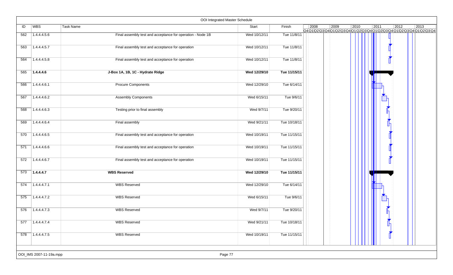|     |                         | OOI Integrated Master Schedule                             |              |              |      |      |                |                |                 |                                                                                   |
|-----|-------------------------|------------------------------------------------------------|--------------|--------------|------|------|----------------|----------------|-----------------|-----------------------------------------------------------------------------------|
| ID  | <b>WBS</b>              | Task Name                                                  | Start        | Finish       | 2008 | 2009 | $ 2010\rangle$ | $\boxed{2011}$ | 2012            | 2013<br>Q4Q1\Q2\Q3\Q4\Q1\Q2\Q3\Q4\Q1\Q2\Q3\Q4\Q1\Q2\Q3\Q4\Q1\Q2\Q3\Q4\Q1\Q2\Q3\Q4 |
| 562 | 1.4.4.4.5.6             | Final assembly test and acceptance for operation - Node 1B | Wed 10/12/11 | Tue 11/8/11  |      |      |                |                |                 |                                                                                   |
| 563 | 1.4.4.4.5.7             | Final assembly test and acceptance for operation           | Wed 10/12/11 | Tue 11/8/11  |      |      |                |                |                 |                                                                                   |
| 564 | 1.4.4.4.5.8             | Final assembly test and acceptance for operation           | Wed 10/12/11 | Tue 11/8/11  |      |      |                |                |                 |                                                                                   |
| 565 | 1.4.4.4.6               | J-Box 1A, 1B, 1C - Hydrate Ridge                           | Wed 12/29/10 | Tue 11/15/11 |      |      |                |                |                 |                                                                                   |
| 566 | 1.4.4.4.6.1             | <b>Procure Components</b>                                  | Wed 12/29/10 | Tue 6/14/11  |      |      |                |                |                 |                                                                                   |
| 567 | 1.4.4.4.6.2             | <b>Assembly Components</b>                                 | Wed 6/15/11  | Tue 9/6/11   |      |      |                |                |                 |                                                                                   |
| 568 | 1.4.4.4.6.3             | Testing prior to final assembly                            | Wed 9/7/11   | Tue 9/20/11  |      |      |                |                |                 |                                                                                   |
| 569 | 1.4.4.4.6.4             | Final assembly                                             | Wed 9/21/11  | Tue 10/18/11 |      |      |                |                |                 |                                                                                   |
| 570 | 1.4.4.4.6.5             | Final assembly test and acceptance for operation           | Wed 10/19/11 | Tue 11/15/11 |      |      |                |                |                 |                                                                                   |
| 571 | 1.4.4.4.6.6             | Final assembly test and acceptance for operation           | Wed 10/19/11 | Tue 11/15/11 |      |      |                |                |                 |                                                                                   |
| 572 | 1.4.4.4.6.7             | Final assembly test and acceptance for operation           | Wed 10/19/11 | Tue 11/15/11 |      |      |                |                |                 |                                                                                   |
| 573 | 1.4.4.4.7               | <b>WBS Reserved</b>                                        | Wed 12/29/10 | Tue 11/15/11 |      |      |                |                |                 |                                                                                   |
| 574 | 1.4.4.4.7.1             | <b>WBS Reserved</b>                                        | Wed 12/29/10 | Tue 6/14/11  |      |      |                |                |                 |                                                                                   |
| 575 | 1.4.4.4.7.2             | <b>WBS Reserved</b>                                        | Wed 6/15/11  | Tue 9/6/11   |      |      |                |                |                 |                                                                                   |
| 576 | 1.4.4.4.7.3             | <b>WBS Reserved</b>                                        | Wed 9/7/11   | Tue 9/20/11  |      |      |                |                |                 |                                                                                   |
|     | $577$ 1.4.4.4.7.4       | <b>WBS Reserved</b>                                        | Wed 9/21/11  | Tue 10/18/11 |      |      |                |                | $\frac{1}{\ln}$ |                                                                                   |
|     | 578 1.4.4.4.7.5         | <b>WBS Reserved</b>                                        | Wed 10/19/11 | Tue 11/15/11 |      |      |                |                |                 |                                                                                   |
|     | OOI_IMS 2007-11-19a.mpp | Page 77                                                    |              |              |      |      |                |                |                 |                                                                                   |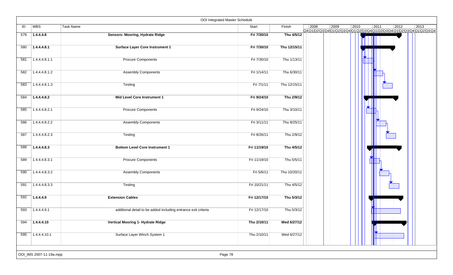|     |               |                                                                | OOI Integrated Master Schedule |              |                                                                                                |      |      |      |      |                |
|-----|---------------|----------------------------------------------------------------|--------------------------------|--------------|------------------------------------------------------------------------------------------------|------|------|------|------|----------------|
| ID  | <b>WBS</b>    | Task Name                                                      | Start                          | Finish       | 2008<br>Q4 Q1 Q2 Q3 Q4 Q1 Q2 Q3 Q4 Q1 Q2 Q3 Q4 Q1 Q2 Q3 Q4 Q1 Q2 Q3 Q4 Q1 Q2 Q3 Q4 Q1 Q2 Q3 Q4 | 2009 | 2010 | 2011 | 2012 | $ 2013\rangle$ |
| 579 | 1.4.4.4.8     | Sensors- Mooring, Hydrate Ridge                                | Fri 7/30/10                    | Thu 4/5/12   |                                                                                                |      |      |      |      |                |
| 580 | 1.4.4.4.8.1   | <b>Surface Layer Core Instrument 1</b>                         | Fri 7/30/10                    | Thu 12/15/11 |                                                                                                |      |      |      |      |                |
| 581 | 1.4.4.4.8.1.1 | <b>Procure Components</b>                                      | Fri 7/30/10                    | Thu 1/13/11  |                                                                                                |      |      |      |      |                |
| 582 | 1.4.4.4.8.1.2 | <b>Assembly Components</b>                                     | Fri 1/14/11                    | Thu 6/30/11  |                                                                                                |      |      |      |      |                |
| 583 | 1.4.4.4.8.1.3 | Testing                                                        | Fri 7/1/11                     | Thu 12/15/11 |                                                                                                |      |      |      |      |                |
| 584 | 1.4.4.4.8.2   | Mid Level Core Instrument 1                                    | Fri 9/24/10                    | Thu 2/9/12   |                                                                                                |      |      |      |      |                |
| 585 | 1.4.4.4.8.2.1 | <b>Procure Components</b>                                      | Fri 9/24/10                    | Thu 3/10/11  |                                                                                                |      |      |      |      |                |
| 586 | 1.4.4.4.8.2.2 | <b>Assembly Components</b>                                     | Fri 3/11/11                    | Thu 8/25/11  |                                                                                                |      |      |      |      |                |
| 587 | 1.4.4.4.8.2.3 | Testing                                                        | Fri 8/26/11                    | Thu 2/9/12   |                                                                                                |      |      |      |      |                |
| 588 | 1.4.4.4.8.3   | <b>Bottom Level Core Instrument 1</b>                          | Fri 11/19/10                   | Thu 4/5/12   |                                                                                                |      |      |      |      |                |
| 589 | 1.4.4.4.8.3.1 | <b>Procure Components</b>                                      | Fri 11/19/10                   | Thu 5/5/11   |                                                                                                |      |      |      |      |                |
| 590 | 1.4.4.4.8.3.2 | <b>Assembly Components</b>                                     | Fri 5/6/11                     | Thu 10/20/11 |                                                                                                |      |      |      |      |                |
| 591 | 1.4.4.4.8.3.3 | Testing                                                        | Fri 10/21/11                   | Thu 4/5/12   |                                                                                                |      |      |      |      |                |
| 592 | 1.4.4.4.9     | <b>Extension Cables</b>                                        | Fri 12/17/10                   | Thu 5/3/12   |                                                                                                |      |      |      |      |                |
| 593 | 1.4.4.4.9.1   | additional detail to be added including entrance exit criteria | Fri 12/17/10                   | Thu 5/3/12   |                                                                                                |      |      |      |      |                |
| 594 | 1.4.4.4.10    | Vertical Mooring 1- Hydrate Ridge                              | Thu 2/10/11                    | Wed 6/27/12  |                                                                                                |      |      |      |      |                |
| 595 | 71.4.4.4.10.1 | Surface Layer Winch System 1                                   | Thu 2/10/11                    | Wed 6/27/12  |                                                                                                |      |      |      |      |                |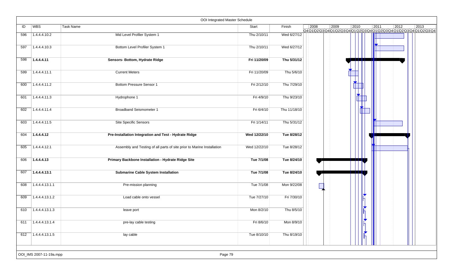|     |                          | OOI Integrated Master Schedule                                         |              |              |      |      |      |      |                                                                                            |                |
|-----|--------------------------|------------------------------------------------------------------------|--------------|--------------|------|------|------|------|--------------------------------------------------------------------------------------------|----------------|
| ID  | WBS                      | Task Name                                                              | Start        | Finish       | 2008 | 2009 | 2010 | 2011 | $ 2012\rangle$<br>Q4Q1Q2\Q3\Q4\Q1\Q2\Q3\Q4\Q1\Q2\Q3\Q4\Q1\Q2\Q3\Q4\Q1\Q2\Q3\Q4\Q1\Q2\Q3\Q4 | $ 2013\rangle$ |
| 596 | 1.4.4.4.10.2             | Mid Level Profiler System 1                                            | Thu 2/10/11  | Wed 6/27/12  |      |      |      |      |                                                                                            |                |
| 597 | 1.4.4.4.10.3             | Bottom Level Profiler System 1                                         | Thu 2/10/11  | Wed 6/27/12  |      |      |      |      |                                                                                            |                |
| 598 | 1.4.4.4.11               | Sensors- Bottom, Hydrate Ridge                                         | Fri 11/20/09 | Thu 5/31/12  |      |      |      |      |                                                                                            |                |
| 599 | 1.4.4.4.11.1             | <b>Current Meters</b>                                                  | Fri 11/20/09 | Thu 5/6/10   |      |      |      |      |                                                                                            |                |
| 600 | 1.4.4.4.11.2             | <b>Bottom Pressure Sensor 1</b>                                        | Fri 2/12/10  | Thu 7/29/10  |      |      |      |      |                                                                                            |                |
| 601 | 1.4.4.4.11.3             | Hydrophone 1                                                           | Fri 4/9/10   | Thu 9/23/10  |      |      |      |      |                                                                                            |                |
| 602 | 1.4.4.4.11.4             | <b>Broadband Seismometer 1</b>                                         | Fri 6/4/10   | Thu 11/18/10 |      |      |      |      |                                                                                            |                |
| 603 | 1.4.4.4.11.5             | Site Specific Sensors                                                  | Fri 1/14/11  | Thu 5/31/12  |      |      |      |      |                                                                                            |                |
| 604 | 1.4.4.4.12               | Pre-Installation Integration and Test - Hydrate Ridge                  | Wed 12/22/10 | Tue 8/28/12  |      |      |      |      |                                                                                            |                |
| 605 | 1.4.4.4.12.1             | Assembly and Testing of all parts of site prior to Marine Installation | Wed 12/22/10 | Tue 8/28/12  |      |      |      |      |                                                                                            |                |
| 606 | 1.4.4.4.13               | Primary Backbone Installation - Hydrate Ridge Site                     | Tue 7/1/08   | Tue 8/24/10  |      |      |      |      |                                                                                            |                |
| 607 | 1.4.4.4.13.1             | <b>Submarine Cable System Installation</b>                             | Tue 7/1/08   | Tue 8/24/10  |      |      |      |      |                                                                                            |                |
| 608 | 1.4.4.4.13.1.1           | Pre-mission planning                                                   | Tue 7/1/08   | Mon 9/22/08  |      |      |      |      |                                                                                            |                |
| 609 | 1.4.4.4.13.1.2           | Load cable onto vessel                                                 | Tue 7/27/10  | Fri 7/30/10  |      |      |      |      |                                                                                            |                |
| 610 | 1.4.4.4.13.1.3           | leave port                                                             | Mon 8/2/10   | Thu 8/5/10   |      |      |      |      |                                                                                            |                |
| 611 | $\boxed{1.4.4.4.13.1.4}$ | pre-lay cable testing                                                  | Fri 8/6/10   | Mon 8/9/10   |      |      |      |      |                                                                                            |                |
|     | $612$ 1.4.4.4.13.1.5     | lay cable                                                              | Tue 8/10/10  | Thu 8/19/10  |      |      |      |      |                                                                                            |                |
|     | OOI_IMS 2007-11-19a.mpp  | Page 79                                                                |              |              |      |      |      |      |                                                                                            |                |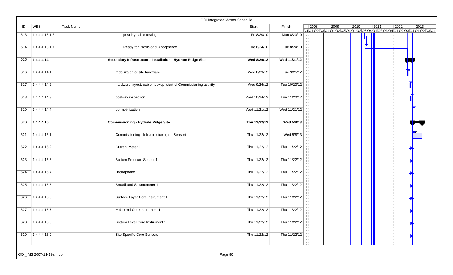|     |                         | OOI Integrated Master Schedule                                 |              |              |                |      |      |                |                |                                                                    |
|-----|-------------------------|----------------------------------------------------------------|--------------|--------------|----------------|------|------|----------------|----------------|--------------------------------------------------------------------|
| ID  | WBS                     | <b>Task Name</b>                                               | Start        | Finish       | $ 2008\rangle$ | 2009 | 2010 | $ 2011\rangle$ | $ 2012\rangle$ | 2013<br>Q401020304010203040102030401020304010203040102030401020304 |
| 613 | 1.4.4.4.13.1.6          | post lay cable testing                                         | Fri 8/20/10  | Mon 8/23/10  |                |      |      |                |                |                                                                    |
| 614 | 1.4.4.4.13.1.7          | Ready for Provisional Acceptance                               | Tue 8/24/10  | Tue 8/24/10  |                |      |      |                |                |                                                                    |
| 615 | 1.4.4.4.14              | Secondary Infrastructure Installation - Hydrate Ridge Site     | Wed 8/29/12  | Wed 11/21/12 |                |      |      |                |                |                                                                    |
| 616 | 1.4.4.4.14.1            | mobilizaion of site hardware                                   | Wed 8/29/12  | Tue 9/25/12  |                |      |      |                |                |                                                                    |
| 617 | 1.4.4.4.14.2            | hardware layout, cable hookup, start of Commissioning activity | Wed 9/26/12  | Tue 10/23/12 |                |      |      |                |                |                                                                    |
| 618 | 1.4.4.4.14.3            | post-lay inspection                                            | Wed 10/24/12 | Tue 11/20/12 |                |      |      |                |                |                                                                    |
| 619 | 1.4.4.4.14.4            | de-mobilization                                                | Wed 11/21/12 | Wed 11/21/12 |                |      |      |                |                |                                                                    |
| 620 | 1.4.4.4.15              | <b>Commissioning - Hydrate Ridge Site</b>                      | Thu 11/22/12 | Wed 5/8/13   |                |      |      |                |                |                                                                    |
| 621 | 1.4.4.4.15.1            | Commissioning - Infrastructure (non Sensor)                    | Thu 11/22/12 | Wed 5/8/13   |                |      |      |                |                |                                                                    |
| 622 | 1.4.4.4.15.2            | <b>Current Meter 1</b>                                         | Thu 11/22/12 | Thu 11/22/12 |                |      |      |                |                |                                                                    |
| 623 | 1.4.4.4.15.3            | Bottom Pressure Sensor 1                                       | Thu 11/22/12 | Thu 11/22/12 |                |      |      |                |                |                                                                    |
| 624 | 1.4.4.4.15.4            | Hydrophone 1                                                   | Thu 11/22/12 | Thu 11/22/12 |                |      |      |                |                |                                                                    |
| 625 | 1.4.4.4.15.5            | <b>Broadband Seismometer 1</b>                                 | Thu 11/22/12 | Thu 11/22/12 |                |      |      |                |                |                                                                    |
| 626 | 1.4.4.4.15.6            | Surface Layer Core Instrument 1                                | Thu 11/22/12 | Thu 11/22/12 |                |      |      |                |                |                                                                    |
| 627 | 1.4.4.4.15.7            | Mid Level Core Instrument 1                                    | Thu 11/22/12 | Thu 11/22/12 |                |      |      |                |                |                                                                    |
| 628 | 1.4.4.4.15.8            | Bottom Level Core Instrument 1                                 | Thu 11/22/12 | Thu 11/22/12 |                |      |      |                |                |                                                                    |
| 629 | 1.4.4.4.15.9            | Site Specific Core Sensors                                     | Thu 11/22/12 | Thu 11/22/12 |                |      |      |                |                |                                                                    |
|     | OOI_IMS 2007-11-19a.mpp | Page 80                                                        |              |              |                |      |      |                |                |                                                                    |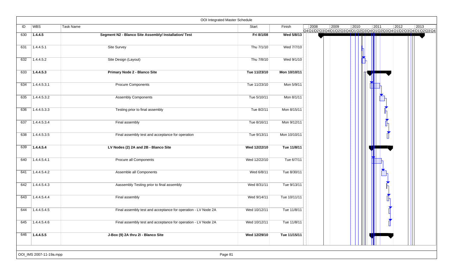|     |                         | OOI Integrated Master Schedule                                |              |              |                |      |                |      |                |                                                                    |
|-----|-------------------------|---------------------------------------------------------------|--------------|--------------|----------------|------|----------------|------|----------------|--------------------------------------------------------------------|
| ID  | <b>WBS</b>              | Task Name                                                     | Start        | Finish       | $ 2008\rangle$ | 2009 | $ 2010\rangle$ | 2011 | $ 2012\rangle$ | 2013<br>Q4Q1Q2Q3Q4Q1Q2Q3Q4Q1Q2Q3Q4Q1Q2Q3Q4Q1Q2Q3Q4Q1Q2Q3Q4Q1Q2Q3Q4 |
| 630 | 1.4.4.5                 | Segment N2 - Blanco Site Assembly/ Installation/ Test         | Fri 8/1/08   | Wed 5/8/13   |                |      |                |      |                |                                                                    |
|     |                         |                                                               |              |              |                |      |                |      |                |                                                                    |
| 631 | 1.4.4.5.1               | Site Survey                                                   | Thu 7/1/10   | Wed 7/7/10   |                |      |                |      |                |                                                                    |
| 632 | 1.4.4.5.2               | Site Design (Layout)                                          | Thu 7/8/10   | Wed 9/1/10   |                |      |                |      |                |                                                                    |
|     |                         |                                                               |              |              |                |      |                |      |                |                                                                    |
| 633 | 1.4.4.5.3               | Primary Node 2 - Blanco Site                                  | Tue 11/23/10 | Mon 10/10/11 |                |      |                |      |                |                                                                    |
| 634 | 1.4.4.5.3.1             | <b>Procure Components</b>                                     | Tue 11/23/10 | Mon 5/9/11   |                |      |                |      |                |                                                                    |
| 635 | 1.4.4.5.3.2             | <b>Assembly Components</b>                                    | Tue 5/10/11  | Mon 8/1/11   |                |      |                |      |                |                                                                    |
|     |                         |                                                               |              |              |                |      |                |      |                |                                                                    |
| 636 | 1.4.4.5.3.3             | Testing prior to final assembly                               | Tue 8/2/11   | Mon 8/15/11  |                |      |                |      |                |                                                                    |
| 637 | 1.4.4.5.3.4             | Final assembly                                                | Tue 8/16/11  | Mon 9/12/11  |                |      |                |      |                |                                                                    |
|     |                         |                                                               |              |              |                |      |                |      |                |                                                                    |
| 638 | 1.4.4.5.3.5             | Final assembly test and acceptance for operation              | Tue 9/13/11  | Mon 10/10/11 |                |      |                |      |                |                                                                    |
| 639 | 1.4.4.5.4               | LV Nodes (2) 2A and 2B - Blanco Site                          | Wed 12/22/10 | Tue 11/8/11  |                |      |                |      |                |                                                                    |
| 640 | 1.4.4.5.4.1             | Procure all Components                                        | Wed 12/22/10 | Tue 6/7/11   |                |      |                |      |                |                                                                    |
|     |                         |                                                               |              |              |                |      |                |      |                |                                                                    |
| 641 | 1.4.4.5.4.2             | Assemble all Components                                       | Wed 6/8/11   | Tue 8/30/11  |                |      |                |      |                |                                                                    |
| 642 | 1.4.4.5.4.3             | Aassembly Testing prior to final assembly                     | Wed 8/31/11  | Tue 9/13/11  |                |      |                |      |                |                                                                    |
| 643 | 1.4.4.5.4.4             | Final assembly                                                | Wed 9/14/11  | Tue 10/11/11 |                |      |                |      |                |                                                                    |
| 644 | 1.4.4.5.4.5             | Final assembly test and acceptance for operation - LV Node 2A | Wed 10/12/11 | Tue 11/8/11  |                |      |                |      |                |                                                                    |
| 645 | 1.4.4.5.4.6             | Final assembly test and acceptance for operation - LV Node 2A | Wed 10/12/11 | Tue 11/8/11  |                |      |                |      |                |                                                                    |
| 646 | 71.4.4.5.5              | J-Box (9) 2A thru 2I - Blanco Site                            | Wed 12/29/10 | Tue 11/15/11 |                |      |                |      |                |                                                                    |
|     |                         |                                                               |              |              |                |      |                |      |                |                                                                    |
|     | OOI_IMS 2007-11-19a.mpp | Page 81                                                       |              |              |                |      |                |      |                |                                                                    |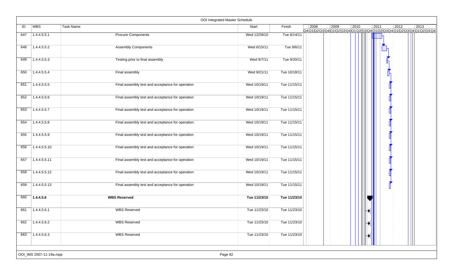|     |                         |                                                  | OOI Integrated Master Schedule |              |      |      |      |      |      |                                                                                   |
|-----|-------------------------|--------------------------------------------------|--------------------------------|--------------|------|------|------|------|------|-----------------------------------------------------------------------------------|
| ID  | <b>WBS</b>              | Task Name                                        | Start                          | Finish       | 2008 | 2009 | 2010 | 2011 | 2012 | 2013<br>Q4Q1\Q2\Q3\Q4\Q1\Q2\Q3\Q4\Q1\Q2\Q3\Q4\Q1\Q2\Q3\Q4\Q1\Q2\Q3\Q4\Q1\Q2\Q3\Q4 |
| 647 | 1.4.4.5.5.1             | <b>Procure Components</b>                        | Wed 12/29/10                   | Tue 6/14/11  |      |      |      |      |      |                                                                                   |
| 648 | 1.4.4.5.5.2             | <b>Assembly Components</b>                       | Wed 6/15/11                    | Tue 9/6/11   |      |      |      |      |      |                                                                                   |
| 649 | 1.4.4.5.5.3             | Testing prior to final assembly                  | Wed 9/7/11                     | Tue 9/20/11  |      |      |      |      |      |                                                                                   |
| 650 | 1.4.4.5.5.4             | Final assembly                                   | Wed 9/21/11                    | Tue 10/18/11 |      |      |      |      |      |                                                                                   |
| 651 | 1.4.4.5.5.5             | Final assembly test and acceptance for operation | Wed 10/19/11                   | Tue 11/15/11 |      |      |      |      |      |                                                                                   |
| 652 | 1.4.4.5.5.6             | Final assembly test and acceptance for operation | Wed 10/19/11                   | Tue 11/15/11 |      |      |      |      |      |                                                                                   |
| 653 | 1.4.4.5.5.7             | Final assembly test and acceptance for operation | Wed 10/19/11                   | Tue 11/15/11 |      |      |      |      |      |                                                                                   |
| 654 | 1.4.4.5.5.8             | Final assembly test and acceptance for operation | Wed 10/19/11                   | Tue 11/15/11 |      |      |      |      |      |                                                                                   |
| 655 | 1.4.4.5.5.9             | Final assembly test and acceptance for operation | Wed 10/19/11                   | Tue 11/15/11 |      |      |      |      |      |                                                                                   |
| 656 | 1.4.4.5.5.10            | Final assembly test and acceptance for operation | Wed 10/19/11                   | Tue 11/15/11 |      |      |      |      |      |                                                                                   |
| 657 | 1.4.4.5.5.11            | Final assembly test and acceptance for operation | Wed 10/19/11                   | Tue 11/15/11 |      |      |      |      |      |                                                                                   |
| 658 | 1.4.4.5.5.12            | Final assembly test and acceptance for operation | Wed 10/19/11                   | Tue 11/15/11 |      |      |      |      |      |                                                                                   |
| 659 | 1.4.4.5.5.13            | Final assembly test and acceptance for operation | Wed 10/19/11                   | Tue 11/15/11 |      |      |      |      |      |                                                                                   |
| 660 | 1.4.4.5.6               | <b>WBS Reserved</b>                              | Tue 11/23/10                   | Tue 11/23/10 |      |      |      |      |      |                                                                                   |
| 661 | 1.4.4.5.6.1             | <b>WBS Reserved</b>                              | Tue 11/23/10                   | Tue 11/23/10 |      |      |      |      |      |                                                                                   |
| 662 | $\sqrt{1.4.4.5.6.2}$    | <b>WBS Reserved</b>                              | Tue 11/23/10                   | Tue 11/23/10 |      |      |      | ₩    |      |                                                                                   |
| 663 | 1.4.4.5.6.3             | <b>WBS Reserved</b>                              | Tue 11/23/10                   | Tue 11/23/10 |      |      |      | Đ    |      |                                                                                   |
|     | OOI_IMS 2007-11-19a.mpp |                                                  | Page 82                        |              |      |      |      |      |      |                                                                                   |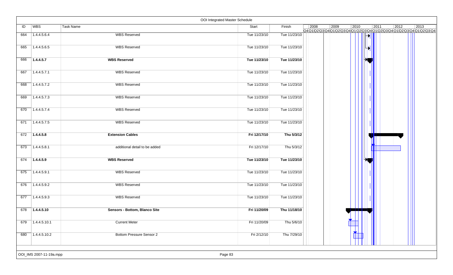|     |                         |                                 | OOI Integrated Master Schedule |              |      |      |                |      |                |                                                                                             |
|-----|-------------------------|---------------------------------|--------------------------------|--------------|------|------|----------------|------|----------------|---------------------------------------------------------------------------------------------|
| ID  | WBS                     | <b>Task Name</b>                | Start                          | Finish       | 2008 | 2009 | $ 2010\rangle$ | 2011 | $\boxed{2012}$ | $ 2013\rangle$<br>Q4Q1\Q2\Q3\Q4\Q1\Q2\Q3\Q4\Q1\Q2\Q3\Q4\Q1\Q2\Q3\Q4\Q1\Q2\Q3\Q4\Q1\Q2\Q3\Q4 |
| 664 | 1.4.4.5.6.4             | <b>WBS Reserved</b>             | Tue 11/23/10                   | Tue 11/23/10 |      |      |                |      |                |                                                                                             |
| 665 | 1.4.4.5.6.5             | <b>WBS Reserved</b>             | Tue 11/23/10                   | Tue 11/23/10 |      |      |                |      |                |                                                                                             |
| 666 | 1.4.4.5.7               | <b>WBS Reserved</b>             | Tue 11/23/10                   | Tue 11/23/10 |      |      |                |      |                |                                                                                             |
| 667 | 7.4.4.5.7.1             | <b>WBS Reserved</b>             | Tue 11/23/10                   | Tue 11/23/10 |      |      |                |      |                |                                                                                             |
| 668 | 1.4.4.5.7.2             | <b>WBS Reserved</b>             | Tue 11/23/10                   | Tue 11/23/10 |      |      |                |      |                |                                                                                             |
| 669 | 1.4.4.5.7.3             | <b>WBS Reserved</b>             | Tue 11/23/10                   | Tue 11/23/10 |      |      |                |      |                |                                                                                             |
| 670 | 1.4.4.5.7.4             | <b>WBS Reserved</b>             | Tue 11/23/10                   | Tue 11/23/10 |      |      |                |      |                |                                                                                             |
| 671 | 1.4.4.5.7.5             | <b>WBS Reserved</b>             | Tue 11/23/10                   | Tue 11/23/10 |      |      |                |      |                |                                                                                             |
| 672 | 71.4.4.5.8              | <b>Extension Cables</b>         | Fri 12/17/10                   | Thu 5/3/12   |      |      |                |      |                |                                                                                             |
| 673 | 1.4.4.5.8.1             | additional detail to be added   | Fri 12/17/10                   | Thu 5/3/12   |      |      |                |      |                |                                                                                             |
| 674 | 1.4.4.5.9               | <b>WBS Reserved</b>             | Tue 11/23/10                   | Tue 11/23/10 |      |      |                |      |                |                                                                                             |
| 675 | 71.4.4.5.9.1            | <b>WBS Reserved</b>             | Tue 11/23/10                   | Tue 11/23/10 |      |      |                |      |                |                                                                                             |
| 676 | 1.4.4.5.9.2             | <b>WBS Reserved</b>             | Tue 11/23/10                   | Tue 11/23/10 |      |      |                |      |                |                                                                                             |
| 677 | 1.4.4.5.9.3             | <b>WBS Reserved</b>             | Tue 11/23/10                   | Tue 11/23/10 |      |      |                |      |                |                                                                                             |
| 678 | 1.4.4.5.10              | Sensors - Bottom, Blanco Site   | Fri 11/20/09                   | Thu 11/18/10 |      |      |                |      |                |                                                                                             |
| 679 | 1.4.4.5.10.1            | <b>Current Meter</b>            | Fri 11/20/09                   | Thu 5/6/10   |      |      |                |      |                |                                                                                             |
| 680 | 1.4.4.5.10.2            | <b>Bottom Pressure Sensor 2</b> | Fri 2/12/10                    | Thu 7/29/10  |      |      |                |      |                |                                                                                             |
|     | OOI_IMS 2007-11-19a.mpp |                                 | Page 83                        |              |      |      |                |      |                |                                                                                             |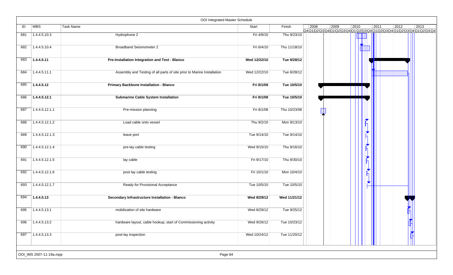|     |                         | OOI Integrated Master Schedule                                         |              |              |      |      |                |                      |      |                |                                                                                   |
|-----|-------------------------|------------------------------------------------------------------------|--------------|--------------|------|------|----------------|----------------------|------|----------------|-----------------------------------------------------------------------------------|
| ID  | <b>WBS</b>              | <b>Task Name</b>                                                       | Start        | Finish       | 2008 | 2009 | $ 2010\rangle$ |                      | 2011 | $ 2012\rangle$ | 2013<br>Q4Q1\Q2\Q3\Q4\Q1\Q2\Q3\Q4\Q1\Q2\Q3\Q4\Q1\Q2\Q3\Q4\Q1\Q2\Q3\Q4\Q1\Q2\Q3\Q4 |
| 681 | 1.4.4.5.10.3            | Hydrophone 2                                                           | Fri 4/9/10   | Thu 9/23/10  |      |      |                |                      |      |                |                                                                                   |
| 682 | 1.4.4.5.10.4            | <b>Broadband Seismometer 2</b>                                         | Fri 6/4/10   | Thu 11/18/10 |      |      |                |                      |      |                |                                                                                   |
| 683 | 1.4.4.5.11              | Pre-Installation Integration and Test - Blanco                         | Wed 12/22/10 | Tue 8/28/12  |      |      |                |                      |      |                |                                                                                   |
| 684 | 1.4.4.5.11.1            | Assembly and Testing of all parts of site prior to Marine Installation | Wed 12/22/10 | Tue 8/28/12  |      |      |                |                      |      |                |                                                                                   |
| 685 | 1.4.4.5.12              | Primary Backbone Installation - Blanco                                 | Fri 8/1/08   | Tue 10/5/10  |      |      |                |                      |      |                |                                                                                   |
| 686 | 1.4.4.5.12.1            | <b>Submarine Cable System Installation</b>                             | Fri 8/1/08   | Tue 10/5/10  |      |      |                |                      |      |                |                                                                                   |
| 687 | 1.4.4.5.12.1.1          | Pre-mission planning                                                   | Fri 8/1/08   | Thu 10/23/08 |      |      |                |                      |      |                |                                                                                   |
| 688 | 1.4.4.5.12.1.2          | Load cable onto vessel                                                 | Thu 9/2/10   | Mon 9/13/10  |      |      |                |                      |      |                |                                                                                   |
| 689 | 1.4.4.5.12.1.3          | leave port                                                             | Tue 9/14/10  | Tue 9/14/10  |      |      |                |                      |      |                |                                                                                   |
| 690 | 1.4.4.5.12.1.4          | pre-lay cable testing                                                  | Wed 9/15/10  | Thu 9/16/10  |      |      |                |                      |      |                |                                                                                   |
| 691 | 1.4.4.5.12.1.5          | lay cable                                                              | Fri 9/17/10  | Thu 9/30/10  |      |      |                |                      |      |                |                                                                                   |
| 692 | 1.4.4.5.12.1.6          | post lay cable testing                                                 | Fri 10/1/10  | Mon 10/4/10  |      |      |                |                      |      |                |                                                                                   |
| 693 | 1.4.4.5.12.1.7          | Ready for Provisional Acceptance                                       | Tue 10/5/10  | Tue 10/5/10  |      |      |                | $\blacktriangledown$ |      |                |                                                                                   |
| 694 | 1.4.4.5.13              | Secondary Infrastructure Installation - Blanco                         | Wed 8/29/12  | Wed 11/21/12 |      |      |                |                      |      |                |                                                                                   |
| 695 | 1.4.4.5.13.1            | mobilization of site hardware                                          | Wed 8/29/12  | Tue 9/25/12  |      |      |                |                      |      |                |                                                                                   |
| 696 | 1.4.4.5.13.2            | hardware layout, cable hookup, start of Commissioning activity         | Wed 9/26/12  | Tue 10/23/12 |      |      |                |                      |      |                | $\mathbf{r}$                                                                      |
| 697 | 1.4.4.5.13.3            | post-lay inspection                                                    | Wed 10/24/12 | Tue 11/20/12 |      |      |                |                      |      |                |                                                                                   |
|     | OOI_IMS 2007-11-19a.mpp | Page 84                                                                |              |              |      |      |                |                      |      |                |                                                                                   |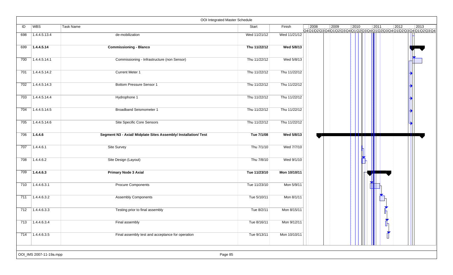|     |                         | OOI Integrated Master Schedule                                  |              |              |      |      |      |      |                |                                                                                   |
|-----|-------------------------|-----------------------------------------------------------------|--------------|--------------|------|------|------|------|----------------|-----------------------------------------------------------------------------------|
| ID  | WBS                     | Task Name                                                       | Start        | Finish       | 2008 | 2009 | 2010 | 2011 | $ 2012\rangle$ | 2013<br>Q4Q1\Q2\Q3\Q4\Q1\Q2\Q3\Q4\Q1\Q2\Q3\Q4\Q1\Q2\Q3\Q4\Q1\Q2\Q3\Q4\Q1\Q2\Q3\Q4 |
| 698 | 1.4.4.5.13.4            | de-mobilization                                                 | Wed 11/21/12 | Wed 11/21/12 |      |      |      |      |                |                                                                                   |
| 699 | 1.4.4.5.14              | <b>Commissioning - Blanco</b>                                   | Thu 11/22/12 | Wed 5/8/13   |      |      |      |      |                |                                                                                   |
| 700 | 1.4.4.5.14.1            | Commissioning - Infrastructure (non Sensor)                     | Thu 11/22/12 | Wed 5/8/13   |      |      |      |      |                |                                                                                   |
| 701 | 1.4.4.5.14.2            | <b>Current Meter 1</b>                                          | Thu 11/22/12 | Thu 11/22/12 |      |      |      |      |                |                                                                                   |
| 702 | 1.4.4.5.14.3            | Bottom Pressure Sensor 1                                        | Thu 11/22/12 | Thu 11/22/12 |      |      |      |      |                |                                                                                   |
| 703 | 1.4.4.5.14.4            | Hydrophone 1                                                    | Thu 11/22/12 | Thu 11/22/12 |      |      |      |      |                |                                                                                   |
| 704 | 1.4.4.5.14.5            | <b>Broadband Seismometer 1</b>                                  | Thu 11/22/12 | Thu 11/22/12 |      |      |      |      |                |                                                                                   |
| 705 | 1.4.4.5.14.6            | Site Specific Core Sensors                                      | Thu 11/22/12 | Thu 11/22/12 |      |      |      |      |                |                                                                                   |
| 706 | 1.4.4.6                 | Segment N3 - Axial/ Midplate Sites Assembly/ Installation/ Test | Tue 7/1/08   | Wed 5/8/13   |      |      |      |      |                |                                                                                   |
| 707 | 1.4.4.6.1               | Site Survey                                                     | Thu 7/1/10   | Wed 7/7/10   |      |      |      |      |                |                                                                                   |
| 708 | 1.4.4.6.2               | Site Design (Layout)                                            | Thu 7/8/10   | Wed 9/1/10   |      |      |      |      |                |                                                                                   |
| 709 | 1.4.4.6.3               | <b>Primary Node 3 Axial</b>                                     | Tue 11/23/10 | Mon 10/10/11 |      |      |      |      |                |                                                                                   |
| 710 | 1.4.4.6.3.1             | <b>Procure Components</b>                                       | Tue 11/23/10 | Mon 5/9/11   |      |      |      |      |                |                                                                                   |
| 711 | 1.4.4.6.3.2             | <b>Assembly Components</b>                                      | Tue 5/10/11  | Mon 8/1/11   |      |      |      |      |                |                                                                                   |
| 712 | 1.4.4.6.3.3             | Testing prior to final assembly                                 | Tue 8/2/11   | Mon 8/15/11  |      |      |      |      |                |                                                                                   |
| 713 | 1.4.4.6.3.4             | Final assembly                                                  | Tue 8/16/11  | Mon 9/12/11  |      |      |      |      |                |                                                                                   |
| 714 | 1.4.4.6.3.5             | Final assembly test and acceptance for operation                | Tue 9/13/11  | Mon 10/10/11 |      |      |      |      |                |                                                                                   |
|     | OOI_IMS 2007-11-19a.mpp | Page 85                                                         |              |              |      |      |      |      |                |                                                                                   |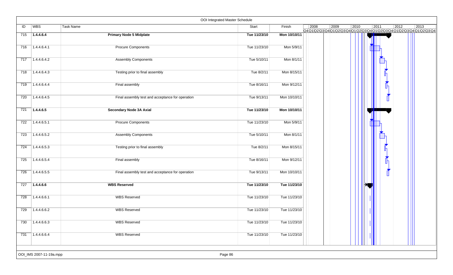|     |                         | OOI Integrated Master Schedule                   |              |              |      |      |      |                |                                                                                           |
|-----|-------------------------|--------------------------------------------------|--------------|--------------|------|------|------|----------------|-------------------------------------------------------------------------------------------|
| ID  | WBS                     | <b>Task Name</b>                                 | Start        | Finish       | 2008 | 2009 | 2010 | $ 2011\rangle$ | 2012<br>2013<br>Q4Q1\Q2\Q3\Q4\Q1\Q2\Q3\Q4\Q1\Q2\Q3\Q4\Q1\Q2\Q3\Q4\Q1\Q2\Q3\Q4\Q1\Q2\Q3\Q4 |
| 715 | 1.4.4.6.4               | <b>Primary Node 5 Midplate</b>                   | Tue 11/23/10 | Mon 10/10/11 |      |      |      |                |                                                                                           |
| 716 | 1.4.4.6.4.1             | <b>Procure Components</b>                        | Tue 11/23/10 | Mon 5/9/11   |      |      |      |                |                                                                                           |
| 717 | 1.4.4.6.4.2             | <b>Assembly Components</b>                       | Tue 5/10/11  | Mon 8/1/11   |      |      |      |                |                                                                                           |
| 718 | $\sqrt{1.4.4.6.4.3}$    | Testing prior to final assembly                  | Tue 8/2/11   | Mon 8/15/11  |      |      |      |                |                                                                                           |
| 719 | 1.4.4.6.4.4             | Final assembly                                   | Tue 8/16/11  | Mon 9/12/11  |      |      |      |                |                                                                                           |
| 720 | 1.4.4.6.4.5             | Final assembly test and acceptance for operation | Tue 9/13/11  | Mon 10/10/11 |      |      |      |                |                                                                                           |
| 721 | 1.4.4.6.5               | <b>Secondary Node 3A Axial</b>                   | Tue 11/23/10 | Mon 10/10/11 |      |      |      |                |                                                                                           |
| 722 | 1.4.4.6.5.1             | <b>Procure Components</b>                        | Tue 11/23/10 | Mon 5/9/11   |      |      |      |                |                                                                                           |
| 723 | 1.4.4.6.5.2             | <b>Assembly Components</b>                       | Tue 5/10/11  | Mon 8/1/11   |      |      |      |                |                                                                                           |
| 724 | 1.4.4.6.5.3             | Testing prior to final assembly                  | Tue 8/2/11   | Mon 8/15/11  |      |      |      |                |                                                                                           |
| 725 | 1.4.4.6.5.4             | Final assembly                                   | Tue 8/16/11  | Mon 9/12/11  |      |      |      |                |                                                                                           |
| 726 | 1.4.4.6.5.5             | Final assembly test and acceptance for operation | Tue 9/13/11  | Mon 10/10/11 |      |      |      |                |                                                                                           |
| 727 | 1.4.4.6.6               | <b>WBS Reserved</b>                              | Tue 11/23/10 | Tue 11/23/10 |      |      |      |                |                                                                                           |
| 728 | 1.4.4.6.6.1             | <b>WBS Reserved</b>                              | Tue 11/23/10 | Tue 11/23/10 |      |      |      |                |                                                                                           |
| 729 | 1.4.4.6.6.2             | <b>WBS Reserved</b>                              | Tue 11/23/10 | Tue 11/23/10 |      |      |      |                |                                                                                           |
| 730 | $\sqrt{1.4.4.6.6.3}$    | <b>WBS Reserved</b>                              | Tue 11/23/10 | Tue 11/23/10 |      |      |      |                |                                                                                           |
| 731 | 1.4.4.6.6.4             | <b>WBS Reserved</b>                              | Tue 11/23/10 | Tue 11/23/10 |      |      |      |                |                                                                                           |
|     | OOI_IMS 2007-11-19a.mpp | Page 86                                          |              |              |      |      |      |                |                                                                                           |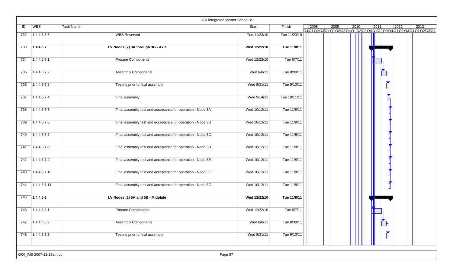|     |                         | OOI Integrated Master Schedule                             |              |              |      |      |      |      |                                                                                  |      |
|-----|-------------------------|------------------------------------------------------------|--------------|--------------|------|------|------|------|----------------------------------------------------------------------------------|------|
| ID  | WBS                     | Task Name                                                  | Start        | Finish       | 2008 | 2009 | 2010 | 2011 | 2012<br>Q4Q1Q2\Q3\Q4\Q1\Q2\Q3\Q4\Q1\Q2\Q3\Q4\Q1\Q2\Q3\Q4\Q1\Q2\Q3\Q4\Q1\Q2\Q3\Q4 | 2013 |
| 732 | 1.4.4.6.6.5             | <b>WBS Reserved</b>                                        | Tue 11/23/10 | Tue 11/23/10 |      |      |      |      |                                                                                  |      |
| 733 | 1.4.4.6.7               | LV Nodes (7) 3A through 3G - Axial                         | Wed 12/22/10 | Tue 11/8/11  |      |      |      |      |                                                                                  |      |
| 734 | 1.4.4.6.7.1             | <b>Procure Components</b>                                  | Wed 12/22/10 | Tue 6/7/11   |      |      |      |      |                                                                                  |      |
| 735 | 1.4.4.6.7.2             | <b>Assembly Components</b>                                 | Wed 6/8/11   | Tue 8/30/11  |      |      |      |      |                                                                                  |      |
| 736 | 1.4.4.6.7.3             | Testing prior to final assembly                            | Wed 8/31/11  | Tue 9/13/11  |      |      |      |      |                                                                                  |      |
| 737 | 1.4.4.6.7.4             | Final assembly                                             | Wed 9/14/11  | Tue 10/11/11 |      |      |      |      |                                                                                  |      |
| 738 | 1.4.4.6.7.5             | Final assembly test and acceptance for operation - Node 3A | Wed 10/12/11 | Tue 11/8/11  |      |      |      |      |                                                                                  |      |
| 739 | 1.4.4.6.7.6             | Final assembly test and acceptance for operation - Node 3B | Wed 10/12/11 | Tue 11/8/11  |      |      |      |      |                                                                                  |      |
| 740 | 1.4.4.6.7.7             | Final assembly test and acceptance for operation - Node 3C | Wed 10/12/11 | Tue 11/8/11  |      |      |      |      |                                                                                  |      |
| 741 | 1.4.4.6.7.8             | Final assembly test and acceptance for operation - Node 3D | Wed 10/12/11 | Tue 11/8/11  |      |      |      |      |                                                                                  |      |
| 742 | 1.4.4.6.7.9             | Final assembly test and acceptance for operation - Node 3E | Wed 10/12/11 | Tue 11/8/11  |      |      |      |      |                                                                                  |      |
| 743 | 1.4.4.6.7.10            | Final assembly test and acceptance for operation - Node 3F | Wed 10/12/11 | Tue 11/8/11  |      |      |      |      |                                                                                  |      |
| 744 | 1.4.4.6.7.11            | Final assembly test and acceptance for operation - Node 3G | Wed 10/12/11 | Tue 11/8/11  |      |      |      |      |                                                                                  |      |
| 745 | 1.4.4.6.8               | LV Nodes (2) 5A and 5B - Midplate                          | Wed 12/22/10 | Tue 11/8/11  |      |      |      |      |                                                                                  |      |
| 746 | 1.4.4.6.8.1             | <b>Procure Components</b>                                  | Wed 12/22/10 | Tue 6/7/11   |      |      |      |      |                                                                                  |      |
| 747 | 1.4.4.6.8.2             | <b>Assembly Components</b>                                 | Wed 6/8/11   | Tue 8/30/11  |      |      |      |      |                                                                                  |      |
| 748 | 1.4.4.6.8.3             | Testing prior to final assembly                            | Wed 8/31/11  | Tue 9/13/11  |      |      |      |      |                                                                                  |      |
|     | OOI_IMS 2007-11-19a.mpp | Page 87                                                    |              |              |      |      |      |      |                                                                                  |      |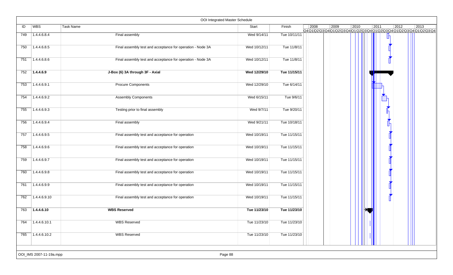|     |                            | OOI Integrated Master Schedule                             |              |              |      |      |      |      |                |                                                                                   |
|-----|----------------------------|------------------------------------------------------------|--------------|--------------|------|------|------|------|----------------|-----------------------------------------------------------------------------------|
| ID  | <b>WBS</b>                 | Task Name                                                  | Start        | Finish       | 2008 | 2009 | 2010 | 2011 | $ 2012\rangle$ | 2013<br>Q4Q1\Q2\Q3\Q4\Q1\Q2\Q3\Q4\Q1\Q2\Q3\Q4\Q1\Q2\Q3\Q4\Q1\Q2\Q3\Q4\Q1\Q2\Q3\Q4 |
| 749 | 1.4.4.6.8.4                | Final assembly                                             | Wed 9/14/11  | Tue 10/11/11 |      |      |      |      |                |                                                                                   |
| 750 | 1.4.4.6.8.5                | Final assembly test and acceptance for operation - Node 3A | Wed 10/12/11 | Tue 11/8/11  |      |      |      |      |                |                                                                                   |
| 751 | 1.4.4.6.8.6                | Final assembly test and acceptance for operation - Node 3A | Wed 10/12/11 | Tue 11/8/11  |      |      |      |      |                |                                                                                   |
| 752 | 1.4.4.6.9                  | J-Box (6) 3A through 3F - Axial                            | Wed 12/29/10 | Tue 11/15/11 |      |      |      |      |                |                                                                                   |
| 753 | 1.4.4.6.9.1                | <b>Procure Components</b>                                  | Wed 12/29/10 | Tue 6/14/11  |      |      |      |      |                |                                                                                   |
| 754 | 1.4.4.6.9.2                | <b>Assembly Components</b>                                 | Wed 6/15/11  | Tue 9/6/11   |      |      |      |      |                |                                                                                   |
| 755 | 1.4.4.6.9.3                | Testing prior to final assembly                            | Wed 9/7/11   | Tue 9/20/11  |      |      |      |      |                |                                                                                   |
| 756 | 1.4.4.6.9.4                | Final assembly                                             | Wed 9/21/11  | Tue 10/18/11 |      |      |      |      |                |                                                                                   |
| 757 | 1.4.4.6.9.5                | Final assembly test and acceptance for operation           | Wed 10/19/11 | Tue 11/15/11 |      |      |      |      |                |                                                                                   |
| 758 | 1.4.4.6.9.6                | Final assembly test and acceptance for operation           | Wed 10/19/11 | Tue 11/15/11 |      |      |      |      |                |                                                                                   |
| 759 | 1.4.4.6.9.7                | Final assembly test and acceptance for operation           | Wed 10/19/11 | Tue 11/15/11 |      |      |      |      |                |                                                                                   |
| 760 | 1.4.4.6.9.8                | Final assembly test and acceptance for operation           | Wed 10/19/11 | Tue 11/15/11 |      |      |      |      |                |                                                                                   |
| 761 | 1.4.4.6.9.9                | Final assembly test and acceptance for operation           | Wed 10/19/11 | Tue 11/15/11 |      |      |      |      |                |                                                                                   |
| 762 | 1.4.4.6.9.10               | Final assembly test and acceptance for operation           | Wed 10/19/11 | Tue 11/15/11 |      |      |      |      |                |                                                                                   |
| 763 | 1.4.4.6.10                 | <b>WBS Reserved</b>                                        | Tue 11/23/10 | Tue 11/23/10 |      |      |      |      |                |                                                                                   |
| 764 | 1.4.4.6.10.1               | <b>WBS Reserved</b>                                        | Tue 11/23/10 | Tue 11/23/10 |      |      |      |      |                |                                                                                   |
| 765 | $\overline{)1.4.4.6.10.2}$ | <b>WBS Reserved</b>                                        | Tue 11/23/10 | Tue 11/23/10 |      |      |      |      |                |                                                                                   |
|     | OOI_IMS 2007-11-19a.mpp    | Page 88                                                    |              |              |      |      |      |      |                |                                                                                   |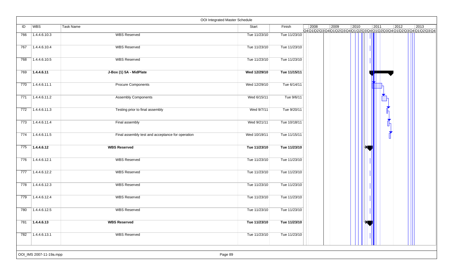|                  |                            |                                                  | OOI Integrated Master Schedule |              |                |      |      |                        |                                                                                   |
|------------------|----------------------------|--------------------------------------------------|--------------------------------|--------------|----------------|------|------|------------------------|-----------------------------------------------------------------------------------|
| ID               | WBS                        | Task Name                                        | Start                          | Finish       | $ 2008\rangle$ | 2009 | 2010 | 2011<br>$\boxed{2012}$ | 2013<br>Q4Q1\Q2\Q3\Q4\Q1\Q2\Q3\Q4\Q1\Q2\Q3\Q4\Q1\Q2\Q3\Q4\Q1\Q2\Q3\Q4\Q1\Q2\Q3\Q4 |
| 766              | 1.4.4.6.10.3               | <b>WBS Reserved</b>                              | Tue 11/23/10                   | Tue 11/23/10 |                |      |      |                        |                                                                                   |
| 767              | 71.4.4.6.10.4              | <b>WBS Reserved</b>                              | Tue 11/23/10                   | Tue 11/23/10 |                |      |      |                        |                                                                                   |
| 768              | 1.4.4.6.10.5               | <b>WBS Reserved</b>                              | Tue 11/23/10                   | Tue 11/23/10 |                |      |      |                        |                                                                                   |
| 769              | 1.4.4.6.11                 | J-Box (1) 5A - MidPlate                          | Wed 12/29/10                   | Tue 11/15/11 |                |      |      |                        |                                                                                   |
| 770              | 1.4.4.6.11.1               | <b>Procure Components</b>                        | Wed 12/29/10                   | Tue 6/14/11  |                |      |      |                        |                                                                                   |
| 771              | 1.4.4.6.11.2               | <b>Assembly Components</b>                       | Wed 6/15/11                    | Tue 9/6/11   |                |      |      |                        |                                                                                   |
| 772              | 1.4.4.6.11.3               | Testing prior to final assembly                  | Wed 9/7/11                     | Tue 9/20/11  |                |      |      |                        |                                                                                   |
| 773              | 1.4.4.6.11.4               | Final assembly                                   | Wed 9/21/11                    | Tue 10/18/11 |                |      |      |                        |                                                                                   |
| 774              | $\sqrt{1.4.4.6.11.5}$      | Final assembly test and acceptance for operation | Wed 10/19/11                   | Tue 11/15/11 |                |      |      |                        |                                                                                   |
| 775              | 1.4.4.6.12                 | <b>WBS Reserved</b>                              | Tue 11/23/10                   | Tue 11/23/10 |                |      |      |                        |                                                                                   |
| 776              | 1.4.4.6.12.1               | <b>WBS Reserved</b>                              | Tue 11/23/10                   | Tue 11/23/10 |                |      |      |                        |                                                                                   |
| $\overline{777}$ | $\overline{)1.4.4.6.12.2}$ | <b>WBS Reserved</b>                              | Tue 11/23/10                   | Tue 11/23/10 |                |      |      |                        |                                                                                   |
| 778              | 1.4.4.6.12.3               | <b>WBS Reserved</b>                              | Tue 11/23/10                   | Tue 11/23/10 |                |      |      |                        |                                                                                   |
| 779              | 1.4.4.6.12.4               | <b>WBS Reserved</b>                              | Tue 11/23/10                   | Tue 11/23/10 |                |      |      |                        |                                                                                   |
| 780              | 1.4.4.6.12.5               | <b>WBS Reserved</b>                              | Tue 11/23/10                   | Tue 11/23/10 |                |      |      |                        |                                                                                   |
| 781              | 7.4.4.6.13                 | <b>WBS Reserved</b>                              | Tue 11/23/10                   | Tue 11/23/10 |                |      |      |                        |                                                                                   |
| 782              | 1.4.4.6.13.1               | <b>WBS Reserved</b>                              | Tue 11/23/10                   | Tue 11/23/10 |                |      |      |                        |                                                                                   |
|                  | OOI_IMS 2007-11-19a.mpp    |                                                  | Page 89                        |              |                |      |      |                        |                                                                                   |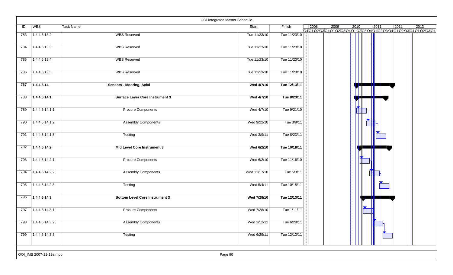|     |                         |                                        | OOI Integrated Master Schedule |              |                |      |      |      |      |                                                                    |
|-----|-------------------------|----------------------------------------|--------------------------------|--------------|----------------|------|------|------|------|--------------------------------------------------------------------|
| ID  | <b>WBS</b>              | Task Name                              | Start                          | Finish       | $ 2008\rangle$ | 2009 | 2010 | 2011 | 2012 | 2013<br>Q4Q1Q2Q3Q4Q1Q2Q3Q4Q1Q2Q3Q4Q1Q2Q3Q4Q1Q2Q3Q4Q1Q2Q3Q4Q1Q2Q3Q4 |
| 783 | 1.4.4.6.13.2            | <b>WBS Reserved</b>                    | Tue 11/23/10                   | Tue 11/23/10 |                |      |      |      |      |                                                                    |
| 784 | 1.4.4.6.13.3            | <b>WBS Reserved</b>                    | Tue 11/23/10                   | Tue 11/23/10 |                |      |      |      |      |                                                                    |
| 785 | 1.4.4.6.13.4            | <b>WBS Reserved</b>                    | Tue 11/23/10                   | Tue 11/23/10 |                |      |      |      |      |                                                                    |
| 786 | 1.4.4.6.13.5            | <b>WBS Reserved</b>                    | Tue 11/23/10                   | Tue 11/23/10 |                |      |      |      |      |                                                                    |
| 787 | 1.4.4.6.14              | <b>Sensors - Mooring, Axial</b>        | Wed 4/7/10                     | Tue 12/13/11 |                |      |      |      |      |                                                                    |
| 788 | 1.4.4.6.14.1            | <b>Surface Layer Core Instrument 3</b> | Wed 4/7/10                     | Tue 8/23/11  |                |      |      |      |      |                                                                    |
| 789 | 1.4.4.6.14.1.1          | <b>Procure Components</b>              | Wed 4/7/10                     | Tue 9/21/10  |                |      |      |      |      |                                                                    |
| 790 | 1.4.4.6.14.1.2          | <b>Assembly Components</b>             | Wed 9/22/10                    | Tue 3/8/11   |                |      |      |      |      |                                                                    |
| 791 | 1.4.4.6.14.1.3          | Testing                                | Wed 3/9/11                     | Tue 8/23/11  |                |      |      |      |      |                                                                    |
| 792 | 1.4.4.6.14.2            | Mid Level Core Instrument 3            | Wed 6/2/10                     | Tue 10/18/11 |                |      |      |      |      |                                                                    |
| 793 | 1.4.4.6.14.2.1          | <b>Procure Components</b>              | Wed 6/2/10                     | Tue 11/16/10 |                |      |      |      |      |                                                                    |
| 794 | 1.4.4.6.14.2.2          | <b>Assembly Components</b>             | Wed 11/17/10                   | Tue 5/3/11   |                |      |      |      |      |                                                                    |
| 795 | 1.4.4.6.14.2.3          | Testing                                | Wed 5/4/11                     | Tue 10/18/11 |                |      |      |      |      |                                                                    |
| 796 | 1.4.4.6.14.3            | <b>Bottom Level Core Instrument 3</b>  | Wed 7/28/10                    | Tue 12/13/11 |                |      |      |      |      |                                                                    |
| 797 | 1.4.4.6.14.3.1          | <b>Procure Components</b>              | Wed 7/28/10                    | Tue 1/11/11  |                |      |      |      |      |                                                                    |
| 798 | 1.4.4.6.14.3.2          | <b>Assembly Components</b>             | Wed 1/12/11                    | Tue 6/28/11  |                |      |      |      |      |                                                                    |
| 799 | 1.4.4.6.14.3.3          | Testing                                | Wed 6/29/11                    | Tue 12/13/11 |                |      |      |      |      |                                                                    |
|     | OOI_IMS 2007-11-19a.mpp |                                        | Page 90                        |              |                |      |      |      |      |                                                                    |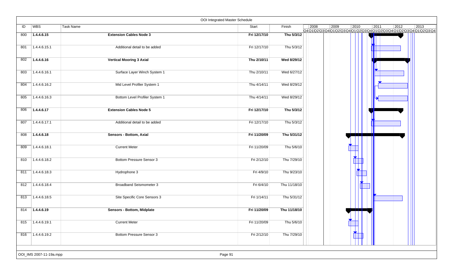|     |                         |                                 | OOI Integrated Master Schedule |              |      |                                                                                                |      |      |                |                |
|-----|-------------------------|---------------------------------|--------------------------------|--------------|------|------------------------------------------------------------------------------------------------|------|------|----------------|----------------|
| ID  | <b>WBS</b>              | <b>Task Name</b>                | Start                          | Finish       | 2008 | 2009<br>Q4 Q1 Q2 Q3 Q4 Q1 Q2 Q3 Q4 Q1 Q2 Q3 Q4 Q1 Q2 Q3 Q4 Q1 Q2 Q3 Q4 Q1 Q2 Q3 Q4 Q1 Q2 Q3 Q4 | 2010 | 2011 | $ 2012\rangle$ | $ 2013\rangle$ |
| 800 | 1.4.4.6.15              | <b>Extension Cables Node 3</b>  | Fri 12/17/10                   | Thu 5/3/12   |      |                                                                                                |      |      |                |                |
| 801 | 1.4.4.6.15.1            | Additional detail to be added   | Fri 12/17/10                   | Thu 5/3/12   |      |                                                                                                |      |      |                |                |
| 802 | 1.4.4.6.16              | <b>Vertical Mooring 3 Axial</b> | Thu 2/10/11                    | Wed 8/29/12  |      |                                                                                                |      |      |                |                |
| 803 | 1.4.4.6.16.1            | Surface Layer Winch System 1    | Thu 2/10/11                    | Wed 6/27/12  |      |                                                                                                |      |      |                |                |
| 804 | 1.4.4.6.16.2            | Mid Level Profiler System 1     | Thu 4/14/11                    | Wed 8/29/12  |      |                                                                                                |      |      |                |                |
| 805 | 1.4.4.6.16.3            | Bottom Level Profiler System 1  | Thu 4/14/11                    | Wed 8/29/12  |      |                                                                                                |      |      |                |                |
| 806 | 1.4.4.6.17              | <b>Extension Cables Node 5</b>  | Fri 12/17/10                   | Thu 5/3/12   |      |                                                                                                |      |      |                |                |
| 807 | 1.4.4.6.17.1            | Additional detail to be added   | Fri 12/17/10                   | Thu 5/3/12   |      |                                                                                                |      |      |                |                |
| 808 | 1.4.4.6.18              | Sensors - Bottom, Axial         | Fri 11/20/09                   | Thu 5/31/12  |      |                                                                                                |      |      |                |                |
| 809 | 1.4.4.6.18.1            | <b>Current Meter</b>            | Fri 11/20/09                   | Thu 5/6/10   |      |                                                                                                |      |      |                |                |
| 810 | 1.4.4.6.18.2            | Bottom Pressure Sensor 3        | Fri 2/12/10                    | Thu 7/29/10  |      |                                                                                                |      |      |                |                |
| 811 | 1.4.4.6.18.3            | Hydrophone 3                    | Fri 4/9/10                     | Thu 9/23/10  |      |                                                                                                |      |      |                |                |
| 812 | 1.4.4.6.18.4            | <b>Broadband Seismometer 3</b>  | Fri 6/4/10                     | Thu 11/18/10 |      |                                                                                                |      |      |                |                |
| 813 | 1.4.4.6.18.5            | Site Specific Core Sensors 3    | Fri 1/14/11                    | Thu 5/31/12  |      |                                                                                                |      |      |                |                |
| 814 | 1.4.4.6.19              | Sensors - Bottom, Midplate      | Fri 11/20/09                   | Thu 11/18/10 |      |                                                                                                |      |      |                |                |
| 815 | $\boxed{1.4.4.6.19.1}$  | <b>Current Meter</b>            | Fri 11/20/09                   | Thu 5/6/10   |      |                                                                                                |      |      |                |                |
|     | $816$ 1.4.4.6.19.2      | Bottom Pressure Sensor 3        | Fri 2/12/10                    | Thu 7/29/10  |      |                                                                                                |      |      |                |                |
|     | OOI_IMS 2007-11-19a.mpp |                                 | Page 91                        |              |      |                                                                                                |      |      |                |                |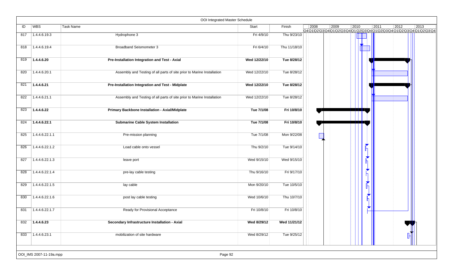|     |                         | OOI Integrated Master Schedule                                         |              |              |      |      |                |        |      |                                                       |
|-----|-------------------------|------------------------------------------------------------------------|--------------|--------------|------|------|----------------|--------|------|-------------------------------------------------------|
| ID  | WBS                     | Task Name                                                              | Start        | Finish       | 2008 | 2009 | $ 2010\rangle$ | 2011   | 2012 | 2013<br>Q4Q1Q2Q3Q4Q1Q2Q3Q4Q1Q2Q3Q4Q1JQ2Q3Q4Q1Q2Q3Q4Q1 |
| 817 | 1.4.4.6.19.3            | Hydrophone 3                                                           | Fri 4/9/10   | Thu 9/23/10  |      |      |                |        |      |                                                       |
| 818 | 1.4.4.6.19.4            | <b>Broadband Seismometer 3</b>                                         | Fri 6/4/10   | Thu 11/18/10 |      |      |                |        |      |                                                       |
| 819 | 1.4.4.6.20              | Pre-Installation Integration and Test - Axial                          | Wed 12/22/10 | Tue 8/28/12  |      |      |                |        |      |                                                       |
| 820 | 1.4.4.6.20.1            | Assembly and Testing of all parts of site prior to Marine Installation | Wed 12/22/10 | Tue 8/28/12  |      |      |                |        |      |                                                       |
| 821 | 1.4.4.6.21              | Pre-Installation Integration and Test - Midplate                       | Wed 12/22/10 | Tue 8/28/12  |      |      |                |        |      |                                                       |
| 822 | 1.4.4.6.21.1            | Assembly and Testing of all parts of site prior to Marine Installation | Wed 12/22/10 | Tue 8/28/12  |      |      |                |        |      |                                                       |
| 823 | 1.4.4.6.22              | Primary Backbone Installation - Axial/Midplate                         | Tue 7/1/08   | Fri 10/8/10  |      |      |                |        |      |                                                       |
| 824 | 1.4.4.6.22.1            | <b>Submarine Cable System Installation</b>                             | Tue 7/1/08   | Fri 10/8/10  |      |      |                |        |      |                                                       |
| 825 | 1.4.4.6.22.1.1          | Pre-mission planning                                                   | Tue 7/1/08   | Mon 9/22/08  |      |      |                |        |      |                                                       |
| 826 | 1.4.4.6.22.1.2          | Load cable onto vessel                                                 | Thu 9/2/10   | Tue 9/14/10  |      |      |                | ▼      |      |                                                       |
| 827 | 1.4.4.6.22.1.3          | leave port                                                             | Wed 9/15/10  | Wed 9/15/10  |      |      |                | N<br>n |      |                                                       |
| 828 | 1.4.4.6.22.1.4          | pre-lay cable testing                                                  | Thu 9/16/10  | Fri 9/17/10  |      |      |                | ◥<br>Л |      |                                                       |
| 829 | 1.4.4.6.22.1.5          | lay cable                                                              | Mon 9/20/10  | Tue 10/5/10  |      |      |                |        |      |                                                       |
| 830 | 1.4.4.6.22.1.6          | post lay cable testing                                                 | Wed 10/6/10  | Thu 10/7/10  |      |      |                |        |      |                                                       |
| 831 | 1.4.4.6.22.1.7          | Ready for Provisional Acceptance                                       | Fri 10/8/10  | Fri 10/8/10  |      |      |                |        |      |                                                       |
| 832 | 1.4.4.6.23              | Secondary Infrastructure Installation - Axial                          | Wed 8/29/12  | Wed 11/21/12 |      |      |                |        |      |                                                       |
| 833 | 71.4.4.6.23.1           | mobilization of site hardware                                          | Wed 8/29/12  | Tue 9/25/12  |      |      |                |        |      |                                                       |
|     | OOI_IMS 2007-11-19a.mpp | Page 92                                                                |              |              |      |      |                |        |      |                                                       |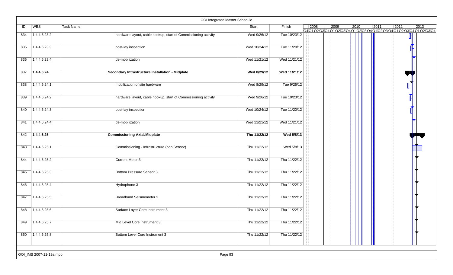|     |                         | OOI Integrated Master Schedule                                 |              |              |      |      |                                                                                           |      |                |      |
|-----|-------------------------|----------------------------------------------------------------|--------------|--------------|------|------|-------------------------------------------------------------------------------------------|------|----------------|------|
| ID  | WBS                     | Task Name                                                      | Start        | Finish       | 2008 | 2009 | $ 2010\rangle$<br>Q4Q1Q2\Q3\Q4\Q1\Q2\Q3\Q4\Q1\Q2\Q3\Q4\Q1\Q2\Q3\Q4\Q1\Q2\Q3\Q4Q1\Q2\Q3\Q4 | 2011 | $\boxed{2012}$ | 2013 |
| 834 | 1.4.4.6.23.2            | hardware layout, cable hookup, start of Commissioning activity | Wed 9/26/12  | Tue 10/23/12 |      |      |                                                                                           |      |                |      |
| 835 | 1.4.4.6.23.3            | post-lay inspection                                            | Wed 10/24/12 | Tue 11/20/12 |      |      |                                                                                           |      |                |      |
| 836 | 1.4.4.6.23.4            | de-mobilization                                                | Wed 11/21/12 | Wed 11/21/12 |      |      |                                                                                           |      |                |      |
| 837 | 1.4.4.6.24              | Secondary Infrastructure Installation - Midplate               | Wed 8/29/12  | Wed 11/21/12 |      |      |                                                                                           |      |                |      |
| 838 | 1.4.4.6.24.1            | mobilization of site hardware                                  | Wed 8/29/12  | Tue 9/25/12  |      |      |                                                                                           |      |                |      |
| 839 | 1.4.4.6.24.2            | hardware layout, cable hookup, start of Commissioning activity | Wed 9/26/12  | Tue 10/23/12 |      |      |                                                                                           |      |                |      |
| 840 | 1.4.4.6.24.3            | post-lay inspection                                            | Wed 10/24/12 | Tue 11/20/12 |      |      |                                                                                           |      |                |      |
| 841 | 1.4.4.6.24.4            | de-mobilization                                                | Wed 11/21/12 | Wed 11/21/12 |      |      |                                                                                           |      |                |      |
| 842 | 1.4.4.6.25              | <b>Commissioning Axial/Midplate</b>                            | Thu 11/22/12 | Wed 5/8/13   |      |      |                                                                                           |      |                |      |
| 843 | 1.4.4.6.25.1            | Commissioning - Infrastructure (non Sensor)                    | Thu 11/22/12 | Wed 5/8/13   |      |      |                                                                                           |      |                |      |
| 844 | 1.4.4.6.25.2            | <b>Current Meter 3</b>                                         | Thu 11/22/12 | Thu 11/22/12 |      |      |                                                                                           |      |                |      |
| 845 | 1.4.4.6.25.3            | Bottom Pressure Sensor 3                                       | Thu 11/22/12 | Thu 11/22/12 |      |      |                                                                                           |      |                |      |
| 846 | 1.4.4.6.25.4            | Hydrophone 3                                                   | Thu 11/22/12 | Thu 11/22/12 |      |      |                                                                                           |      |                |      |
| 847 | 1.4.4.6.25.5            | <b>Broadband Seismometer 3</b>                                 | Thu 11/22/12 | Thu 11/22/12 |      |      |                                                                                           |      |                |      |
| 848 | 1.4.4.6.25.6            | Surface Layer Core Instrument 3                                | Thu 11/22/12 | Thu 11/22/12 |      |      |                                                                                           |      |                |      |
| 849 | 1.4.4.6.25.7            | Mid Level Core Instrument 3                                    | Thu 11/22/12 | Thu 11/22/12 |      |      |                                                                                           |      |                |      |
| 850 | 1.4.4.6.25.8            | <b>Bottom Level Core Instrument 3</b>                          | Thu 11/22/12 | Thu 11/22/12 |      |      |                                                                                           |      |                |      |
|     |                         |                                                                |              |              |      |      |                                                                                           |      |                |      |
|     | OOI_IMS 2007-11-19a.mpp | Page 93                                                        |              |              |      |      |                                                                                           |      |                |      |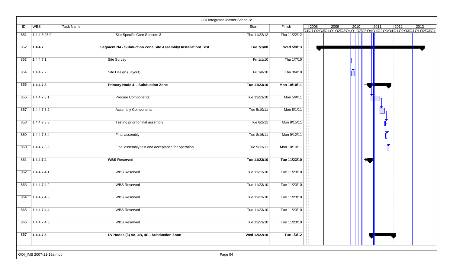|     |                         | OOI Integrated Master Schedule                                 |              |              |      |      |                |      |      |                                                                    |
|-----|-------------------------|----------------------------------------------------------------|--------------|--------------|------|------|----------------|------|------|--------------------------------------------------------------------|
| ID  | WBS                     | Task Name                                                      | Start        | Finish       | 2008 | 2009 | $ 2010\rangle$ | 2011 | 2012 | 2013<br>Q4Q1Q2Q3Q4Q1Q2Q3Q4Q1Q2Q3Q4Q1Q2Q3Q4Q1Q2Q3Q4Q1Q2Q3Q4Q1Q2Q3Q4 |
| 851 | 1.4.4.6.25.9            | Site Specific Core Sensors 3                                   | Thu 11/22/12 | Thu 11/22/12 |      |      |                |      |      |                                                                    |
| 852 | 1.4.4.7                 | Segment N4 - Subduction Zone Site Assembly/ Installation/ Test | Tue 7/1/08   | Wed 5/8/13   |      |      |                |      |      |                                                                    |
| 853 | 1.4.4.7.1               | Site Survey                                                    | Fri 1/1/10   | Thu 1/7/10   |      |      |                |      |      |                                                                    |
| 854 | 1.4.4.7.2               | Site Design (Layout)                                           | Fri 1/8/10   | Thu 3/4/10   |      |      |                |      |      |                                                                    |
| 855 | 1.4.4.7.3               | <b>Primary Node 4 - Subduction Zone</b>                        | Tue 11/23/10 | Mon 10/10/11 |      |      |                |      |      |                                                                    |
| 856 | 1.4.4.7.3.1             | <b>Procure Components</b>                                      | Tue 11/23/10 | Mon 5/9/11   |      |      |                |      |      |                                                                    |
| 857 | 1.4.4.7.3.2             | <b>Assembly Components</b>                                     | Tue 5/10/11  | Mon 8/1/11   |      |      |                |      |      |                                                                    |
| 858 | 1.4.4.7.3.3             | Testing prior to final assembly                                | Tue 8/2/11   | Mon 8/15/11  |      |      |                |      |      |                                                                    |
| 859 | 1.4.4.7.3.4             | Final assembly                                                 | Tue 8/16/11  | Mon 9/12/11  |      |      |                |      |      |                                                                    |
| 860 | 1.4.4.7.3.5             | Final assembly test and acceptance for operation               | Tue 9/13/11  | Mon 10/10/11 |      |      |                |      |      |                                                                    |
| 861 | 1.4.4.7.4               | <b>WBS Reserved</b>                                            | Tue 11/23/10 | Tue 11/23/10 |      |      |                |      |      |                                                                    |
| 862 | 1.4.4.7.4.1             | <b>WBS Reserved</b>                                            | Tue 11/23/10 | Tue 11/23/10 |      |      |                |      |      |                                                                    |
| 863 | 1.4.4.7.4.2             | <b>WBS Reserved</b>                                            | Tue 11/23/10 | Tue 11/23/10 |      |      |                |      |      |                                                                    |
| 864 | 1.4.4.7.4.3             | <b>WBS Reserved</b>                                            | Tue 11/23/10 | Tue 11/23/10 |      |      |                |      |      |                                                                    |
| 865 | 1.4.4.7.4.4             | <b>WBS Reserved</b>                                            | Tue 11/23/10 | Tue 11/23/10 |      |      |                |      |      |                                                                    |
| 866 | 1.4.4.7.4.5             | <b>WBS Reserved</b>                                            | Tue 11/23/10 | Tue 11/23/10 |      |      |                |      |      |                                                                    |
| 867 | 1.4.4.7.5               | LV Nodes (3) 4A, 4B, 4C - Subduction Zone                      | Wed 12/22/10 | Tue 1/3/12   |      |      |                |      |      |                                                                    |
|     | OOI_IMS 2007-11-19a.mpp | Page 94                                                        |              |              |      |      |                |      |      |                                                                    |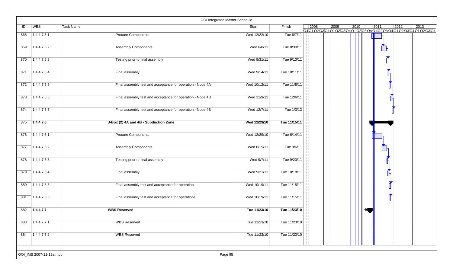|     |                           | OOI Integrated Master Schedule                             |              |              |      |                                                                                   |      |      |                |      |
|-----|---------------------------|------------------------------------------------------------|--------------|--------------|------|-----------------------------------------------------------------------------------|------|------|----------------|------|
| ID  | WBS                       | Task Name                                                  | Start        | Finish       | 2008 | 2009<br>Q4Q1\Q2\Q3\Q4\Q1\Q2\Q3\Q4\Q1\Q2\Q3\Q4\Q1\Q2\Q3\Q4\Q1\Q2\Q3\Q4\Q1\Q2\Q3\Q4 | 2010 | 2011 | $ 2012\rangle$ | 2013 |
| 868 | 1.4.4.7.5.1               | <b>Procure Components</b>                                  | Wed 12/22/10 | Tue 6/7/11   |      |                                                                                   |      |      |                |      |
| 869 | 1.4.4.7.5.2               | <b>Assembly Components</b>                                 | Wed 6/8/11   | Tue 8/30/11  |      |                                                                                   |      |      |                |      |
| 870 | 1.4.4.7.5.3               | Testing prior to final assembly                            | Wed 8/31/11  | Tue 9/13/11  |      |                                                                                   |      |      |                |      |
| 871 | 1.4.4.7.5.4               | Final assembly                                             | Wed 9/14/11  | Tue 10/11/11 |      |                                                                                   |      |      |                |      |
| 872 | 1.4.4.7.5.5               | Final assembly test and acceptance for operation - Node 4A | Wed 10/12/11 | Tue 11/8/11  |      |                                                                                   |      |      |                |      |
| 873 | 1.4.4.7.5.6               | Final assembly test and acceptance for operation - Node 4B | Wed 11/9/11  | Tue 12/6/11  |      |                                                                                   |      |      |                |      |
| 874 | 1.4.4.7.5.7               | Final assembly test and acceptance for operation - Node 4B | Wed 12/7/11  | Tue 1/3/12   |      |                                                                                   |      |      |                |      |
| 875 | 1.4.4.7.6                 | J-Box (2) 4A and 4B - Subduction Zone                      | Wed 12/29/10 | Tue 11/15/11 |      |                                                                                   |      |      |                |      |
| 876 | 1.4.4.7.6.1               | <b>Procure Components</b>                                  | Wed 12/29/10 | Tue 6/14/11  |      |                                                                                   |      |      |                |      |
| 877 | 1.4.4.7.6.2               | <b>Assembly Components</b>                                 | Wed 6/15/11  | Tue 9/6/11   |      |                                                                                   |      |      |                |      |
| 878 | 1.4.4.7.6.3               | Testing prior to final assembly                            | Wed 9/7/11   | Tue 9/20/11  |      |                                                                                   |      |      |                |      |
| 879 | 1.4.4.7.6.4               | Final assembly                                             | Wed 9/21/11  | Tue 10/18/11 |      |                                                                                   |      |      |                |      |
| 880 | 1.4.4.7.6.5               | Final assembly test and acceptance for operation           | Wed 10/19/11 | Tue 11/15/11 |      |                                                                                   |      |      |                |      |
| 881 | 1.4.4.7.6.6               | Final assembly test and acceptance for operations          | Wed 10/19/11 | Tue 11/15/11 |      |                                                                                   |      |      |                |      |
| 882 | 1.4.4.7.7                 | <b>WBS Reserved</b>                                        | Tue 11/23/10 | Tue 11/23/10 |      |                                                                                   |      |      |                |      |
| 883 | 1.4.4.7.7.1               | <b>WBS Reserved</b>                                        | Tue 11/23/10 | Tue 11/23/10 |      |                                                                                   |      |      |                |      |
| 884 | $\overline{)1.4.4.7.7.2}$ | <b>WBS Reserved</b>                                        | Tue 11/23/10 | Tue 11/23/10 |      |                                                                                   |      |      |                |      |
|     | OOI_IMS 2007-11-19a.mpp   | Page 95                                                    |              |              |      |                                                                                   |      |      |                |      |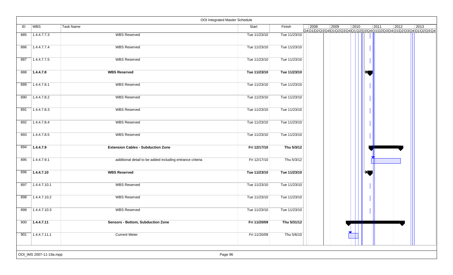|     |              |                                                           | OOI Integrated Master Schedule |              |                |                                                                                   |      |       |      |                |      |
|-----|--------------|-----------------------------------------------------------|--------------------------------|--------------|----------------|-----------------------------------------------------------------------------------|------|-------|------|----------------|------|
| ID  | <b>WBS</b>   | Task Name                                                 | Start                          | Finish       | $\boxed{2008}$ | 2009<br>Q4Q1\Q2\Q3\Q4\Q1\Q2\Q3\Q4\Q1\Q2\Q3\Q4\Q1\Q2\Q3\Q4\Q1\Q2\Q3\Q4\Q1\Q2\Q3\Q4 | 2010 |       | 2011 | $ 2012\rangle$ | 2013 |
| 885 | 1.4.4.7.7.3  | <b>WBS Reserved</b>                                       | Tue 11/23/10                   | Tue 11/23/10 |                |                                                                                   |      |       |      |                |      |
| 886 | 1.4.4.7.7.4  | <b>WBS Reserved</b>                                       | Tue 11/23/10                   | Tue 11/23/10 |                |                                                                                   |      |       |      |                |      |
| 887 | 1.4.4.7.7.5  | <b>WBS Reserved</b>                                       | Tue 11/23/10                   | Tue 11/23/10 |                |                                                                                   |      |       |      |                |      |
|     |              |                                                           |                                |              |                |                                                                                   |      |       |      |                |      |
| 888 | 1.4.4.7.8    | <b>WBS Reserved</b>                                       | Tue 11/23/10                   | Tue 11/23/10 |                |                                                                                   |      |       |      |                |      |
| 889 | 1.4.4.7.8.1  | <b>WBS Reserved</b>                                       | Tue 11/23/10                   | Tue 11/23/10 |                |                                                                                   |      |       |      |                |      |
| 890 | 1.4.4.7.8.2  | <b>WBS Reserved</b>                                       | Tue 11/23/10                   | Tue 11/23/10 |                |                                                                                   |      |       |      |                |      |
| 891 | 1.4.4.7.8.3  | <b>WBS Reserved</b>                                       | Tue 11/23/10                   | Tue 11/23/10 |                |                                                                                   |      |       |      |                |      |
| 892 | 1.4.4.7.8.4  | <b>WBS Reserved</b>                                       | Tue 11/23/10                   | Tue 11/23/10 |                |                                                                                   |      |       |      |                |      |
| 893 | 1.4.4.7.8.5  | <b>WBS Reserved</b>                                       | Tue 11/23/10                   | Tue 11/23/10 |                |                                                                                   |      |       |      |                |      |
| 894 | 1.4.4.7.9    | <b>Extension Cables - Subduction Zone</b>                 | Fri 12/17/10                   | Thu 5/3/12   |                |                                                                                   |      |       |      |                |      |
| 895 | 1.4.4.7.9.1  | additional detail to be added including entrance criteria | Fri 12/17/10                   | Thu 5/3/12   |                |                                                                                   |      |       |      |                |      |
| 896 | 1.4.4.7.10   | <b>WBS Reserved</b>                                       | Tue 11/23/10                   | Tue 11/23/10 |                |                                                                                   |      |       |      |                |      |
| 897 | 1.4.4.7.10.1 | <b>WBS Reserved</b>                                       | Tue 11/23/10                   | Tue 11/23/10 |                |                                                                                   |      |       |      |                |      |
| 898 | 1.4.4.7.10.2 | <b>WBS Reserved</b>                                       | Tue 11/23/10                   | Tue 11/23/10 |                |                                                                                   |      |       |      |                |      |
| 899 | 1.4.4.7.10.3 | <b>WBS Reserved</b>                                       | Tue 11/23/10                   | Tue 11/23/10 |                |                                                                                   |      |       |      |                |      |
| 900 | 7.4.4.7.11   | <b>Sensors - Bottom, Subduction Zone</b>                  | Fri 11/20/09                   | Thu 5/31/12  |                |                                                                                   |      | - III |      |                |      |
| 901 | 1.4.4.7.11.1 | <b>Current Meter</b>                                      | Fri 11/20/09                   | Thu 5/6/10   |                |                                                                                   |      |       |      |                |      |
|     |              |                                                           |                                |              |                |                                                                                   |      |       |      |                |      |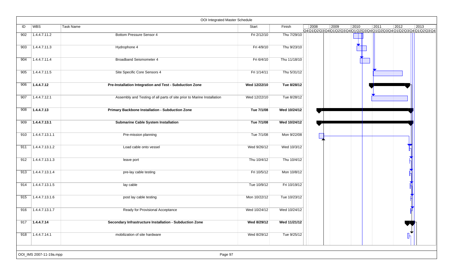|     |                         | OOI Integrated Master Schedule                                         |              |              |      |                                                                                   |      |      |                |                |
|-----|-------------------------|------------------------------------------------------------------------|--------------|--------------|------|-----------------------------------------------------------------------------------|------|------|----------------|----------------|
| ID  | WBS                     | Task Name                                                              | Start        | Finish       | 2008 | 2009<br>Q4Q1\Q2\Q3\Q4\Q1\Q2\Q3\Q4\Q1\Q2\Q3\Q4\Q1\Q2\Q3\Q4\Q1\Q2\Q3\Q4\Q1\Q2\Q3\Q4 | 2010 | 2011 | $ 2012\rangle$ | $ 2013\rangle$ |
| 902 | 1.4.4.7.11.2            | <b>Bottom Pressure Sensor 4</b>                                        | Fri 2/12/10  | Thu 7/29/10  |      |                                                                                   |      |      |                |                |
| 903 | 1.4.4.7.11.3            | Hydrophone 4                                                           | Fri 4/9/10   | Thu 9/23/10  |      |                                                                                   |      |      |                |                |
| 904 | 1.4.4.7.11.4            | <b>Broadband Seismometer 4</b>                                         | Fri 6/4/10   | Thu 11/18/10 |      |                                                                                   |      |      |                |                |
| 905 | 1.4.4.7.11.5            | Site Specific Core Sensors 4                                           | Fri 1/14/11  | Thu 5/31/12  |      |                                                                                   |      |      |                |                |
| 906 | 1.4.4.7.12              | Pre-Installation Integration and Test - Subduction Zone                | Wed 12/22/10 | Tue 8/28/12  |      |                                                                                   |      |      |                |                |
| 907 | 1.4.4.7.12.1            | Assembly and Testing of all parts of site prior to Marine Installation | Wed 12/22/10 | Tue 8/28/12  |      |                                                                                   |      |      |                |                |
| 908 | 1.4.4.7.13              | <b>Primary Backbone Installation - Subduction Zone</b>                 | Tue 7/1/08   | Wed 10/24/12 |      |                                                                                   |      |      |                |                |
| 909 | 1.4.4.7.13.1            | <b>Submarine Cable System Installation</b>                             | Tue 7/1/08   | Wed 10/24/12 |      |                                                                                   |      |      |                |                |
| 910 | 1.4.4.7.13.1.1          | Pre-mission planning                                                   | Tue 7/1/08   | Mon 9/22/08  |      |                                                                                   |      |      |                |                |
| 911 | 1.4.4.7.13.1.2          | Load cable onto vessel                                                 | Wed 9/26/12  | Wed 10/3/12  |      |                                                                                   |      |      |                |                |
| 912 | 1.4.4.7.13.1.3          | leave port                                                             | Thu 10/4/12  | Thu 10/4/12  |      |                                                                                   |      |      |                |                |
| 913 | 1.4.4.7.13.1.4          | pre-lay cable testing                                                  | Fri 10/5/12  | Mon 10/8/12  |      |                                                                                   |      |      |                |                |
| 914 | 7.4.4.7.13.1.5          | lay cable                                                              | Tue 10/9/12  | Fri 10/19/12 |      |                                                                                   |      |      |                |                |
| 915 | 1.4.4.7.13.1.6          | post lay cable testing                                                 | Mon 10/22/12 | Tue 10/23/12 |      |                                                                                   |      |      |                |                |
| 916 | 1.4.4.7.13.1.7          | Ready for Provisional Acceptance                                       | Wed 10/24/12 | Wed 10/24/12 |      |                                                                                   |      |      |                |                |
| 917 | 1.4.4.7.14              | Secondary Infrastructure Installation - Subduction Zone                | Wed 8/29/12  | Wed 11/21/12 |      |                                                                                   |      |      |                |                |
| 918 | 71.4.4.7.14.1           | mobilization of site hardware                                          | Wed 8/29/12  | Tue 9/25/12  |      |                                                                                   |      |      |                |                |
|     | OOI_IMS 2007-11-19a.mpp | Page 97                                                                |              |              |      |                                                                                   |      |      |                |                |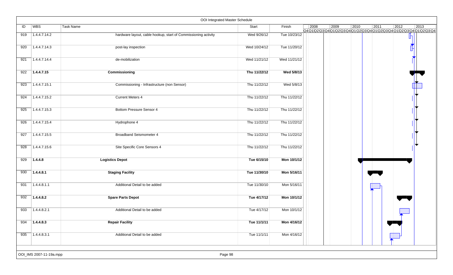|     |                         | OOI Integrated Master Schedule                                 |              |              |      |      |                |                |                                                                                  |      |
|-----|-------------------------|----------------------------------------------------------------|--------------|--------------|------|------|----------------|----------------|----------------------------------------------------------------------------------|------|
| ID  | WBS                     | Task Name                                                      | Start        | Finish       | 2008 | 2009 | $ 2010\rangle$ | $ 2011\rangle$ | 2012<br>Q4Q1Q2\Q3\Q4\Q1\Q2\Q3\Q4\Q1\Q2\Q3\Q4\Q1\Q2\Q3\Q4\Q1\Q2\Q3\Q4\Q1\Q2\Q3\Q4 | 2013 |
| 919 | 1.4.4.7.14.2            | hardware layout, cable hookup, start of Commissioning activity | Wed 9/26/12  | Tue 10/23/12 |      |      |                |                |                                                                                  |      |
| 920 | 1.4.4.7.14.3            | post-lay inspection                                            | Wed 10/24/12 | Tue 11/20/12 |      |      |                |                |                                                                                  |      |
| 921 | 1.4.4.7.14.4            | de-mobilization                                                | Wed 11/21/12 | Wed 11/21/12 |      |      |                |                |                                                                                  |      |
| 922 | 1.4.4.7.15              | Commissioning                                                  | Thu 11/22/12 | Wed 5/8/13   |      |      |                |                |                                                                                  |      |
| 923 | 1.4.4.7.15.1            | Commissioning - Infrastructure (non Sensor)                    | Thu 11/22/12 | Wed 5/8/13   |      |      |                |                |                                                                                  |      |
| 924 | 1.4.4.7.15.2            | <b>Current Meters 4</b>                                        | Thu 11/22/12 | Thu 11/22/12 |      |      |                |                |                                                                                  |      |
| 925 | 1.4.4.7.15.3            | Bottom Pressure Sensor 4                                       | Thu 11/22/12 | Thu 11/22/12 |      |      |                |                |                                                                                  |      |
| 926 | 1.4.4.7.15.4            | Hydrophone 4                                                   | Thu 11/22/12 | Thu 11/22/12 |      |      |                |                |                                                                                  |      |
| 927 | 1.4.4.7.15.5            | <b>Broadband Seismometer 4</b>                                 | Thu 11/22/12 | Thu 11/22/12 |      |      |                |                |                                                                                  |      |
| 928 | 1.4.4.7.15.6            | Site Specific Core Sensors 4                                   | Thu 11/22/12 | Thu 11/22/12 |      |      |                |                |                                                                                  |      |
| 929 | 1.4.4.8                 | <b>Logistics Depot</b>                                         | Tue 6/15/10  | Mon 10/1/12  |      |      |                |                |                                                                                  |      |
| 930 | 1.4.4.8.1               | <b>Staging Facility</b>                                        | Tue 11/30/10 | Mon 5/16/11  |      |      |                |                |                                                                                  |      |
| 931 | 1.4.4.8.1.1             | Additional Detail to be added                                  | Tue 11/30/10 | Mon 5/16/11  |      |      |                |                |                                                                                  |      |
| 932 | 1.4.4.8.2               | <b>Spare Parts Depot</b>                                       | Tue 4/17/12  | Mon 10/1/12  |      |      |                |                |                                                                                  |      |
| 933 | 1.4.4.8.2.1             | Additional Detail to be added                                  | Tue 4/17/12  | Mon 10/1/12  |      |      |                |                |                                                                                  |      |
| 934 | 71.4.4.8.3              | <b>Repair Facility</b>                                         | Tue 11/1/11  | Mon 4/16/12  |      |      |                |                |                                                                                  |      |
| 935 | 1.4.4.8.3.1             | Additional Detail to be added                                  | Tue 11/1/11  | Mon 4/16/12  |      |      |                |                |                                                                                  |      |
|     | OOI_IMS 2007-11-19a.mpp | Page 98                                                        |              |              |      |      |                |                |                                                                                  |      |